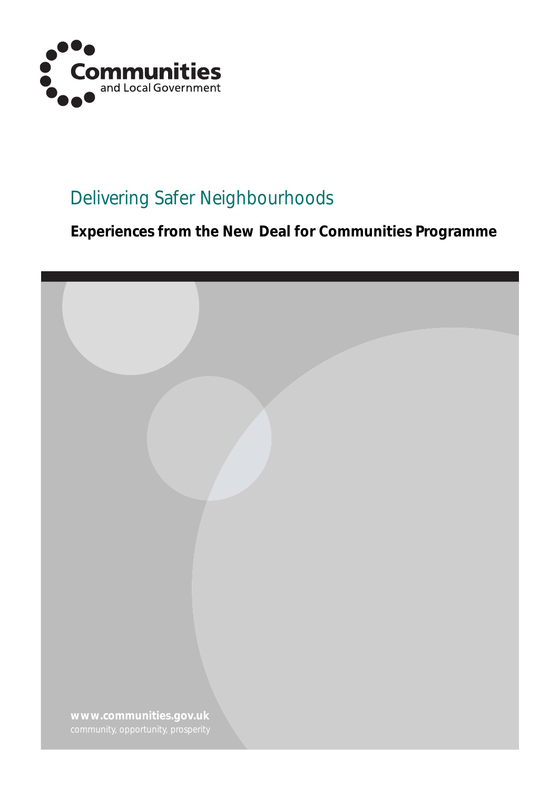

# Delivering Safer Neighbourhoods

**Experiences from the New Deal for Communities Programme**

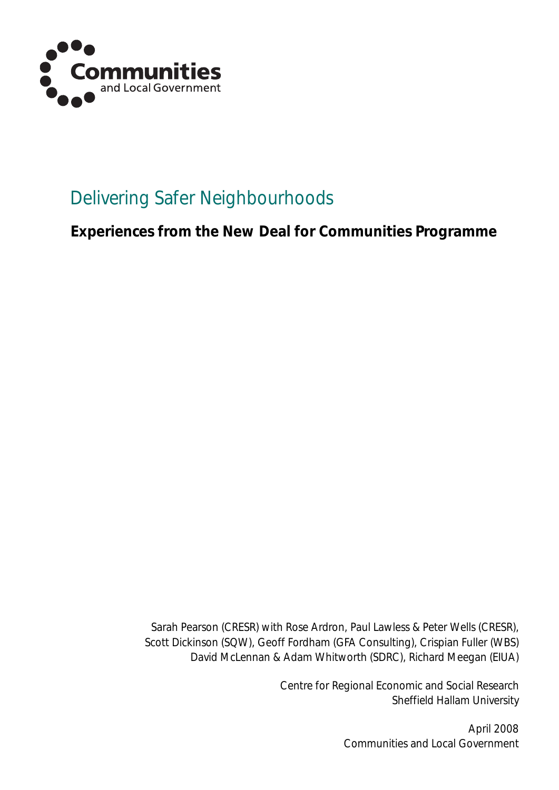

# Delivering Safer Neighbourhoods

**Experiences from the New Deal for Communities Programme**

Sarah Pearson (CRESR) with Rose Ardron, Paul Lawless & Peter Wells (CRESR), Scott Dickinson (SQW), Geoff Fordham (GFA Consulting), Crispian Fuller (WBS) David McLennan & Adam Whitworth (SDRC), Richard Meegan (EIUA)

> Centre for Regional Economic and Social Research Sheffield Hallam University

> > April 2008 Communities and Local Government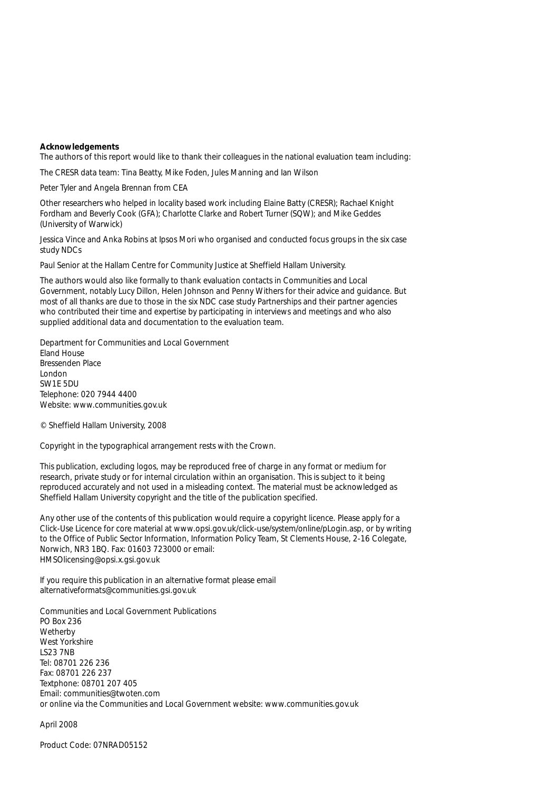#### **Acknowledgements**

The authors of this report would like to thank their colleagues in the national evaluation team including:

The CRESR data team: Tina Beatty, Mike Foden, Jules Manning and Ian Wilson

Peter Tyler and Angela Brennan from CEA

Other researchers who helped in locality based work including Elaine Batty (CRESR); Rachael Knight Fordham and Beverly Cook (GFA); Charlotte Clarke and Robert Turner (SQW); and Mike Geddes (University of Warwick)

Jessica Vince and Anka Robins at Ipsos Mori who organised and conducted focus groups in the six case study NDCs

Paul Senior at the Hallam Centre for Community Justice at Sheffield Hallam University.

The authors would also like formally to thank evaluation contacts in Communities and Local Government, notably Lucy Dillon, Helen Johnson and Penny Withers for their advice and guidance. But most of all thanks are due to those in the six NDC case study Partnerships and their partner agencies who contributed their time and expertise by participating in interviews and meetings and who also supplied additional data and documentation to the evaluation team.

Department for Communities and Local Government Eland House Bressenden Place London SW1E 5DU Telephone: 020 7944 4400 Website: www.communities.gov.uk

#### © *Sheffield Hallam University, 2008*

*Copyright in the typographical arrangement rests with the Crown.*

*This publication, excluding logos, may be reproduced free of charge in any format or medium for research, private study or for internal circulation within an organisation. This is subject to it being reproduced accurately and not used in a misleading context. The material must be acknowledged as Sheffield Hallam University copyright and the title of the publication specified.*

Any other use of the contents of this publication would require a copyright licence. Please apply for a Click-Use Licence for core material at www.opsi.gov.uk/click-use/system/online/pLogin.asp, or by writing to the Office of Public Sector Information, Information Policy Team, St Clements House, 2-16 Colegate, Norwich, NR3 1BQ. Fax: 01603 723000 or email: HMSOlicensing@opsi.x.gsi.gov.uk

If you require this publication in an alternative format please email alternativeformats@communities.gsi.gov.uk

Communities and Local Government Publications PO Box 236 Wetherby West Yorkshire LS23 7NB Tel: 08701 226 236 Fax: 08701 226 237 Textphone: 08701 207 405 Email: communities@twoten.com or online via the Communities and Local Government website: www.communities.gov.uk

#### April 2008

Product Code: 07NRAD05152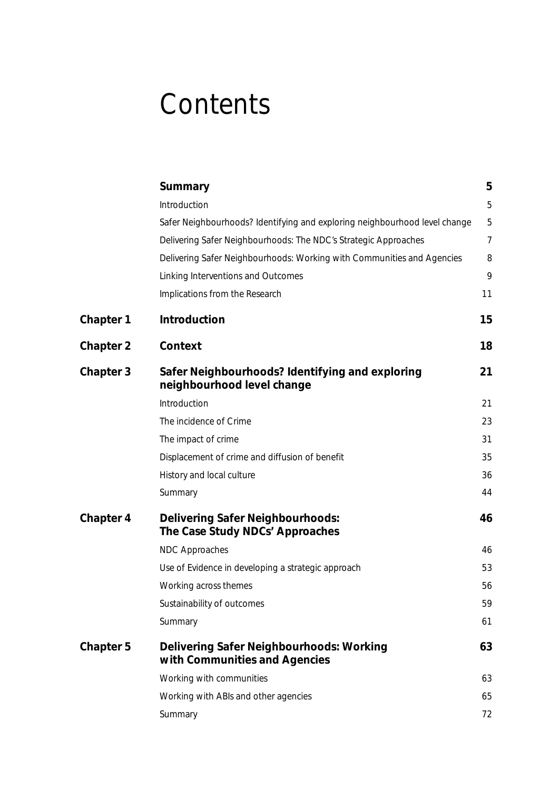# **Contents**

|                  | Summary                                                                       | 5  |
|------------------|-------------------------------------------------------------------------------|----|
|                  | Introduction                                                                  | 5  |
|                  | Safer Neighbourhoods? Identifying and exploring neighbourhood level change    | 5  |
|                  | Delivering Safer Neighbourhoods: The NDC's Strategic Approaches               | 7  |
|                  | Delivering Safer Neighbourhoods: Working with Communities and Agencies        | 8  |
|                  | Linking Interventions and Outcomes                                            | 9  |
|                  | Implications from the Research                                                | 11 |
| <b>Chapter 1</b> | Introduction                                                                  | 15 |
| <b>Chapter 2</b> | Context                                                                       | 18 |
| <b>Chapter 3</b> | Safer Neighbourhoods? Identifying and exploring<br>neighbourhood level change | 21 |
|                  | Introduction                                                                  | 21 |
|                  | The incidence of Crime                                                        | 23 |
|                  | The impact of crime                                                           | 31 |
|                  | Displacement of crime and diffusion of benefit                                | 35 |
|                  | History and local culture                                                     | 36 |
|                  | Summary                                                                       | 44 |
| <b>Chapter 4</b> | <b>Delivering Safer Neighbourhoods:</b><br>The Case Study NDCs' Approaches    | 46 |
|                  | NDC Approaches                                                                | 46 |
|                  | Use of Evidence in developing a strategic approach                            | 53 |
|                  | Working across themes                                                         | 56 |
|                  | Sustainability of outcomes                                                    | 59 |
|                  | Summary                                                                       | 61 |
| <b>Chapter 5</b> | Delivering Safer Neighbourhoods: Working<br>with Communities and Agencies     | 63 |
|                  | Working with communities                                                      | 63 |
|                  | Working with ABIs and other agencies                                          | 65 |
|                  | Summary                                                                       | 72 |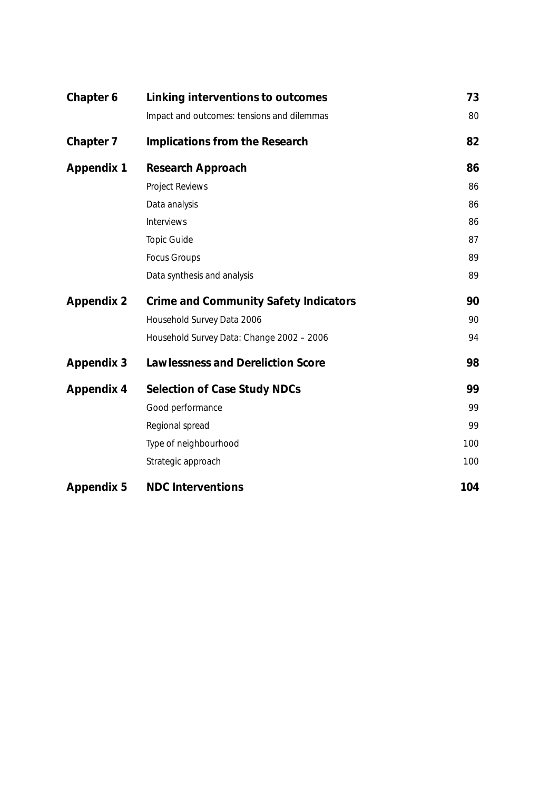| Chapter 6         | 73                                           |     |
|-------------------|----------------------------------------------|-----|
|                   | Impact and outcomes: tensions and dilemmas   | 80  |
| <b>Chapter 7</b>  | Implications from the Research               | 82  |
| <b>Appendix 1</b> | <b>Research Approach</b>                     | 86  |
|                   | Project Reviews                              | 86  |
|                   | Data analysis                                | 86  |
|                   | Interviews                                   | 86  |
|                   | <b>Topic Guide</b>                           | 87  |
|                   | <b>Focus Groups</b>                          | 89  |
|                   | Data synthesis and analysis                  | 89  |
| <b>Appendix 2</b> | <b>Crime and Community Safety Indicators</b> | 90  |
|                   | Household Survey Data 2006                   | 90  |
|                   | Household Survey Data: Change 2002 - 2006    | 94  |
| <b>Appendix 3</b> | <b>Lawlessness and Dereliction Score</b>     | 98  |
| <b>Appendix 4</b> | <b>Selection of Case Study NDCs</b>          | 99  |
|                   | Good performance                             | 99  |
|                   | Regional spread                              | 99  |
|                   | Type of neighbourhood                        | 100 |
|                   | Strategic approach                           | 100 |
| <b>Appendix 5</b> | <b>NDC Interventions</b>                     | 104 |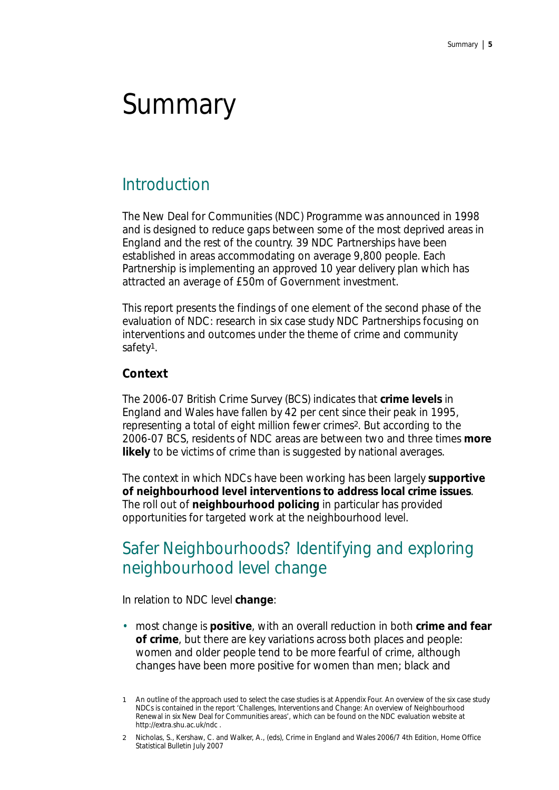# <span id="page-5-0"></span>**Summary**

### **Introduction**

The New Deal for Communities (NDC) Programme was announced in 1998 and is designed to reduce gaps between some of the most deprived areas in England and the rest of the country. 39 NDC Partnerships have been established in areas accommodating on average 9,800 people. Each Partnership is implementing an approved 10 year delivery plan which has attracted an average of £50m of Government investment.

This report presents the findings of one element of the second phase of the evaluation of NDC: research in six case study NDC Partnerships focusing on interventions and outcomes under the theme of crime and community safety1.

#### **Context**

The 2006-07 British Crime Survey (BCS) indicates that **crime levels** in England and Wales have fallen by 42 per cent since their peak in 1995, representing a total of eight million fewer crimes2. But according to the 2006-07 BCS, residents of NDC areas are between two and three times **more likely** to be victims of crime than is suggested by national averages.

The context in which NDCs have been working has been largely **supportive of neighbourhood level interventions to address local crime issues**. The roll out of **neighbourhood policing** in particular has provided opportunities for targeted work at the neighbourhood level.

## Safer Neighbourhoods? Identifying and exploring neighbourhood level change

In relation to NDC level **change**:

• most change is **positive**, with an overall reduction in both **crime and fear of crime**, but there are key variations across both places and people: women and older people tend to be more fearful of crime, although changes have been more positive for women than men; black and

<sup>1</sup> An outline of the approach used to select the case studies is at Appendix Four. An overview of the six case study NDCs is contained in the report 'Challenges, Interventions and Change: An overview of Neighbourhood Renewal in six New Deal for Communities areas', which can be found on the NDC evaluation website at http://extra.shu.ac.uk/ndc .

<sup>2</sup> Nicholas, S., Kershaw, C. and Walker, A., (eds), Crime in England and Wales 2006/7 4th Edition, Home Office Statistical Bulletin July 2007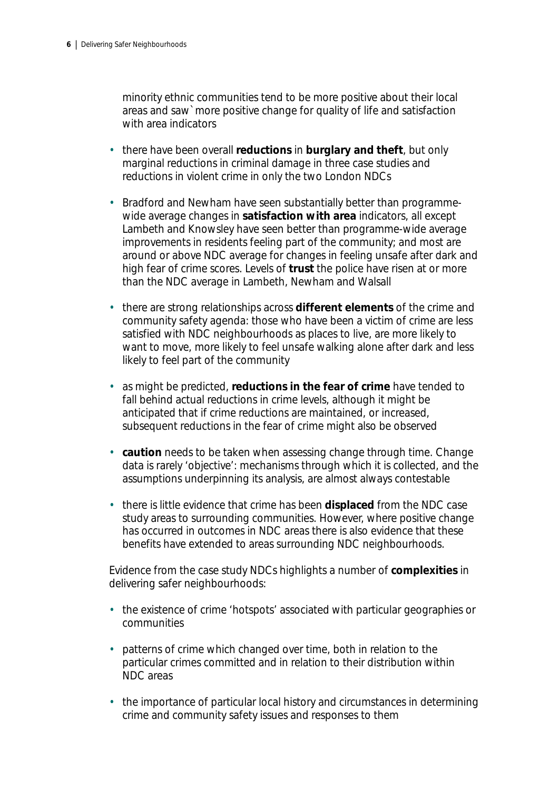minority ethnic communities tend to be more positive about their local areas and saw` more positive change for quality of life and satisfaction with area indicators

- there have been overall **reductions** in **burglary and theft**, but only marginal reductions in criminal damage in three case studies and reductions in violent crime in only the two London NDCs
- Bradford and Newham have seen substantially better than programmewide average changes in **satisfaction with area** indicators, all except Lambeth and Knowsley have seen better than programme-wide average improvements in residents feeling part of the community; and most are around or above NDC average for changes in feeling unsafe after dark and high fear of crime scores. Levels of **trust** the police have risen at or more than the NDC average in Lambeth, Newham and Walsall
- there are strong relationships across **different elements** of the crime and community safety agenda: those who have been a victim of crime are less satisfied with NDC neighbourhoods as places to live, are more likely to want to move, more likely to feel unsafe walking alone after dark and less likely to feel part of the community
- as might be predicted, **reductions in the fear of crime** have tended to fall behind actual reductions in crime levels, although it might be anticipated that if crime reductions are maintained, or increased, subsequent reductions in the fear of crime might also be observed
- **caution** needs to be taken when assessing change through time. Change data is rarely 'objective': mechanisms through which it is collected, and the assumptions underpinning its analysis, are almost always contestable
- there is little evidence that crime has been **displaced** from the NDC case study areas to surrounding communities. However, where positive change has occurred in outcomes in NDC areas there is also evidence that these benefits have extended to areas surrounding NDC neighbourhoods.

Evidence from the case study NDCs highlights a number of **complexities** in delivering safer neighbourhoods:

- the existence of crime 'hotspots' associated with particular geographies or communities
- patterns of crime which changed over time, both in relation to the particular crimes committed and in relation to their distribution within NDC areas
- the importance of particular local history and circumstances in determining crime and community safety issues and responses to them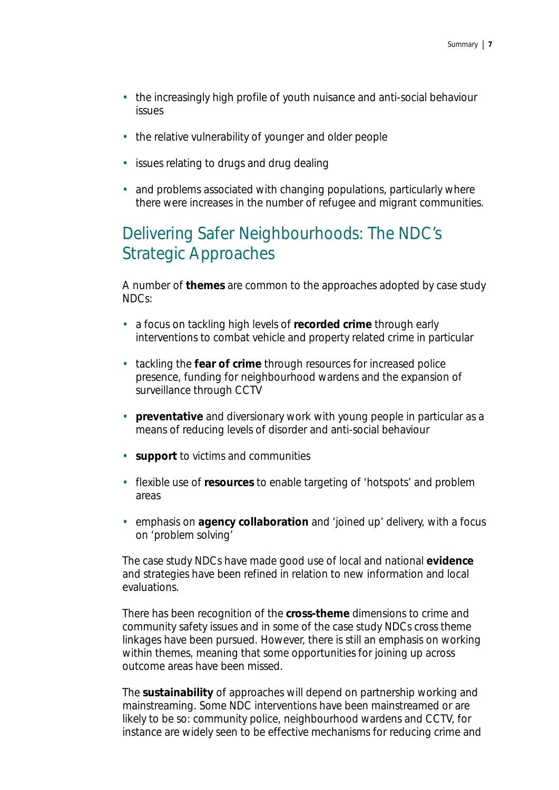- <span id="page-7-0"></span>• the increasingly high profile of youth nuisance and anti-social behaviour issues
- the relative vulnerability of younger and older people
- issues relating to drugs and drug dealing
- and problems associated with changing populations, particularly where there were increases in the number of refugee and migrant communities.

### Delivering Safer Neighbourhoods: The NDC's Strategic Approaches

A number of **themes** are common to the approaches adopted by case study NDCs:

- a focus on tackling high levels of **recorded crime** through early interventions to combat vehicle and property related crime in particular
- tackling the **fear of crime** through resources for increased police presence, funding for neighbourhood wardens and the expansion of surveillance through CCTV
- **preventative** and diversionary work with young people in particular as a means of reducing levels of disorder and anti-social behaviour
- **support** to victims and communities
- flexible use of **resources** to enable targeting of 'hotspots' and problem areas
- emphasis on **agency collaboration** and 'joined up' delivery, with a focus on 'problem solving'

The case study NDCs have made good use of local and national **evidence** and strategies have been refined in relation to new information and local evaluations.

There has been recognition of the **cross-theme** dimensions to crime and community safety issues and in some of the case study NDCs cross theme linkages have been pursued. However, there is still an emphasis on working within themes, meaning that some opportunities for joining up across outcome areas have been missed.

The **sustainability** of approaches will depend on partnership working and mainstreaming. Some NDC interventions have been mainstreamed or are likely to be so: community police, neighbourhood wardens and CCTV, for instance are widely seen to be effective mechanisms for reducing crime and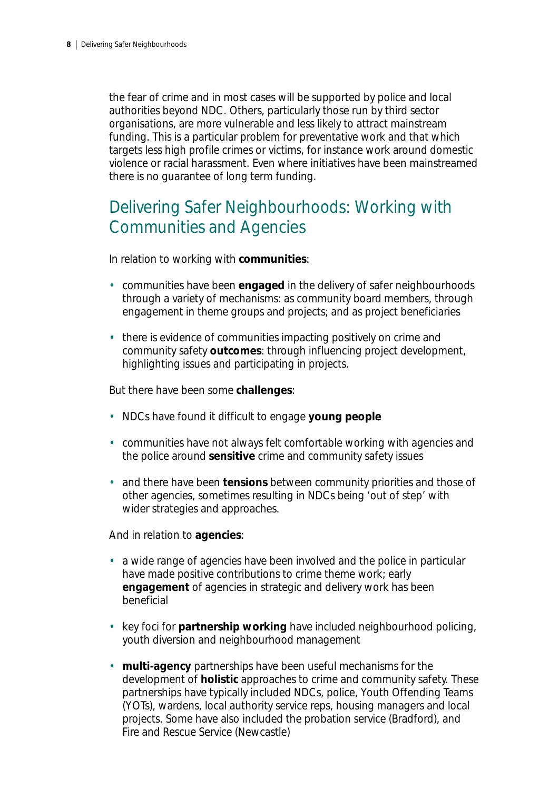<span id="page-8-0"></span>the fear of crime and in most cases will be supported by police and local authorities beyond NDC. Others, particularly those run by third sector organisations, are more vulnerable and less likely to attract mainstream funding. This is a particular problem for preventative work and that which targets less high profile crimes or victims, for instance work around domestic violence or racial harassment. Even where initiatives have been mainstreamed there is no guarantee of long term funding.

## Delivering Safer Neighbourhoods: Working with Communities and Agencies

In relation to working with **communities**:

- communities have been **engaged** in the delivery of safer neighbourhoods through a variety of mechanisms: as community board members, through engagement in theme groups and projects; and as project beneficiaries
- there is evidence of communities impacting positively on crime and community safety **outcomes**: through influencing project development, highlighting issues and participating in projects.

But there have been some **challenges**:

- NDCs have found it difficult to engage **young people**
- communities have not always felt comfortable working with agencies and the police around **sensitive** crime and community safety issues
- and there have been **tensions** between community priorities and those of other agencies, sometimes resulting in NDCs being 'out of step' with wider strategies and approaches.

And in relation to **agencies**:

- a wide range of agencies have been involved and the police in particular have made positive contributions to crime theme work; early **engagement** of agencies in strategic and delivery work has been beneficial
- key foci for **partnership working** have included neighbourhood policing, youth diversion and neighbourhood management
- **multi-agency** partnerships have been useful mechanisms for the development of **holistic** approaches to crime and community safety. These partnerships have typically included NDCs, police, Youth Offending Teams (YOTs), wardens, local authority service reps, housing managers and local projects. Some have also included the probation service (Bradford), and Fire and Rescue Service (Newcastle)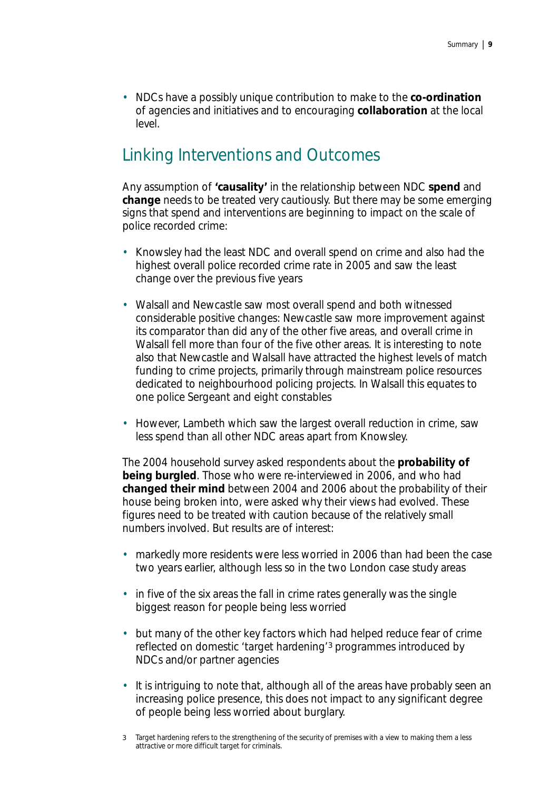<span id="page-9-0"></span>• NDCs have a possibly unique contribution to make to the **co-ordination** of agencies and initiatives and to encouraging **collaboration** at the local level.

### Linking Interventions and Outcomes

Any assumption of **'causality'** in the relationship between NDC **spend** and **change** needs to be treated very cautiously. But there may be some emerging signs that spend and interventions are beginning to impact on the scale of police recorded crime:

- Knowsley had the least NDC and overall spend on crime and also had the highest overall police recorded crime rate in 2005 and saw the least change over the previous five years
- Walsall and Newcastle saw most overall spend and both witnessed considerable positive changes: Newcastle saw more improvement against its comparator than did any of the other five areas, and overall crime in Walsall fell more than four of the five other areas. It is interesting to note also that Newcastle and Walsall have attracted the highest levels of match funding to crime projects, primarily through mainstream police resources dedicated to neighbourhood policing projects. In Walsall this equates to one police Sergeant and eight constables
- However, Lambeth which saw the largest overall reduction in crime, saw less spend than all other NDC areas apart from Knowsley.

The 2004 household survey asked respondents about the **probability of being burgled**. Those who were re-interviewed in 2006, and who had **changed their mind** between 2004 and 2006 about the probability of their house being broken into, were asked why their views had evolved. These figures need to be treated with caution because of the relatively small numbers involved. But results are of interest:

- markedly more residents were less worried in 2006 than had been the case two years earlier, although less so in the two London case study areas
- in five of the six areas the fall in crime rates generally was the single biggest reason for people being less worried
- but many of the other key factors which had helped reduce fear of crime reflected on domestic 'target hardening'<sup>3</sup> programmes introduced by NDCs and/or partner agencies
- It is intriguing to note that, although all of the areas have probably seen an increasing police presence, this does not impact to any significant degree of people being less worried about burglary.

<sup>3</sup> Target hardening refers to the strengthening of the security of premises with a view to making them a less attractive or more difficult target for criminals.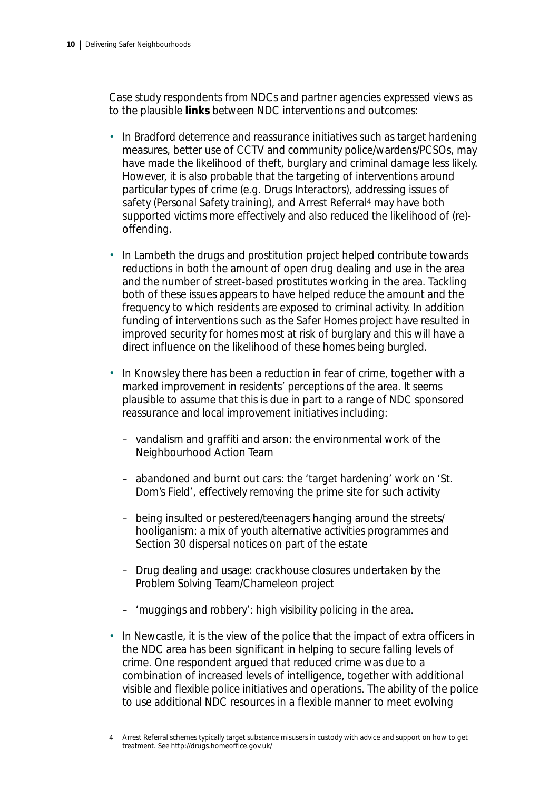Case study respondents from NDCs and partner agencies expressed views as to the plausible **links** between NDC interventions and outcomes:

- In Bradford deterrence and reassurance initiatives such as target hardening measures, better use of CCTV and community police/wardens/PCSOs, may have made the likelihood of theft, burglary and criminal damage less likely. However, it is also probable that the targeting of interventions around particular types of crime (e.g. Drugs Interactors), addressing issues of safety (Personal Safety training), and Arrest Referral<sup>4</sup> may have both supported victims more effectively and also reduced the likelihood of (re) offending.
- In Lambeth the drugs and prostitution project helped contribute towards reductions in both the amount of open drug dealing and use in the area and the number of street-based prostitutes working in the area. Tackling both of these issues appears to have helped reduce the amount and the frequency to which residents are exposed to criminal activity. In addition funding of interventions such as the Safer Homes project have resulted in improved security for homes most at risk of burglary and this will have a direct influence on the likelihood of these homes being burgled.
- In Knowsley there has been a reduction in fear of crime, together with a marked improvement in residents' perceptions of the area. It seems plausible to assume that this is due in part to a range of NDC sponsored reassurance and local improvement initiatives including:
	- vandalism and graffiti and arson: the environmental work of the Neighbourhood Action Team
	- abandoned and burnt out cars: the 'target hardening' work on 'St. Dom's Field', effectively removing the prime site for such activity
	- being insulted or pestered/teenagers hanging around the streets/ hooliganism: a mix of youth alternative activities programmes and Section 30 dispersal notices on part of the estate
	- Drug dealing and usage: crackhouse closures undertaken by the Problem Solving Team/Chameleon project
	- 'muggings and robbery': high visibility policing in the area.
- In Newcastle, it is the view of the police that the impact of extra officers in the NDC area has been significant in helping to secure falling levels of crime. One respondent argued that reduced crime was due to a combination of increased levels of intelligence, together with additional visible and flexible police initiatives and operations. The ability of the police to use additional NDC resources in a flexible manner to meet evolving

Arrest Referral schemes typically target substance misusers in custody with advice and support on how to get treatment. See http://drugs.homeoffice.gov.uk/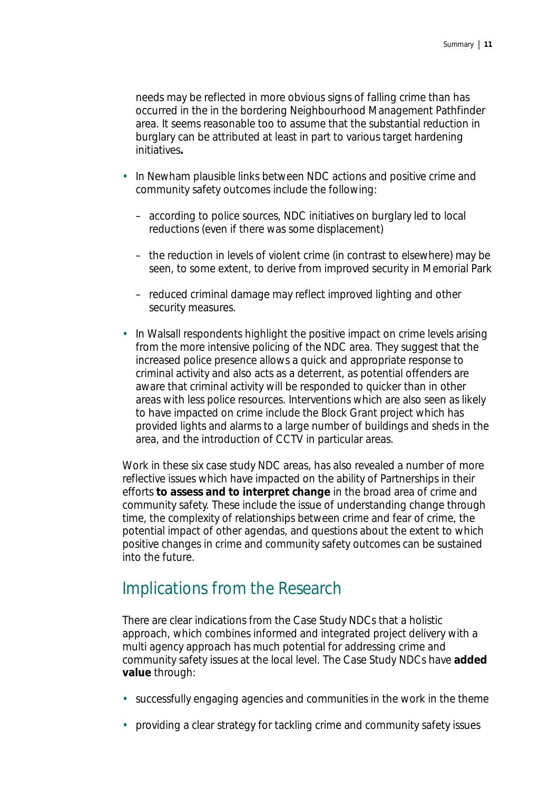<span id="page-11-0"></span>needs may be reflected in more obvious signs of falling crime than has occurred in the in the bordering Neighbourhood Management Pathfinder area. It seems reasonable too to assume that the substantial reduction in burglary can be attributed at least in part to various target hardening initiatives**.**

- In Newham plausible links between NDC actions and positive crime and community safety outcomes include the following:
	- according to police sources, NDC initiatives on burglary led to local reductions (even if there was some displacement)
	- the reduction in levels of violent crime (in contrast to elsewhere) may be seen, to some extent, to derive from improved security in Memorial Park
	- reduced criminal damage may reflect improved lighting and other security measures.
- In Walsall respondents highlight the positive impact on crime levels arising from the more intensive policing of the NDC area. They suggest that the increased police presence allows a quick and appropriate response to criminal activity and also acts as a deterrent, as potential offenders are aware that criminal activity will be responded to quicker than in other areas with less police resources. Interventions which are also seen as likely to have impacted on crime include the Block Grant project which has provided lights and alarms to a large number of buildings and sheds in the area, and the introduction of CCTV in particular areas.

Work in these six case study NDC areas, has also revealed a number of more reflective issues which have impacted on the ability of Partnerships in their efforts **to assess and to interpret change** in the broad area of crime and community safety. These include the issue of understanding change through time, the complexity of relationships between crime and fear of crime, the potential impact of other agendas, and questions about the extent to which positive changes in crime and community safety outcomes can be sustained into the future.

### Implications from the Research

There are clear indications from the Case Study NDCs that a holistic approach, which combines informed and integrated project delivery with a multi agency approach has much potential for addressing crime and community safety issues at the local level. The Case Study NDCs have **added value** through:

- successfully engaging agencies and communities in the work in the theme
- providing a clear strategy for tackling crime and community safety issues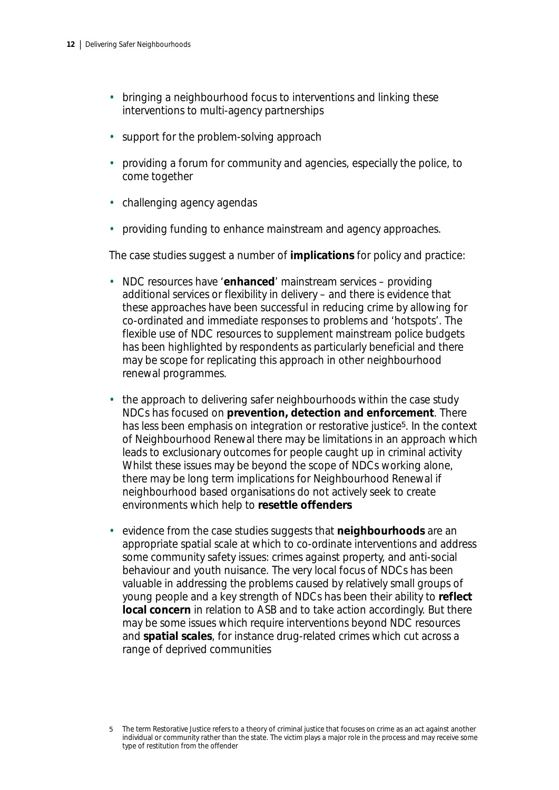- bringing a neighbourhood focus to interventions and linking these interventions to multi-agency partnerships
- support for the problem-solving approach
- providing a forum for community and agencies, especially the police, to come together
- challenging agency agendas
- providing funding to enhance mainstream and agency approaches.

The case studies suggest a number of **implications** for policy and practice:

- NDC resources have '**enhanced**' mainstream services providing additional services or flexibility in delivery – and there is evidence that these approaches have been successful in reducing crime by allowing for co-ordinated and immediate responses to problems and 'hotspots'. The flexible use of NDC resources to supplement mainstream police budgets has been highlighted by respondents as particularly beneficial and there may be scope for replicating this approach in other neighbourhood renewal programmes.
- the approach to delivering safer neighbourhoods within the case study NDCs has focused on **prevention, detection and enforcement**. There has less been emphasis on integration or restorative justice5. In the context of Neighbourhood Renewal there may be limitations in an approach which leads to exclusionary outcomes for people caught up in criminal activity Whilst these issues may be beyond the scope of NDCs working alone, there may be long term implications for Neighbourhood Renewal if neighbourhood based organisations do not actively seek to create environments which help to **resettle offenders**
- evidence from the case studies suggests that **neighbourhoods** are an appropriate spatial scale at which to co-ordinate interventions and address some community safety issues: crimes against property, and anti-social behaviour and youth nuisance. The very local focus of NDCs has been valuable in addressing the problems caused by relatively small groups of young people and a key strength of NDCs has been their ability to **reflect local concern** in relation to ASB and to take action accordingly. But there may be some issues which require interventions beyond NDC resources and **spatial scales**, for instance drug-related crimes which cut across a range of deprived communities

The term Restorative Justice refers to a *theory of criminal justice* that focuses on crime as an act against another individual or community rather than the state. The victim plays a major role in the process and may receive some type of *restitution* from the offender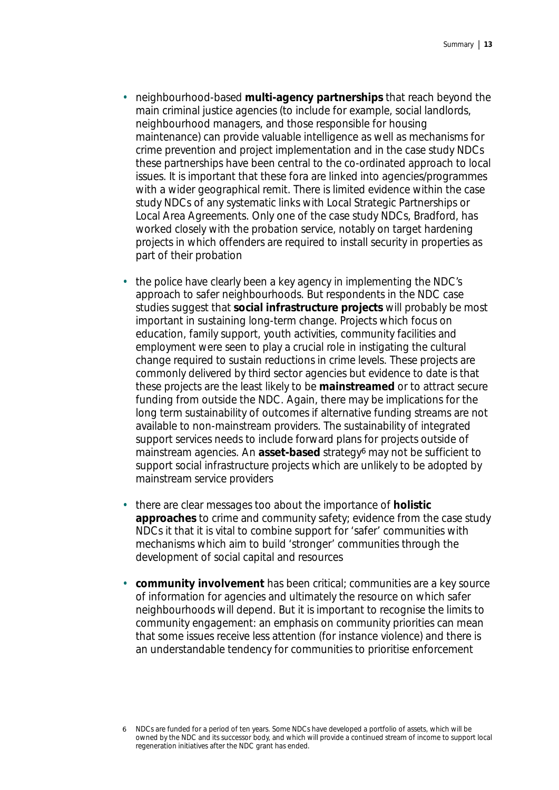- neighbourhood-based **multi-agency partnerships** that reach beyond the main criminal justice agencies (to include for example, social landlords, neighbourhood managers, and those responsible for housing maintenance) can provide valuable intelligence as well as mechanisms for crime prevention and project implementation and in the case study NDCs these partnerships have been central to the co-ordinated approach to local issues. It is important that these fora are linked into agencies/programmes with a wider geographical remit. There is limited evidence within the case study NDCs of any systematic links with Local Strategic Partnerships or Local Area Agreements. Only one of the case study NDCs, Bradford, has worked closely with the probation service, notably on target hardening projects in which offenders are required to install security in properties as part of their probation
- the police have clearly been a key agency in implementing the NDC's approach to safer neighbourhoods. But respondents in the NDC case studies suggest that **social infrastructure projects** will probably be most important in sustaining long-term change. Projects which focus on education, family support, youth activities, community facilities and employment were seen to play a crucial role in instigating the cultural change required to sustain reductions in crime levels. These projects are commonly delivered by third sector agencies but evidence to date is that these projects are the least likely to be **mainstreamed** or to attract secure funding from outside the NDC. Again, there may be implications for the long term sustainability of outcomes if alternative funding streams are not available to non-mainstream providers. The sustainability of integrated support services needs to include forward plans for projects outside of mainstream agencies. An **asset-based** strategy<sup>6</sup> may not be sufficient to support social infrastructure projects which are unlikely to be adopted by mainstream service providers
- there are clear messages too about the importance of **holistic approaches** to crime and community safety; evidence from the case study NDCs it that it is vital to combine support for 'safer' communities with mechanisms which aim to build 'stronger' communities through the development of social capital and resources
- **community involvement** has been critical; communities are a key source of information for agencies and ultimately the resource on which safer neighbourhoods will depend. But it is important to recognise the limits to community engagement: an emphasis on community priorities can mean that some issues receive less attention (for instance violence) and there is an understandable tendency for communities to prioritise enforcement

<sup>6</sup> NDCs are funded for a period of ten years. Some NDCs have developed a portfolio of assets, which will be owned by the NDC and its successor body, and which will provide a continued stream of income to support local regeneration initiatives after the NDC grant has ended.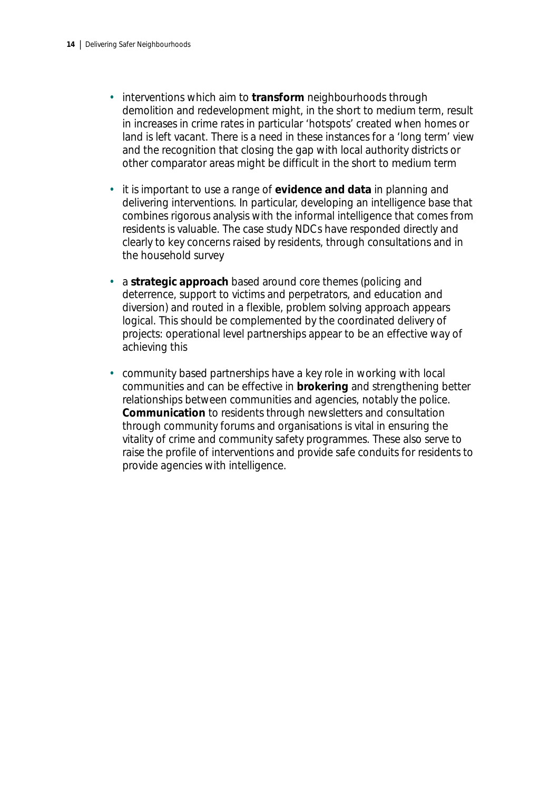- interventions which aim to **transform** neighbourhoods through demolition and redevelopment might, in the short to medium term, result in increases in crime rates in particular 'hotspots' created when homes or land is left vacant. There is a need in these instances for a 'long term' view and the recognition that closing the gap with local authority districts or other comparator areas might be difficult in the short to medium term
- it is important to use a range of **evidence and data** in planning and delivering interventions. In particular, developing an intelligence base that combines rigorous analysis with the informal intelligence that comes from residents is valuable. The case study NDCs have responded directly and clearly to key concerns raised by residents, through consultations and in the household survey
- a **strategic approach** based around core themes (policing and deterrence, support to victims and perpetrators, and education and diversion) and routed in a flexible, problem solving approach appears logical. This should be complemented by the coordinated delivery of projects: operational level partnerships appear to be an effective way of achieving this
- community based partnerships have a key role in working with local communities and can be effective in **brokering** and strengthening better relationships between communities and agencies, notably the police. **Communication** to residents through newsletters and consultation through community forums and organisations is vital in ensuring the vitality of crime and community safety programmes. These also serve to raise the profile of interventions and provide safe conduits for residents to provide agencies with intelligence.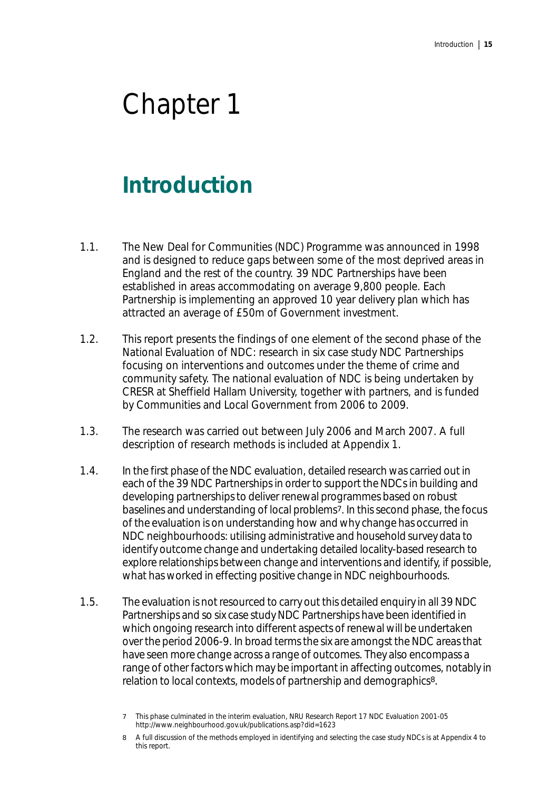# <span id="page-15-0"></span>Chapter 1

# **Introduction**

- 1.1. The New Deal for Communities (NDC) Programme was announced in 1998 and is designed to reduce gaps between some of the most deprived areas in England and the rest of the country. 39 NDC Partnerships have been established in areas accommodating on average 9,800 people. Each Partnership is implementing an approved 10 year delivery plan which has attracted an average of £50m of Government investment.
- 1.2. This report presents the findings of one element of the second phase of the National Evaluation of NDC: research in six case study NDC Partnerships focusing on interventions and outcomes under the theme of crime and community safety. The national evaluation of NDC is being undertaken by CRESR at Sheffield Hallam University, together with partners, and is funded by Communities and Local Government from 2006 to 2009.
- 1.3. The research was carried out between July 2006 and March 2007. A full description of research methods is included at Appendix 1.
- 1.4. In the first phase of the NDC evaluation, detailed research was carried out in each of the 39 NDC Partnerships in order to support the NDCs in building and developing partnerships to deliver renewal programmes based on robust baselines and understanding of local problems7. In this second phase, the focus of the evaluation is on understanding how and why change has occurred in NDC neighbourhoods: utilising administrative and household survey data to identify outcome change and undertaking detailed locality-based research to explore relationships between change and interventions and identify, if possible, what has worked in effecting positive change in NDC neighbourhoods.
- 1.5. The evaluation is not resourced to carry out this detailed enquiry in all 39 NDC Partnerships and so six case study NDC Partnerships have been identified in which ongoing research into different aspects of renewal will be undertaken over the period 2006-9. In broad terms the six are amongst the NDC areas that have seen more change across a range of outcomes. They also encompass a range of other factors which may be important in affecting outcomes, notably in relation to local contexts, models of partnership and demographics8.

<sup>7</sup> This phase culminated in the interim evaluation, NRU Research Report 17 NDC Evaluation 2001-05 http://www.neighbourhood.gov.uk/publications.asp?did=1623

<sup>8</sup> A full discussion of the methods employed in identifying and selecting the case study NDCs is at Appendix 4 to this report.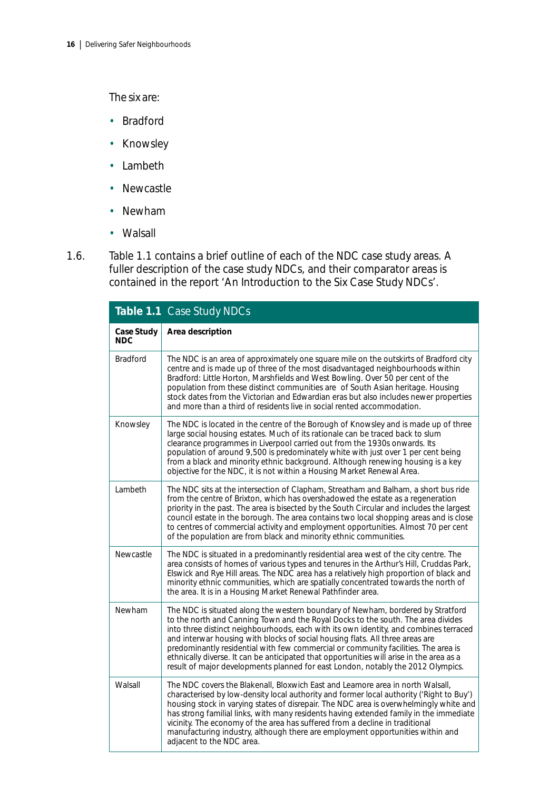The six are:

- Bradford
- Knowsley
- Lambeth
- Newcastle
- Newham
- Walsall
- 
- 1.6. Table 1.1 contains a brief outline of each of the NDC case study areas. A fuller description of the case study NDCs, and their comparator areas is contained in the report 'An Introduction to the Six Case Study NDCs'.

|                           | Table 1.1 Case Study NDCs                                                                                                                                                                                                                                                                                                                                                                                                                                                                                                                                                                                           |
|---------------------------|---------------------------------------------------------------------------------------------------------------------------------------------------------------------------------------------------------------------------------------------------------------------------------------------------------------------------------------------------------------------------------------------------------------------------------------------------------------------------------------------------------------------------------------------------------------------------------------------------------------------|
| <b>Case Study</b><br>NDC. | Area description                                                                                                                                                                                                                                                                                                                                                                                                                                                                                                                                                                                                    |
| <b>Bradford</b>           | The NDC is an area of approximately one square mile on the outskirts of Bradford city<br>centre and is made up of three of the most disadvantaged neighbourhoods within<br>Bradford: Little Horton, Marshfields and West Bowling. Over 50 per cent of the<br>population from these distinct communities are of South Asian heritage. Housing<br>stock dates from the Victorian and Edwardian eras but also includes newer properties<br>and more than a third of residents live in social rented accommodation.                                                                                                     |
| Knowsley                  | The NDC is located in the centre of the Borough of Knowsley and is made up of three<br>large social housing estates. Much of its rationale can be traced back to slum<br>clearance programmes in Liverpool carried out from the 1930s onwards. Its<br>population of around 9,500 is predominately white with just over 1 per cent being<br>from a black and minority ethnic background. Although renewing housing is a key<br>objective for the NDC, it is not within a Housing Market Renewal Area.                                                                                                                |
| Lambeth                   | The NDC sits at the intersection of Clapham, Streatham and Balham, a short bus ride<br>from the centre of Brixton, which has overshadowed the estate as a regeneration<br>priority in the past. The area is bisected by the South Circular and includes the largest<br>council estate in the borough. The area contains two local shopping areas and is close<br>to centres of commercial activity and employment opportunities. Almost 70 per cent<br>of the population are from black and minority ethnic communities.                                                                                            |
| Newcastle                 | The NDC is situated in a predominantly residential area west of the city centre. The<br>area consists of homes of various types and tenures in the Arthur's Hill, Cruddas Park,<br>Elswick and Rye Hill areas. The NDC area has a relatively high proportion of black and<br>minority ethnic communities, which are spatially concentrated towards the north of<br>the area. It is in a Housing Market Renewal Pathfinder area.                                                                                                                                                                                     |
| Newham                    | The NDC is situated along the western boundary of Newham, bordered by Stratford<br>to the north and Canning Town and the Royal Docks to the south. The area divides<br>into three distinct neighbourhoods, each with its own identity, and combines terraced<br>and interwar housing with blocks of social housing flats. All three areas are<br>predominantly residential with few commercial or community facilities. The area is<br>ethnically diverse. It can be anticipated that opportunities will arise in the area as a<br>result of major developments planned for east London, notably the 2012 Olympics. |
| Walsall                   | The NDC covers the Blakenall, Bloxwich East and Leamore area in north Walsall,<br>characterised by low-density local authority and former local authority ('Right to Buy')<br>housing stock in varying states of disrepair. The NDC area is overwhelmingly white and<br>has strong familial links, with many residents having extended family in the immediate<br>vicinity. The economy of the area has suffered from a decline in traditional<br>manufacturing industry, although there are employment opportunities within and<br>adjacent to the NDC area.                                                       |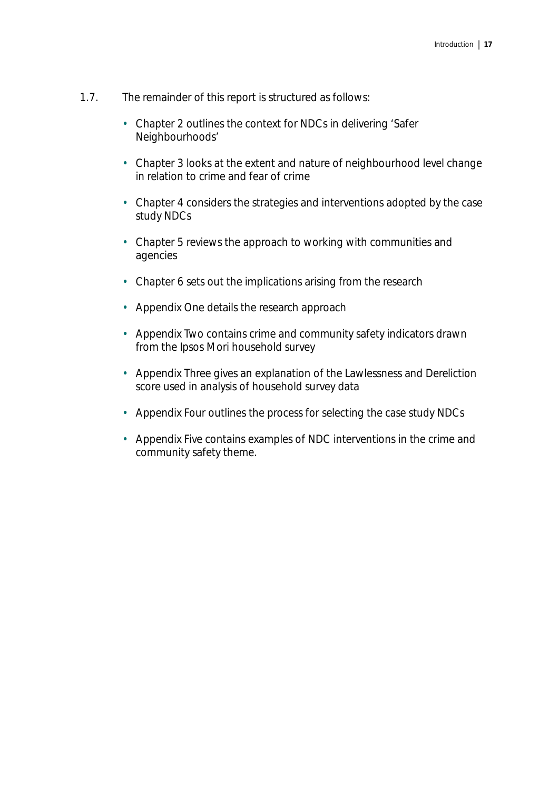- 1.7. The remainder of this report is structured as follows:
	- Chapter 2 outlines the context for NDCs in delivering 'Safer Neighbourhoods'
	- Chapter 3 looks at the extent and nature of neighbourhood level change in relation to crime and fear of crime
	- Chapter 4 considers the strategies and interventions adopted by the case study NDCs
	- Chapter 5 reviews the approach to working with communities and agencies
	- Chapter 6 sets out the implications arising from the research
	- Appendix One details the research approach
	- Appendix Two contains crime and community safety indicators drawn from the Ipsos Mori household survey
	- Appendix Three gives an explanation of the Lawlessness and Dereliction score used in analysis of household survey data
	- Appendix Four outlines the process for selecting the case study NDCs
	- Appendix Five contains examples of NDC interventions in the crime and community safety theme.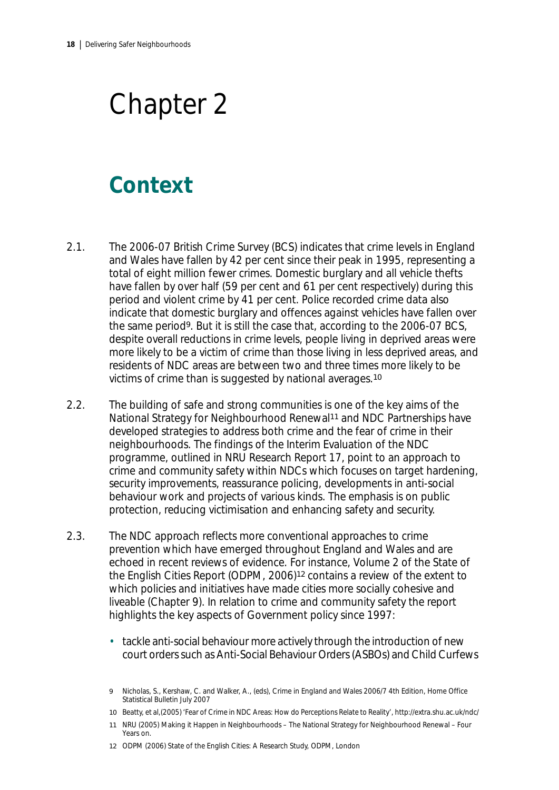# <span id="page-18-0"></span>Chapter 2

# **Context**

- 2.1. The 2006-07 British Crime Survey (BCS) indicates that crime levels in England and Wales have fallen by 42 per cent since their peak in 1995, representing a total of eight million fewer crimes. Domestic burglary and all vehicle thefts have fallen by over half (59 per cent and 61 per cent respectively) during this period and violent crime by 41 per cent. Police recorded crime data also indicate that domestic burglary and offences against vehicles have fallen over the same period9. But it is still the case that, according to the 2006-07 BCS, despite overall reductions in crime levels, people living in deprived areas were more likely to be a victim of crime than those living in less deprived areas, and residents of NDC areas are between two and three times more likely to be victims of crime than is suggested by national averages.<sup>10</sup>
- 2.2. The building of safe and strong communities is one of the key aims of the National Strategy for Neighbourhood Renewal<sup>11</sup> and NDC Partnerships have developed strategies to address both crime and the fear of crime in their neighbourhoods. The findings of the Interim Evaluation of the NDC programme, outlined in NRU Research Report 17, point to an approach to crime and community safety within NDCs which focuses on target hardening, security improvements, reassurance policing, developments in anti-social behaviour work and projects of various kinds. The emphasis is on public protection, reducing victimisation and enhancing safety and security.
- 2.3. The NDC approach reflects more conventional approaches to crime prevention which have emerged throughout England and Wales and are echoed in recent reviews of evidence. For instance, Volume 2 of the State of the English Cities Report (ODPM, 2006)<sup>12</sup> contains a review of the extent to which policies and initiatives have made cities more socially cohesive and liveable (Chapter 9). In relation to crime and community safety the report highlights the key aspects of Government policy since 1997:
	- tackle anti-social behaviour more actively through the introduction of new court orders such as Anti-Social Behaviour Orders (ASBOs) and Child Curfews

10 Beatty, et al,(2005) 'Fear of Crime in NDC Areas: How do Perceptions Relate to Reality', http://extra.shu.ac.uk/ndc/

12 ODPM (2006) State of the English Cities: A Research Study, ODPM, London

<sup>9</sup> Nicholas, S., Kershaw, C. and Walker, A., (eds), Crime in England and Wales 2006/7 4th Edition, Home Office Statistical Bulletin July 2007

<sup>11</sup> NRU (2005) Making it Happen in Neighbourhoods – The National Strategy for Neighbourhood Renewal – Four Years on.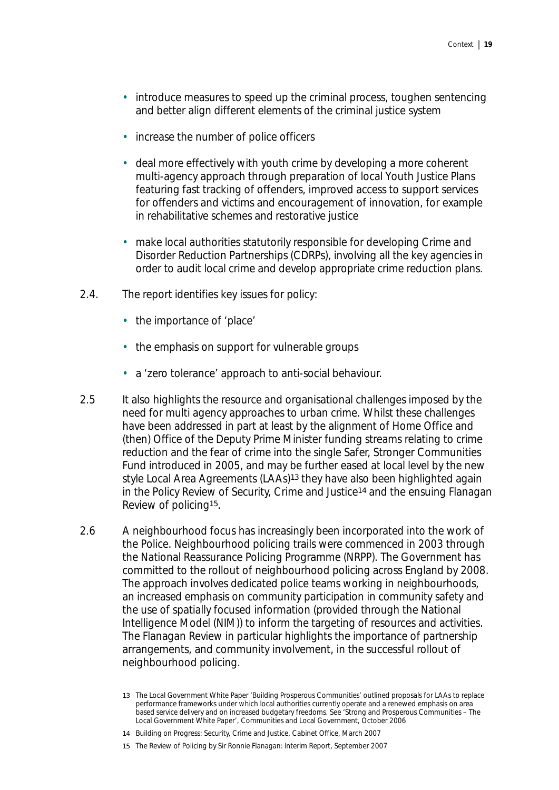- introduce measures to speed up the criminal process, toughen sentencing and better align different elements of the criminal justice system
- increase the number of police officers
- deal more effectively with youth crime by developing a more coherent multi-agency approach through preparation of local Youth Justice Plans featuring fast tracking of offenders, improved access to support services for offenders and victims and encouragement of innovation, for example in rehabilitative schemes and restorative justice
- make local authorities statutorily responsible for developing Crime and Disorder Reduction Partnerships (CDRPs), involving all the key agencies in order to audit local crime and develop appropriate crime reduction plans.
- 2.4. The report identifies key issues for policy:
	- the importance of 'place'
	- the emphasis on support for vulnerable groups
	- a 'zero tolerance' approach to anti-social behaviour.
- 2.5 It also highlights the resource and organisational challenges imposed by the need for multi agency approaches to urban crime. Whilst these challenges have been addressed in part at least by the alignment of Home Office and (then) Office of the Deputy Prime Minister funding streams relating to crime reduction and the fear of crime into the single Safer, Stronger Communities Fund introduced in 2005, and may be further eased at local level by the new style Local Area Agreements (LAAs)<sup>13</sup> they have also been highlighted again in the Policy Review of Security, Crime and Justice<sup>14</sup> and the ensuing Flanagan Review of policing15.
- 2.6 A neighbourhood focus has increasingly been incorporated into the work of the Police. Neighbourhood policing trails were commenced in 2003 through the National Reassurance Policing Programme (NRPP). The Government has committed to the rollout of neighbourhood policing across England by 2008. The approach involves dedicated police teams working in neighbourhoods, an increased emphasis on community participation in community safety and the use of spatially focused information (provided through the National Intelligence Model (NIM)) to inform the targeting of resources and activities. The Flanagan Review in particular highlights the importance of partnership arrangements, and community involvement, in the successful rollout of neighbourhood policing.

<sup>13</sup> The Local Government White Paper 'Building Prosperous Communities' outlined proposals for LAAs to replace performance frameworks under which local authorities currently operate and a renewed emphasis on area based service delivery and on increased budgetary freedoms. See 'Strong and Prosperous Communities – The Local Government White Paper', Communities and Local Government, October 2006

<sup>14</sup> Building on Progress: Security, Crime and Justice, Cabinet Office, March 2007

<sup>15</sup> The Review of Policing by Sir Ronnie Flanagan: Interim Report, September 2007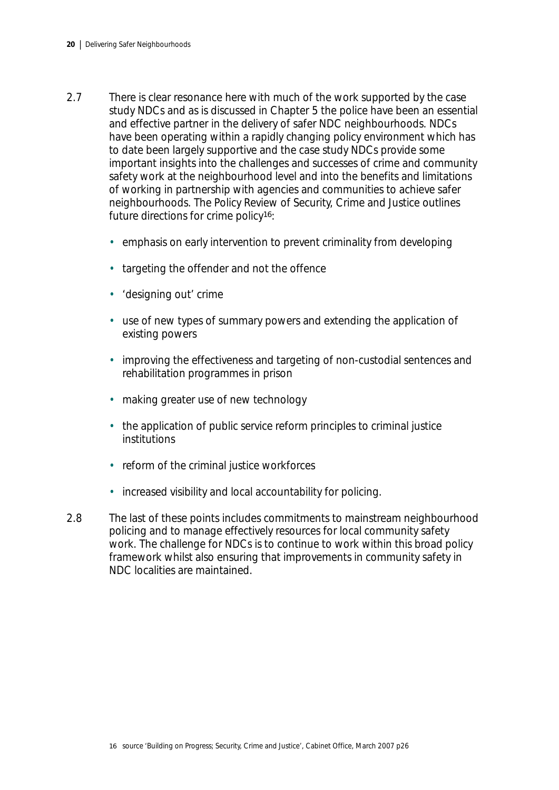- 2.7 There is clear resonance here with much of the work supported by the case study NDCs and as is discussed in Chapter 5 the police have been an essential and effective partner in the delivery of safer NDC neighbourhoods. NDCs have been operating within a rapidly changing policy environment which has to date been largely supportive and the case study NDCs provide some important insights into the challenges and successes of crime and community safety work at the neighbourhood level and into the benefits and limitations of working in partnership with agencies and communities to achieve safer neighbourhoods. The Policy Review of Security, Crime and Justice outlines future directions for crime policy16:
	- emphasis on early intervention to prevent criminality from developing
	- targeting the offender and not the offence
	- 'designing out' crime
	- use of new types of summary powers and extending the application of existing powers
	- improving the effectiveness and targeting of non-custodial sentences and rehabilitation programmes in prison
	- making greater use of new technology
	- the application of public service reform principles to criminal justice institutions
	- reform of the criminal justice workforces
	- increased visibility and local accountability for policing.
- 2.8 The last of these points includes commitments to mainstream neighbourhood policing and to manage effectively resources for local community safety work. The challenge for NDCs is to continue to work within this broad policy framework whilst also ensuring that improvements in community safety in NDC localities are maintained.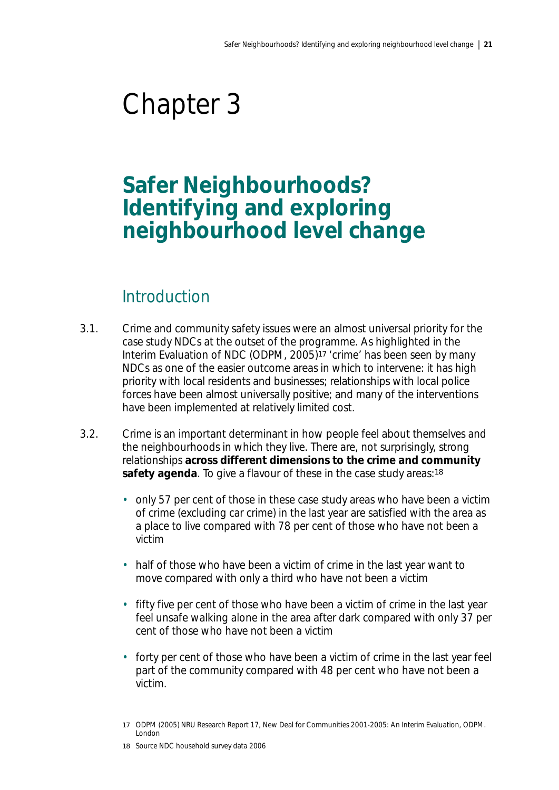# <span id="page-21-0"></span>Chapter 3

# **Safer Neighbourhoods? Identifying and exploring neighbourhood level change**

## Introduction

- 3.1. Crime and community safety issues were an almost universal priority for the case study NDCs at the outset of the programme. As highlighted in the Interim Evaluation of NDC (ODPM, 2005)<sup>17</sup> 'crime' has been seen by many NDCs as one of the easier outcome areas in which to intervene: it has high priority with local residents and businesses; relationships with local police forces have been almost universally positive; and many of the interventions have been implemented at relatively limited cost.
- 3.2. Crime is an important determinant in how people feel about themselves and the neighbourhoods in which they live. There are, not surprisingly, strong relationships **across different dimensions to the crime and community safety agenda**. To give a flavour of these in the case study areas:<sup>18</sup>
	- only 57 per cent of those in these case study areas who have been a victim of crime (excluding car crime) in the last year are satisfied with the area as a place to live compared with 78 per cent of those who have not been a victim
	- half of those who have been a victim of crime in the last year want to move compared with only a third who have not been a victim
	- fifty five per cent of those who have been a victim of crime in the last year feel unsafe walking alone in the area after dark compared with only 37 per cent of those who have not been a victim
	- forty per cent of those who have been a victim of crime in the last year feel part of the community compared with 48 per cent who have not been a victim.

<sup>17</sup> ODPM (2005) NRU Research Report 17, New Deal for Communities 2001-2005: An Interim Evaluation, ODPM. London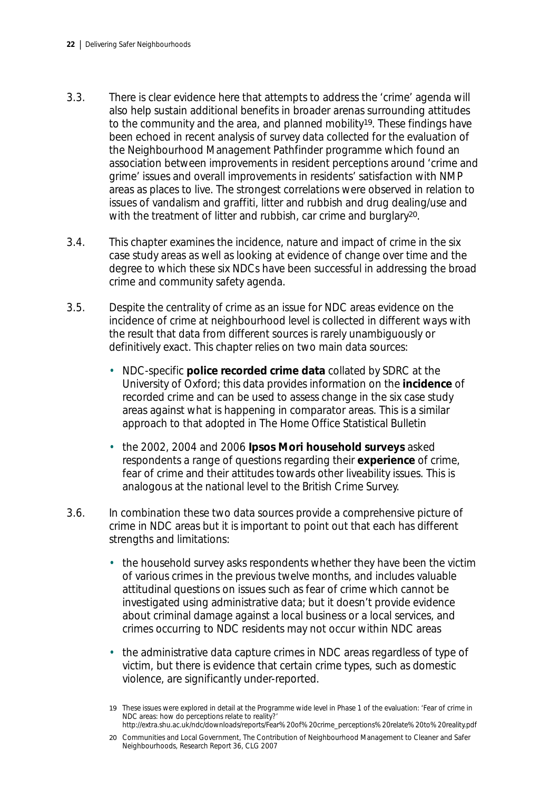- 3.3. There is clear evidence here that attempts to address the 'crime' agenda will also help sustain additional benefits in broader arenas surrounding attitudes to the community and the area, and planned mobility19. These findings have been echoed in recent analysis of survey data collected for the evaluation of the Neighbourhood Management Pathfinder programme which found an association between improvements in resident perceptions around 'crime and grime' issues and overall improvements in residents' satisfaction with NMP areas as places to live. The strongest correlations were observed in relation to issues of vandalism and graffiti, litter and rubbish and drug dealing/use and with the treatment of litter and rubbish, car crime and burglary<sup>20</sup>.
- 3.4. This chapter examines the incidence, nature and impact of crime in the six case study areas as well as looking at evidence of change over time and the degree to which these six NDCs have been successful in addressing the broad crime and community safety agenda.
- 3.5. Despite the centrality of crime as an issue for NDC areas evidence on the incidence of crime at neighbourhood level is collected in different ways with the result that data from different sources is rarely unambiguously or definitively exact. This chapter relies on two main data sources:
	- NDC-specific **police recorded crime data** collated by SDRC at the University of Oxford; this data provides information on the **incidence** of recorded crime and can be used to assess change in the six case study areas against what is happening in comparator areas. This is a similar approach to that adopted in The Home Office Statistical Bulletin
	- the 2002, 2004 and 2006 **Ipsos Mori household surveys** asked respondents a range of questions regarding their **experience** of crime, fear of crime and their attitudes towards other liveability issues. This is analogous at the national level to the British Crime Survey.
- 3.6. In combination these two data sources provide a comprehensive picture of crime in NDC areas but it is important to point out that each has different strengths and limitations:
	- the household survey asks respondents whether they have been the victim of various crimes in the previous twelve months, and includes valuable attitudinal questions on issues such as fear of crime which cannot be investigated using administrative data; but it doesn't provide evidence about criminal damage against a local business or a local services, and crimes occurring to NDC residents may not occur within NDC areas
	- the administrative data capture crimes in NDC areas regardless of type of victim, but there is evidence that certain crime types, such as domestic violence, are significantly under-reported.

<sup>19</sup> These issues were explored in detail at the Programme wide level in Phase 1 of the evaluation: 'Fear of crime in NDC areas: how do perceptions relate to reality?' http://extra.shu.ac.uk/ndc/downloads/reports/Fear%20of%20crime\_perceptions%20relate%20to%20reality.pdf

<sup>20</sup> Communities and Local Government, The Contribution of Neighbourhood Management to Cleaner and Safer Neighbourhoods, Research Report 36, CLG 2007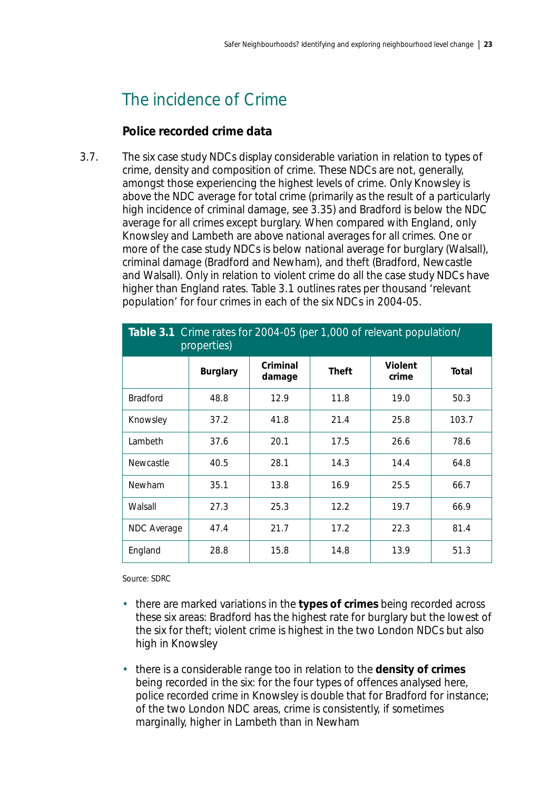## <span id="page-23-0"></span>The incidence of Crime

### **Police recorded crime data**

3.7. The six case study NDCs display considerable variation in relation to types of crime, density and composition of crime. These NDCs are not, generally, amongst those experiencing the highest levels of crime. Only Knowsley is above the NDC average for total crime (primarily as the result of a particularly high incidence of criminal damage, see 3.35) and Bradford is below the NDC average for all crimes except burglary. When compared with England, only Knowsley and Lambeth are above national averages for all crimes. One or more of the case study NDCs is below national average for burglary (Walsall), criminal damage (Bradford and Newham), and theft (Bradford, Newcastle and Walsall). Only in relation to violent crime do all the case study NDCs have higher than England rates. Table 3.1 outlines rates per thousand 'relevant population' for four crimes in each of the six NDCs in 2004-05.

| <b>Table 3.1</b> Crime rates for 2004-05 (per 1,000 of relevant population/<br>properties) |                 |                    |              |                         |       |  |  |
|--------------------------------------------------------------------------------------------|-----------------|--------------------|--------------|-------------------------|-------|--|--|
|                                                                                            | <b>Burglary</b> | Criminal<br>damage | <b>Theft</b> | <b>Violent</b><br>crime | Total |  |  |
| <b>Bradford</b>                                                                            | 48.8            | 12.9               | 11.8         | 19.0                    | 50.3  |  |  |
| Knowsley                                                                                   | 37.2            | 41.8               | 21.4         | 25.8                    | 103.7 |  |  |
| Lambeth                                                                                    | 37.6            | 20.1               | 17.5         | 26.6                    | 78.6  |  |  |
| Newcastle                                                                                  | 40.5            | 28.1               | 14.3         | 14.4                    | 64.8  |  |  |
| <b>Newham</b>                                                                              | 35.1            | 13.8               | 16.9         | 25.5                    | 66.7  |  |  |
| Walsall                                                                                    | 27.3            | 25.3               | 12.2         | 19.7                    | 66.9  |  |  |
| <b>NDC</b> Average                                                                         | 47.4            | 21.7               | 17.2         | 22.3                    | 81.4  |  |  |
| England                                                                                    | 28.8            | 15.8               | 14.8         | 13.9                    | 51.3  |  |  |

**Table 3.1** Crime rates for 2004-05 (per 1,000 of relevant population/

Source: SDRC

- there are marked variations in the **types of crimes** being recorded across these six areas: Bradford has the highest rate for burglary but the lowest of the six for theft; violent crime is highest in the two London NDCs but also high in Knowsley
- there is a considerable range too in relation to the **density of crimes** being recorded in the six: for the four types of offences analysed here, police recorded crime in Knowsley is double that for Bradford for instance; of the two London NDC areas, crime is consistently, if sometimes marginally, higher in Lambeth than in Newham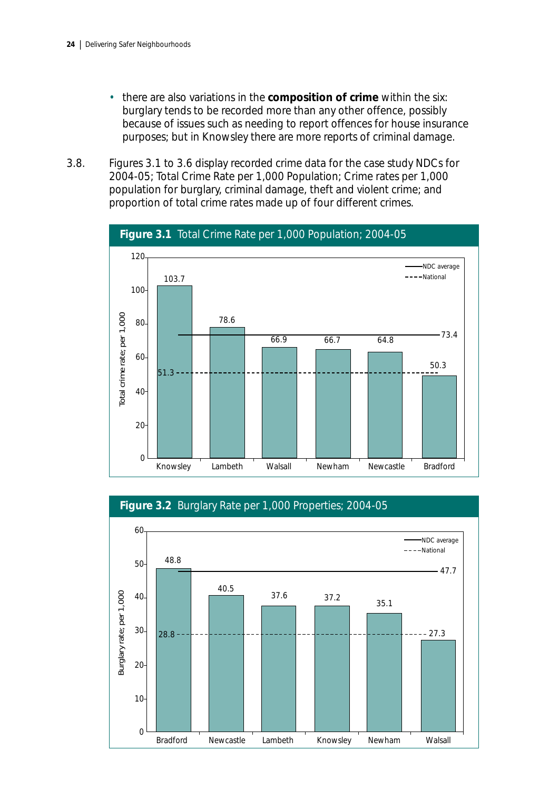- there are also variations in the **composition of crime** within the six: burglary tends to be recorded more than any other offence, possibly because of issues such as needing to report offences for house insurance purposes; but in Knowsley there are more reports of criminal damage.
- 3.8. Figures 3.1 to 3.6 display recorded crime data for the case study NDCs for 2004-05; Total Crime Rate per 1,000 Population; Crime rates per 1,000 population for burglary, criminal damage, theft and violent crime; and proportion of total crime rates made up of four different crimes.





### **Figure 3.2** Burglary Rate per 1,000 Properties; 2004-05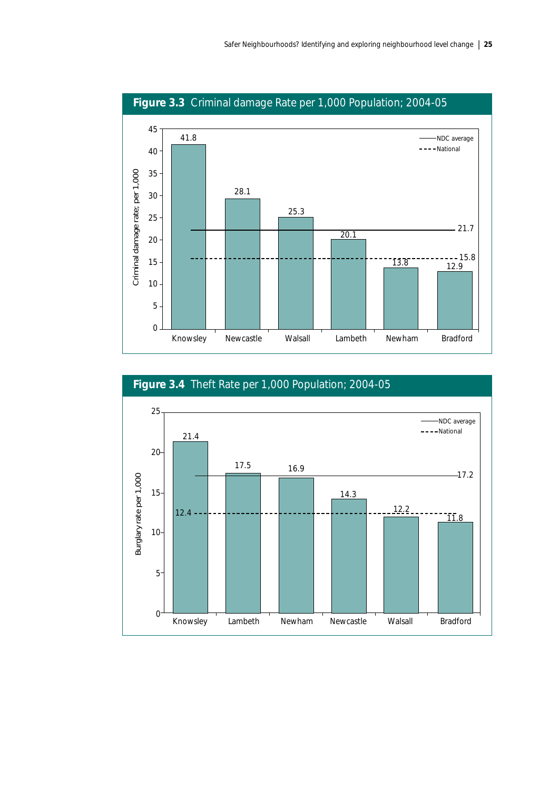

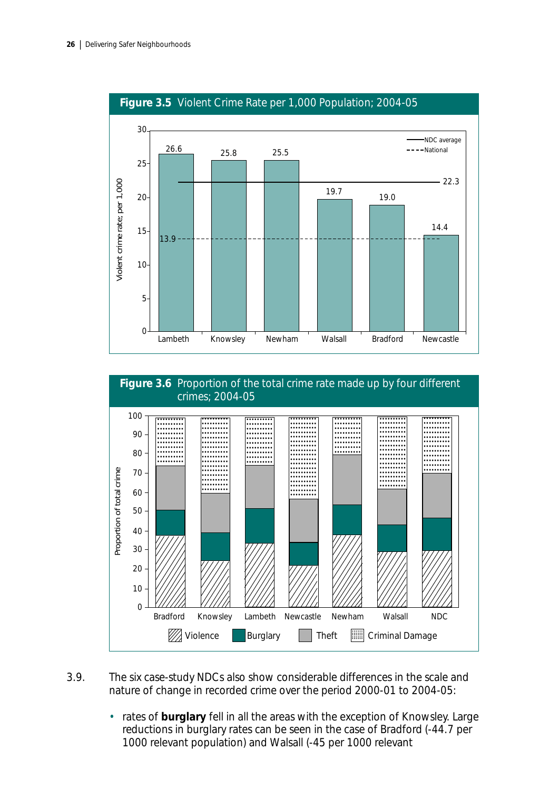



- 3.9. The six case-study NDCs also show considerable differences in the scale and nature of change in recorded crime over the period 2000-01 to 2004-05:
	- rates of **burglary** fell in all the areas with the exception of Knowsley. Large reductions in burglary rates can be seen in the case of Bradford (-44.7 per 1000 relevant population) and Walsall (-45 per 1000 relevant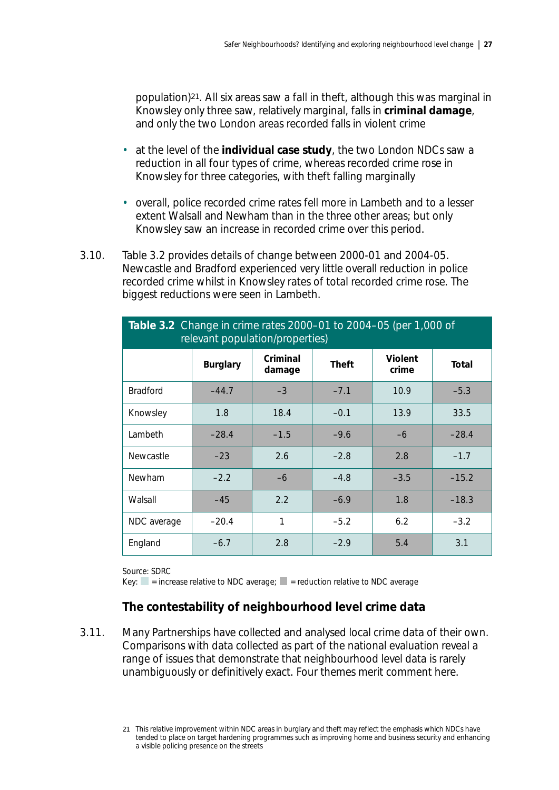population)21. All six areas saw a fall in theft, although this was marginal in Knowsley only three saw, relatively marginal, falls in **criminal damage**, and only the two London areas recorded falls in violent crime

- at the level of the **individual case study**, the two London NDCs saw a reduction in all four types of crime, whereas recorded crime rose in Knowsley for three categories, with theft falling marginally
- overall, police recorded crime rates fell more in Lambeth and to a lesser extent Walsall and Newham than in the three other areas; but only Knowsley saw an increase in recorded crime over this period.
- 3.10. Table 3.2 provides details of change between 2000-01 and 2004-05. Newcastle and Bradford experienced very little overall reduction in police recorded crime whilst in Knowsley rates of total recorded crime rose. The biggest reductions were seen in Lambeth.

| relevant population/properties) |                 |                    |              |                         |         |  |  |  |
|---------------------------------|-----------------|--------------------|--------------|-------------------------|---------|--|--|--|
|                                 | <b>Burglary</b> | Criminal<br>damage | <b>Theft</b> | <b>Violent</b><br>crime | Total   |  |  |  |
| <b>Bradford</b>                 | $-44.7$         | $-3$               | $-7.1$       | 10.9                    | $-5.3$  |  |  |  |
| Knowsley                        | 1.8             | 18.4               | $-0.1$       | 13.9                    | 33.5    |  |  |  |
| Lambeth                         | $-28.4$         | $-1.5$             | $-9.6$       | $-6$                    | $-28.4$ |  |  |  |
| Newcastle                       | $-23$           | 2.6                | $-2.8$       | 2.8                     | $-1.7$  |  |  |  |
| <b>Newham</b>                   | $-2.2$          | $-6$               | $-4.8$       | $-3.5$                  | $-15.2$ |  |  |  |
| Walsall                         | $-45$           | 2.2                | $-6.9$       | 1.8                     | $-18.3$ |  |  |  |
| NDC average                     | $-20.4$         | 1                  | $-5.2$       | 6.2                     | $-3.2$  |  |  |  |
| England                         | $-6.7$          | 2.8                | $-2.9$       | 5.4                     | 3.1     |  |  |  |

**Table 3.2** Change in crime rates 2000–01 to 2004–05 (per 1,000 of

Source: SDRC

Key:  $\Box$  = increase relative to NDC average:  $\Box$  = reduction relative to NDC average

### **The contestability of neighbourhood level crime data**

3.11. Many Partnerships have collected and analysed local crime data of their own. Comparisons with data collected as part of the national evaluation reveal a range of issues that demonstrate that neighbourhood level data is rarely unambiguously or definitively exact. Four themes merit comment here.

<sup>21</sup> This relative improvement within NDC areas in burglary and theft may reflect the emphasis which NDCs have tended to place on target hardening programmes such as improving home and business security and enhancing a visible policing presence on the streets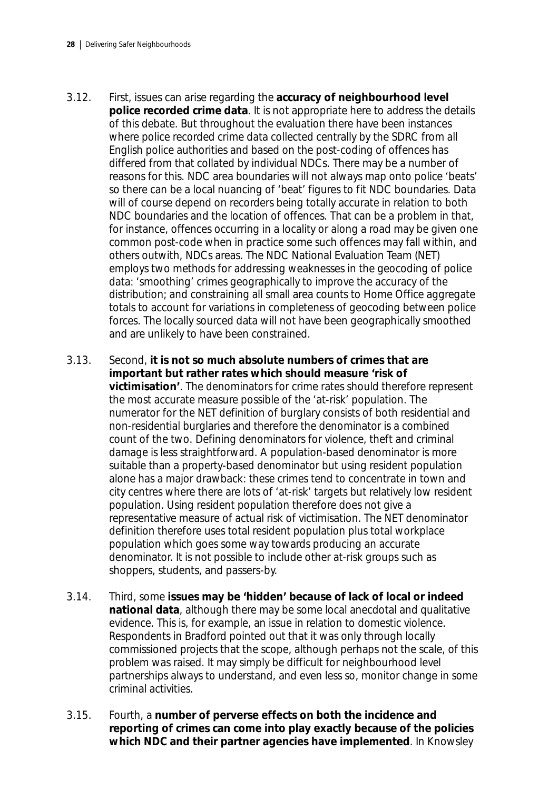- 3.12. First, issues can arise regarding the **accuracy of neighbourhood level police recorded crime data**. It is not appropriate here to address the details of this debate. But throughout the evaluation there have been instances where police recorded crime data collected centrally by the SDRC from all English police authorities and based on the post-coding of offences has differed from that collated by individual NDCs. There may be a number of reasons for this. NDC area boundaries will not always map onto police 'beats' so there can be a local nuancing of 'beat' figures to fit NDC boundaries. Data will of course depend on recorders being totally accurate in relation to both NDC boundaries and the location of offences. That can be a problem in that, for instance, offences occurring in a locality or along a road may be given one common post-code when in practice some such offences may fall within, and others outwith, NDCs areas. The NDC National Evaluation Team (NET) employs two methods for addressing weaknesses in the geocoding of police data: 'smoothing' crimes geographically to improve the accuracy of the distribution; and constraining all small area counts to Home Office aggregate totals to account for variations in completeness of geocoding between police forces. The locally sourced data will not have been geographically smoothed and are unlikely to have been constrained.
- 3.13. Second, **it is not so much absolute numbers of crimes that are important but rather rates which should measure 'risk of victimisation'**. The denominators for crime rates should therefore represent the most accurate measure possible of the 'at-risk' population. The numerator for the NET definition of burglary consists of both residential and non-residential burglaries and therefore the denominator is a combined count of the two. Defining denominators for violence, theft and criminal damage is less straightforward. A population-based denominator is more suitable than a property-based denominator but using resident population alone has a major drawback: these crimes tend to concentrate in town and city centres where there are lots of 'at-risk' targets but relatively low resident population. Using resident population therefore does not give a representative measure of actual risk of victimisation. The NET denominator definition therefore uses total resident population plus total workplace population which goes some way towards producing an accurate denominator. It is not possible to include other at-risk groups such as shoppers, students, and passers-by.
- 3.14. Third, some **issues may be 'hidden' because of lack of local or indeed national data**, although there may be some local anecdotal and qualitative evidence. This is, for example, an issue in relation to domestic violence. Respondents in Bradford pointed out that it was only through locally commissioned projects that the scope, although perhaps not the scale, of this problem was raised. It may simply be difficult for neighbourhood level partnerships always to understand, and even less so, monitor change in some criminal activities.
- 3.15. Fourth, a **number of perverse effects on both the incidence and reporting of crimes can come into play exactly because of the policies which NDC and their partner agencies have implemented**. In Knowsley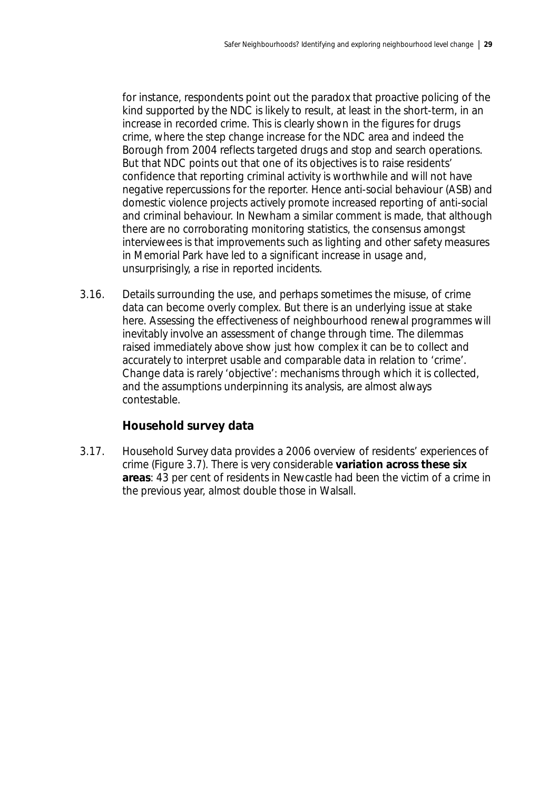for instance, respondents point out the paradox that proactive policing of the kind supported by the NDC is likely to result, at least in the short-term, in an increase in recorded crime. This is clearly shown in the figures for drugs crime, where the step change increase for the NDC area and indeed the Borough from 2004 reflects targeted drugs and stop and search operations. But that NDC points out that one of its objectives is to raise residents' confidence that reporting criminal activity is worthwhile and will not have negative repercussions for the reporter. Hence anti-social behaviour (ASB) and domestic violence projects actively promote increased reporting of anti-social and criminal behaviour. In Newham a similar comment is made, that although there are no corroborating monitoring statistics, the consensus amongst interviewees is that improvements such as lighting and other safety measures in Memorial Park have led to a significant increase in usage and, unsurprisingly, a rise in reported incidents.

3.16. Details surrounding the use, and perhaps sometimes the misuse, of crime data can become overly complex. But there is an underlying issue at stake here. Assessing the effectiveness of neighbourhood renewal programmes will inevitably involve an assessment of change through time. The dilemmas raised immediately above show just how complex it can be to collect and accurately to interpret usable and comparable data in relation to 'crime'. Change data is rarely 'objective': mechanisms through which it is collected, and the assumptions underpinning its analysis, are almost always contestable.

### **Household survey data**

3.17. Household Survey data provides a 2006 overview of residents' experiences of crime (Figure 3.7). There is very considerable **variation across these six areas**: 43 per cent of residents in Newcastle had been the victim of a crime in the previous year, almost double those in Walsall.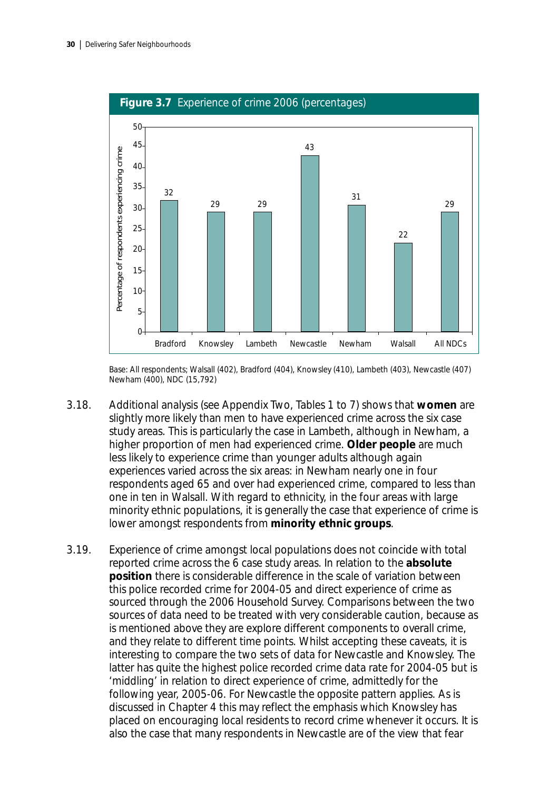

Base: All respondents; Walsall (402), Bradford (404), Knowsley (410), Lambeth (403), Newcastle (407) Newham (400), NDC (15,792)

- 3.18. Additional analysis (see Appendix Two, Tables 1 to 7) shows that **women** are slightly more likely than men to have experienced crime across the six case study areas. This is particularly the case in Lambeth, although in Newham, a higher proportion of men had experienced crime. **Older people** are much less likely to experience crime than younger adults although again experiences varied across the six areas: in Newham nearly one in four respondents aged 65 and over had experienced crime, compared to less than one in ten in Walsall. With regard to ethnicity, in the four areas with large minority ethnic populations, it is generally the case that experience of crime is lower amongst respondents from **minority ethnic groups**.
- 3.19. Experience of crime amongst local populations does not coincide with total reported crime across the 6 case study areas. In relation to the **absolute position** there is considerable difference in the scale of variation between this police recorded crime for 2004-05 and direct experience of crime as sourced through the 2006 Household Survey. Comparisons between the two sources of data need to be treated with very considerable caution, because as is mentioned above they are explore different components to overall crime, and they relate to different time points. Whilst accepting these caveats, it is interesting to compare the two sets of data for Newcastle and Knowsley. The latter has quite the highest police recorded crime data rate for 2004-05 but is 'middling' in relation to direct experience of crime, admittedly for the following year, 2005-06. For Newcastle the opposite pattern applies. As is discussed in Chapter 4 this may reflect the emphasis which Knowsley has placed on encouraging local residents to record crime whenever it occurs. It is also the case that many respondents in Newcastle are of the view that fear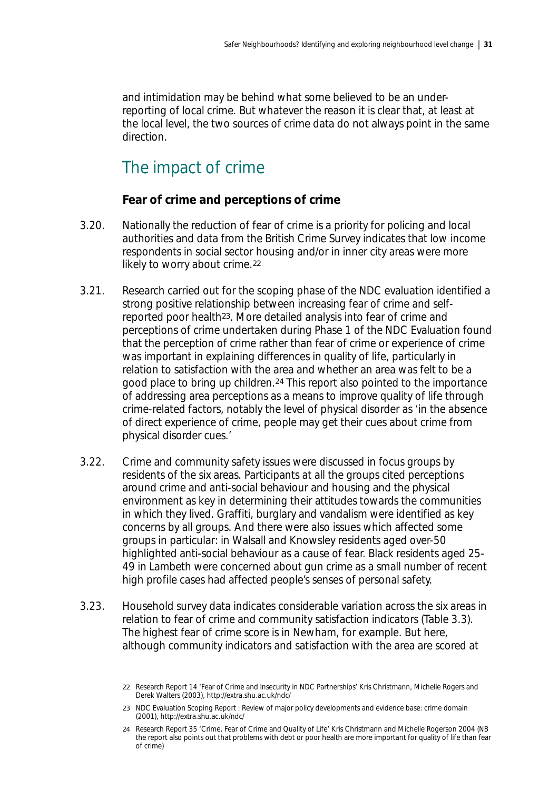<span id="page-31-0"></span>and intimidation may be behind what some believed to be an underreporting of local crime. But whatever the reason it is clear that, at least at the local level, the two sources of crime data do not always point in the same direction.

## The impact of crime

### **Fear of crime and perceptions of crime**

- 3.20. Nationally the reduction of fear of crime is a priority for policing and local authorities and data from the British Crime Survey indicates that low income respondents in social sector housing and/or in inner city areas were more likely to worry about crime.<sup>22</sup>
- 3.21. Research carried out for the scoping phase of the NDC evaluation identified a strong positive relationship between increasing fear of crime and selfreported poor health23. More detailed analysis into fear of crime and perceptions of crime undertaken during Phase 1 of the NDC Evaluation found that the perception of crime rather than fear of crime or experience of crime was important in explaining differences in quality of life, particularly in relation to satisfaction with the area and whether an area was felt to be a good place to bring up children.<sup>24</sup> This report also pointed to the importance of addressing area perceptions as a means to improve quality of life through crime-related factors, notably the level of physical disorder as 'in the absence of direct experience of crime, people may get their cues about crime from physical disorder cues.'
- 3.22. Crime and community safety issues were discussed in focus groups by residents of the six areas. Participants at all the groups cited perceptions around crime and anti-social behaviour and housing and the physical environment as key in determining their attitudes towards the communities in which they lived. Graffiti, burglary and vandalism were identified as key concerns by all groups. And there were also issues which affected some groups in particular: in Walsall and Knowsley residents aged over-50 highlighted anti-social behaviour as a cause of fear. Black residents aged 25- 49 in Lambeth were concerned about gun crime as a small number of recent high profile cases had affected people's senses of personal safety.
- 3.23. Household survey data indicates considerable variation across the six areas in relation to fear of crime and community satisfaction indicators (Table 3.3). The highest fear of crime score is in Newham, for example. But here, although community indicators and satisfaction with the area are scored at

<sup>22</sup> Research Report 14 'Fear of Crime and Insecurity in NDC Partnerships' Kris Christmann, Michelle Rogers and Derek Walters (2003), http://extra.shu.ac.uk/ndc/

<sup>23</sup> NDC Evaluation Scoping Report : Review of major policy developments and evidence base: crime domain (2001), http://extra.shu.ac.uk/ndc/

<sup>24</sup> Research Report 35 'Crime, Fear of Crime and Quality of Life' Kris Christmann and Michelle Rogerson 2004 (NB the report also points out that problems with debt or poor health are more important for quality of life than fear of crime)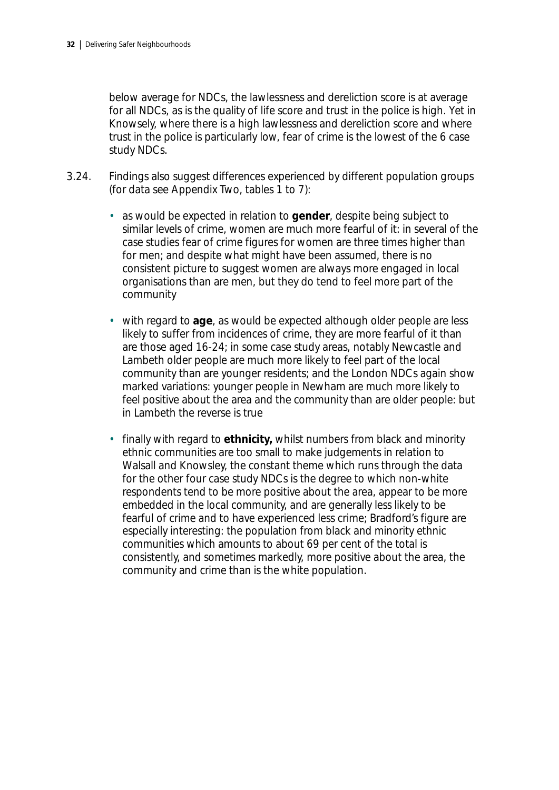below average for NDCs, the lawlessness and dereliction score is at average for all NDCs, as is the quality of life score and trust in the police is high. Yet in Knowsely, where there is a high lawlessness and dereliction score and where trust in the police is particularly low, fear of crime is the lowest of the 6 case study NDCs.

- 3.24. Findings also suggest differences experienced by different population groups (for data see Appendix Two, tables 1 to 7):
	- as would be expected in relation to **gender**, despite being subject to similar levels of crime, women are much more fearful of it: in several of the case studies fear of crime figures for women are three times higher than for men; and despite what might have been assumed, there is no consistent picture to suggest women are always more engaged in local organisations than are men, but they do tend to feel more part of the community
	- with regard to **age**, as would be expected although older people are less likely to suffer from incidences of crime, they are more fearful of it than are those aged 16-24; in some case study areas, notably Newcastle and Lambeth older people are much more likely to feel part of the local community than are younger residents; and the London NDCs again show marked variations: younger people in Newham are much more likely to feel positive about the area and the community than are older people: but in Lambeth the reverse is true
	- finally with regard to **ethnicity,** whilst numbers from black and minority ethnic communities are too small to make judgements in relation to Walsall and Knowsley, the constant theme which runs through the data for the other four case study NDCs is the degree to which non-white respondents tend to be more positive about the area, appear to be more embedded in the local community, and are generally less likely to be fearful of crime and to have experienced less crime; Bradford's figure are especially interesting: the population from black and minority ethnic communities which amounts to about 69 per cent of the total is consistently, and sometimes markedly, more positive about the area, the community and crime than is the white population.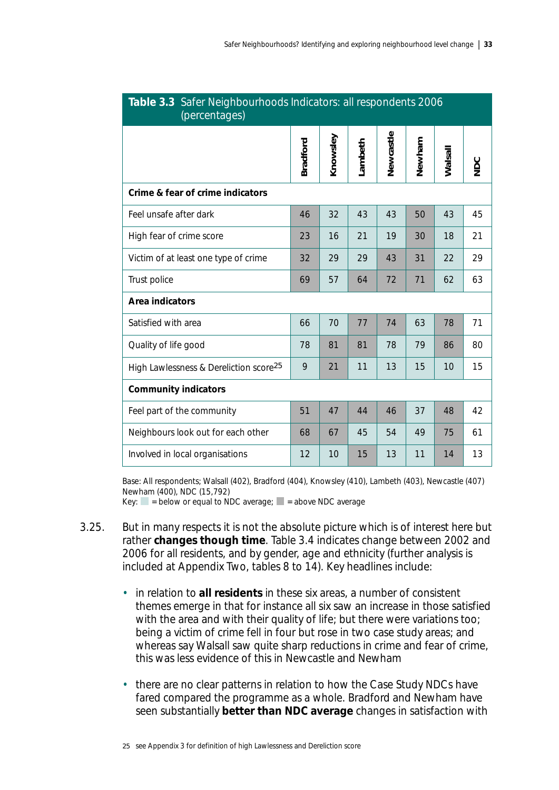| Table 3.3 Safer Neighbourhoods Indicators: all respondents 2006<br>(percentages) |          |          |         |           |        |         |     |
|----------------------------------------------------------------------------------|----------|----------|---------|-----------|--------|---------|-----|
|                                                                                  | Bradford | Knowsley | Lambeth | Newcastle | Newham | Walsall | NDC |
| Crime & fear of crime indicators                                                 |          |          |         |           |        |         |     |
| Feel unsafe after dark                                                           | 46       | 32       | 43      | 43        | 50     | 43      | 45  |
| High fear of crime score                                                         | 23       | 16       | 21      | 19        | 30     | 18      | 21  |
| Victim of at least one type of crime                                             | 32       | 29       | 29      | 43        | 31     | 22      | 29  |
| Trust police                                                                     |          | 57       | 64      | 72        | 71     | 62      | 63  |
| Area indicators                                                                  |          |          |         |           |        |         |     |
| Satisfied with area                                                              | 66       | 70       | 77      | 74        | 63     | 78      | 71  |
| Quality of life good                                                             | 78       | 81       | 81      | 78        | 79     | 86      | 80  |
| High Lawlessness & Dereliction score <sup>25</sup>                               | 9        | 21       | 11      | 13        | 15     | 10      | 15  |
| <b>Community indicators</b>                                                      |          |          |         |           |        |         |     |
| Feel part of the community                                                       | 51       | 47       | 44      | 46        | 37     | 48      | 42  |
| Neighbours look out for each other                                               | 68       | 67       | 45      | 54        | 49     | 75      | 61  |
| Involved in local organisations                                                  |          | 10       | 15      | 13        | 11     | 14      | 13  |

Base: All respondents; Walsall (402), Bradford (404), Knowsley (410), Lambeth (403), Newcastle (407) Newham (400), NDC (15,792)

Key:  $\Box$  = below or equal to NDC average;  $\Box$  = above NDC average

- 3.25. But in many respects it is not the absolute picture which is of interest here but rather **changes though time**. Table 3.4 indicates change between 2002 and 2006 for all residents, and by gender, age and ethnicity (further analysis is included at Appendix Two, tables 8 to 14). Key headlines include:
	- in relation to **all residents** in these six areas, a number of consistent themes emerge in that for instance all six saw an increase in those satisfied with the area and with their quality of life; but there were variations too; being a victim of crime fell in four but rose in two case study areas; and whereas say Walsall saw quite sharp reductions in crime and fear of crime, this was less evidence of this in Newcastle and Newham
	- there are no clear patterns in relation to how the Case Study NDCs have fared compared the programme as a whole. Bradford and Newham have seen substantially **better than NDC average** changes in satisfaction with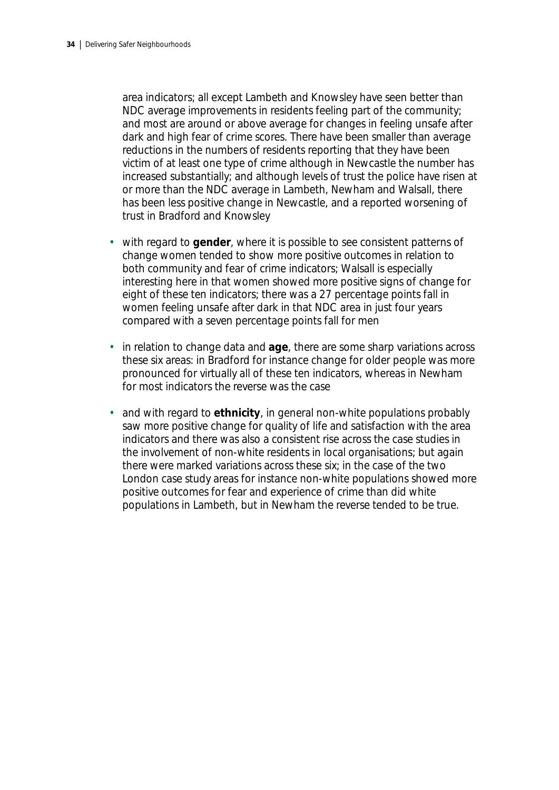area indicators; all except Lambeth and Knowsley have seen better than NDC average improvements in residents feeling part of the community; and most are around or above average for changes in feeling unsafe after dark and high fear of crime scores. There have been smaller than average reductions in the numbers of residents reporting that they have been victim of at least one type of crime although in Newcastle the number has increased substantially; and although levels of trust the police have risen at or more than the NDC average in Lambeth, Newham and Walsall, there has been less positive change in Newcastle, and a reported worsening of trust in Bradford and Knowsley

- with regard to **gender**, where it is possible to see consistent patterns of change women tended to show more positive outcomes in relation to both community and fear of crime indicators; Walsall is especially interesting here in that women showed more positive signs of change for eight of these ten indicators; there was a 27 percentage points fall in women feeling unsafe after dark in that NDC area in just four years compared with a seven percentage points fall for men
- in relation to change data and **age**, there are some sharp variations across these six areas: in Bradford for instance change for older people was more pronounced for virtually all of these ten indicators, whereas in Newham for most indicators the reverse was the case
- and with regard to **ethnicity**, in general non-white populations probably saw more positive change for quality of life and satisfaction with the area indicators and there was also a consistent rise across the case studies in the involvement of non-white residents in local organisations; but again there were marked variations across these six; in the case of the two London case study areas for instance non-white populations showed more positive outcomes for fear and experience of crime than did white populations in Lambeth, but in Newham the reverse tended to be true.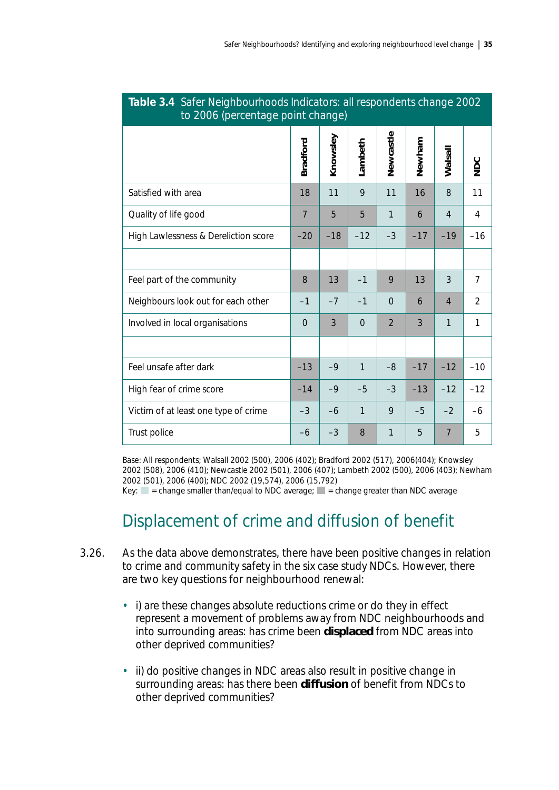<span id="page-35-0"></span>

| <b>Table 3.4</b> Safer Neighbourhoods Indicators: all respondents change 2002<br>to 2006 (percentage point change) |                |          |              |                |        |                |                |
|--------------------------------------------------------------------------------------------------------------------|----------------|----------|--------------|----------------|--------|----------------|----------------|
|                                                                                                                    | Bradford       | Knowsley | Lambeth      | Newcastle      | Newham | <b>Walsall</b> | DC             |
| Satisfied with area                                                                                                | 18             | 11       | 9            | 11             | 16     | 8              | 11             |
| Quality of life good                                                                                               | $\overline{7}$ | 5        | 5            | 1              | 6      | $\overline{4}$ | 4              |
| High Lawlessness & Dereliction score                                                                               | $-20$          | $-18$    | $-12$        | $-3$           | $-17$  | $-19$          | $-16$          |
|                                                                                                                    |                |          |              |                |        |                |                |
| Feel part of the community                                                                                         | 8              | 13       | $-1$         | 9              | 13     | 3              | 7              |
| Neighbours look out for each other                                                                                 | $-1$           | $-7$     | $-1$         | $\Omega$       | 6      | $\overline{4}$ | $\overline{2}$ |
| Involved in local organisations                                                                                    | $\Omega$       | 3        | $\Omega$     | $\overline{2}$ | 3      | 1              | $\mathbf{1}$   |
|                                                                                                                    |                |          |              |                |        |                |                |
| Feel unsafe after dark                                                                                             | $-13$          | $-9$     | $\mathbf{1}$ | $-8$           | $-17$  | $-12$          | $-10$          |
| High fear of crime score                                                                                           | $-14$          | $-9$     | $-5$         | $-3$           | $-13$  | $-12$          | $-12$          |
| Victim of at least one type of crime                                                                               | $-3$           | $-6$     | $\mathbf{1}$ | 9              | $-5$   | $-2$           | $-6$           |
| Trust police                                                                                                       | $-6$           | $-3$     | 8            | 1              | 5      | 7              | 5              |

Base: All respondents; Walsall 2002 (500), 2006 (402); Bradford 2002 (517), 2006(404); Knowsley 2002 (508), 2006 (410); Newcastle 2002 (501), 2006 (407); Lambeth 2002 (500), 2006 (403); Newham 2002 (501), 2006 (400); NDC 2002 (19,574), 2006 (15,792) Key:  $\blacksquare$  = change smaller than/equal to NDC average;  $\blacksquare$  = change greater than NDC average

## Displacement of crime and diffusion of benefit

- 3.26. As the data above demonstrates, there have been positive changes in relation to crime and community safety in the six case study NDCs. However, there are two key questions for neighbourhood renewal:
	- i) are these changes absolute reductions crime or do they in effect represent a movement of problems away from NDC neighbourhoods and into surrounding areas: has crime been *displaced* from NDC areas into other deprived communities?
	- ii) do positive changes in NDC areas also result in positive change in surrounding areas: has there been *diffusion* of benefit from NDCs to other deprived communities?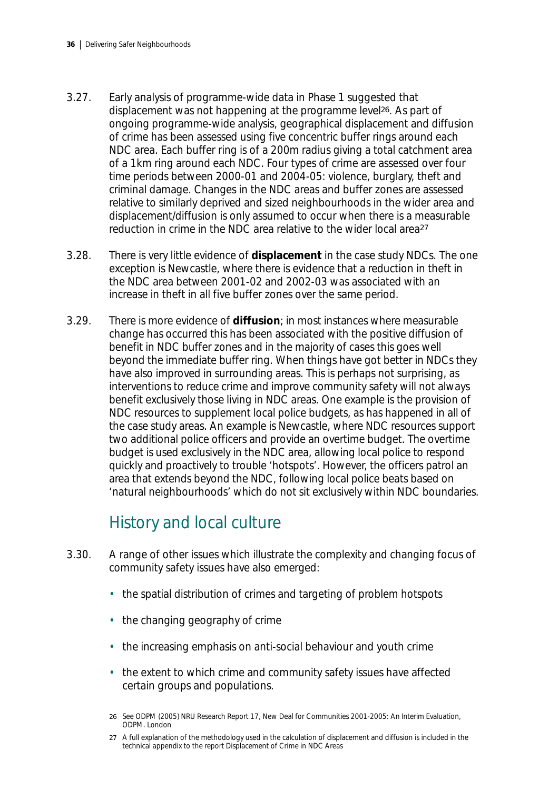- 3.27. Early analysis of programme-wide data in Phase 1 suggested that displacement was not happening at the programme level<sup>26</sup>. As part of ongoing programme-wide analysis, geographical displacement and diffusion of crime has been assessed using five concentric buffer rings around each NDC area. Each buffer ring is of a 200m radius giving a total catchment area of a 1km ring around each NDC. Four types of crime are assessed over four time periods between 2000-01 and 2004-05: violence, burglary, theft and criminal damage. Changes in the NDC areas and buffer zones are assessed relative to similarly deprived and sized neighbourhoods in the wider area and displacement/diffusion is only assumed to occur when there is a measurable reduction in crime in the NDC area relative to the wider local area<sup>27</sup>
- 3.28. There is very little evidence of **displacement** in the case study NDCs. The one exception is Newcastle, where there is evidence that a reduction in theft in the NDC area between 2001-02 and 2002-03 was associated with an increase in theft in all five buffer zones over the same period.
- 3.29. There is more evidence of **diffusion**; in most instances where measurable change has occurred this has been associated with the positive diffusion of benefit in NDC buffer zones and in the majority of cases this goes well beyond the immediate buffer ring. When things have got better in NDCs they have also improved in surrounding areas. This is perhaps not surprising, as interventions to reduce crime and improve community safety will not always benefit exclusively those living in NDC areas. One example is the provision of NDC resources to supplement local police budgets, as has happened in all of the case study areas. An example is Newcastle, where NDC resources support two additional police officers and provide an overtime budget. The overtime budget is used exclusively in the NDC area, allowing local police to respond quickly and proactively to trouble 'hotspots'. However, the officers patrol an area that extends beyond the NDC, following local police beats based on 'natural neighbourhoods' which do not sit exclusively within NDC boundaries.

# History and local culture

- 3.30. A range of other issues which illustrate the complexity and changing focus of community safety issues have also emerged:
	- the spatial distribution of crimes and targeting of problem hotspots
	- the changing geography of crime
	- the increasing emphasis on anti-social behaviour and youth crime
	- the extent to which crime and community safety issues have affected certain groups and populations.
	- 26 See ODPM (2005) NRU Research Report 17, New Deal for Communities 2001-2005: An Interim Evaluation, ODPM. London
	- 27 A full explanation of the methodology used in the calculation of displacement and diffusion is included in the technical appendix to the report Displacement of Crime in NDC Areas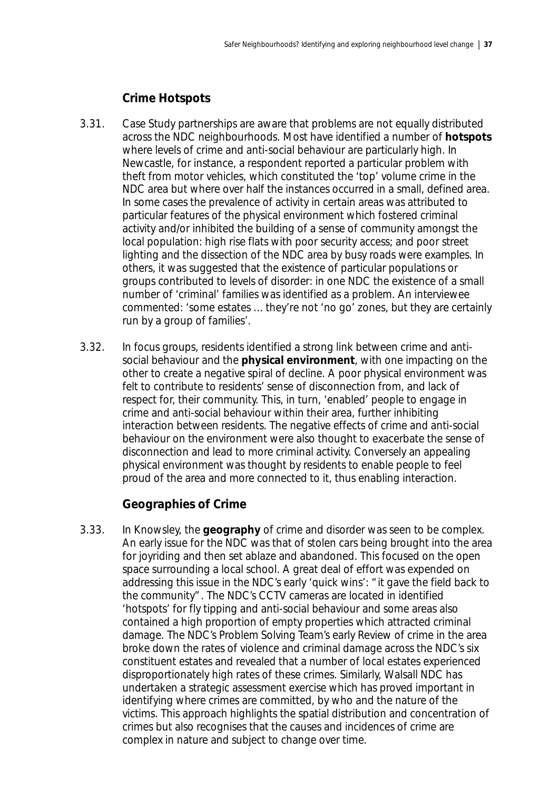### **Crime Hotspots**

- 3.31. Case Study partnerships are aware that problems are not equally distributed across the NDC neighbourhoods. Most have identified a number of **hotspots** where levels of crime and anti-social behaviour are particularly high. In Newcastle, for instance, a respondent reported a particular problem with theft from motor vehicles, which constituted the 'top' volume crime in the NDC area but where over half the instances occurred in a small, defined area. In some cases the prevalence of activity in certain areas was attributed to particular features of the physical environment which fostered criminal activity and/or inhibited the building of a sense of community amongst the local population: high rise flats with poor security access; and poor street lighting and the dissection of the NDC area by busy roads were examples. In others, it was suggested that the existence of particular populations or groups contributed to levels of disorder: in one NDC the existence of a small number of 'criminal' families was identified as a problem. An interviewee commented: *'some estates ... they're not 'no go' zones, but they are certainly run by a group of families'*.
- 3.32. In focus groups, residents identified a strong link between crime and antisocial behaviour and the **physical environment**, with one impacting on the other to create a negative spiral of decline. A poor physical environment was felt to contribute to residents' sense of disconnection from, and lack of respect for, their community. This, in turn, 'enabled' people to engage in crime and anti-social behaviour within their area, further inhibiting interaction between residents. The negative effects of crime and anti-social behaviour on the environment were also thought to exacerbate the sense of disconnection and lead to more criminal activity. Conversely an appealing physical environment was thought by residents to enable people to feel proud of the area and more connected to it, thus enabling interaction.

# **Geographies of Crime**

3.33. In Knowsley, the **geography** of crime and disorder was seen to be complex. An early issue for the NDC was that of stolen cars being brought into the area for joyriding and then set ablaze and abandoned. This focused on the open space surrounding a local school. A great deal of effort was expended on addressing this issue in the NDC's early 'quick wins': "*it gave the field back to the community*". The NDC's CCTV cameras are located in identified 'hotspots' for fly tipping and anti-social behaviour and some areas also contained a high proportion of empty properties which attracted criminal damage. The NDC's Problem Solving Team's early Review of crime in the area broke down the rates of violence and criminal damage across the NDC's six constituent estates and revealed that a number of local estates experienced disproportionately high rates of these crimes. Similarly, Walsall NDC has undertaken a strategic assessment exercise which has proved important in identifying where crimes are committed, by who and the nature of the victims. This approach highlights the spatial distribution and concentration of crimes but also recognises that the causes and incidences of crime are complex in nature and subject to change over time.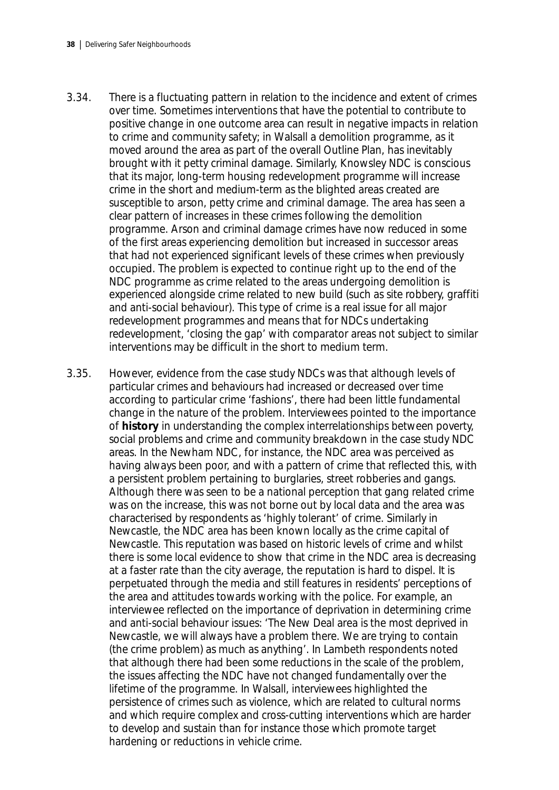- 3.34. There is a fluctuating pattern in relation to the incidence and extent of crimes over time. Sometimes interventions that have the potential to contribute to positive change in one outcome area can result in negative impacts in relation to crime and community safety; in Walsall a demolition programme, as it moved around the area as part of the overall Outline Plan, has inevitably brought with it petty criminal damage. Similarly, Knowsley NDC is conscious that its major, long-term housing redevelopment programme will increase crime in the short and medium-term as the blighted areas created are susceptible to arson, petty crime and criminal damage. The area has seen a clear pattern of increases in these crimes following the demolition programme. Arson and criminal damage crimes have now reduced in some of the first areas experiencing demolition but increased in successor areas that had not experienced significant levels of these crimes when previously occupied. The problem is expected to continue right up to the end of the NDC programme as crime related to the areas undergoing demolition is experienced alongside crime related to new build (such as site robbery, graffiti and anti-social behaviour). This type of crime is a real issue for all major redevelopment programmes and means that for NDCs undertaking redevelopment, 'closing the gap' with comparator areas not subject to similar interventions may be difficult in the short to medium term.
- 3.35. However, evidence from the case study NDCs was that although levels of particular crimes and behaviours had increased or decreased over time according to particular crime 'fashions', there had been little fundamental change in the nature of the problem. Interviewees pointed to the importance of **history** in understanding the complex interrelationships between poverty, social problems and crime and community breakdown in the case study NDC areas. In the Newham NDC, for instance, the NDC area was perceived as having always been poor, and with a pattern of crime that reflected this, with a persistent problem pertaining to burglaries, street robberies and gangs. Although there was seen to be a national perception that gang related crime was on the increase, this was not borne out by local data and the area was characterised by respondents as 'highly tolerant' of crime. Similarly in Newcastle, the NDC area has been known locally as the crime capital of Newcastle. This reputation was based on historic levels of crime and whilst there is some local evidence to show that crime in the NDC area is decreasing at a faster rate than the city average, the reputation is hard to dispel. It is perpetuated through the media and still features in residents' perceptions of the area and attitudes towards working with the police. For example, an interviewee reflected on the importance of deprivation in determining crime and anti-social behaviour issues: '*The New Deal area is the most deprived in Newcastle, we will always have a problem there. We are trying to contain (the crime problem) as much as anything'*. In Lambeth respondents noted that although there had been some reductions in the scale of the problem, the issues affecting the NDC have not changed fundamentally over the lifetime of the programme. In Walsall, interviewees highlighted the persistence of crimes such as violence, which are related to cultural norms and which require complex and cross-cutting interventions which are harder to develop and sustain than for instance those which promote target hardening or reductions in vehicle crime.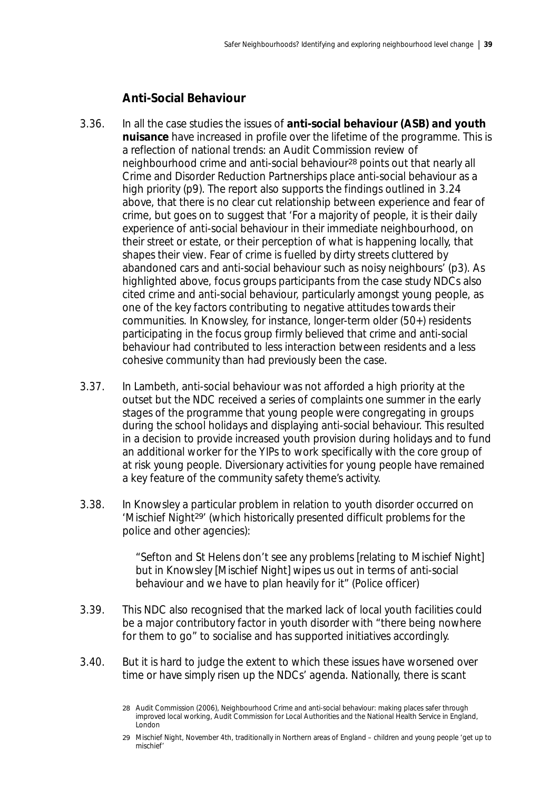#### **Anti-Social Behaviour**

- 3.36. In all the case studies the issues of **anti-social behaviour (ASB) and youth nuisance** have increased in profile over the lifetime of the programme. This is a reflection of national trends: an Audit Commission review of neighbourhood crime and anti-social behaviour<sup>28</sup> points out that nearly all Crime and Disorder Reduction Partnerships place anti-social behaviour as a high priority (p9). The report also supports the findings outlined in 3.24 above, that there is no clear cut relationship between experience and fear of crime, but goes on to suggest that 'For a majority of people, it is their daily experience of anti-social behaviour in their immediate neighbourhood, on their street or estate, or their perception of what is happening locally, that shapes their view. Fear of crime is fuelled by dirty streets cluttered by abandoned cars and anti-social behaviour such as noisy neighbours' (p3). As highlighted above, focus groups participants from the case study NDCs also cited crime and anti-social behaviour, particularly amongst young people, as one of the key factors contributing to negative attitudes towards their communities. In Knowsley, for instance, longer-term older (50+) residents participating in the focus group firmly believed that crime and anti-social behaviour had contributed to less interaction between residents and a less cohesive community than had previously been the case.
- 3.37. In Lambeth, anti-social behaviour was not afforded a high priority at the outset but the NDC received a series of complaints one summer in the early stages of the programme that young people were congregating in groups during the school holidays and displaying anti-social behaviour. This resulted in a decision to provide increased youth provision during holidays and to fund an additional worker for the YIPs to work specifically with the core group of at risk young people. Diversionary activities for young people have remained a key feature of the community safety theme's activity.
- 3.38. In Knowsley a particular problem in relation to youth disorder occurred on 'Mischief Night29' (which historically presented difficult problems for the police and other agencies):

*"Sefton and St Helens don't see any problems [relating to Mischief Night] but in Knowsley [Mischief Night] wipes us out in terms of anti-social behaviour and we have to plan heavily for it" (Police officer)*

- 3.39. This NDC also recognised that the marked lack of local youth facilities could be a major contributory factor in youth disorder with *"there being nowhere for them to go"* to socialise and has supported initiatives accordingly.
- 3.40. But it is hard to judge the extent to which these issues have worsened over time or have simply risen up the NDCs' agenda. Nationally, there is scant

29 Mischief Night, November 4th, traditionally in Northern areas of England – children and young people 'get up to mischief'

<sup>28</sup> Audit Commission (2006), Neighbourhood Crime and anti-social behaviour: making places safer through improved local working, Audit Commission for Local Authorities and the National Health Service in England, London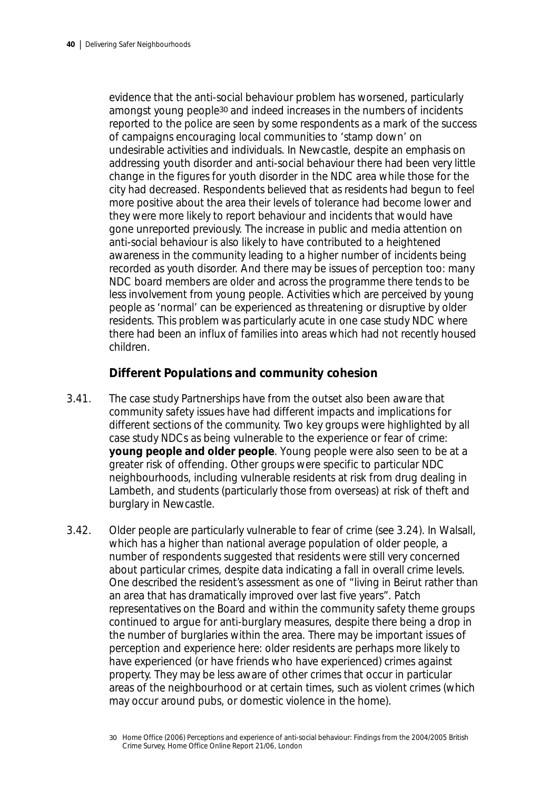evidence that the anti-social behaviour problem has worsened, particularly amongst young people<sup>30</sup> and indeed increases in the numbers of incidents reported to the police are seen by some respondents as a mark of the success of campaigns encouraging local communities to 'stamp down' on undesirable activities and individuals. In Newcastle, despite an emphasis on addressing youth disorder and anti-social behaviour there had been very little change in the figures for youth disorder in the NDC area while those for the city had decreased. Respondents believed that as residents had begun to feel more positive about the area their levels of tolerance had become lower and they were more likely to report behaviour and incidents that would have gone unreported previously. The increase in public and media attention on anti-social behaviour is also likely to have contributed to a heightened awareness in the community leading to a higher number of incidents being recorded as youth disorder. And there may be issues of perception too: many NDC board members are older and across the programme there tends to be less involvement from young people. Activities which are perceived by young people as 'normal' can be experienced as threatening or disruptive by older residents. This problem was particularly acute in one case study NDC where there had been an influx of families into areas which had not recently housed children.

### **Different Populations and community cohesion**

- 3.41. The case study Partnerships have from the outset also been aware that community safety issues have had different impacts and implications for different sections of the community. Two key groups were highlighted by all case study NDCs as being vulnerable to the experience or fear of crime: **young people and older people**. Young people were also seen to be at a greater risk of offending. Other groups were specific to particular NDC neighbourhoods, including vulnerable residents at risk from drug dealing in Lambeth, and students (particularly those from overseas) at risk of theft and burglary in Newcastle.
- 3.42. Older people are particularly vulnerable to fear of crime (see 3.24). In Walsall, which has a higher than national average population of older people, a number of respondents suggested that residents were still very concerned about particular crimes, despite data indicating a fall in overall crime levels. One described the resident's assessment as one of *"living in Beirut rather than an area that has dramatically improved over last five years"*. Patch representatives on the Board and within the community safety theme groups continued to argue for anti-burglary measures, despite there being a drop in the number of burglaries within the area. There may be important issues of perception and experience here: older residents are perhaps more likely to have experienced (or have friends who have experienced) crimes against property. They may be less aware of other crimes that occur in particular areas of the neighbourhood or at certain times, such as violent crimes (which may occur around pubs, or domestic violence in the home).

<sup>30</sup> Home Office (2006) Perceptions and experience of anti-social behaviour: Findings from the 2004/2005 British Crime Survey, Home Office Online Report 21/06, London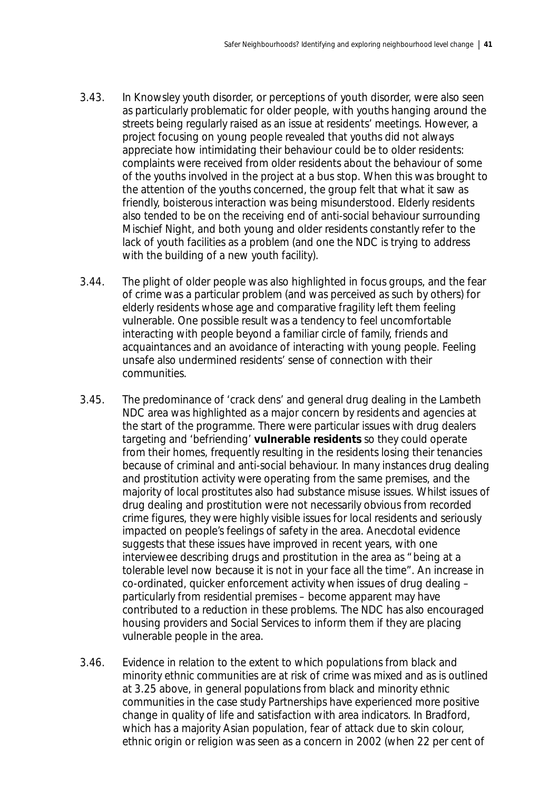- 3.43. In Knowsley youth disorder, or perceptions of youth disorder, were also seen as particularly problematic for older people, with youths hanging around the streets being regularly raised as an issue at residents' meetings. However, a project focusing on young people revealed that youths did not always appreciate how intimidating their behaviour could be to older residents: complaints were received from older residents about the behaviour of some of the youths involved in the project at a bus stop. When this was brought to the attention of the youths concerned, the group felt that what it saw as friendly, boisterous interaction was being misunderstood. Elderly residents also tended to be on the receiving end of anti-social behaviour surrounding Mischief Night, and both young and older residents constantly refer to the lack of youth facilities as a problem (and one the NDC is trying to address with the building of a new youth facility).
- 3.44. The plight of older people was also highlighted in focus groups, and the fear of crime was a particular problem (and was perceived as such by others) for elderly residents whose age and comparative fragility left them feeling vulnerable. One possible result was a tendency to feel uncomfortable interacting with people beyond a familiar circle of family, friends and acquaintances and an avoidance of interacting with young people. Feeling unsafe also undermined residents' sense of connection with their communities.
- 3.45. The predominance of 'crack dens' and general drug dealing in the Lambeth NDC area was highlighted as a major concern by residents and agencies at the start of the programme. There were particular issues with drug dealers targeting and 'befriending' **vulnerable residents** so they could operate from their homes, frequently resulting in the residents losing their tenancies because of criminal and anti-social behaviour. In many instances drug dealing and prostitution activity were operating from the same premises, and the majority of local prostitutes also had substance misuse issues. Whilst issues of drug dealing and prostitution were not necessarily obvious from recorded crime figures, they were highly visible issues for local residents and seriously impacted on people's feelings of safety in the area. Anecdotal evidence suggests that these issues have improved in recent years, with one interviewee describing drugs and prostitution in the area as "*being at a tolerable level now because it is not in your face all the time".* An increase in co-ordinated, quicker enforcement activity when issues of drug dealing – particularly from residential premises – become apparent may have contributed to a reduction in these problems. The NDC has also encouraged housing providers and Social Services to inform them if they are placing vulnerable people in the area.
- 3.46. Evidence in relation to the extent to which populations from black and minority ethnic communities are at risk of crime was mixed and as is outlined at 3.25 above, in general populations from black and minority ethnic communities in the case study Partnerships have experienced more positive change in quality of life and satisfaction with area indicators. In Bradford, which has a majority Asian population, fear of attack due to skin colour, ethnic origin or religion was seen as a concern in 2002 (when 22 per cent of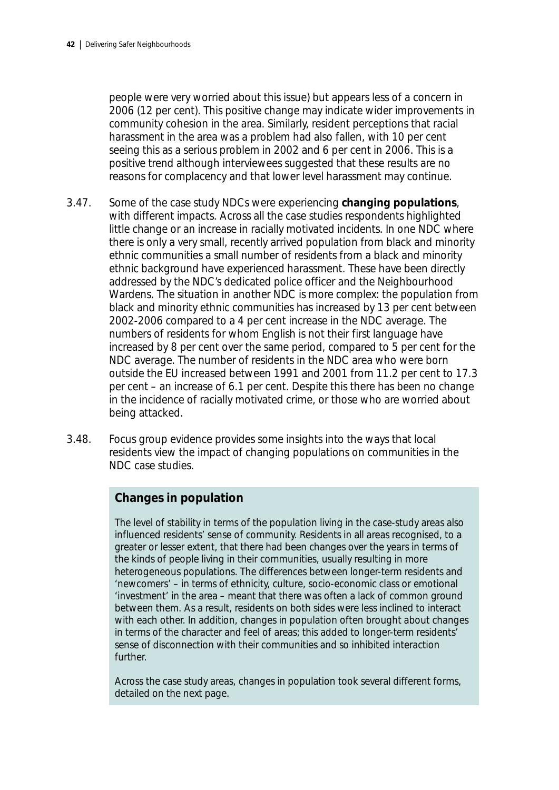people were very worried about this issue) but appears less of a concern in 2006 (12 per cent). This positive change may indicate wider improvements in community cohesion in the area. Similarly, resident perceptions that racial harassment in the area was a problem had also fallen, with 10 per cent seeing this as a serious problem in 2002 and 6 per cent in 2006. This is a positive trend although interviewees suggested that these results are no reasons for complacency and that lower level harassment may continue.

- 3.47. Some of the case study NDCs were experiencing **changing populations**, with different impacts. Across all the case studies respondents highlighted little change or an increase in racially motivated incidents. In one NDC where there is only a very small, recently arrived population from black and minority ethnic communities a small number of residents from a black and minority ethnic background have experienced harassment. These have been directly addressed by the NDC's dedicated police officer and the Neighbourhood Wardens. The situation in another NDC is more complex: the population from black and minority ethnic communities has increased by 13 per cent between 2002-2006 compared to a 4 per cent increase in the NDC average. The numbers of residents for whom English is not their first language have increased by 8 per cent over the same period, compared to 5 per cent for the NDC average. The number of residents in the NDC area who were born outside the EU increased between 1991 and 2001 from 11.2 per cent to 17.3 per cent – an increase of 6.1 per cent. Despite this there has been no change in the incidence of racially motivated crime, or those who are worried about being attacked.
- 3.48. Focus group evidence provides some insights into the ways that local residents view the impact of changing populations on communities in the NDC case studies.

# **Changes in population**

The level of stability in terms of the population living in the case-study areas also influenced residents' sense of community. Residents in all areas recognised, to a greater or lesser extent, that there had been changes over the years in terms of the kinds of people living in their communities, usually resulting in more heterogeneous populations. The differences between longer-term residents and 'newcomers' – in terms of ethnicity, culture, socio-economic class or emotional 'investment' in the area – meant that there was often a lack of common ground between them. As a result, residents *on both sides* were less inclined to interact with each other. In addition, changes in population often brought about changes in terms of the character and feel of areas; this added to longer-term residents' sense of disconnection with their communities and so inhibited interaction further.

Across the case study areas, changes in population took several different forms, detailed on the next page.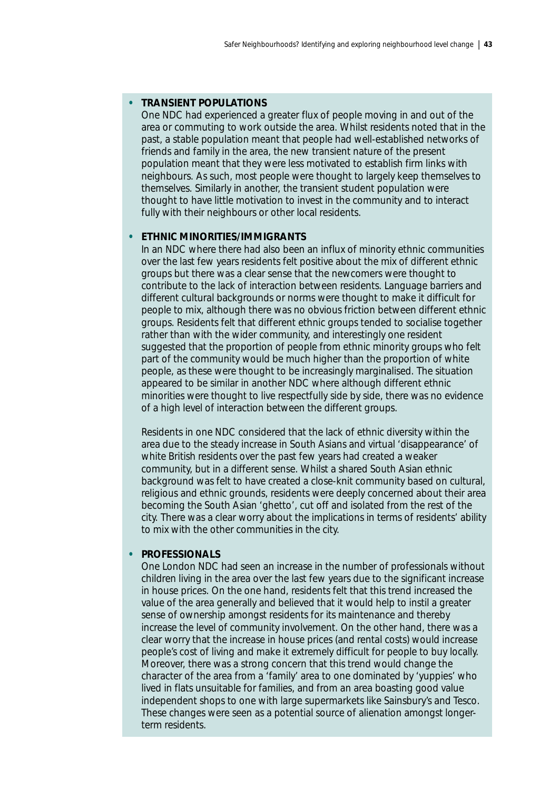#### **• TRANSIENT POPULATIONS**

One NDC had experienced a greater flux of people moving in and out of the area or commuting to work outside the area. Whilst residents noted that in the past, a stable population meant that people had well-established networks of friends and family in the area, the new transient nature of the present population meant that they were less motivated to establish firm links with neighbours. As such, most people were thought to largely keep themselves to themselves. Similarly in another, the transient student population were thought to have little motivation to invest in the community and to interact fully with their neighbours or other local residents.

#### **• ETHNIC MINORITIES/IMMIGRANTS**

In an NDC where there had also been an influx of minority ethnic communities over the last few years residents felt positive about the mix of different ethnic groups but there was a clear sense that the newcomers were thought to contribute to the lack of interaction between residents. Language barriers and different cultural backgrounds or norms were thought to make it difficult for people to mix, although there was no obvious friction between different ethnic groups. Residents felt that different ethnic groups tended to socialise together rather than with the wider community, and interestingly one resident suggested that the proportion of people from ethnic minority groups who felt part of the community would be much higher than the proportion of white people, as these were thought to be increasingly marginalised. The situation appeared to be similar in another NDC where although different ethnic minorities were thought to live respectfully side by side, there was no evidence of a high level of interaction between the different groups.

Residents in one NDC considered that the lack of ethnic diversity within the area due to the steady increase in South Asians and virtual 'disappearance' of white British residents over the past few years had created a weaker community, but in a different sense. Whilst a shared South Asian ethnic background was felt to have created a close-knit community based on cultural, religious and ethnic grounds, residents were deeply concerned about their area becoming the South Asian 'ghetto', cut off and isolated from the rest of the city. There was a clear worry about the implications in terms of residents' ability to mix with the other communities in the city.

#### **• PROFESSIONALS**

One London NDC had seen an increase in the number of professionals without children living in the area over the last few years due to the significant increase in house prices. On the one hand, residents felt that this trend increased the value of the area generally and believed that it would help to instil a greater sense of ownership amongst residents for its maintenance and thereby increase the level of community involvement. On the other hand, there was a clear worry that the increase in house prices (and rental costs) would increase people's cost of living and make it extremely difficult for people to buy locally. Moreover, there was a strong concern that this trend would change the character of the area from a 'family' area to one dominated by 'yuppies' who lived in flats unsuitable for families, and from an area boasting good value independent shops to one with large supermarkets like Sainsbury's and Tesco. These changes were seen as a potential source of alienation amongst longerterm residents.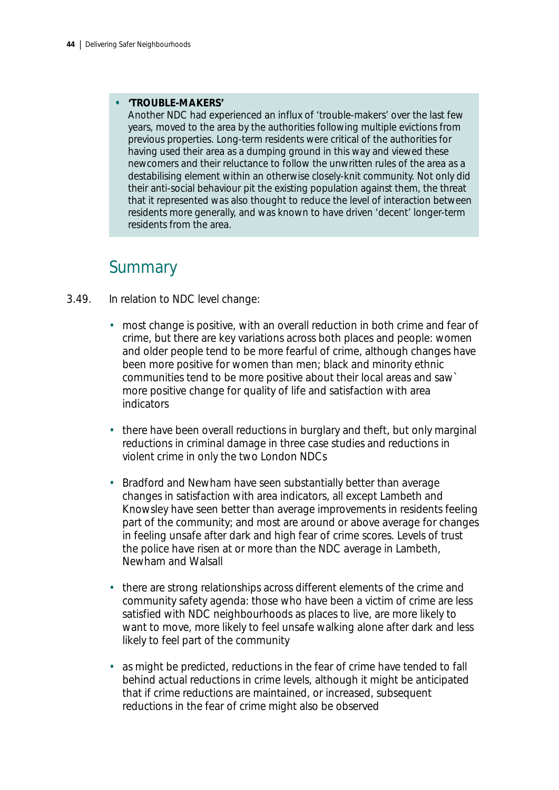#### **• 'TROUBLE-MAKERS'**

Another NDC had experienced an influx of 'trouble-makers' over the last few years, moved to the area by the authorities following multiple evictions from previous properties. Long-term residents were critical of the authorities for having used their area as a dumping ground in this way and viewed these newcomers and their reluctance to follow the unwritten rules of the area as a destabilising element within an otherwise closely-knit community. Not only did their anti-social behaviour pit the existing population against them, the threat that it represented was also thought to reduce the level of interaction between residents more generally, and was known to have driven 'decent' longer-term residents from the area.

# **Summary**

- 3.49. In relation to NDC level change:
	- most change is positive, with an overall reduction in both crime and fear of crime, but there are key variations across both places and people: women and older people tend to be more fearful of crime, although changes have been more positive for women than men; black and minority ethnic communities tend to be more positive about their local areas and saw` more positive change for quality of life and satisfaction with area indicators
	- there have been overall reductions in burglary and theft, but only marginal reductions in criminal damage in three case studies and reductions in violent crime in only the two London NDCs
	- Bradford and Newham have seen substantially better than average changes in satisfaction with area indicators, all except Lambeth and Knowsley have seen better than average improvements in residents feeling part of the community; and most are around or above average for changes in feeling unsafe after dark and high fear of crime scores. Levels of trust the police have risen at or more than the NDC average in Lambeth, Newham and Walsall
	- there are strong relationships across different elements of the crime and community safety agenda: those who have been a victim of crime are less satisfied with NDC neighbourhoods as places to live, are more likely to want to move, more likely to feel unsafe walking alone after dark and less likely to feel part of the community
	- as might be predicted, reductions in the fear of crime have tended to fall behind actual reductions in crime levels, although it might be anticipated that if crime reductions are maintained, or increased, subsequent reductions in the fear of crime might also be observed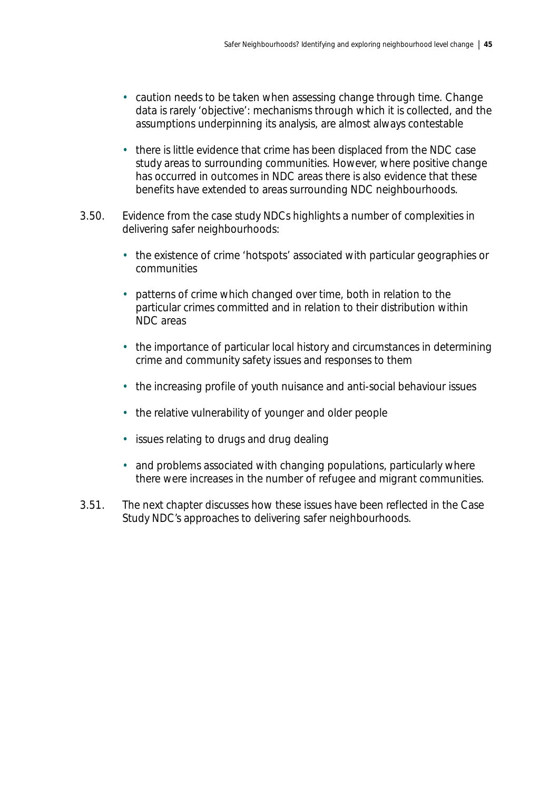- caution needs to be taken when assessing change through time. Change data is rarely 'objective': mechanisms through which it is collected, and the assumptions underpinning its analysis, are almost always contestable
- there is little evidence that crime has been displaced from the NDC case study areas to surrounding communities. However, where positive change has occurred in outcomes in NDC areas there is also evidence that these benefits have extended to areas surrounding NDC neighbourhoods.
- 3.50. Evidence from the case study NDCs highlights a number of complexities in delivering safer neighbourhoods:
	- the existence of crime 'hotspots' associated with particular geographies or communities
	- patterns of crime which changed over time, both in relation to the particular crimes committed and in relation to their distribution within NDC areas
	- the importance of particular local history and circumstances in determining crime and community safety issues and responses to them
	- the increasing profile of youth nuisance and anti-social behaviour issues
	- the relative vulnerability of younger and older people
	- issues relating to drugs and drug dealing
	- and problems associated with changing populations, particularly where there were increases in the number of refugee and migrant communities.
- 3.51. The next chapter discusses how these issues have been reflected in the Case Study NDC's approaches to delivering safer neighbourhoods.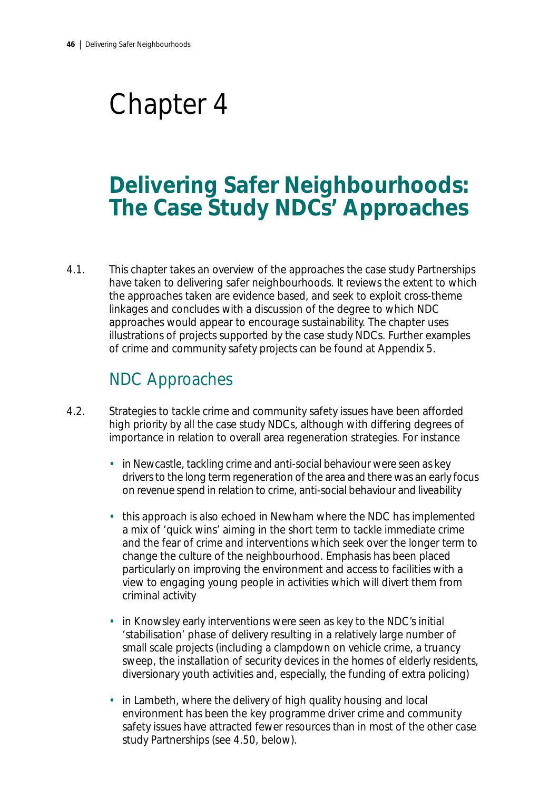# Chapter 4

# **Delivering Safer Neighbourhoods: The Case Study NDCs' Approaches**

4.1. This chapter takes an overview of the approaches the case study Partnerships have taken to delivering safer neighbourhoods. It reviews the extent to which the approaches taken are evidence based, and seek to exploit cross-theme linkages and concludes with a discussion of the degree to which NDC approaches would appear to encourage sustainability. The chapter uses illustrations of projects supported by the case study NDCs. Further examples of crime and community safety projects can be found at Appendix 5.

# NDC Approaches

- 4.2. Strategies to tackle crime and community safety issues have been afforded high priority by all the case study NDCs, although with differing degrees of importance in relation to overall area regeneration strategies. For instance
	- in Newcastle, tackling crime and anti-social behaviour were seen as key drivers to the long term regeneration of the area and there was an early focus on revenue spend in relation to crime, anti-social behaviour and liveability
	- this approach is also echoed in Newham where the NDC has implemented a mix of 'quick wins' aiming in the short term to tackle immediate crime and the fear of crime and interventions which seek over the longer term to change the culture of the neighbourhood. Emphasis has been placed particularly on improving the environment and access to facilities with a view to engaging young people in activities which will divert them from criminal activity
	- in Knowsley early interventions were seen as key to the NDC's initial 'stabilisation' phase of delivery resulting in a relatively large number of small scale projects (including a clampdown on vehicle crime, a truancy sweep, the installation of security devices in the homes of elderly residents, diversionary youth activities and, especially, the funding of extra policing)
	- in Lambeth, where the delivery of high quality housing and local environment has been the key programme driver crime and community safety issues have attracted fewer resources than in most of the other case study Partnerships (see 4.50, below).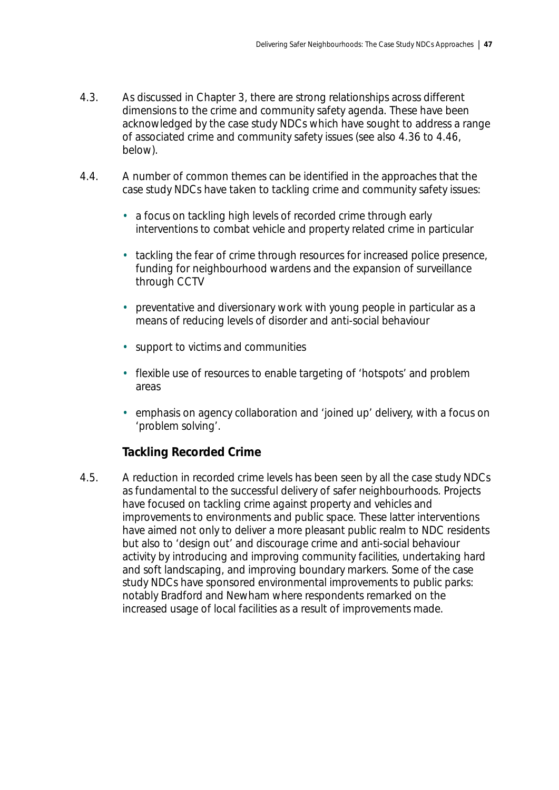- 4.3. As discussed in Chapter 3, there are strong relationships across different dimensions to the crime and community safety agenda. These have been acknowledged by the case study NDCs which have sought to address a range of associated crime and community safety issues (see also 4.36 to 4.46, below).
- 4.4. A number of common themes can be identified in the approaches that the case study NDCs have taken to tackling crime and community safety issues:
	- a focus on tackling high levels of recorded crime through early interventions to combat vehicle and property related crime in particular
	- tackling the fear of crime through resources for increased police presence, funding for neighbourhood wardens and the expansion of surveillance through CCTV
	- preventative and diversionary work with young people in particular as a means of reducing levels of disorder and anti-social behaviour
	- support to victims and communities
	- flexible use of resources to enable targeting of 'hotspots' and problem areas
	- emphasis on agency collaboration and 'joined up' delivery, with a focus on 'problem solving'.

# **Tackling Recorded Crime**

4.5. A reduction in recorded crime levels has been seen by all the case study NDCs as fundamental to the successful delivery of safer neighbourhoods. Projects have focused on tackling crime against property and vehicles and improvements to environments and public space. These latter interventions have aimed not only to deliver a more pleasant public realm to NDC residents but also to 'design out' and discourage crime and anti-social behaviour activity by introducing and improving community facilities, undertaking hard and soft landscaping, and improving boundary markers. Some of the case study NDCs have sponsored environmental improvements to public parks: notably Bradford and Newham where respondents remarked on the increased usage of local facilities as a result of improvements made.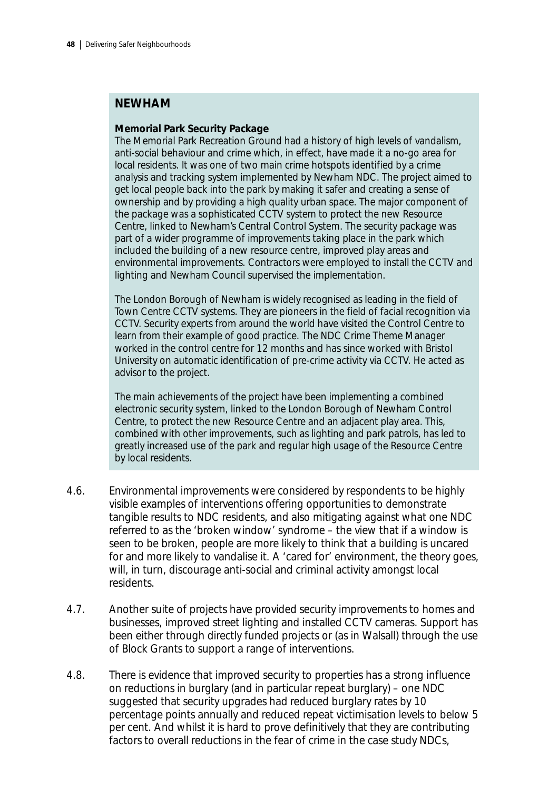### **NEWHAM**

#### **Memorial Park Security Package**

The Memorial Park Recreation Ground had a history of high levels of vandalism, anti-social behaviour and crime which, in effect, have made it a no-go area for local residents. It was one of two main crime hotspots identified by a crime analysis and tracking system implemented by Newham NDC. The project aimed to get local people back into the park by making it safer and creating a sense of ownership and by providing a high quality urban space. The major component of the package was a sophisticated CCTV system to protect the new Resource Centre, linked to Newham's Central Control System. The security package was part of a wider programme of improvements taking place in the park which included the building of a new resource centre, improved play areas and environmental improvements. Contractors were employed to install the CCTV and lighting and Newham Council supervised the implementation.

The London Borough of Newham is widely recognised as leading in the field of Town Centre CCTV systems. They are pioneers in the field of facial recognition via CCTV. Security experts from around the world have visited the Control Centre to learn from their example of good practice. The NDC Crime Theme Manager worked in the control centre for 12 months and has since worked with Bristol University on automatic identification of pre-crime activity via CCTV. He acted as advisor to the project.

The main achievements of the project have been implementing a combined electronic security system, linked to the London Borough of Newham Control Centre, to protect the new Resource Centre and an adjacent play area. This, combined with other improvements, such as lighting and park patrols, has led to greatly increased use of the park and regular high usage of the Resource Centre by local residents.

- 4.6. Environmental improvements were considered by respondents to be highly visible examples of interventions offering opportunities to demonstrate tangible results to NDC residents, and also mitigating against what one NDC referred to as the 'broken window' syndrome – the view that if a window is seen to be broken, people are more likely to think that a building is uncared for and more likely to vandalise it. A 'cared for' environment, the theory goes, will, in turn, discourage anti-social and criminal activity amongst local residents.
- 4.7. Another suite of projects have provided security improvements to homes and businesses, improved street lighting and installed CCTV cameras. Support has been either through directly funded projects or (as in Walsall) through the use of Block Grants to support a range of interventions.
- 4.8. There is evidence that improved security to properties has a strong influence on reductions in burglary (and in particular repeat burglary) – one NDC suggested that security upgrades had reduced burglary rates by 10 percentage points annually and reduced repeat victimisation levels to below 5 per cent. And whilst it is hard to prove definitively that they are contributing factors to overall reductions in the fear of crime in the case study NDCs,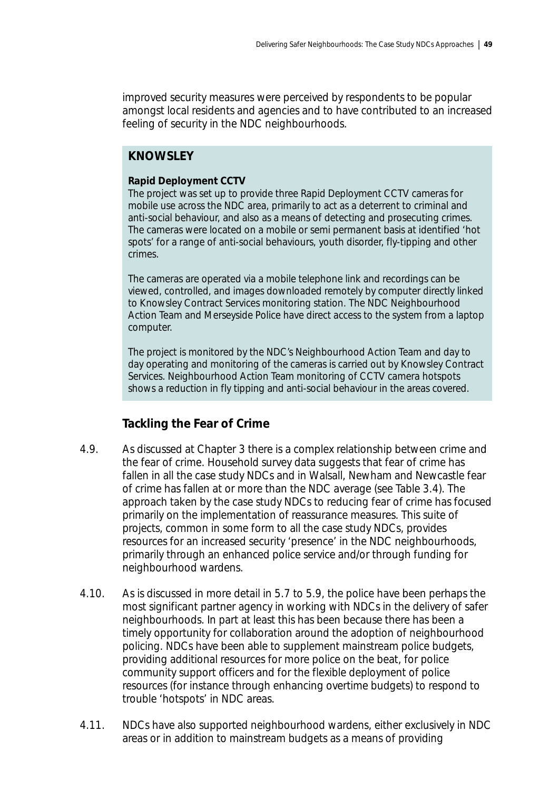improved security measures were perceived by respondents to be popular amongst local residents and agencies and to have contributed to an increased feeling of security in the NDC neighbourhoods.

### **KNOWSLEY**

#### **Rapid Deployment CCTV**

The project was set up to provide three Rapid Deployment CCTV cameras for mobile use across the NDC area, primarily to act as a deterrent to criminal and anti-social behaviour, and also as a means of detecting and prosecuting crimes. The cameras were located on a mobile or semi permanent basis at identified 'hot spots' for a range of anti-social behaviours, youth disorder, fly-tipping and other crimes.

The cameras are operated via a mobile telephone link and recordings can be viewed, controlled, and images downloaded remotely by computer directly linked to Knowsley Contract Services monitoring station. The NDC Neighbourhood Action Team and Merseyside Police have direct access to the system from a laptop computer.

The project is monitored by the NDC's Neighbourhood Action Team and day to day operating and monitoring of the cameras is carried out by Knowsley Contract Services. Neighbourhood Action Team monitoring of CCTV camera hotspots shows a reduction in fly tipping and anti-social behaviour in the areas covered.

# **Tackling the Fear of Crime**

- 4.9. As discussed at Chapter 3 there is a complex relationship between crime and the fear of crime. Household survey data suggests that fear of crime has fallen in all the case study NDCs and in Walsall, Newham and Newcastle fear of crime has fallen at or more than the NDC average (see Table 3.4). The approach taken by the case study NDCs to reducing fear of crime has focused primarily on the implementation of reassurance measures. This suite of projects, common in some form to all the case study NDCs, provides resources for an increased security 'presence' in the NDC neighbourhoods, primarily through an enhanced police service and/or through funding for neighbourhood wardens.
- 4.10. As is discussed in more detail in 5.7 to 5.9, the police have been perhaps the most significant partner agency in working with NDCs in the delivery of safer neighbourhoods. In part at least this has been because there has been a timely opportunity for collaboration around the adoption of neighbourhood policing. NDCs have been able to supplement mainstream police budgets, providing additional resources for more police on the beat, for police community support officers and for the flexible deployment of police resources (for instance through enhancing overtime budgets) to respond to trouble 'hotspots' in NDC areas.
- 4.11. NDCs have also supported neighbourhood wardens, either exclusively in NDC areas or in addition to mainstream budgets as a means of providing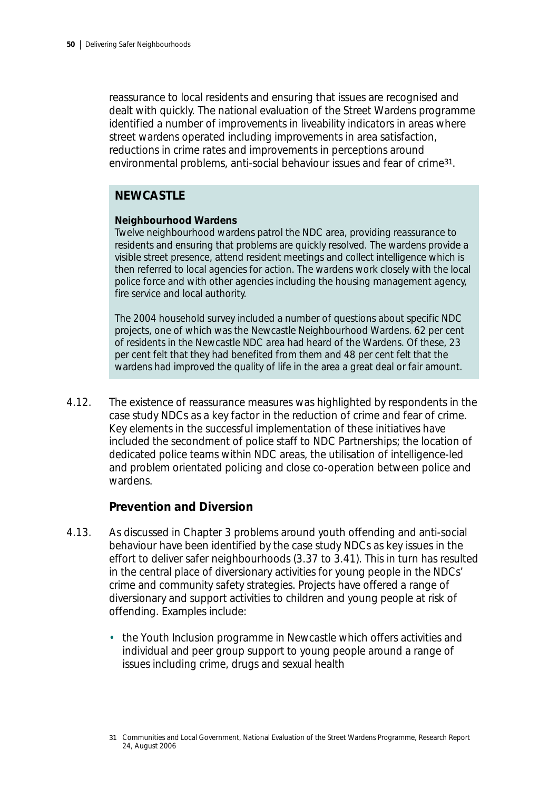reassurance to local residents and ensuring that issues are recognised and dealt with quickly. The national evaluation of the Street Wardens programme identified a number of improvements in liveability indicators in areas where street wardens operated including improvements in area satisfaction, reductions in crime rates and improvements in perceptions around environmental problems, anti-social behaviour issues and fear of crime31.

#### **NEWCASTLE**

#### **Neighbourhood Wardens**

Twelve neighbourhood wardens patrol the NDC area, providing reassurance to residents and ensuring that problems are quickly resolved. The wardens provide a visible street presence, attend resident meetings and collect intelligence which is then referred to local agencies for action. The wardens work closely with the local police force and with other agencies including the housing management agency, fire service and local authority.

The 2004 household survey included a number of questions about specific NDC projects, one of which was the Newcastle Neighbourhood Wardens. 62 per cent of residents in the Newcastle NDC area had heard of the Wardens. Of these, 23 per cent felt that they had benefited from them and 48 per cent felt that the wardens had improved the quality of life in the area a great deal or fair amount.

4.12. The existence of reassurance measures was highlighted by respondents in the case study NDCs as a key factor in the reduction of crime and fear of crime. Key elements in the successful implementation of these initiatives have included the secondment of police staff to NDC Partnerships; the location of dedicated police teams within NDC areas, the utilisation of intelligence-led and problem orientated policing and close co-operation between police and wardens.

#### **Prevention and Diversion**

- 4.13. As discussed in Chapter 3 problems around youth offending and anti-social behaviour have been identified by the case study NDCs as key issues in the effort to deliver safer neighbourhoods (3.37 to 3.41). This in turn has resulted in the central place of diversionary activities for young people in the NDCs' crime and community safety strategies. Projects have offered a range of diversionary and support activities to children and young people at risk of offending. Examples include:
	- the Youth Inclusion programme in Newcastle which offers activities and individual and peer group support to young people around a range of issues including crime, drugs and sexual health

<sup>31</sup> Communities and Local Government, National Evaluation of the Street Wardens Programme, Research Report 24, August 2006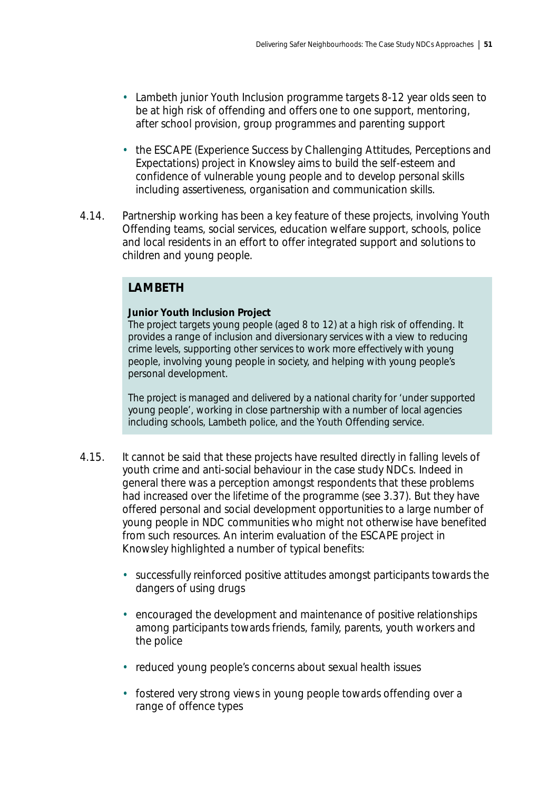- Lambeth junior Youth Inclusion programme targets 8-12 year olds seen to be at high risk of offending and offers one to one support, mentoring, after school provision, group programmes and parenting support
- the ESCAPE (Experience Success by Challenging Attitudes, Perceptions and Expectations) project in Knowsley aims to build the self-esteem and confidence of vulnerable young people and to develop personal skills including assertiveness, organisation and communication skills.
- 4.14. Partnership working has been a key feature of these projects, involving Youth Offending teams, social services, education welfare support, schools, police and local residents in an effort to offer integrated support and solutions to children and young people.

### **LAMBETH**

#### **Junior Youth Inclusion Project**

The project targets young people (aged 8 to 12) at a high risk of offending. It provides a range of inclusion and diversionary services with a view to reducing crime levels, supporting other services to work more effectively with young people, involving young people in society, and helping with young people's personal development.

The project is managed and delivered by a national charity for 'under supported young people', working in close partnership with a number of local agencies including schools, Lambeth police, and the Youth Offending service.

- 4.15. It cannot be said that these projects have resulted directly in falling levels of youth crime and anti-social behaviour in the case study NDCs. Indeed in general there was a perception amongst respondents that these problems had increased over the lifetime of the programme (see 3.37). But they have offered personal and social development opportunities to a large number of young people in NDC communities who might not otherwise have benefited from such resources. An interim evaluation of the ESCAPE project in Knowsley highlighted a number of typical benefits:
	- successfully reinforced positive attitudes amongst participants towards the dangers of using drugs
	- encouraged the development and maintenance of positive relationships among participants towards friends, family, parents, youth workers and the police
	- reduced young people's concerns about sexual health issues
	- fostered very strong views in young people towards offending over a range of offence types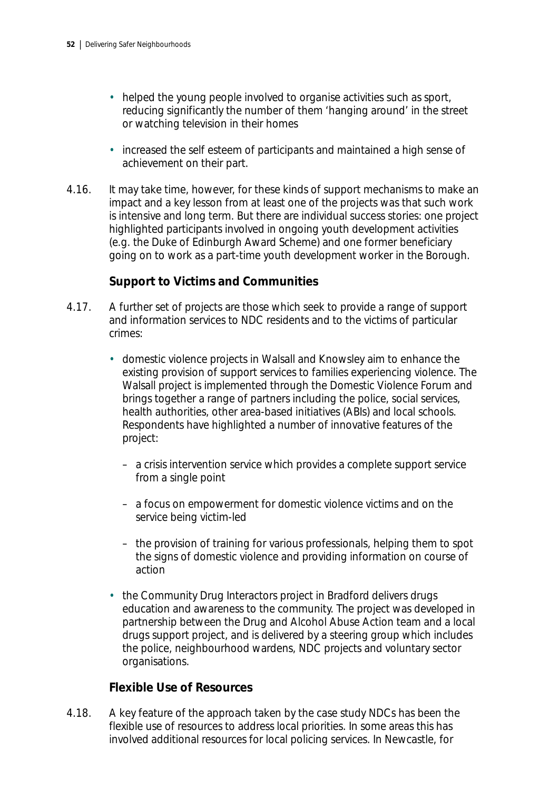- helped the young people involved to organise activities such as sport, reducing significantly the number of them 'hanging around' in the street or watching television in their homes
- increased the self esteem of participants and maintained a high sense of achievement on their part.
- 4.16. It may take time, however, for these kinds of support mechanisms to make an impact and a key lesson from at least one of the projects was that such work is intensive and long term. But there are individual success stories: one project highlighted participants involved in ongoing youth development activities (e.g. the Duke of Edinburgh Award Scheme) and one former beneficiary going on to work as a part-time youth development worker in the Borough.

### **Support to Victims and Communities**

- 4.17. A further set of projects are those which seek to provide a range of support and information services to NDC residents and to the victims of particular crimes:
	- domestic violence projects in Walsall and Knowsley aim to enhance the existing provision of support services to families experiencing violence. The Walsall project is implemented through the Domestic Violence Forum and brings together a range of partners including the police, social services, health authorities, other area-based initiatives (ABIs) and local schools. Respondents have highlighted a number of innovative features of the project:
		- a crisis intervention service which provides a complete support service from a single point
		- a focus on empowerment for domestic violence victims and on the service being victim-led
		- the provision of training for various professionals, helping them to spot the signs of domestic violence and providing information on course of action
	- the Community Drug Interactors project in Bradford delivers drugs education and awareness to the community. The project was developed in partnership between the Drug and Alcohol Abuse Action team and a local drugs support project, and is delivered by a steering group which includes the police, neighbourhood wardens, NDC projects and voluntary sector organisations.

### **Flexible Use of Resources**

4.18. A key feature of the approach taken by the case study NDCs has been the flexible use of resources to address local priorities. In some areas this has involved additional resources for local policing services. In Newcastle, for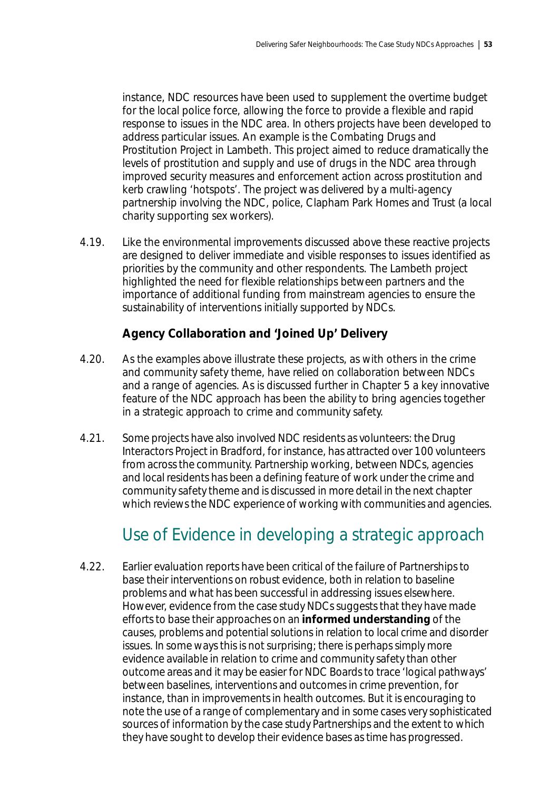instance, NDC resources have been used to supplement the overtime budget for the local police force, allowing the force to provide a flexible and rapid response to issues in the NDC area. In others projects have been developed to address particular issues. An example is the Combating Drugs and Prostitution Project in Lambeth. This project aimed to reduce dramatically the levels of prostitution and supply and use of drugs in the NDC area through improved security measures and enforcement action across prostitution and kerb crawling 'hotspots'. The project was delivered by a multi-agency partnership involving the NDC, police, Clapham Park Homes and Trust (a local charity supporting sex workers).

4.19. Like the environmental improvements discussed above these reactive projects are designed to deliver immediate and visible responses to issues identified as priorities by the community and other respondents. The Lambeth project highlighted the need for flexible relationships between partners and the importance of additional funding from mainstream agencies to ensure the sustainability of interventions initially supported by NDCs.

# **Agency Collaboration and 'Joined Up' Delivery**

- 4.20. As the examples above illustrate these projects, as with others in the crime and community safety theme, have relied on collaboration between NDCs and a range of agencies. As is discussed further in Chapter 5 a key innovative feature of the NDC approach has been the ability to bring agencies together in a strategic approach to crime and community safety.
- 4.21. Some projects have also involved NDC residents as volunteers: the Drug Interactors Project in Bradford, for instance, has attracted over 100 volunteers from across the community. Partnership working, between NDCs, agencies and local residents has been a defining feature of work under the crime and community safety theme and is discussed in more detail in the next chapter which reviews the NDC experience of working with communities and agencies.

# Use of Evidence in developing a strategic approach

4.22. Earlier evaluation reports have been critical of the failure of Partnerships to base their interventions on robust evidence, both in relation to baseline problems and what has been successful in addressing issues elsewhere. However, evidence from the case study NDCs suggests that they have made efforts to base their approaches on an **informed understanding** of the causes, problems and potential solutions in relation to local crime and disorder issues. In some ways this is not surprising; there is perhaps simply more evidence available in relation to crime and community safety than other outcome areas and it may be easier for NDC Boards to trace 'logical pathways' between baselines, interventions and outcomes in crime prevention, for instance, than in improvements in health outcomes. But it is encouraging to note the use of a range of complementary and in some cases very sophisticated sources of information by the case study Partnerships and the extent to which they have sought to develop their evidence bases as time has progressed.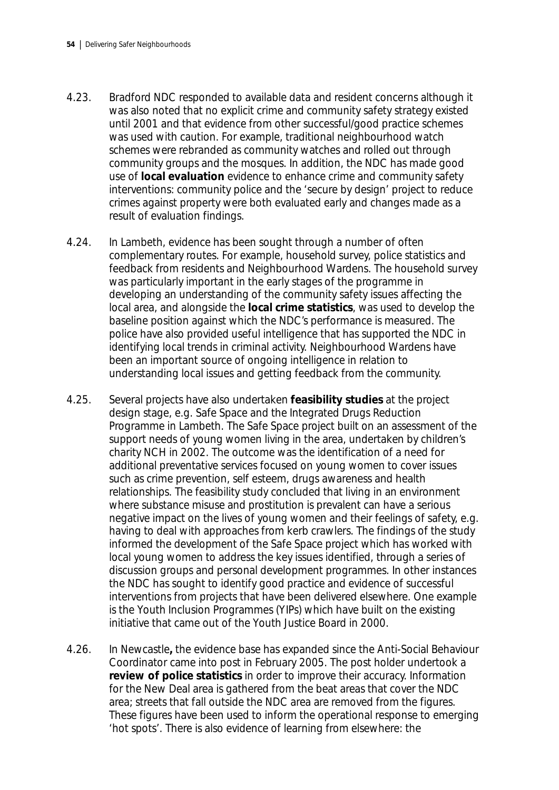- 4.23. Bradford NDC responded to available data and resident concerns although it was also noted that no explicit crime and community safety strategy existed until 2001 and that evidence from other successful/good practice schemes was used with caution. For example, traditional neighbourhood watch schemes were rebranded as community watches and rolled out through community groups and the mosques. In addition, the NDC has made good use of **local evaluation** evidence to enhance crime and community safety interventions: community police and the 'secure by design' project to reduce crimes against property were both evaluated early and changes made as a result of evaluation findings.
- 4.24. In Lambeth, evidence has been sought through a number of often complementary routes. For example, household survey, police statistics and feedback from residents and Neighbourhood Wardens. The household survey was particularly important in the early stages of the programme in developing an understanding of the community safety issues affecting the local area, and alongside the **local crime statistics**, was used to develop the baseline position against which the NDC's performance is measured. The police have also provided useful intelligence that has supported the NDC in identifying local trends in criminal activity. Neighbourhood Wardens have been an important source of ongoing intelligence in relation to understanding local issues and getting feedback from the community.
- 4.25. Several projects have also undertaken **feasibility studies** at the project design stage, e.g. Safe Space and the Integrated Drugs Reduction Programme in Lambeth. The Safe Space project built on an assessment of the support needs of young women living in the area, undertaken by children's charity NCH in 2002. The outcome was the identification of a need for additional preventative services focused on young women to cover issues such as crime prevention, self esteem, drugs awareness and health relationships. The feasibility study concluded that living in an environment where substance misuse and prostitution is prevalent can have a serious negative impact on the lives of young women and their feelings of safety, e.g. having to deal with approaches from kerb crawlers. The findings of the study informed the development of the Safe Space project which has worked with local young women to address the key issues identified, through a series of discussion groups and personal development programmes. In other instances the NDC has sought to identify good practice and evidence of successful interventions from projects that have been delivered elsewhere. One example is the Youth Inclusion Programmes (YIPs) which have built on the existing initiative that came out of the Youth Justice Board in 2000.
- 4.26. In Newcastle**,** the evidence base has expanded since the Anti-Social Behaviour Coordinator came into post in February 2005. The post holder undertook a **review of police statistics** in order to improve their accuracy. Information for the New Deal area is gathered from the beat areas that cover the NDC area; streets that fall outside the NDC area are removed from the figures. These figures have been used to inform the operational response to emerging 'hot spots'. There is also evidence of learning from elsewhere: the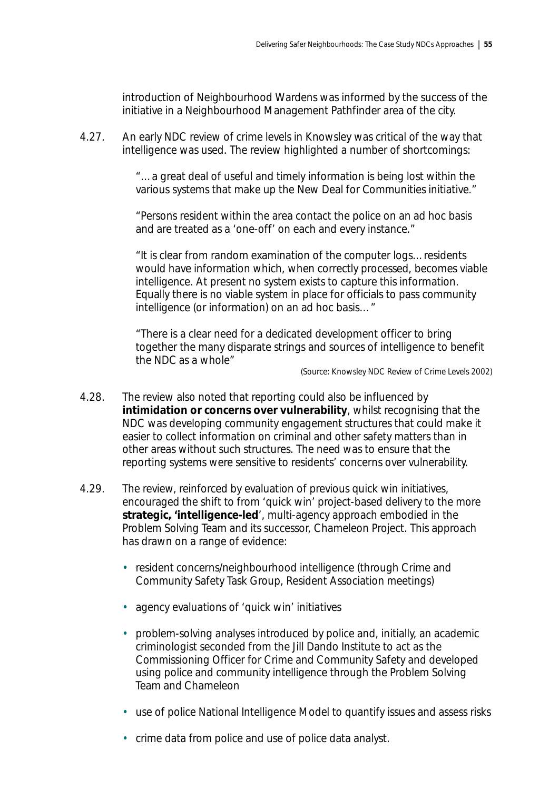introduction of Neighbourhood Wardens was informed by the success of the initiative in a Neighbourhood Management Pathfinder area of the city.

4.27. An early NDC review of crime levels in Knowsley was critical of the way that intelligence was used. The review highlighted a number of shortcomings:

> *"…a great deal of useful and timely information is being lost within the various systems that make up the New Deal for Communities initiative."*

*"Persons resident within the area contact the police on an ad hoc basis and are treated as a 'one-off' on each and every instance."*

*"It is clear from random examination of the computer logs…residents would have information which, when correctly processed, becomes viable intelligence. At present no system exists to capture this information. Equally there is no viable system in place for officials to pass community intelligence (or information) on an ad hoc basis…"*

*"There is a clear need for a dedicated development officer to bring together the many disparate strings and sources of intelligence to benefit the NDC as a whole"*

(Source: Knowsley NDC Review of Crime Levels 2002)

- 4.28. The review also noted that reporting could also be influenced by **intimidation or concerns over vulnerability**, whilst recognising that the NDC was developing community engagement structures that could make it easier to collect information on criminal and other safety matters than in other areas without such structures. The need was to ensure that the reporting systems were sensitive to residents' concerns over vulnerability.
- 4.29. The review, reinforced by evaluation of previous quick win initiatives, encouraged the shift to from 'quick win' project-based delivery to the more **strategic, 'intelligence-led**', multi-agency approach embodied in the Problem Solving Team and its successor, Chameleon Project. This approach has drawn on a range of evidence:
	- resident concerns/neighbourhood intelligence (through Crime and Community Safety Task Group, Resident Association meetings)
	- agency evaluations of 'quick win' initiatives
	- problem-solving analyses introduced by police and, initially, an academic criminologist seconded from the Jill Dando Institute to act as the Commissioning Officer for Crime and Community Safety and developed using police and community intelligence through the Problem Solving Team and Chameleon
	- use of police National Intelligence Model to quantify issues and assess risks
	- crime data from police and use of police data analyst.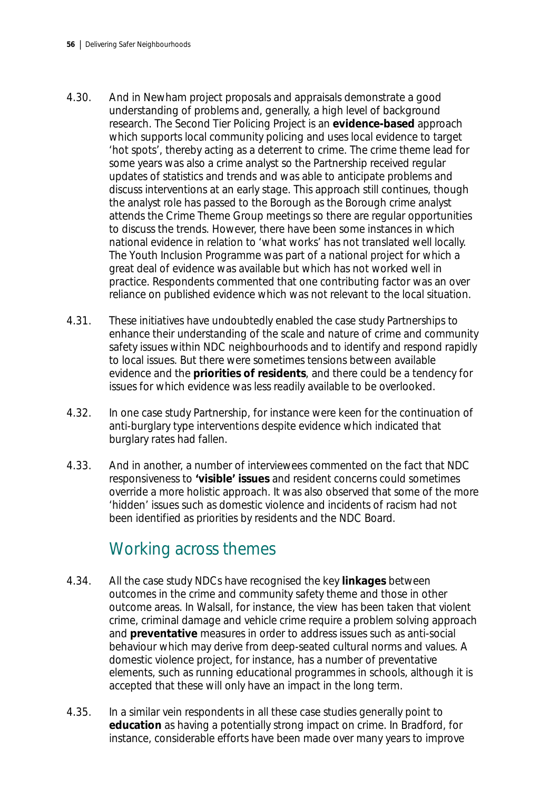- 4.30. And in Newham project proposals and appraisals demonstrate a good understanding of problems and, generally, a high level of background research. The Second Tier Policing Project is an **evidence-based** approach which supports local community policing and uses local evidence to target 'hot spots', thereby acting as a deterrent to crime. The crime theme lead for some years was also a crime analyst so the Partnership received regular updates of statistics and trends and was able to anticipate problems and discuss interventions at an early stage. This approach still continues, though the analyst role has passed to the Borough as the Borough crime analyst attends the Crime Theme Group meetings so there are regular opportunities to discuss the trends. However, there have been some instances in which national evidence in relation to 'what works' has not translated well locally. The Youth Inclusion Programme was part of a national project for which a great deal of evidence was available but which has not worked well in practice. Respondents commented that one contributing factor was an over reliance on published evidence which was not relevant to the local situation.
- 4.31. These initiatives have undoubtedly enabled the case study Partnerships to enhance their understanding of the scale and nature of crime and community safety issues within NDC neighbourhoods and to identify and respond rapidly to local issues. But there were sometimes tensions between available evidence and the **priorities of residents**, and there could be a tendency for issues for which evidence was less readily available to be overlooked.
- 4.32. In one case study Partnership, for instance were keen for the continuation of anti-burglary type interventions despite evidence which indicated that burglary rates had fallen.
- 4.33. And in another, a number of interviewees commented on the fact that NDC responsiveness to **'visible' issues** and resident concerns could sometimes override a more holistic approach. It was also observed that some of the more 'hidden' issues such as domestic violence and incidents of racism had not been identified as priorities by residents and the NDC Board.

# Working across themes

- 4.34. All the case study NDCs have recognised the key **linkages** between outcomes in the crime and community safety theme and those in other outcome areas. In Walsall, for instance, the view has been taken that violent crime, criminal damage and vehicle crime require a problem solving approach and **preventative** measures in order to address issues such as anti-social behaviour which may derive from deep-seated cultural norms and values. A domestic violence project, for instance, has a number of preventative elements, such as running educational programmes in schools, although it is accepted that these will only have an impact in the long term.
- 4.35. In a similar vein respondents in all these case studies generally point to **education** as having a potentially strong impact on crime. In Bradford, for instance, considerable efforts have been made over many years to improve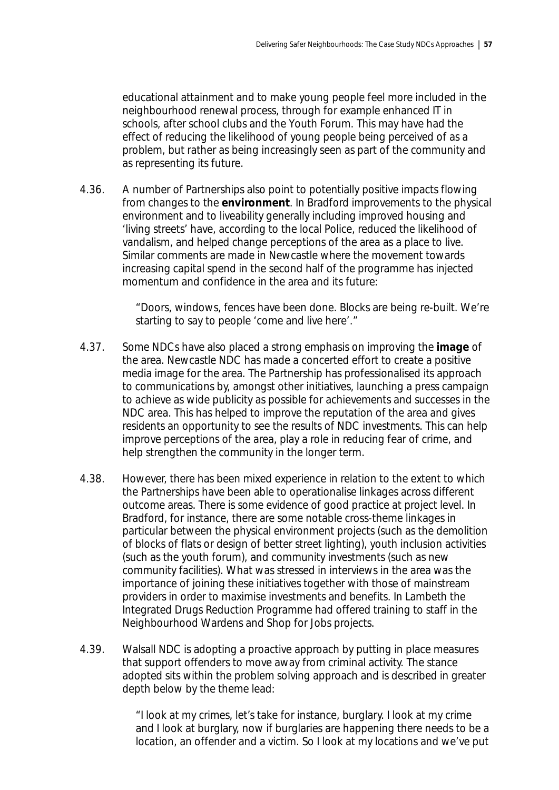educational attainment and to make young people feel more included in the neighbourhood renewal process, through for example enhanced IT in schools, after school clubs and the Youth Forum. This may have had the effect of reducing the likelihood of young people being perceived of as a problem, but rather as being increasingly seen as part of the community and as representing its future.

4.36. A number of Partnerships also point to potentially positive impacts flowing from changes to the **environment**. In Bradford improvements to the physical environment and to liveability generally including improved housing and 'living streets' have, according to the local Police, reduced the likelihood of vandalism, and helped change perceptions of the area as a place to live. Similar comments are made in Newcastle where the movement towards increasing capital spend in the second half of the programme has injected momentum and confidence in the area and its future:

> *"Doors, windows, fences have been done. Blocks are being re-built. We're starting to say to people 'come and live here'."*

- 4.37. Some NDCs have also placed a strong emphasis on improving the **image** of the area. Newcastle NDC has made a concerted effort to create a positive media image for the area. The Partnership has professionalised its approach to communications by, amongst other initiatives, launching a press campaign to achieve as wide publicity as possible for achievements and successes in the NDC area. This has helped to improve the reputation of the area and gives residents an opportunity to see the results of NDC investments. This can help improve perceptions of the area, play a role in reducing fear of crime, and help strengthen the community in the longer term.
- 4.38. However, there has been mixed experience in relation to the extent to which the Partnerships have been able to operationalise linkages across different outcome areas. There is some evidence of good practice at project level. In Bradford, for instance, there are some notable cross-theme linkages in particular between the physical environment projects (such as the demolition of blocks of flats or design of better street lighting), youth inclusion activities (such as the youth forum), and community investments (such as new community facilities). What was stressed in interviews in the area was the importance of joining these initiatives together with those of mainstream providers in order to maximise investments and benefits. In Lambeth the Integrated Drugs Reduction Programme had offered training to staff in the Neighbourhood Wardens and Shop for Jobs projects.
- 4.39. Walsall NDC is adopting a proactive approach by putting in place measures that support offenders to move away from criminal activity. The stance adopted sits within the problem solving approach and is described in greater depth below by the theme lead:

*"I look at my crimes, let's take for instance, burglary. I look at my crime and I look at burglary, now if burglaries are happening there needs to be a location, an offender and a victim. So I look at my locations and we've put*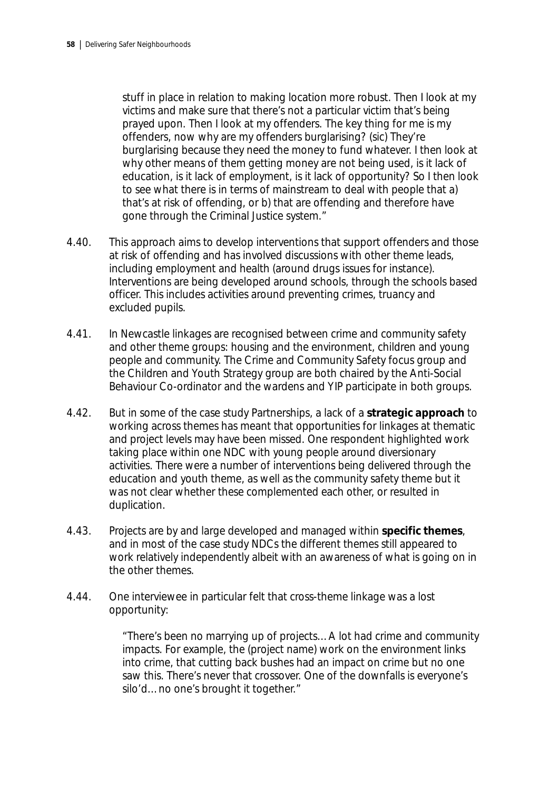*stuff in place in relation to making location more robust. Then I look at my victims and make sure that there's not a particular victim that's being prayed upon. Then I look at my offenders. The key thing for me is my offenders, now why are my offenders burglarising? (sic) They're burglarising because they need the money to fund whatever. I then look at why other means of them getting money are not being used, is it lack of education, is it lack of employment, is it lack of opportunity? So I then look to see what there is in terms of mainstream to deal with people that a) that's at risk of offending, or b) that are offending and therefore have gone through the Criminal Justice system."*

- 4.40. This approach aims to develop interventions that support offenders and those at risk of offending and has involved discussions with other theme leads, including employment and health (around drugs issues for instance). Interventions are being developed around schools, through the schools based officer. This includes activities around preventing crimes, truancy and excluded pupils.
- 4.41. In Newcastle linkages are recognised between crime and community safety and other theme groups: housing and the environment, children and young people and community. The Crime and Community Safety focus group and the Children and Youth Strategy group are both chaired by the Anti-Social Behaviour Co-ordinator and the wardens and YIP participate in both groups.
- 4.42. But in some of the case study Partnerships, a lack of a **strategic approach** to working across themes has meant that opportunities for linkages at thematic and project levels may have been missed. One respondent highlighted work taking place within one NDC with young people around diversionary activities. There were a number of interventions being delivered through the education and youth theme, as well as the community safety theme but it was not clear whether these complemented each other, or resulted in duplication.
- 4.43. Projects are by and large developed and managed within **specific themes**, and in most of the case study NDCs the different themes still appeared to work relatively independently albeit with an awareness of what is going on in the other themes.
- 4.44. One interviewee in particular felt that cross-theme linkage was a lost opportunity:

*"There's been no marrying up of projects…A lot had crime and community impacts. For example, the (project name) work on the environment links into crime, that cutting back bushes had an impact on crime but no one saw this. There's never that crossover. One of the downfalls is everyone's silo'd…no one's brought it together."*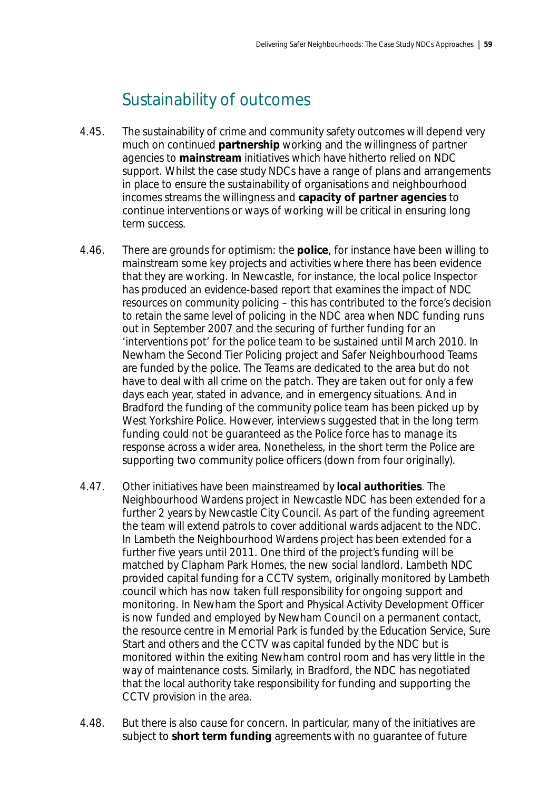# Sustainability of outcomes

- 4.45. The sustainability of crime and community safety outcomes will depend very much on continued **partnership** working and the willingness of partner agencies to **mainstream** initiatives which have hitherto relied on NDC support. Whilst the case study NDCs have a range of plans and arrangements in place to ensure the sustainability of organisations and neighbourhood incomes streams the willingness and **capacity of partner agencies** to continue interventions or ways of working will be critical in ensuring long term success.
- 4.46. There are grounds for optimism: the **police**, for instance have been willing to mainstream some key projects and activities where there has been evidence that they are working. In Newcastle, for instance, the local police Inspector has produced an evidence-based report that examines the impact of NDC resources on community policing – this has contributed to the force's decision to retain the same level of policing in the NDC area when NDC funding runs out in September 2007 and the securing of further funding for an 'interventions pot' for the police team to be sustained until March 2010. In Newham the Second Tier Policing project and Safer Neighbourhood Teams are funded by the police. The Teams are dedicated to the area but do not have to deal with all crime on the patch. They are taken out for only a few days each year, stated in advance, and in emergency situations. And in Bradford the funding of the community police team has been picked up by West Yorkshire Police. However, interviews suggested that in the long term funding could not be guaranteed as the Police force has to manage its response across a wider area. Nonetheless, in the short term the Police are supporting two community police officers (down from four originally).
- 4.47. Other initiatives have been mainstreamed by **local authorities**. The Neighbourhood Wardens project in Newcastle NDC has been extended for a further 2 years by Newcastle City Council. As part of the funding agreement the team will extend patrols to cover additional wards adjacent to the NDC. In Lambeth the Neighbourhood Wardens project has been extended for a further five years until 2011. One third of the project's funding will be matched by Clapham Park Homes, the new social landlord. Lambeth NDC provided capital funding for a CCTV system, originally monitored by Lambeth council which has now taken full responsibility for ongoing support and monitoring. In Newham the Sport and Physical Activity Development Officer is now funded and employed by Newham Council on a permanent contact, the resource centre in Memorial Park is funded by the Education Service, Sure Start and others and the CCTV was capital funded by the NDC but is monitored within the exiting Newham control room and has very little in the way of maintenance costs. Similarly, in Bradford, the NDC has negotiated that the local authority take responsibility for funding and supporting the CCTV provision in the area.
- 4.48. But there is also cause for concern. In particular, many of the initiatives are subject to **short term funding** agreements with no guarantee of future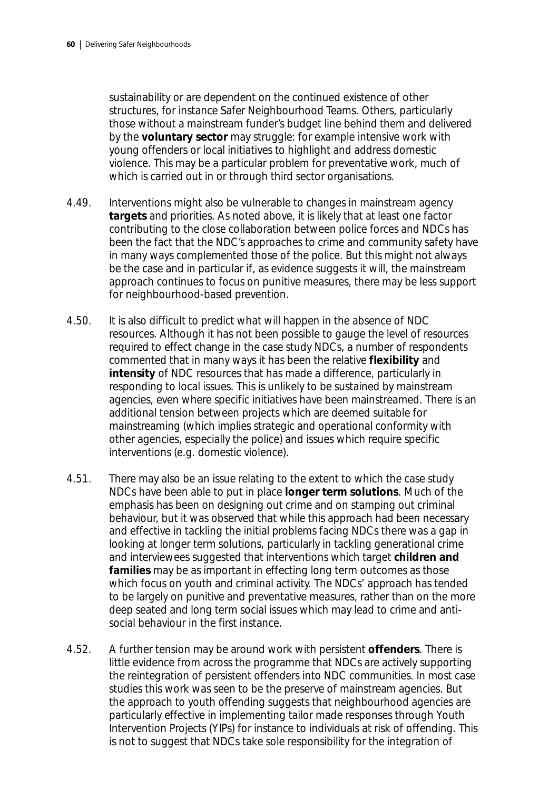sustainability or are dependent on the continued existence of other structures, for instance Safer Neighbourhood Teams. Others, particularly those without a mainstream funder's budget line behind them and delivered by the **voluntary sector** may struggle: for example intensive work with young offenders or local initiatives to highlight and address domestic violence. This may be a particular problem for preventative work, much of which is carried out in or through third sector organisations.

- 4.49. Interventions might also be vulnerable to changes in mainstream agency **targets** and priorities. As noted above, it is likely that at least one factor contributing to the close collaboration between police forces and NDCs has been the fact that the NDC's approaches to crime and community safety have in many ways complemented those of the police. But this might not always be the case and in particular if, as evidence suggests it will, the mainstream approach continues to focus on punitive measures, there may be less support for neighbourhood-based prevention.
- 4.50. It is also difficult to predict what will happen in the absence of NDC resources. Although it has not been possible to gauge the level of resources required to effect change in the case study NDCs, a number of respondents commented that in many ways it has been the relative **flexibility** and **intensity** of NDC resources that has made a difference, particularly in responding to local issues. This is unlikely to be sustained by mainstream agencies, even where specific initiatives have been mainstreamed. There is an additional tension between projects which are deemed suitable for mainstreaming (which implies strategic and operational conformity with other agencies, especially the police) and issues which require specific interventions (e.g. domestic violence).
- 4.51. There may also be an issue relating to the extent to which the case study NDCs have been able to put in place **longer term solutions**. Much of the emphasis has been on designing out crime and on stamping out criminal behaviour, but it was observed that while this approach had been necessary and effective in tackling the initial problems facing NDCs there was a gap in looking at longer term solutions, particularly in tackling generational crime and interviewees suggested that interventions which target **children and families** may be as important in effecting long term outcomes as those which focus on youth and criminal activity. The NDCs' approach has tended to be largely on punitive and preventative measures, rather than on the more deep seated and long term social issues which may lead to crime and antisocial behaviour in the first instance.
- 4.52. A further tension may be around work with persistent **offenders**. There is little evidence from across the programme that NDCs are actively supporting the reintegration of persistent offenders into NDC communities. In most case studies this work was seen to be the preserve of mainstream agencies. But the approach to youth offending suggests that neighbourhood agencies are particularly effective in implementing tailor made responses through Youth Intervention Projects (YIPs) for instance to individuals at risk of offending. This is not to suggest that NDCs take sole responsibility for the integration of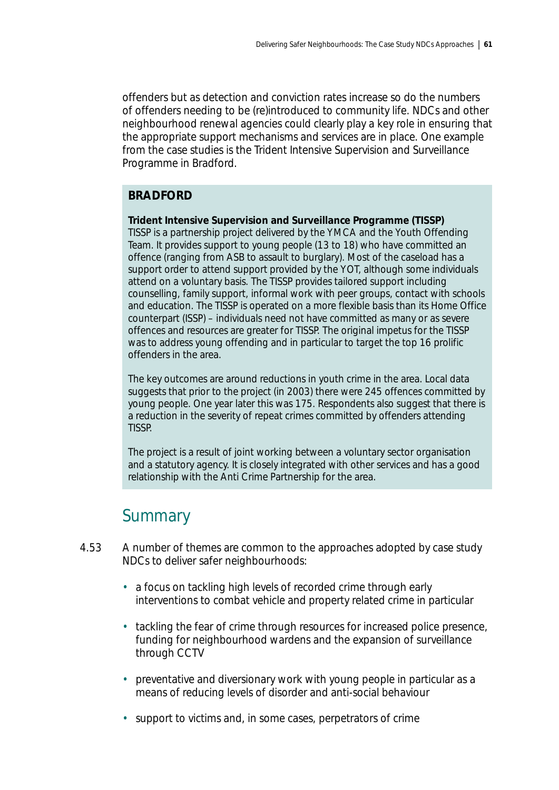offenders but as detection and conviction rates increase so do the numbers of offenders needing to be (re)introduced to community life. NDCs and other neighbourhood renewal agencies could clearly play a key role in ensuring that the appropriate support mechanisms and services are in place. One example from the case studies is the Trident Intensive Supervision and Surveillance Programme in Bradford.

### **BRADFORD**

**Trident Intensive Supervision and Surveillance Programme (TISSP)** TISSP is a partnership project delivered by the YMCA and the Youth Offending Team. It provides support to young people (13 to 18) who have committed an offence (ranging from ASB to assault to burglary). Most of the caseload has a support order to attend support provided by the YOT, although some individuals attend on a voluntary basis. The TISSP provides tailored support including counselling, family support, informal work with peer groups, contact with schools and education. The TISSP is operated on a more flexible basis than its Home Office counterpart (ISSP) – individuals need not have committed as many or as severe offences and resources are greater for TISSP. The original impetus for the TISSP was to address young offending and in particular to target the top 16 prolific offenders in the area.

The key outcomes are around reductions in youth crime in the area. Local data suggests that prior to the project (in 2003) there were 245 offences committed by young people. One year later this was 175. Respondents also suggest that there is a reduction in the severity of repeat crimes committed by offenders attending TISSP.

The project is a result of joint working between a voluntary sector organisation and a statutory agency. It is closely integrated with other services and has a good relationship with the Anti Crime Partnership for the area.

# **Summary**

- 4.53 A number of themes are common to the approaches adopted by case study NDCs to deliver safer neighbourhoods:
	- a focus on tackling high levels of recorded crime through early interventions to combat vehicle and property related crime in particular
	- tackling the fear of crime through resources for increased police presence, funding for neighbourhood wardens and the expansion of surveillance through CCTV
	- preventative and diversionary work with young people in particular as a means of reducing levels of disorder and anti-social behaviour
	- support to victims and, in some cases, perpetrators of crime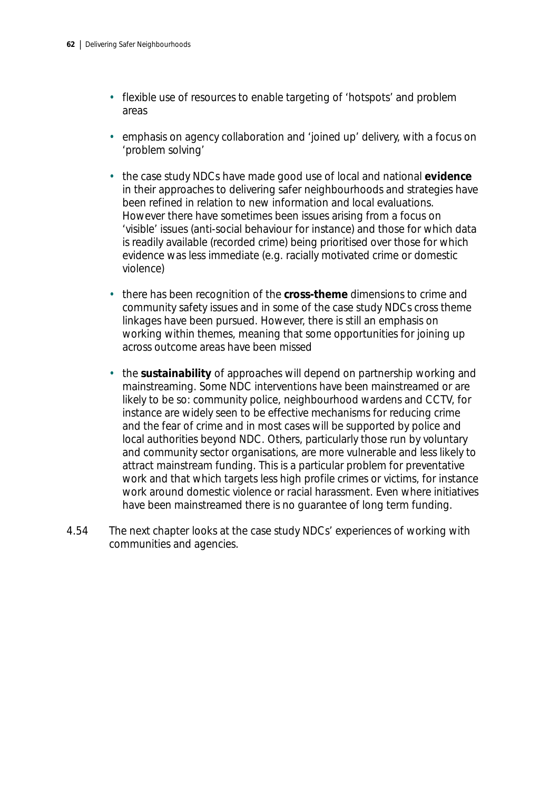- flexible use of resources to enable targeting of 'hotspots' and problem areas
- emphasis on agency collaboration and 'joined up' delivery, with a focus on 'problem solving'
- the case study NDCs have made good use of local and national **evidence** in their approaches to delivering safer neighbourhoods and strategies have been refined in relation to new information and local evaluations. However there have sometimes been issues arising from a focus on 'visible' issues (anti-social behaviour for instance) and those for which data is readily available (recorded crime) being prioritised over those for which evidence was less immediate (e.g. racially motivated crime or domestic violence)
- there has been recognition of the **cross-theme** dimensions to crime and community safety issues and in some of the case study NDCs cross theme linkages have been pursued. However, there is still an emphasis on working within themes, meaning that some opportunities for joining up across outcome areas have been missed
- the **sustainability** of approaches will depend on partnership working and mainstreaming. Some NDC interventions have been mainstreamed or are likely to be so: community police, neighbourhood wardens and CCTV, for instance are widely seen to be effective mechanisms for reducing crime and the fear of crime and in most cases will be supported by police and local authorities beyond NDC. Others, particularly those run by voluntary and community sector organisations, are more vulnerable and less likely to attract mainstream funding. This is a particular problem for preventative work and that which targets less high profile crimes or victims, for instance work around domestic violence or racial harassment. Even where initiatives have been mainstreamed there is no guarantee of long term funding.
- 4.54 The next chapter looks at the case study NDCs' experiences of working with communities and agencies.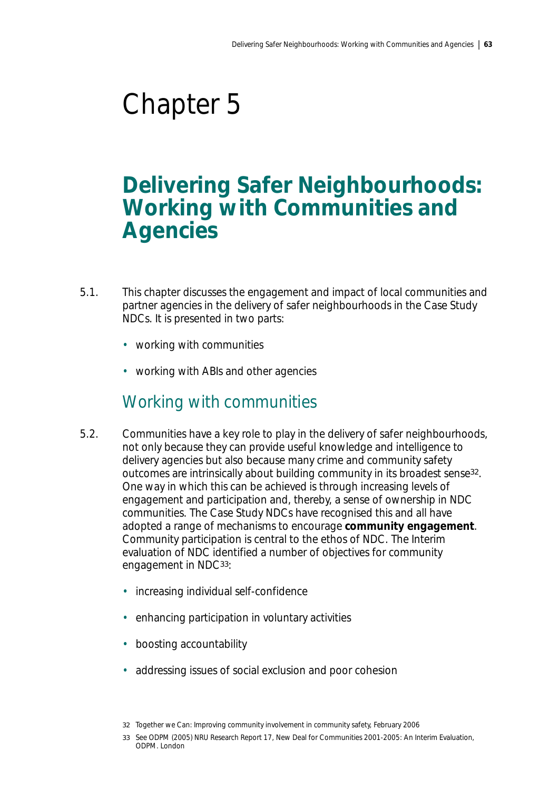# Chapter 5

# **Delivering Safer Neighbourhoods: Working with Communities and Agencies**

- 5.1. This chapter discusses the engagement and impact of local communities and partner agencies in the delivery of safer neighbourhoods in the Case Study NDCs. It is presented in two parts:
	- working with communities
	- working with ABIs and other agencies

# Working with communities

- 5.2. Communities have a key role to play in the delivery of safer neighbourhoods, not only because they can provide useful knowledge and intelligence to delivery agencies but also because many crime and community safety outcomes are intrinsically about building community in its broadest sense32. One way in which this can be achieved is through increasing levels of engagement and participation and, thereby, a sense of ownership in NDC communities. The Case Study NDCs have recognised this and all have adopted a range of mechanisms to encourage **community engagement**. Community participation is central to the ethos of NDC. The Interim evaluation of NDC identified a number of objectives for community engagement in NDC33:
	- increasing individual self-confidence
	- enhancing participation in voluntary activities
	- boosting accountability
	- addressing issues of social exclusion and poor cohesion

32 Together we Can: Improving community involvement in community safety, February 2006

<sup>33</sup> See ODPM (2005) NRU Research Report 17, New Deal for Communities 2001-2005: An Interim Evaluation, ODPM. London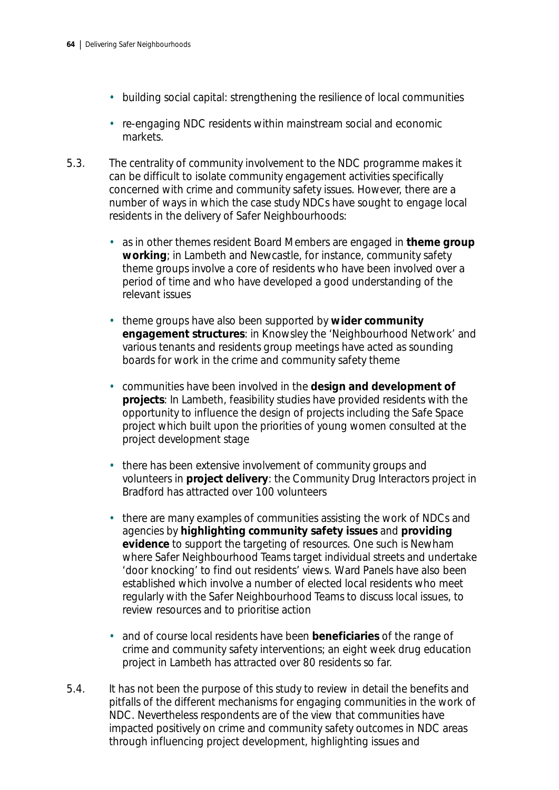- building social capital: strengthening the resilience of local communities
- re-engaging NDC residents within mainstream social and economic markets.
- 5.3. The centrality of community involvement to the NDC programme makes it can be difficult to isolate community engagement activities specifically concerned with crime and community safety issues. However, there are a number of ways in which the case study NDCs have sought to engage local residents in the delivery of Safer Neighbourhoods:
	- as in other themes resident Board Members are engaged in **theme group working**; in Lambeth and Newcastle, for instance, community safety theme groups involve a core of residents who have been involved over a period of time and who have developed a good understanding of the relevant issues
	- theme groups have also been supported by **wider community engagement structures**: in Knowsley the 'Neighbourhood Network' and various tenants and residents group meetings have acted as sounding boards for work in the crime and community safety theme
	- communities have been involved in the **design and development of projects**: In Lambeth, feasibility studies have provided residents with the opportunity to influence the design of projects including the Safe Space project which built upon the priorities of young women consulted at the project development stage
	- there has been extensive involvement of community groups and volunteers in **project delivery**: the Community Drug Interactors project in Bradford has attracted over 100 volunteers
	- there are many examples of communities assisting the work of NDCs and agencies by **highlighting community safety issues** and **providing evidence** to support the targeting of resources. One such is Newham where Safer Neighbourhood Teams target individual streets and undertake 'door knocking' to find out residents' views. Ward Panels have also been established which involve a number of elected local residents who meet regularly with the Safer Neighbourhood Teams to discuss local issues, to review resources and to prioritise action
	- and of course local residents have been **beneficiaries** of the range of crime and community safety interventions; an eight week drug education project in Lambeth has attracted over 80 residents so far.
- 5.4. It has not been the purpose of this study to review in detail the benefits and pitfalls of the different mechanisms for engaging communities in the work of NDC. Nevertheless respondents are of the view that communities have impacted positively on crime and community safety outcomes in NDC areas through influencing project development, highlighting issues and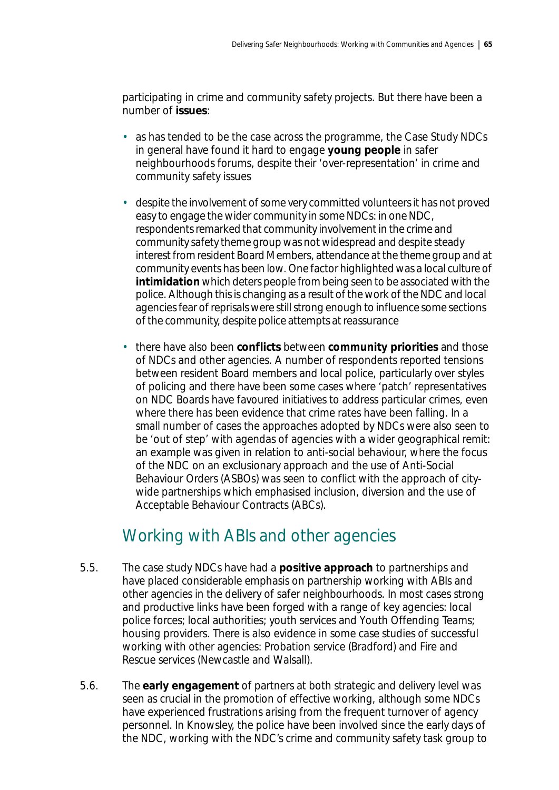participating in crime and community safety projects. But there have been a number of **issues**:

- as has tended to be the case across the programme, the Case Study NDCs in general have found it hard to engage **young people** in safer neighbourhoods forums, despite their 'over-representation' in crime and community safety issues
- despite the involvement of some very committed volunteers it has not proved easy to engage the wider community in some NDCs: in one NDC, respondents remarked that community involvement in the crime and community safety theme group was not widespread and despite steady interest from resident Board Members, attendance at the theme group and at community events has been low. One factor highlighted was a local culture of **intimidation** which deters people from being seen to be associated with the police. Although this is changing as a result of the work of the NDC and local agencies fear of reprisals were still strong enough to influence some sections of the community, despite police attempts at reassurance
- there have also been **conflicts** between **community priorities** and those of NDCs and other agencies. A number of respondents reported tensions between resident Board members and local police, particularly over styles of policing and there have been some cases where 'patch' representatives on NDC Boards have favoured initiatives to address particular crimes, even where there has been evidence that crime rates have been falling. In a small number of cases the approaches adopted by NDCs were also seen to be 'out of step' with agendas of agencies with a wider geographical remit: an example was given in relation to anti-social behaviour, where the focus of the NDC on an exclusionary approach and the use of Anti-Social Behaviour Orders (ASBOs) was seen to conflict with the approach of citywide partnerships which emphasised inclusion, diversion and the use of Acceptable Behaviour Contracts (ABCs).

# Working with ABIs and other agencies

- 5.5. The case study NDCs have had a **positive approach** to partnerships and have placed considerable emphasis on partnership working with ABIs and other agencies in the delivery of safer neighbourhoods. In most cases strong and productive links have been forged with a range of key agencies: local police forces; local authorities; youth services and Youth Offending Teams; housing providers. There is also evidence in some case studies of successful working with other agencies: Probation service (Bradford) and Fire and Rescue services (Newcastle and Walsall).
- 5.6. The **early engagement** of partners at both strategic and delivery level was seen as crucial in the promotion of effective working, although some NDCs have experienced frustrations arising from the frequent turnover of agency personnel. In Knowsley, the police have been involved since the early days of the NDC, working with the NDC's crime and community safety task group to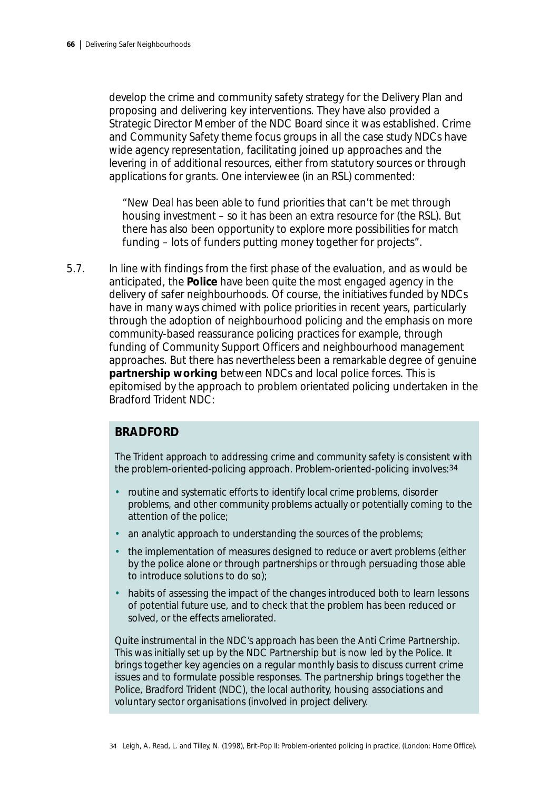develop the crime and community safety strategy for the Delivery Plan and proposing and delivering key interventions. They have also provided a Strategic Director Member of the NDC Board since it was established. Crime and Community Safety theme focus groups in all the case study NDCs have wide agency representation, facilitating joined up approaches and the levering in of additional resources, either from statutory sources or through applications for grants. One interviewee (in an RSL) commented:

*"New Deal has been able to fund priorities that can't be met through housing investment – so it has been an extra resource for (the RSL). But there has also been opportunity to explore more possibilities for match funding – lots of funders putting money together for projects".*

5.7. In line with findings from the first phase of the evaluation, and as would be anticipated, the **Police** have been quite the most engaged agency in the delivery of safer neighbourhoods. Of course, the initiatives funded by NDCs have in many ways chimed with police priorities in recent years, particularly through the adoption of neighbourhood policing and the emphasis on more community-based reassurance policing practices for example, through funding of Community Support Officers and neighbourhood management approaches. But there has nevertheless been a remarkable degree of genuine **partnership working** between NDCs and local police forces. This is epitomised by the approach to problem orientated policing undertaken in the Bradford Trident NDC:

#### **BRADFORD**

The Trident approach to addressing crime and community safety is consistent with the problem-oriented-policing approach. Problem-oriented-policing involves: 34

- routine and systematic efforts to identify local crime problems, disorder problems, and other community problems actually or potentially coming to the attention of the police;
- an analytic approach to understanding the sources of the problems;
- the implementation of measures designed to reduce or avert problems (either by the police alone or through partnerships or through persuading those able to introduce solutions to do so);
- habits of assessing the impact of the changes introduced both to learn lessons of potential future use, and to check that the problem has been reduced or solved, or the effects ameliorated.

Quite instrumental in the NDC's approach has been the Anti Crime Partnership. This was initially set up by the NDC Partnership but is now led by the Police. It brings together key agencies on a regular monthly basis to discuss current crime issues and to formulate possible responses. The partnership brings together the Police, Bradford Trident (NDC), the local authority, housing associations and voluntary sector organisations (involved in project delivery.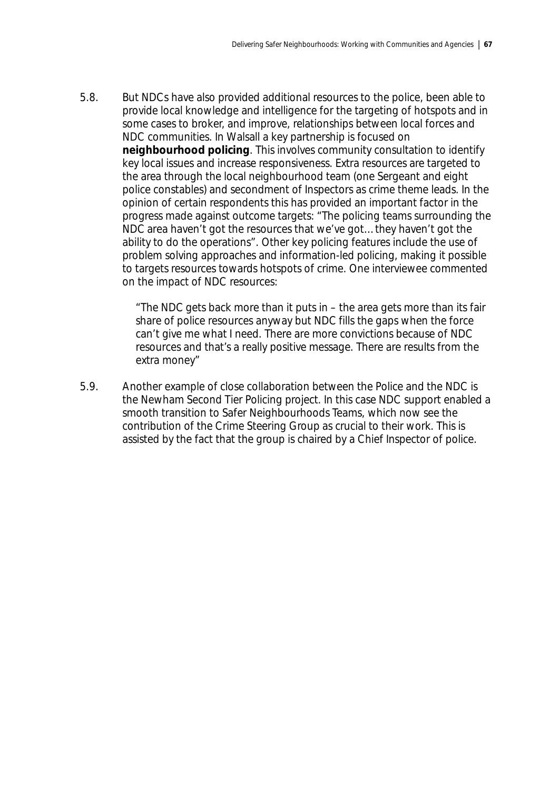5.8. But NDCs have also provided additional resources to the police, been able to provide local knowledge and intelligence for the targeting of hotspots and in some cases to broker, and improve, relationships between local forces and NDC communities. In Walsall a key partnership is focused on **neighbourhood policing**. This involves community consultation to identify key local issues and increase responsiveness. Extra resources are targeted to the area through the local neighbourhood team (one Sergeant and eight police constables) and secondment of Inspectors as crime theme leads. In the opinion of certain respondents this has provided an important factor in the progress made against outcome targets: *"The policing teams surrounding the NDC area haven't got the resources that we've got…they haven't got the ability to do the operations".* Other key policing features include the use of problem solving approaches and information-led policing, making it possible to targets resources towards hotspots of crime. One interviewee commented on the impact of NDC resources:

> *"The NDC gets back more than it puts in – the area gets more than its fair share of police resources anyway but NDC fills the gaps when the force can't give me what I need. There are more convictions because of NDC resources and that's a really positive message. There are results from the extra money"*

5.9. Another example of close collaboration between the Police and the NDC is the Newham Second Tier Policing project. In this case NDC support enabled a smooth transition to Safer Neighbourhoods Teams, which now see the contribution of the Crime Steering Group as crucial to their work. This is assisted by the fact that the group is chaired by a Chief Inspector of police.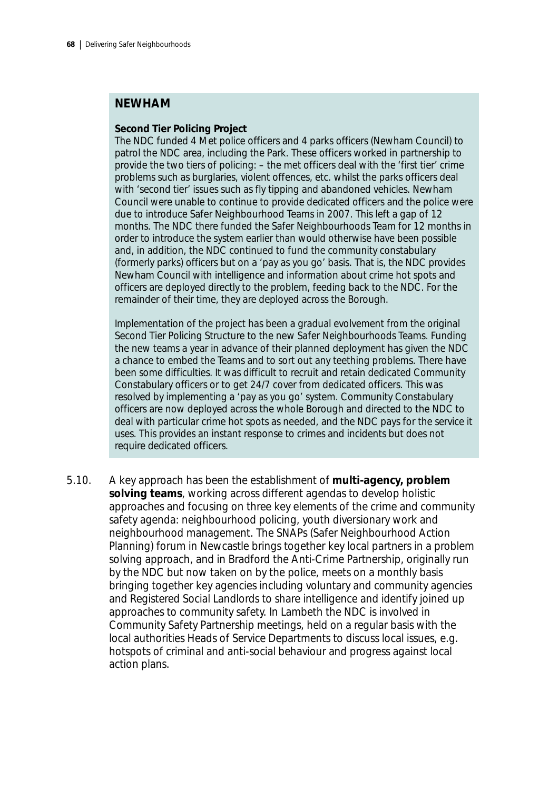### **NEWHAM**

#### **Second Tier Policing Project**

The NDC funded 4 Met police officers and 4 parks officers (Newham Council) to patrol the NDC area, including the Park. These officers worked in partnership to provide the two tiers of policing: – the met officers deal with the 'first tier' crime problems such as burglaries, violent offences, etc. whilst the parks officers deal with 'second tier' issues such as fly tipping and abandoned vehicles. Newham Council were unable to continue to provide dedicated officers and the police were due to introduce Safer Neighbourhood Teams in 2007. This left a gap of 12 months. The NDC there funded the Safer Neighbourhoods Team for 12 months in order to introduce the system earlier than would otherwise have been possible and, in addition, the NDC continued to fund the community constabulary (formerly parks) officers but on a 'pay as you go' basis. That is, the NDC provides Newham Council with intelligence and information about crime hot spots and officers are deployed directly to the problem, feeding back to the NDC. For the remainder of their time, they are deployed across the Borough.

Implementation of the project has been a gradual evolvement from the original Second Tier Policing Structure to the new Safer Neighbourhoods Teams. Funding the new teams a year in advance of their planned deployment has given the NDC a chance to embed the Teams and to sort out any teething problems. There have been some difficulties. It was difficult to recruit and retain dedicated Community Constabulary officers or to get 24/7 cover from dedicated officers. This was resolved by implementing a 'pay as you go' system. Community Constabulary officers are now deployed across the whole Borough and directed to the NDC to deal with particular crime hot spots as needed, and the NDC pays for the service it uses. This provides an instant response to crimes and incidents but does not require dedicated officers.

5.10. A key approach has been the establishment of **multi-agency, problem solving teams**, working across different agendas to develop holistic approaches and focusing on three key elements of the crime and community safety agenda: neighbourhood policing, youth diversionary work and neighbourhood management. The SNAPs (Safer Neighbourhood Action Planning) forum in Newcastle brings together key local partners in a problem solving approach, and in Bradford the Anti-Crime Partnership, originally run by the NDC but now taken on by the police, meets on a monthly basis bringing together key agencies including voluntary and community agencies and Registered Social Landlords to share intelligence and identify joined up approaches to community safety. In Lambeth the NDC is involved in Community Safety Partnership meetings, held on a regular basis with the local authorities Heads of Service Departments to discuss local issues, e.g. hotspots of criminal and anti-social behaviour and progress against local action plans.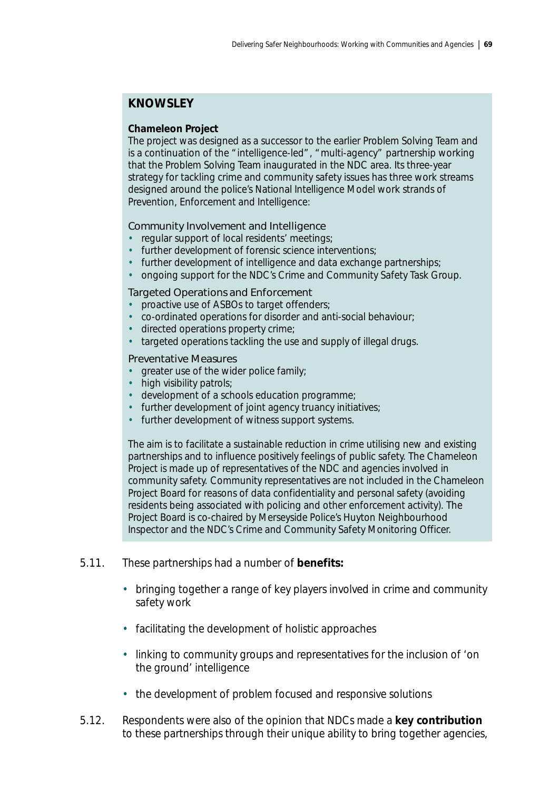### **KNOWSLEY**

#### **Chameleon Project**

The project was designed as a successor to the earlier Problem Solving Team and is a continuation of the "intelligence-led", "multi-agency" partnership working that the Problem Solving Team inaugurated in the NDC area. Its three-year strategy for tackling crime and community safety issues has three work streams designed around the police's National Intelligence Model work strands of Prevention, Enforcement and Intelligence:

#### Community Involvement and Intelligence

- regular support of local residents' meetings;
- further development of forensic science interventions;
- further development of intelligence and data exchange partnerships;
- ongoing support for the NDC's Crime and Community Safety Task Group.

#### Targeted Operations and Enforcement

- proactive use of ASBOs to target offenders;
- co-ordinated operations for disorder and anti-social behaviour;
- directed operations property crime;
- targeted operations tackling the use and supply of illegal drugs.

#### Preventative Measures

- greater use of the wider police family;
- high visibility patrols;
- development of a schools education programme;
- further development of joint agency truancy initiatives;
- further development of witness support systems.

The aim is to facilitate a sustainable reduction in crime utilising new and existing partnerships and to influence positively feelings of public safety. The Chameleon Project is made up of representatives of the NDC and agencies involved in community safety. Community representatives are not included in the Chameleon Project Board for reasons of data confidentiality and personal safety (avoiding residents being associated with policing and other enforcement activity). The Project Board is co-chaired by Merseyside Police's Huyton Neighbourhood Inspector and the NDC's Crime and Community Safety Monitoring Officer.

- 5.11. These partnerships had a number of **benefits:**
	- bringing together a range of key players involved in crime and community safety work
	- facilitating the development of holistic approaches
	- linking to community groups and representatives for the inclusion of 'on the ground' intelligence
	- the development of problem focused and responsive solutions
- 5.12. Respondents were also of the opinion that NDCs made a **key contribution** to these partnerships through their unique ability to bring together agencies,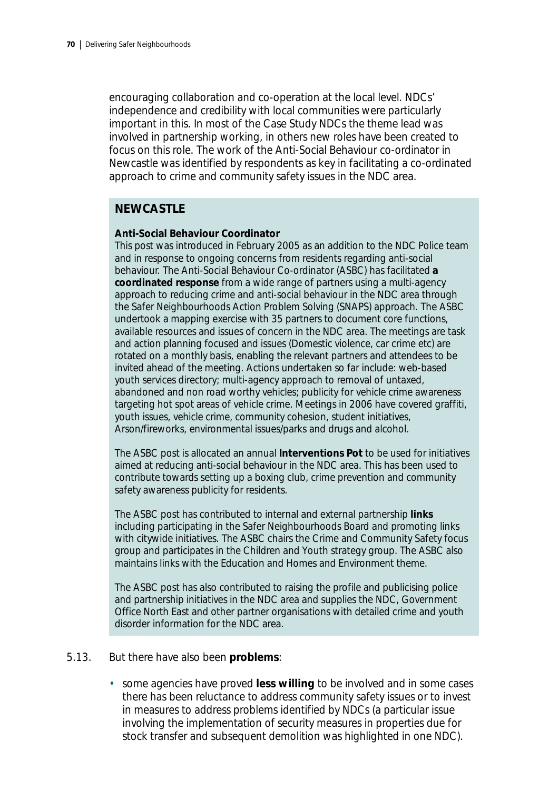encouraging collaboration and co-operation at the local level. NDCs' independence and credibility with local communities were particularly important in this. In most of the Case Study NDCs the theme lead was involved in partnership working, in others new roles have been created to focus on this role. The work of the Anti-Social Behaviour co-ordinator in Newcastle was identified by respondents as key in facilitating a co-ordinated approach to crime and community safety issues in the NDC area.

#### **NEWCASTLE**

#### **Anti-Social Behaviour Coordinator**

This post was introduced in February 2005 as an addition to the NDC Police team and in response to ongoing concerns from residents regarding anti-social behaviour. The Anti-Social Behaviour Co-ordinator (ASBC) has facilitated **a coordinated response** from a wide range of partners using a multi-agency approach to reducing crime and anti-social behaviour in the NDC area through the Safer Neighbourhoods Action Problem Solving (SNAPS) approach. The ASBC undertook a mapping exercise with 35 partners to document core functions, available resources and issues of concern in the NDC area. The meetings are task and action planning focused and issues (Domestic violence, car crime etc) are rotated on a monthly basis, enabling the relevant partners and attendees to be invited ahead of the meeting. Actions undertaken so far include: web-based youth services directory; multi-agency approach to removal of untaxed, abandoned and non road worthy vehicles; publicity for vehicle crime awareness targeting hot spot areas of vehicle crime. Meetings in 2006 have covered graffiti, youth issues, vehicle crime, community cohesion, student initiatives, Arson/fireworks, environmental issues/parks and drugs and alcohol.

The ASBC post is allocated an annual **Interventions Pot** to be used for initiatives aimed at reducing anti-social behaviour in the NDC area. This has been used to contribute towards setting up a boxing club, crime prevention and community safety awareness publicity for residents.

The ASBC post has contributed to internal and external partnership **links** including participating in the Safer Neighbourhoods Board and promoting links with citywide initiatives. The ASBC chairs the Crime and Community Safety focus group and participates in the Children and Youth strategy group. The ASBC also maintains links with the Education and Homes and Environment theme.

The ASBC post has also contributed to raising the profile and publicising police and partnership initiatives in the NDC area and supplies the NDC, Government Office North East and other partner organisations with detailed crime and youth disorder information for the NDC area.

#### 5.13. But there have also been **problems**:

• some agencies have proved **less willing** to be involved and in some cases there has been reluctance to address community safety issues or to invest in measures to address problems identified by NDCs (a particular issue involving the implementation of security measures in properties due for stock transfer and subsequent demolition was highlighted in one NDC).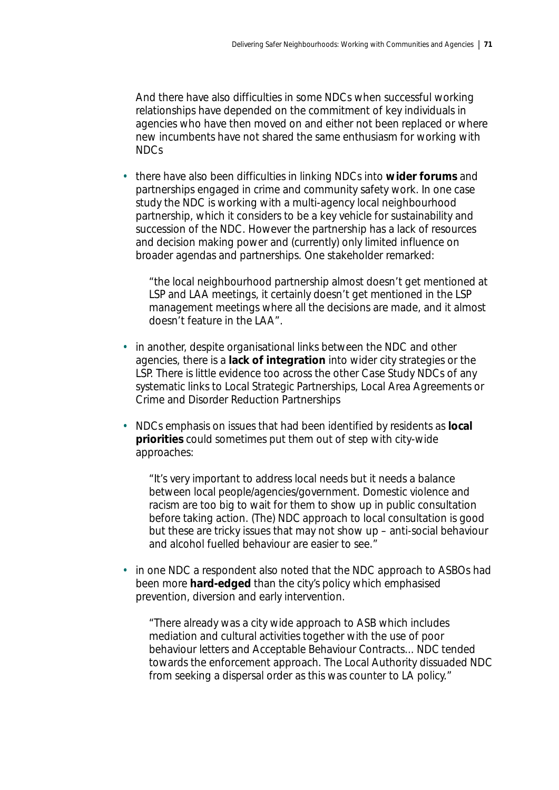And there have also difficulties in some NDCs when successful working relationships have depended on the commitment of key individuals in agencies who have then moved on and either not been replaced or where new incumbents have not shared the same enthusiasm for working with NDCs

• there have also been difficulties in linking NDCs into **wider forums** and partnerships engaged in crime and community safety work. In one case study the NDC is working with a multi-agency local neighbourhood partnership, which it considers to be a key vehicle for sustainability and succession of the NDC. However the partnership has a lack of resources and decision making power and (currently) only limited influence on broader agendas and partnerships. One stakeholder remarked:

*"the local neighbourhood partnership almost doesn't get mentioned at LSP and LAA meetings, it certainly doesn't get mentioned in the LSP management meetings where all the decisions are made, and it almost doesn't feature in the LAA".*

- in another, despite organisational links between the NDC and other agencies, there is a **lack of integration** into wider city strategies or the LSP. There is little evidence too across the other Case Study NDCs of any systematic links to Local Strategic Partnerships, Local Area Agreements or Crime and Disorder Reduction Partnerships
- NDCs emphasis on issues that had been identified by residents as **local priorities** could sometimes put them out of step with city-wide approaches:

*"It's very important to address local needs but it needs a balance between local people/agencies/government. Domestic violence and racism are too big to wait for them to show up in public consultation before taking action. (The) NDC approach to local consultation is good but these are tricky issues that may not show up – anti-social behaviour and alcohol fuelled behaviour are easier to see."*

• in one NDC a respondent also noted that the NDC approach to ASBOs had been more **hard-edged** than the city's policy which emphasised prevention, diversion and early intervention.

*"There already was a city wide approach to ASB which includes mediation and cultural activities together with the use of poor behaviour letters and Acceptable Behaviour Contracts... NDC tended towards the enforcement approach. The Local Authority dissuaded NDC from seeking a dispersal order as this was counter to LA policy."*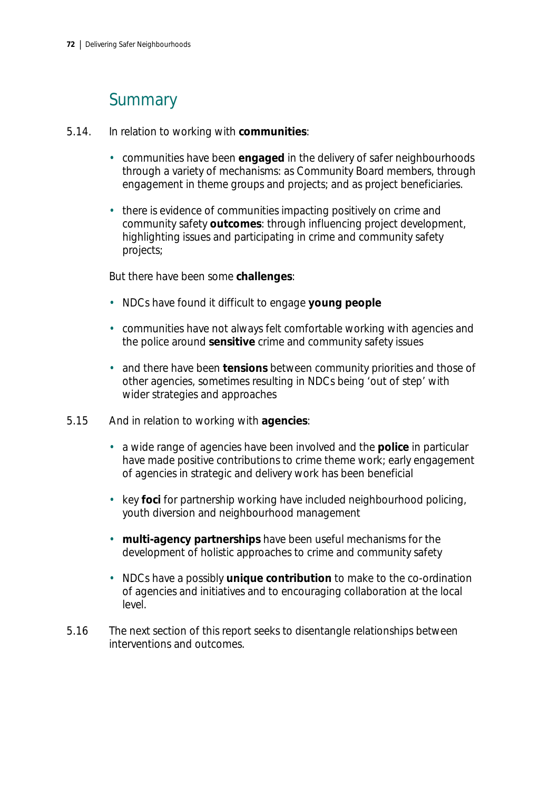### **Summary**

- 5.14. In relation to working with **communities**:
	- communities have been **engaged** in the delivery of safer neighbourhoods through a variety of mechanisms: as Community Board members, through engagement in theme groups and projects; and as project beneficiaries.
	- there is evidence of communities impacting positively on crime and community safety **outcomes**: through influencing project development, highlighting issues and participating in crime and community safety projects;

But there have been some **challenges**:

- NDCs have found it difficult to engage **young people**
- communities have not always felt comfortable working with agencies and the police around **sensitive** crime and community safety issues
- and there have been **tensions** between community priorities and those of other agencies, sometimes resulting in NDCs being 'out of step' with wider strategies and approaches
- 5.15 And in relation to working with **agencies**:
	- a wide range of agencies have been involved and the **police** in particular have made positive contributions to crime theme work; early engagement of agencies in strategic and delivery work has been beneficial
	- key **foci** for partnership working have included neighbourhood policing, youth diversion and neighbourhood management
	- **multi-agency partnerships** have been useful mechanisms for the development of holistic approaches to crime and community safety
	- NDCs have a possibly **unique contribution** to make to the co-ordination of agencies and initiatives and to encouraging collaboration at the local level.
- 5.16 The next section of this report seeks to disentangle relationships between interventions and outcomes.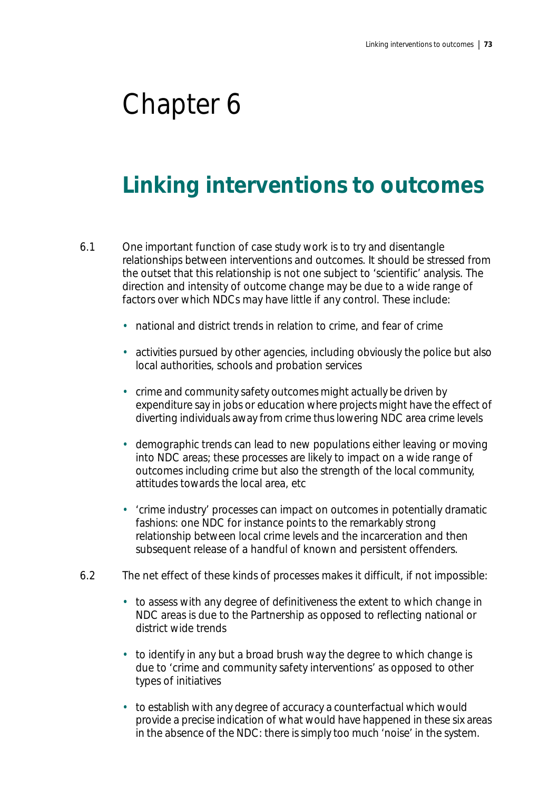# Chapter 6

## **Linking interventions to outcomes**

- 6.1 One important function of case study work is to try and disentangle relationships between interventions and outcomes. It should be stressed from the outset that this relationship is not one subject to 'scientific' analysis. The direction and intensity of outcome change may be due to a wide range of factors over which NDCs may have little if any control. These include:
	- national and district trends in relation to crime, and fear of crime
	- activities pursued by other agencies, including obviously the police but also local authorities, schools and probation services
	- crime and community safety outcomes might actually be driven by expenditure say in jobs or education where projects might have the effect of diverting individuals away from crime thus lowering NDC area crime levels
	- demographic trends can lead to new populations either leaving or moving into NDC areas; these processes are likely to impact on a wide range of outcomes including crime but also the strength of the local community, attitudes towards the local area, etc
	- 'crime industry' processes can impact on outcomes in potentially dramatic fashions: one NDC for instance points to the remarkably strong relationship between local crime levels and the incarceration and then subsequent release of a handful of known and persistent offenders.
- 6.2 The net effect of these kinds of processes makes it difficult, if not impossible:
	- to assess with any degree of definitiveness the extent to which change in NDC areas is due to the Partnership as opposed to reflecting national or district wide trends
	- to identify in any but a broad brush way the degree to which change is due to 'crime and community safety interventions' as opposed to other types of initiatives
	- to establish with any degree of accuracy a counterfactual which would provide a precise indication of what would have happened in these six areas in the absence of the NDC: there is simply too much 'noise' in the system.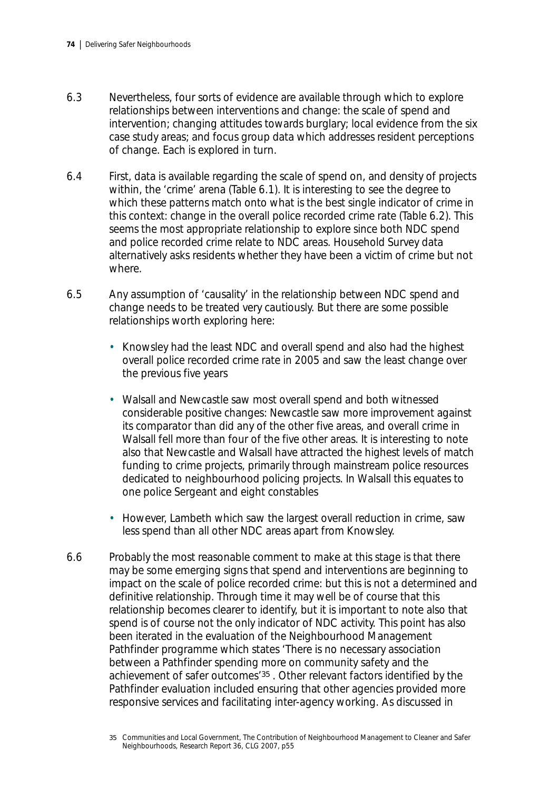- 6.3 Nevertheless, four sorts of evidence are available through which to explore relationships between interventions and change: the scale of spend and intervention; changing attitudes towards burglary; local evidence from the six case study areas; and focus group data which addresses resident perceptions of change. Each is explored in turn.
- 6.4 First, data is available regarding the scale of spend on, and density of projects within, the 'crime' arena (Table 6.1). It is interesting to see the degree to which these patterns match onto what is the best single indicator of crime in this context: change in the overall police recorded crime rate (Table 6.2). This seems the most appropriate relationship to explore since both NDC spend and police recorded crime relate to NDC areas. Household Survey data alternatively asks residents whether they have been a victim of crime but not where.
- 6.5 Any assumption of 'causality' in the relationship between NDC spend and change needs to be treated very cautiously. But there are some possible relationships worth exploring here:
	- Knowsley had the least NDC and overall spend and also had the highest overall police recorded crime rate in 2005 and saw the least change over the previous five years
	- Walsall and Newcastle saw most overall spend and both witnessed considerable positive changes: Newcastle saw more improvement against its comparator than did any of the other five areas, and overall crime in Walsall fell more than four of the five other areas. It is interesting to note also that Newcastle and Walsall have attracted the highest levels of match funding to crime projects, primarily through mainstream police resources dedicated to neighbourhood policing projects. In Walsall this equates to one police Sergeant and eight constables
	- However, Lambeth which saw the largest overall reduction in crime, saw less spend than all other NDC areas apart from Knowsley.
- 6.6 Probably the most reasonable comment to make at this stage is that there may be some emerging signs that spend and interventions are beginning to impact on the scale of police recorded crime: but this is not a determined and definitive relationship. Through time it may well be of course that this relationship becomes clearer to identify, but it is important to note also that spend is of course not the only indicator of NDC activity. This point has also been iterated in the evaluation of the Neighbourhood Management Pathfinder programme which states 'There is no necessary association between a Pathfinder spending more on community safety and the achievement of safer outcomes'<sup>35</sup> . Other relevant factors identified by the Pathfinder evaluation included ensuring that other agencies provided more responsive services and facilitating inter-agency working. As discussed in

<sup>35</sup> Communities and Local Government, The Contribution of Neighbourhood Management to Cleaner and Safer Neighbourhoods, Research Report 36, CLG 2007, p55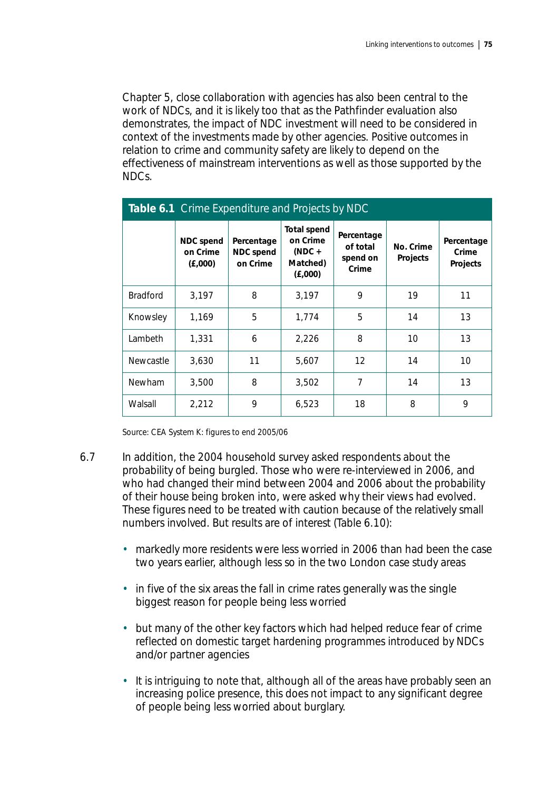Chapter 5, close collaboration with agencies has also been central to the work of NDCs, and it is likely too that as the Pathfinder evaluation also demonstrates, the impact of NDC investment will need to be considered in context of the investments made by other agencies. Positive outcomes in relation to crime and community safety are likely to depend on the effectiveness of mainstream interventions as well as those supported by the NDCs.

|                  | <b>Table 6.1</b> Crime Expenditure and Projects by NDC |                                     |                                                                   |                                             |                       |                                 |  |  |  |  |  |  |
|------------------|--------------------------------------------------------|-------------------------------------|-------------------------------------------------------------------|---------------------------------------------|-----------------------|---------------------------------|--|--|--|--|--|--|
|                  | NDC spend<br>on Crime<br>(E,000)                       | Percentage<br>NDC spend<br>on Crime | <b>Total spend</b><br>on Crime<br>$(NDC +$<br>Matched)<br>(E,000) | Percentage<br>of total<br>spend on<br>Crime | No. Crime<br>Projects | Percentage<br>Crime<br>Projects |  |  |  |  |  |  |
| <b>Bradford</b>  | 3,197                                                  | 8                                   | 3,197                                                             | 9                                           | 19                    | 11                              |  |  |  |  |  |  |
| Knowsley         | 1,169                                                  | 5                                   | 1,774                                                             | 5                                           | 14                    | 13                              |  |  |  |  |  |  |
| Lambeth          | 1,331                                                  | 6                                   | 2.226                                                             | 8                                           | 10                    | 13                              |  |  |  |  |  |  |
| <b>Newcastle</b> | 3,630                                                  | 11                                  | 5,607                                                             | 12                                          | 14                    | 10                              |  |  |  |  |  |  |
| Newham           | 3,500                                                  | 8                                   | 3,502                                                             | 7                                           | 14                    | 13                              |  |  |  |  |  |  |
| Walsall          | 2,212                                                  | 9                                   | 6,523                                                             | 18                                          | 8                     | 9                               |  |  |  |  |  |  |

Source: CEA System K: figures to end 2005/06

- 6.7 In addition, the 2004 household survey asked respondents about the probability of being burgled. Those who were re-interviewed in 2006, and who had changed their mind between 2004 and 2006 about the probability of their house being broken into, were asked why their views had evolved. These figures need to be treated with caution because of the relatively small numbers involved. But results are of interest (Table 6.10):
	- markedly more residents were less worried in 2006 than had been the case two years earlier, although less so in the two London case study areas
	- in five of the six areas the fall in crime rates generally was the single biggest reason for people being less worried
	- but many of the other key factors which had helped reduce fear of crime reflected on domestic target hardening programmes introduced by NDCs and/or partner agencies
	- It is intriguing to note that, although all of the areas have probably seen an increasing police presence, this does not impact to any significant degree of people being less worried about burglary.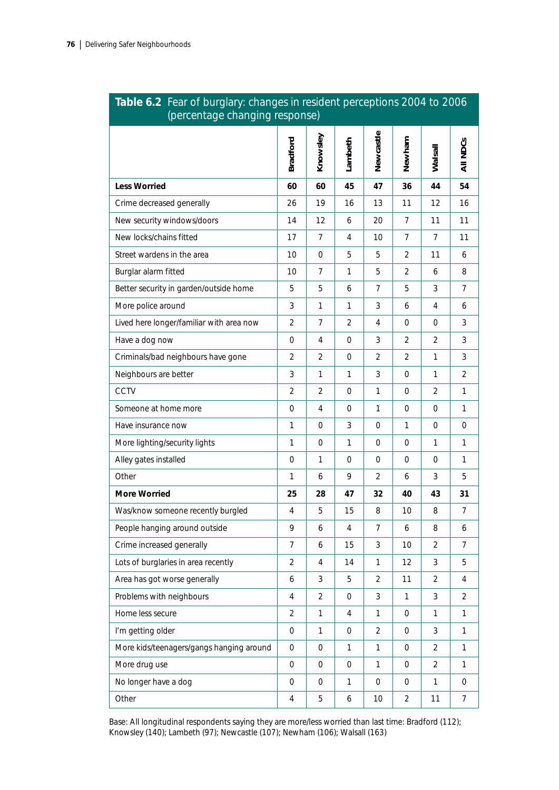| <b>Table 6.2</b> Fear of burglary. Changes in resident perceptions 2004 to 2006<br>(percentage changing response) |                  |                |                |                     |                |                |                      |  |  |  |
|-------------------------------------------------------------------------------------------------------------------|------------------|----------------|----------------|---------------------|----------------|----------------|----------------------|--|--|--|
|                                                                                                                   | <b>Bradford</b>  | Knowsley       | Lambeth        | Newcastle           | Newham         | Walsall        | All NDC <sub>S</sub> |  |  |  |
| <b>Less Worried</b>                                                                                               | 60               | 60             | 45             | 47                  | 36             | 44             | 54                   |  |  |  |
| Crime decreased generally                                                                                         | 26               | 19             | 16             | 13                  | 11             | 12             | 16                   |  |  |  |
| New security windows/doors                                                                                        | 14               | 12             | 6              | 20                  | $\overline{7}$ | 11             | 11                   |  |  |  |
| New locks/chains fitted                                                                                           | 17               | 7              | 4              | 10                  | $\overline{7}$ | $\overline{7}$ | 11                   |  |  |  |
| Street wardens in the area                                                                                        | 10               | $\mathbf{O}$   | 5              | 5                   | 2              | 11             | 6                    |  |  |  |
| Burglar alarm fitted                                                                                              | 10               | 7              | 1              | 5                   | 2              | 6              | 8                    |  |  |  |
| Better security in garden/outside home                                                                            | 5                | 5              | 6              | 7                   | 5              | 3              | $\overline{7}$       |  |  |  |
| More police around                                                                                                | 3                | 1              | 1              | 3                   | 6              | 4              | 6                    |  |  |  |
| Lived here longer/familiar with area now                                                                          | $\overline{2}$   | $\overline{7}$ | 2              | 4                   | 0              | 0              | 3                    |  |  |  |
| Have a dog now                                                                                                    | 0                | 4              | 0              | 3                   | 2              | $\overline{2}$ | 3                    |  |  |  |
| Criminals/bad neighbours have gone                                                                                | $\overline{2}$   | 2              | $\overline{0}$ | 2                   | 2              | 1              | 3                    |  |  |  |
| Neighbours are better                                                                                             | 3                | 1              | 1              | 3                   | 0              | 1              | $\overline{2}$       |  |  |  |
| CCTV                                                                                                              | $\overline{2}$   | $\overline{2}$ | 0              | $\mathbf{1}$        | 0              | 2              | 1                    |  |  |  |
| Someone at home more                                                                                              | $\overline{0}$   | 4              | 0              | $\mathbf{1}$        | 0              | 0              | $\mathbf{1}$         |  |  |  |
| Have insurance now                                                                                                | 1                | 0              | 3              | $\mathbf 0$         | $\mathbf{1}$   | 0              | $\overline{0}$       |  |  |  |
| More lighting/security lights                                                                                     | $\mathbf{1}$     | $\mathbf{O}$   | $\mathbf{1}$   | $\overline{0}$      | 0              | $\mathbf{1}$   | $\mathbf{1}$         |  |  |  |
| Alley gates installed                                                                                             | $\overline{0}$   | 1              | 0              | $\mathsf{O}\xspace$ | $\overline{0}$ | $\overline{0}$ | $\mathbf{1}$         |  |  |  |
| Other                                                                                                             | 1                | 6              | 9              | $\overline{2}$      | 6              | 3              | 5                    |  |  |  |
| <b>More Worried</b>                                                                                               | 25               | 28             | 47             | 32                  | 40             | 43             | 31                   |  |  |  |
| Was/know someone recently burgled                                                                                 | $\overline{4}$   | 5              | 15             | 8                   | 10             | 8              | $\overline{7}$       |  |  |  |
| People hanging around outside                                                                                     | 9                | 6              | 4              | 7                   | 6              | 8              | 6                    |  |  |  |
| Crime increased generally                                                                                         | $\overline{7}$   | 6              | 15             | 3                   | 10             | $\overline{2}$ | $\overline{7}$       |  |  |  |
| Lots of burglaries in area recently                                                                               | $\overline{2}$   | $\overline{4}$ | 14             | $\mathbf{1}$        | 12             | 3              | 5                    |  |  |  |
| Area has got worse generally                                                                                      | 6                | 3              | 5              | $\overline{2}$      | 11             | $\overline{2}$ | $\overline{4}$       |  |  |  |
| Problems with neighbours                                                                                          | 4                | $\overline{2}$ | 0              | 3                   | 1              | 3              | 2                    |  |  |  |
| Home less secure                                                                                                  | $\overline{2}$   | $\mathbf{1}$   | 4              | $\mathbf{1}$        | $\overline{O}$ | $\mathbf{1}$   | $\mathbf{1}$         |  |  |  |
| I'm getting older                                                                                                 | $\mathbf 0$      | $\mathbf{1}$   | 0              | $\overline{2}$      | $\overline{0}$ | 3              | 1                    |  |  |  |
| More kids/teenagers/gangs hanging around                                                                          | $\boldsymbol{0}$ | $\mathbf 0$    | 1              | $\mathbf{1}$        | $\overline{O}$ | $\overline{2}$ | $\mathbf{1}$         |  |  |  |
| More drug use                                                                                                     | $\overline{0}$   | $\overline{0}$ | 0              | $\mathbf{1}$        | 0              | 2              | 1                    |  |  |  |
| No longer have a dog                                                                                              | $\overline{0}$   | $\overline{0}$ | $\mathbf{1}$   | $\overline{O}$      | $\overline{O}$ | $\mathbf{1}$   | $\boldsymbol{0}$     |  |  |  |
| Other                                                                                                             | 4                | 5              | 6              | 10                  | $\overline{2}$ | 11             | $\overline{7}$       |  |  |  |

## **Table 6.2** Fear of burglary: changes in resident perceptions 2004 to 2006

Base: All longitudinal respondents saying they are more/less worried than last time: Bradford (112); Knowsley (140); Lambeth (97); Newcastle (107); Newham (106); Walsall (163)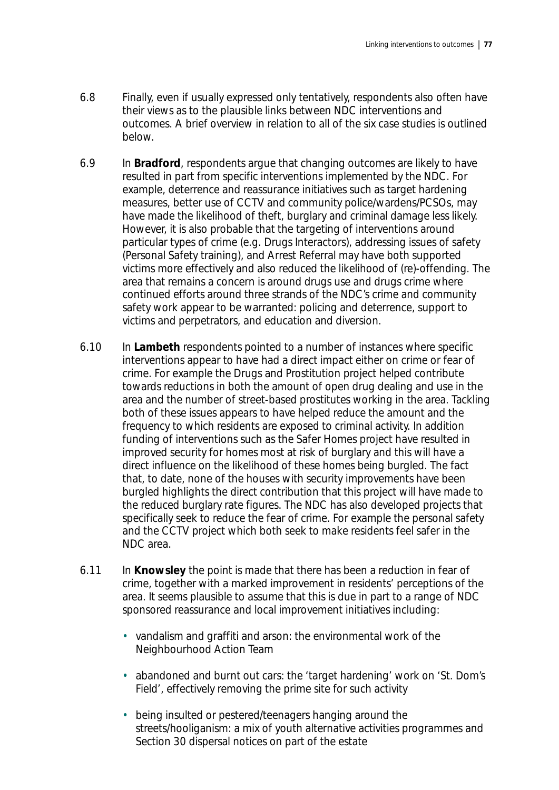- 6.8 Finally, even if usually expressed only tentatively, respondents also often have their views as to the plausible links between NDC interventions and outcomes. A brief overview in relation to all of the six case studies is outlined below.
- 6.9 In **Bradford**, respondents argue that changing outcomes are likely to have resulted in part from specific interventions implemented by the NDC. For example, deterrence and reassurance initiatives such as target hardening measures, better use of CCTV and community police/wardens/PCSOs, may have made the likelihood of theft, burglary and criminal damage less likely. However, it is also probable that the targeting of interventions around particular types of crime (e.g. Drugs Interactors), addressing issues of safety (Personal Safety training), and Arrest Referral may have both supported victims more effectively and also reduced the likelihood of (re)-offending. The area that remains a concern is around drugs use and drugs crime where continued efforts around three strands of the NDC's crime and community safety work appear to be warranted: policing and deterrence, support to victims and perpetrators, and education and diversion.
- 6.10 In **Lambeth** respondents pointed to a number of instances where specific interventions appear to have had a direct impact either on crime or fear of crime. For example the Drugs and Prostitution project helped contribute towards reductions in both the amount of open drug dealing and use in the area and the number of street-based prostitutes working in the area. Tackling both of these issues appears to have helped reduce the amount and the frequency to which residents are exposed to criminal activity. In addition funding of interventions such as the Safer Homes project have resulted in improved security for homes most at risk of burglary and this will have a direct influence on the likelihood of these homes being burgled. The fact that, to date, none of the houses with security improvements have been burgled highlights the direct contribution that this project will have made to the reduced burglary rate figures. The NDC has also developed projects that specifically seek to reduce the fear of crime. For example the personal safety and the CCTV project which both seek to make residents feel safer in the NDC area.
- 6.11 In **Knowsley** the point is made that there has been a reduction in fear of crime, together with a marked improvement in residents' perceptions of the area. It seems plausible to assume that this is due in part to a range of NDC sponsored reassurance and local improvement initiatives including:
	- vandalism and graffiti and arson: the environmental work of the Neighbourhood Action Team
	- abandoned and burnt out cars: the 'target hardening' work on 'St. Dom's Field', effectively removing the prime site for such activity
	- being insulted or pestered/teenagers hanging around the streets/hooliganism: a mix of youth alternative activities programmes and Section 30 dispersal notices on part of the estate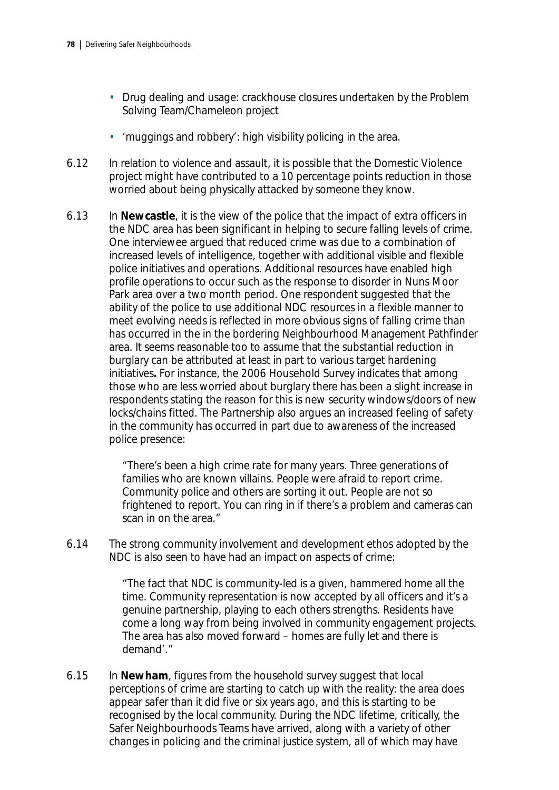- Drug dealing and usage: crackhouse closures undertaken by the Problem Solving Team/Chameleon project
- 'muggings and robbery': high visibility policing in the area.
- 6.12 In relation to violence and assault, it is possible that the Domestic Violence project might have contributed to a 10 percentage points reduction in those worried about being physically attacked by someone they know.
- 6.13 In **Newcastle**, it is the view of the police that the impact of extra officers in the NDC area has been significant in helping to secure falling levels of crime. One interviewee argued that reduced crime was due to a combination of increased levels of intelligence, together with additional visible and flexible police initiatives and operations. Additional resources have enabled high profile operations to occur such as the response to disorder in Nuns Moor Park area over a two month period. One respondent suggested that the ability of the police to use additional NDC resources in a flexible manner to meet evolving needs is reflected in more obvious signs of falling crime than has occurred in the in the bordering Neighbourhood Management Pathfinder area. It seems reasonable too to assume that the substantial reduction in burglary can be attributed at least in part to various target hardening initiatives**.** For instance, the 2006 Household Survey indicates that among those who are less worried about burglary there has been a slight increase in respondents stating the reason for this is new security windows/doors of new locks/chains fitted. The Partnership also argues an increased feeling of safety in the community has occurred in part due to awareness of the increased police presence:

*"There's been a high crime rate for many years. Three generations of families who are known villains. People were afraid to report crime. Community police and others are sorting it out. People are not so frightened to report. You can ring in if there's a problem and cameras can scan in on the area."*

6.14 The strong community involvement and development ethos adopted by the NDC is also seen to have had an impact on aspects of crime:

> *"The fact that NDC is community-led is a given, hammered home all the time. Community representation is now accepted by all officers and it's a genuine partnership, playing to each others strengths. Residents have come a long way from being involved in community engagement projects. The area has also moved forward – homes are fully let and there is demand'."*

6.15 In **Newham**, figures from the household survey suggest that local perceptions of crime are starting to catch up with the reality: the area does appear safer than it did five or six years ago, and this is starting to be recognised by the local community. During the NDC lifetime, critically, the Safer Neighbourhoods Teams have arrived, along with a variety of other changes in policing and the criminal justice system, all of which may have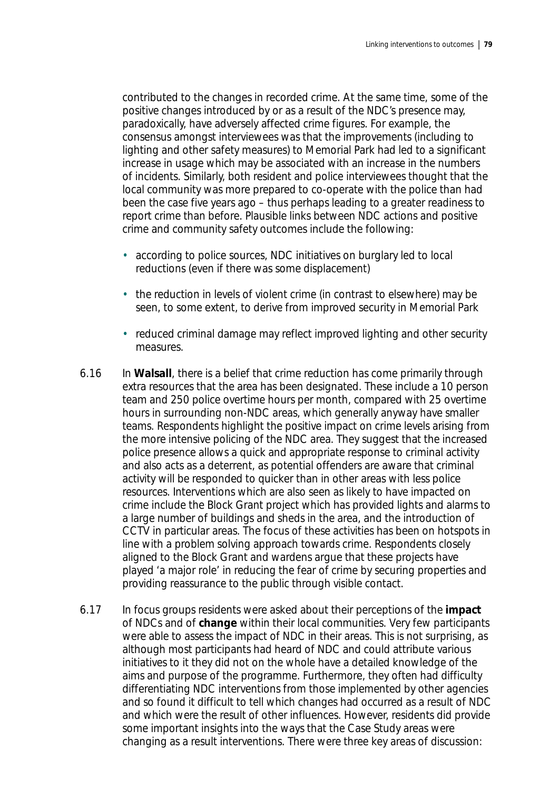contributed to the changes in recorded crime. At the same time, some of the positive changes introduced by or as a result of the NDC's presence may, paradoxically, have *adversely* affected crime figures. For example, the consensus amongst interviewees was that the improvements (including to lighting and other safety measures) to Memorial Park had led to a significant increase in usage which may be associated with an increase in the numbers of incidents. Similarly, both resident and police interviewees thought that the local community was more prepared to co-operate with the police than had been the case five years ago – thus perhaps leading to a greater readiness to report crime than before. Plausible links between NDC actions and positive crime and community safety outcomes include the following:

- according to police sources, NDC initiatives on burglary led to local reductions (even if there was some displacement)
- the reduction in levels of violent crime (in contrast to elsewhere) may be seen, to some extent, to derive from improved security in Memorial Park
- reduced criminal damage may reflect improved lighting and other security measures.
- 6.16 In **Walsall**, there is a belief that crime reduction has come primarily through extra resources that the area has been designated. These include a 10 person team and 250 police overtime hours per month, compared with 25 overtime hours in surrounding non-NDC areas, which generally anyway have smaller teams. Respondents highlight the positive impact on crime levels arising from the more intensive policing of the NDC area. They suggest that the increased police presence allows a quick and appropriate response to criminal activity and also acts as a deterrent, as potential offenders are aware that criminal activity will be responded to quicker than in other areas with less police resources. Interventions which are also seen as likely to have impacted on crime include the Block Grant project which has provided lights and alarms to a large number of buildings and sheds in the area, and the introduction of CCTV in particular areas. The focus of these activities has been on hotspots in line with a problem solving approach towards crime. Respondents closely aligned to the Block Grant and wardens argue that these projects have played *'a major role'* in reducing the fear of crime by securing properties and providing reassurance to the public through visible contact.
- 6.17 In focus groups residents were asked about their perceptions of the **impact** of NDCs and of **change** within their local communities. Very few participants were able to assess the impact of NDC in their areas. This is not surprising, as although most participants had heard of NDC and could attribute various initiatives to it they did not on the whole have a detailed knowledge of the aims and purpose of the programme. Furthermore, they often had difficulty differentiating NDC interventions from those implemented by other agencies and so found it difficult to tell which changes had occurred as a result of NDC and which were the result of other influences. However, residents did provide some important insights into the ways that the Case Study areas were changing as a result interventions. There were three key areas of discussion: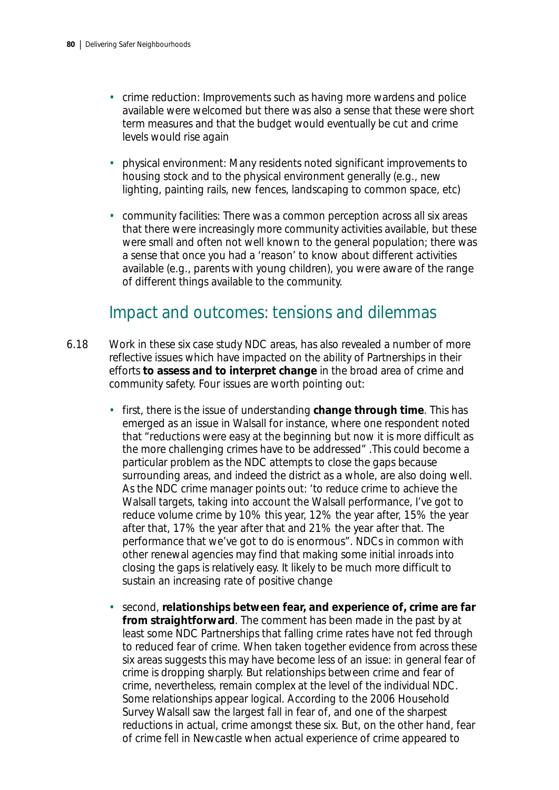- crime reduction: Improvements such as having more wardens and police available were welcomed but there was also a sense that these were short term measures and that the budget would eventually be cut and crime levels would rise again
- physical environment: Many residents noted significant improvements to housing stock and to the physical environment generally (e.g., new lighting, painting rails, new fences, landscaping to common space, etc)
- community facilities: There was a common perception across all six areas that there were increasingly more community activities available, but these were small and often not well known to the general population; there was a sense that once you had a 'reason' to know about different activities available (e.g., parents with young children), you were aware of the range of different things available to the community.

### Impact and outcomes: tensions and dilemmas

- 6.18 Work in these six case study NDC areas, has also revealed a number of more reflective issues which have impacted on the ability of Partnerships in their efforts **to assess and to interpret change** in the broad area of crime and community safety. Four issues are worth pointing out:
	- first, there is the issue of understanding **change through time**. This has emerged as an issue in Walsall for instance, where one respondent noted that *"reductions were easy at the beginning but now it is more difficult as the more challenging crimes have to be addressed"* .This could become a particular problem as the NDC attempts to close the gaps because surrounding areas, and indeed the district as a whole, are also doing well. As the NDC crime manager points out: *'to reduce crime to achieve the Walsall targets, taking into account the Walsall performance, I've got to reduce volume crime by 10% this year, 12% the year after, 15% the year after that, 17% the year after that and 21% the year after that. The performance that we've got to do is enormous".* NDCs in common with other renewal agencies may find that making some initial inroads into closing the gaps is relatively easy. It likely to be much more difficult to sustain an increasing rate of positive change
	- second, **relationships between fear, and experience of, crime are far from straightforward**. The comment has been made in the past by at least some NDC Partnerships that falling crime rates have not fed through to reduced fear of crime. When taken together evidence from across these six areas suggests this may have become less of an issue: in general fear of crime is dropping sharply. But relationships between crime and fear of crime, nevertheless, remain complex at the level of the individual NDC. Some relationships appear logical. According to the 2006 Household Survey Walsall saw the largest fall in fear of, and one of the sharpest reductions in actual, crime amongst these six. But, on the other hand, fear of crime fell in Newcastle when actual experience of crime appeared to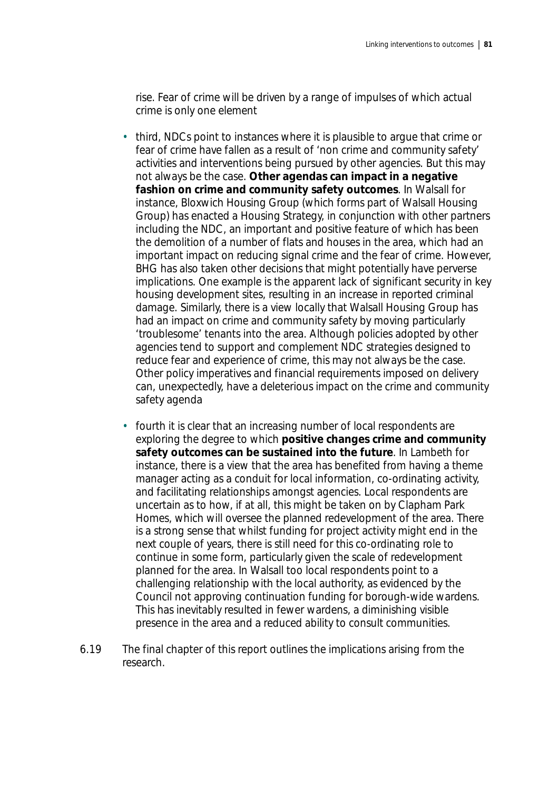rise. Fear of crime will be driven by a range of impulses of which actual crime is only one element

- third, NDCs point to instances where it is plausible to argue that crime or fear of crime have fallen as a result of 'non crime and community safety' activities and interventions being pursued by other agencies. But this may not always be the case. **Other agendas can impact in a negative fashion on crime and community safety outcomes**. In Walsall for instance, Bloxwich Housing Group (which forms part of Walsall Housing Group) has enacted a Housing Strategy, in conjunction with other partners including the NDC, an important and positive feature of which has been the demolition of a number of flats and houses in the area, which had an important impact on reducing signal crime and the fear of crime. However, BHG has also taken other decisions that might potentially have perverse implications. One example is the apparent lack of significant security in key housing development sites, resulting in an increase in reported criminal damage. Similarly, there is a view locally that Walsall Housing Group has had an impact on crime and community safety by moving particularly 'troublesome' tenants into the area. Although policies adopted by other agencies tend to support and complement NDC strategies designed to reduce fear and experience of crime, this may not always be the case. Other policy imperatives and financial requirements imposed on delivery can, unexpectedly, have a deleterious impact on the crime and community safety agenda
- fourth it is clear that an increasing number of local respondents are exploring the degree to which **positive changes crime and community safety outcomes can be sustained into the future**. In Lambeth for instance, there is a view that the area has benefited from having a theme manager acting as a conduit for local information, co-ordinating activity, and facilitating relationships amongst agencies. Local respondents are uncertain as to how, if at all, this might be taken on by Clapham Park Homes, which will oversee the planned redevelopment of the area. There is a strong sense that whilst funding for project activity might end in the next couple of years, there is still need for this co-ordinating role to continue in some form, particularly given the scale of redevelopment planned for the area. In Walsall too local respondents point to a challenging relationship with the local authority, as evidenced by the Council not approving continuation funding for borough-wide wardens. This has inevitably resulted in fewer wardens, a diminishing visible presence in the area and a reduced ability to consult communities.
- 6.19 The final chapter of this report outlines the implications arising from the research.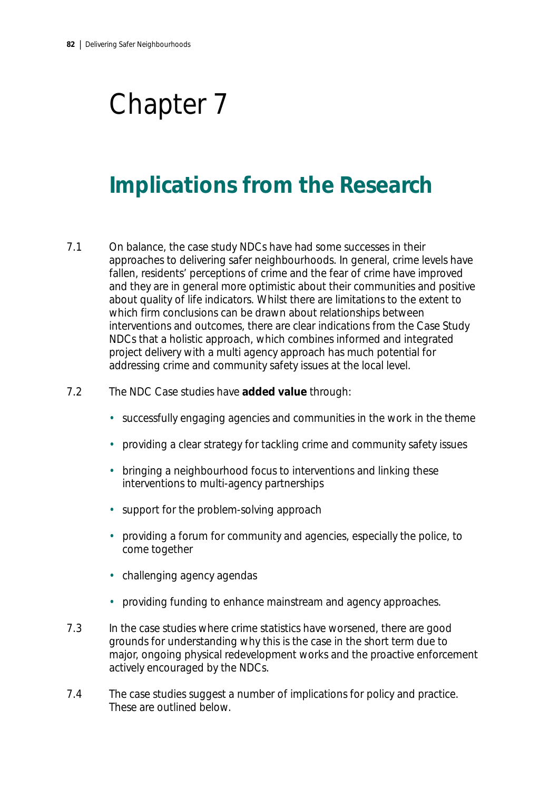# Chapter 7

## **Implications from the Research**

7.1 On balance, the case study NDCs have had some successes in their approaches to delivering safer neighbourhoods. In general, crime levels have fallen, residents' perceptions of crime and the fear of crime have improved and they are in general more optimistic about their communities and positive about quality of life indicators. Whilst there are limitations to the extent to which firm conclusions can be drawn about relationships between interventions and outcomes, there are clear indications from the Case Study NDCs that a holistic approach, which combines informed and integrated project delivery with a multi agency approach has much potential for addressing crime and community safety issues at the local level.

#### 7.2 The NDC Case studies have **added value** through:

- successfully engaging agencies and communities in the work in the theme
- providing a clear strategy for tackling crime and community safety issues
- bringing a neighbourhood focus to interventions and linking these interventions to multi-agency partnerships
- support for the problem-solving approach
- providing a forum for community and agencies, especially the police, to come together
- challenging agency agendas
- providing funding to enhance mainstream and agency approaches.
- 7.3 In the case studies where crime statistics have worsened, there are good grounds for understanding why this is the case in the short term due to major, ongoing physical redevelopment works and the proactive enforcement actively encouraged by the NDCs.
- 7.4 The case studies suggest a number of implications for policy and practice. These are outlined below.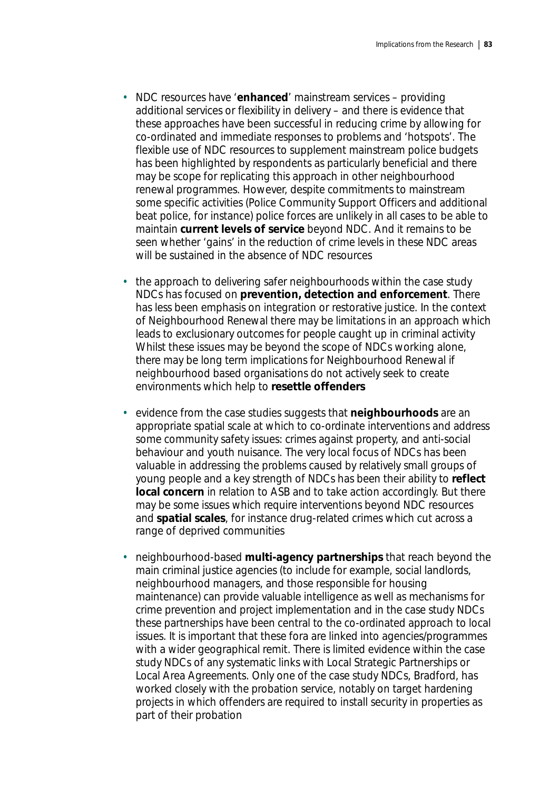- NDC resources have '**enhanced**' mainstream services providing additional services or flexibility in delivery – and there is evidence that these approaches have been successful in reducing crime by allowing for co-ordinated and immediate responses to problems and 'hotspots'. The flexible use of NDC resources to supplement mainstream police budgets has been highlighted by respondents as particularly beneficial and there may be scope for replicating this approach in other neighbourhood renewal programmes. However, despite commitments to mainstream some specific activities (Police Community Support Officers and additional beat police, for instance) police forces are unlikely in all cases to be able to maintain **current levels of service** beyond NDC. And it remains to be seen whether 'gains' in the reduction of crime levels in these NDC areas will be sustained in the absence of NDC resources
- the approach to delivering safer neighbourhoods within the case study NDCs has focused on **prevention, detection and enforcement**. There has less been emphasis on integration or restorative justice. In the context of Neighbourhood Renewal there may be limitations in an approach which leads to exclusionary outcomes for people caught up in criminal activity Whilst these issues may be beyond the scope of NDCs working alone, there may be long term implications for Neighbourhood Renewal if neighbourhood based organisations do not actively seek to create environments which help to **resettle offenders**
- evidence from the case studies suggests that **neighbourhoods** are an appropriate spatial scale at which to co-ordinate interventions and address some community safety issues: crimes against property, and anti-social behaviour and youth nuisance. The very local focus of NDCs has been valuable in addressing the problems caused by relatively small groups of young people and a key strength of NDCs has been their ability to **reflect local concern** in relation to ASB and to take action accordingly. But there may be some issues which require interventions beyond NDC resources and **spatial scales**, for instance drug-related crimes which cut across a range of deprived communities
- neighbourhood-based **multi-agency partnerships** that reach beyond the main criminal justice agencies (to include for example, social landlords, neighbourhood managers, and those responsible for housing maintenance) can provide valuable intelligence as well as mechanisms for crime prevention and project implementation and in the case study NDCs these partnerships have been central to the co-ordinated approach to local issues. It is important that these fora are linked into agencies/programmes with a wider geographical remit. There is limited evidence within the case study NDCs of any systematic links with Local Strategic Partnerships or Local Area Agreements. Only one of the case study NDCs, Bradford, has worked closely with the probation service, notably on target hardening projects in which offenders are required to install security in properties as part of their probation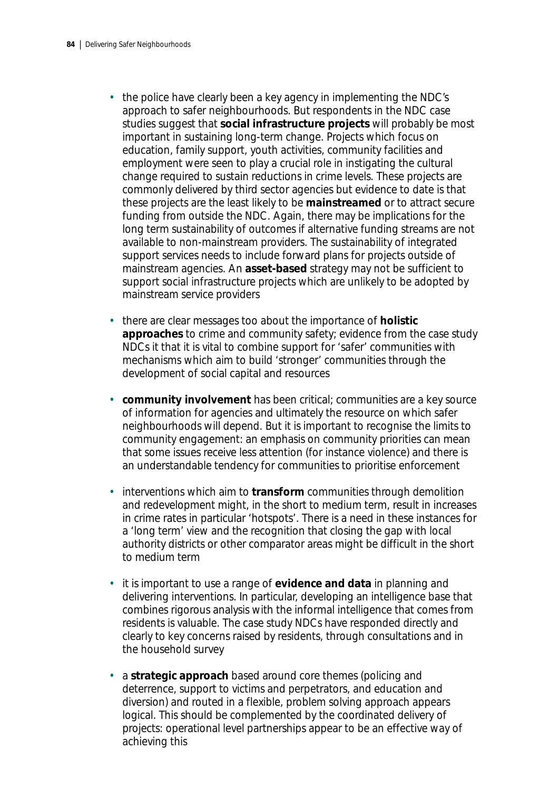- the police have clearly been a key agency in implementing the NDC's approach to safer neighbourhoods. But respondents in the NDC case studies suggest that **social infrastructure projects** will probably be most important in sustaining long-term change. Projects which focus on education, family support, youth activities, community facilities and employment were seen to play a crucial role in instigating the cultural change required to sustain reductions in crime levels. These projects are commonly delivered by third sector agencies but evidence to date is that these projects are the least likely to be **mainstreamed** or to attract secure funding from outside the NDC. Again, there may be implications for the long term sustainability of outcomes if alternative funding streams are not available to non-mainstream providers. The sustainability of integrated support services needs to include forward plans for projects outside of mainstream agencies. An **asset-based** strategy may not be sufficient to support social infrastructure projects which are unlikely to be adopted by mainstream service providers
- there are clear messages too about the importance of **holistic approaches** to crime and community safety; evidence from the case study NDCs it that it is vital to combine support for 'safer' communities with mechanisms which aim to build 'stronger' communities through the development of social capital and resources
- **community involvement** has been critical; communities are a key source of information for agencies and ultimately the resource on which safer neighbourhoods will depend. But it is important to recognise the limits to community engagement: an emphasis on community priorities can mean that some issues receive less attention (for instance violence) and there is an understandable tendency for communities to prioritise enforcement
- interventions which aim to **transform** communities through demolition and redevelopment might, in the short to medium term, result in increases in crime rates in particular 'hotspots'. There is a need in these instances for a 'long term' view and the recognition that closing the gap with local authority districts or other comparator areas might be difficult in the short to medium term
- it is important to use a range of **evidence and data** in planning and delivering interventions. In particular, developing an intelligence base that combines rigorous analysis with the informal intelligence that comes from residents is valuable. The case study NDCs have responded directly and clearly to key concerns raised by residents, through consultations and in the household survey
- a **strategic approach** based around core themes (policing and deterrence, support to victims and perpetrators, and education and diversion) and routed in a flexible, problem solving approach appears logical. This should be complemented by the coordinated delivery of projects: operational level partnerships appear to be an effective way of achieving this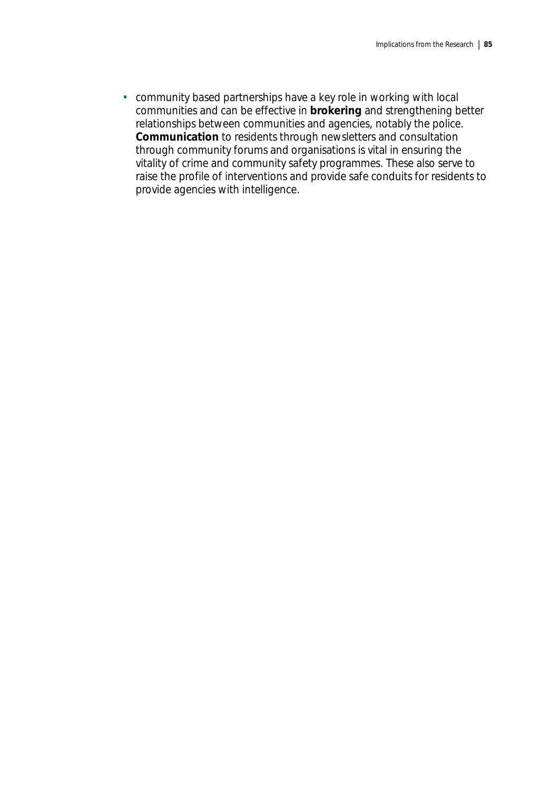• community based partnerships have a key role in working with local communities and can be effective in **brokering** and strengthening better relationships between communities and agencies, notably the police. **Communication** to residents through newsletters and consultation through community forums and organisations is vital in ensuring the vitality of crime and community safety programmes. These also serve to raise the profile of interventions and provide safe conduits for residents to provide agencies with intelligence.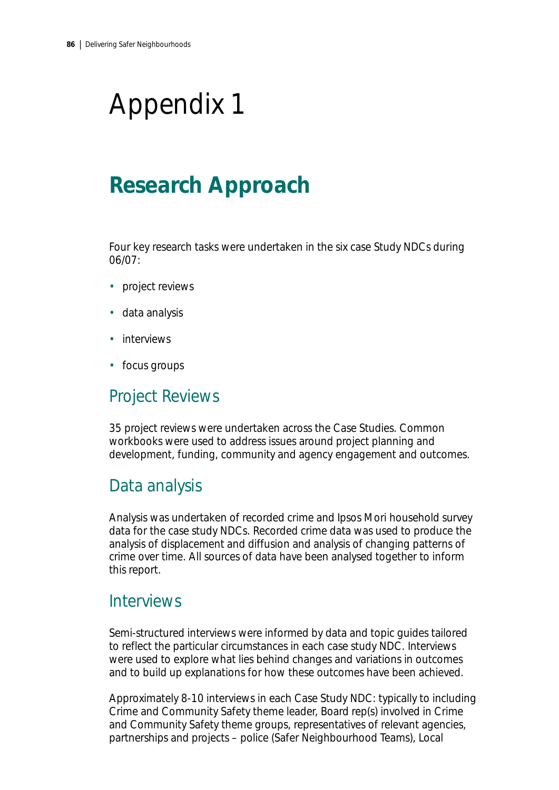# Appendix 1

## **Research Approach**

Four key research tasks were undertaken in the six case Study NDCs during 06/07:

- project reviews
- data analysis
- interviews
- focus groups

### Project Reviews

35 project reviews were undertaken across the Case Studies. Common workbooks were used to address issues around project planning and development, funding, community and agency engagement and outcomes.

### Data analysis

Analysis was undertaken of recorded crime and Ipsos Mori household survey data for the case study NDCs. Recorded crime data was used to produce the analysis of displacement and diffusion and analysis of changing patterns of crime over time. All sources of data have been analysed together to inform this report.

### Interviews

Semi-structured interviews were informed by data and topic guides tailored to reflect the particular circumstances in each case study NDC. Interviews were used to explore what lies behind changes and variations in outcomes and to build up explanations for how these outcomes have been achieved.

Approximately 8-10 interviews in each Case Study NDC: typically to including Crime and Community Safety theme leader, Board rep(s) involved in Crime and Community Safety theme groups, representatives of relevant agencies, partnerships and projects – police (Safer Neighbourhood Teams), Local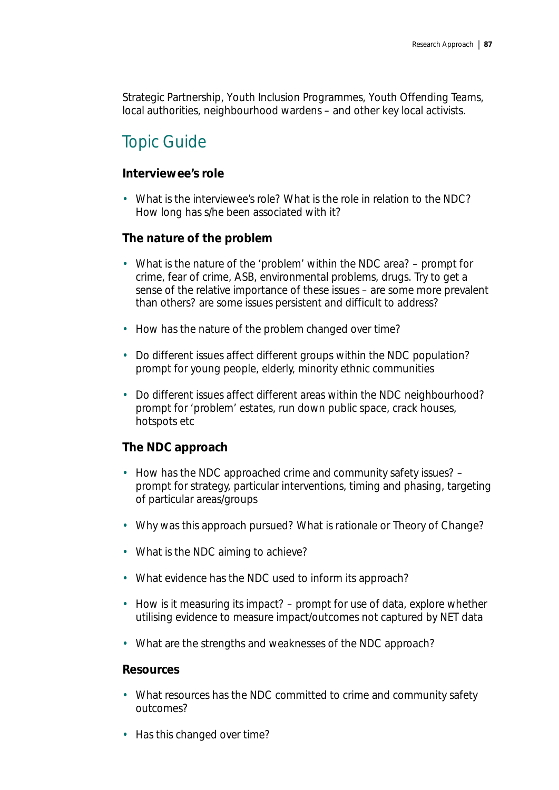Strategic Partnership, Youth Inclusion Programmes, Youth Offending Teams, local authorities, neighbourhood wardens – and other key local activists.

### Topic Guide

#### **Interviewee's role**

• What is the interviewee's role? What is the role in relation to the NDC? How long has s/he been associated with it?

#### **The nature of the problem**

- What is the nature of the 'problem' within the NDC area? prompt for crime, fear of crime, ASB, environmental problems, drugs. Try to get a sense of the relative importance of these issues – are some more prevalent than others? are some issues persistent and difficult to address?
- How has the nature of the problem changed over time?
- Do different issues affect different groups within the NDC population? prompt for young people, elderly, minority ethnic communities
- Do different issues affect different areas within the NDC neighbourhood? prompt for 'problem' estates, run down public space, crack houses, hotspots etc

#### **The NDC approach**

- How has the NDC approached crime and community safety issues? prompt for strategy, particular interventions, timing and phasing, targeting of particular areas/groups
- Why was this approach pursued? What is rationale or Theory of Change?
- What is the NDC aiming to achieve?
- What evidence has the NDC used to inform its approach?
- How is it measuring its impact? prompt for use of data, explore whether utilising evidence to measure impact/outcomes not captured by NET data
- What are the strengths and weaknesses of the NDC approach?

#### **Resources**

- What resources has the NDC committed to crime and community safety outcomes?
- Has this changed over time?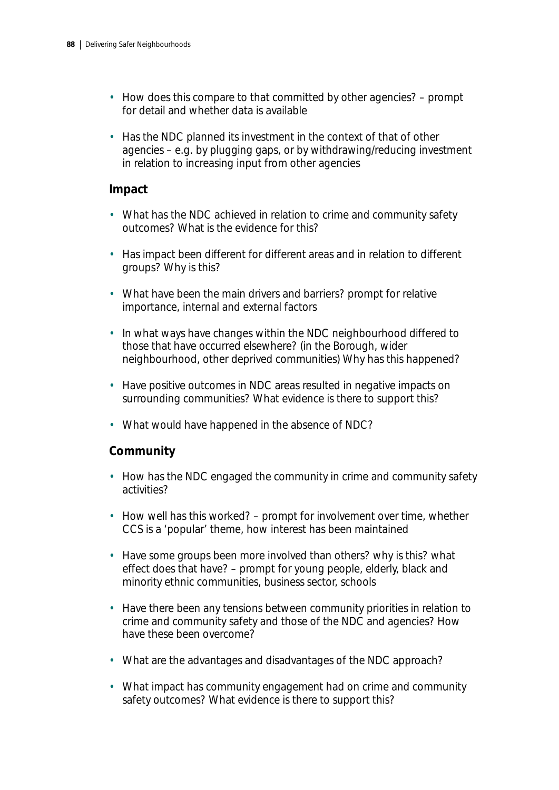- How does this compare to that committed by other agencies? prompt for detail and whether data is available
- Has the NDC planned its investment in the context of that of other agencies – e.g. by plugging gaps, or by withdrawing/reducing investment in relation to increasing input from other agencies

#### **Impact**

- What has the NDC achieved in relation to crime and community safety outcomes? What is the evidence for this?
- Has impact been different for different areas and in relation to different groups? Why is this?
- What have been the main drivers and barriers? prompt for relative importance, internal and external factors
- In what ways have changes within the NDC neighbourhood differed to those that have occurred elsewhere? (in the Borough, wider neighbourhood, other deprived communities) Why has this happened?
- Have positive outcomes in NDC areas resulted in negative impacts on surrounding communities? What evidence is there to support this?
- What would have happened in the absence of NDC?

#### **Community**

- How has the NDC engaged the community in crime and community safety activities?
- How well has this worked? prompt for involvement over time, whether CCS is a 'popular' theme, how interest has been maintained
- Have some groups been more involved than others? why is this? what effect does that have? – prompt for young people, elderly, black and minority ethnic communities, business sector, schools
- Have there been any tensions between community priorities in relation to crime and community safety and those of the NDC and agencies? How have these been overcome?
- What are the advantages and disadvantages of the NDC approach?
- What impact has community engagement had on crime and community safety outcomes? What evidence is there to support this?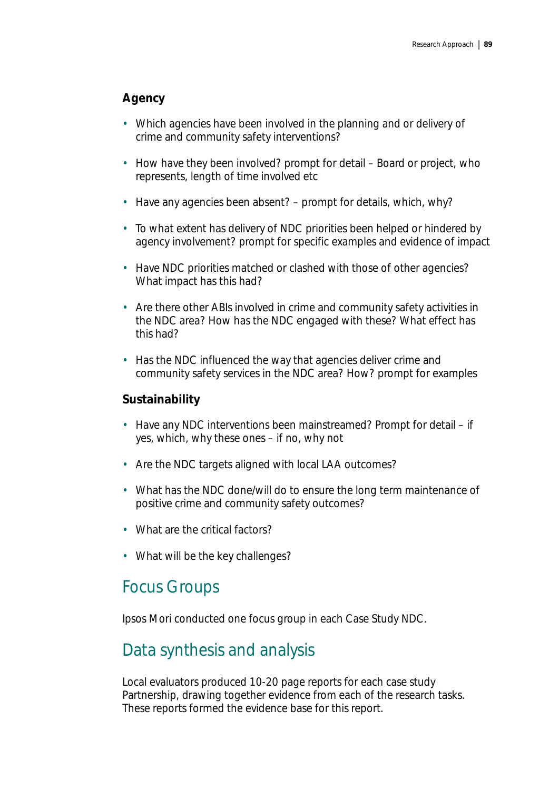#### **Agency**

- Which agencies have been involved in the planning and or delivery of crime and community safety interventions?
- How have they been involved? prompt for detail Board or project, who represents, length of time involved etc
- Have any agencies been absent? prompt for details, which, why?
- To what extent has delivery of NDC priorities been helped or hindered by agency involvement? prompt for specific examples and evidence of impact
- Have NDC priorities matched or clashed with those of other agencies? What impact has this had?
- Are there other ABIs involved in crime and community safety activities in the NDC area? How has the NDC engaged with these? What effect has this had?
- Has the NDC influenced the way that agencies deliver crime and community safety services in the NDC area? How? prompt for examples

#### **Sustainability**

- Have any NDC interventions been mainstreamed? Prompt for detail if yes, which, why these ones – if no, why not
- Are the NDC targets aligned with local LAA outcomes?
- What has the NDC done/will do to ensure the long term maintenance of positive crime and community safety outcomes?
- What are the critical factors?
- What will be the key challenges?

### Focus Groups

Ipsos Mori conducted one focus group in each Case Study NDC.

### Data synthesis and analysis

Local evaluators produced 10-20 page reports for each case study Partnership, drawing together evidence from each of the research tasks. These reports formed the evidence base for this report.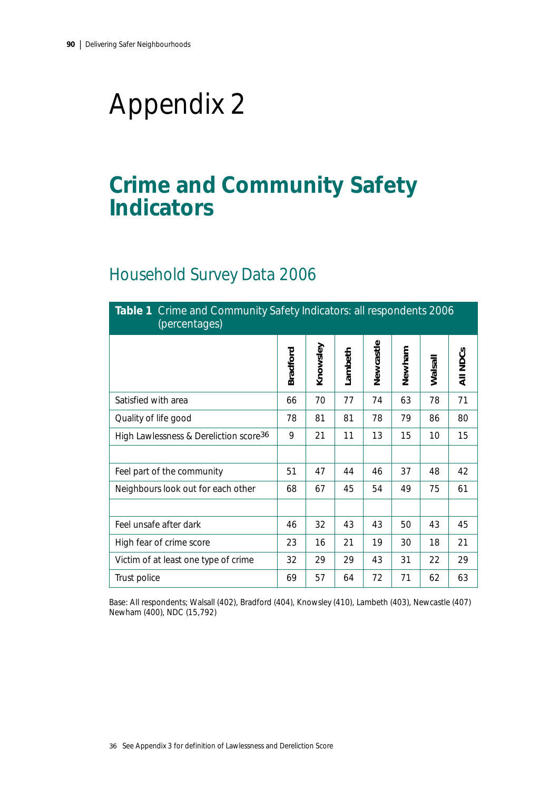# Appendix 2

## **Crime and Community Safety Indicators**

### Household Survey Data 2006

| <b>Table 1</b> Crime and Community Safety Indicators: all respondents 2006<br>(percentages) |                 |          |         |           |        |         |          |  |  |  |
|---------------------------------------------------------------------------------------------|-----------------|----------|---------|-----------|--------|---------|----------|--|--|--|
|                                                                                             | <b>Bradford</b> | Knowsley | Lambeth | Newcastle | Newham | Walsall | All NDCs |  |  |  |
| Satisfied with area                                                                         | 66              | 70       | 77      | 74        | 63     | 78      | 71       |  |  |  |
| Quality of life good                                                                        | 78              | 81       | 81      | 78        | 79     | 86      | 80       |  |  |  |
| High Lawlessness & Dereliction score <sup>36</sup>                                          | 9               | 21       | 11      | 13        | 15     | 10      | 15       |  |  |  |
|                                                                                             |                 |          |         |           |        |         |          |  |  |  |
| Feel part of the community                                                                  | 51              | 47       | 44      | 46        | 37     | 48      | 42       |  |  |  |
| Neighbours look out for each other                                                          | 68              | 67       | 45      | 54        | 49     | 75      | 61       |  |  |  |
|                                                                                             |                 |          |         |           |        |         |          |  |  |  |
| Feel unsafe after dark                                                                      | 46              | 32       | 43      | 43        | 50     | 43      | 45       |  |  |  |
| High fear of crime score                                                                    | 23              | 16       | 21      | 19        | 30     | 18      | 21       |  |  |  |
| Victim of at least one type of crime                                                        | 32              | 29       | 29      | 43        | 31     | 22      | 29       |  |  |  |
| Trust police                                                                                | 69              | 57       | 64      | 72        | 71     | 62      | 63       |  |  |  |

Base: All respondents; Walsall (402), Bradford (404), Knowsley (410), Lambeth (403), Newcastle (407) Newham (400), NDC (15,792)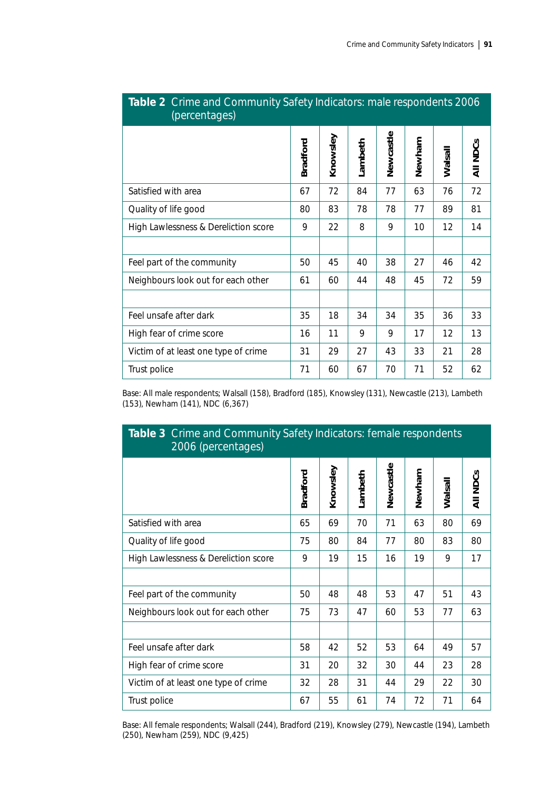| 10010E<br><b>Stationard Community Survey indicators, marchespondents 2000</b><br>(percentages) |                 |          |         |           |        |         |          |
|------------------------------------------------------------------------------------------------|-----------------|----------|---------|-----------|--------|---------|----------|
|                                                                                                | <b>Bradford</b> | Knowsley | Lambeth | Newcastle | Newham | Walsall | All NDCs |
| Satisfied with area                                                                            | 67              | 72       | 84      | 77        | 63     | 76      | 72       |
| Quality of life good                                                                           | 80              | 83       | 78      | 78        | 77     | 89      | 81       |
| High Lawlessness & Dereliction score                                                           | 9               | 22       | 8       | 9         | 10     | 12      | 14       |
|                                                                                                |                 |          |         |           |        |         |          |
| Feel part of the community                                                                     | 50              | 45       | 40      | 38        | 27     | 46      | 42       |
| Neighbours look out for each other                                                             | 61              | 60       | 44      | 48        | 45     | 72      | 59       |
|                                                                                                |                 |          |         |           |        |         |          |
| Feel unsafe after dark                                                                         | 35              | 18       | 34      | 34        | 35     | 36      | 33       |
| High fear of crime score                                                                       | 16              | 11       | 9       | 9         | 17     | 12      | 13       |
| Victim of at least one type of crime                                                           | 31              | 29       | 27      | 43        | 33     | 21      | 28       |
| Trust police                                                                                   | 71              | 60       | 67      | 70        | 71     | 52      | 62       |

## **Table 2** Crime and Community Safety Indicators: male respondents 2006

Base: All male respondents; Walsall (158), Bradford (185), Knowsley (131), Newcastle (213), Lambeth (153), Newham (141), NDC (6,367)

| <b>Table 3</b> Crime and Community Safety Indicators: female respondents<br>2006 (percentages) |                 |          |         |           |        |         |          |  |  |  |
|------------------------------------------------------------------------------------------------|-----------------|----------|---------|-----------|--------|---------|----------|--|--|--|
|                                                                                                | <b>Bradford</b> | Knowsley | Lambeth | Newcastle | Newham | Walsall | All NDCs |  |  |  |
| Satisfied with area                                                                            | 65              | 69       | 70      | 71        | 63     | 80      | 69       |  |  |  |
| Quality of life good                                                                           | 75              | 80       | 84      | 77        | 80     | 83      | 80       |  |  |  |
| High Lawlessness & Dereliction score                                                           | 9               | 19       | 15      | 16        | 19     | 9       | 17       |  |  |  |
|                                                                                                |                 |          |         |           |        |         |          |  |  |  |
| Feel part of the community                                                                     | 50              | 48       | 48      | 53        | 47     | 51      | 43       |  |  |  |
| Neighbours look out for each other                                                             | 75              | 73       | 47      | 60        | 53     | 77      | 63       |  |  |  |
|                                                                                                |                 |          |         |           |        |         |          |  |  |  |
| Feel unsafe after dark                                                                         | 58              | 42       | 52      | 53        | 64     | 49      | 57       |  |  |  |
| High fear of crime score                                                                       | 31              | 20       | 32      | 30        | 44     | 23      | 28       |  |  |  |
| Victim of at least one type of crime                                                           | 32              | 28       | 31      | 44        | 29     | 22      | 30       |  |  |  |
| Trust police                                                                                   | 67              | 55       | 61      | 74        | 72     | 71      | 64       |  |  |  |

Base: All female respondents; Walsall (244), Bradford (219), Knowsley (279), Newcastle (194), Lambeth (250), Newham (259), NDC (9,425)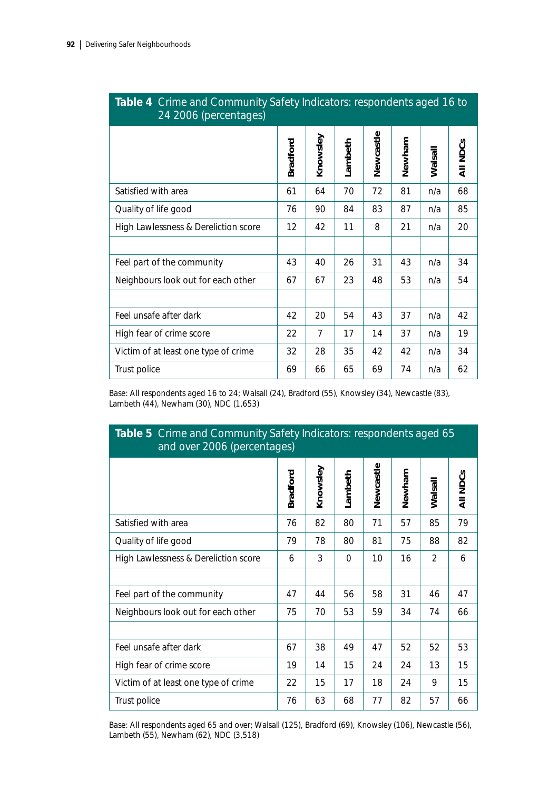| <b>Table 4</b> Crime and Community Safety indicators: respondents aged T6 to<br>24 2006 (percentages) |                 |          |         |           |        |         |          |  |  |
|-------------------------------------------------------------------------------------------------------|-----------------|----------|---------|-----------|--------|---------|----------|--|--|
|                                                                                                       | <b>Bradford</b> | Knowsley | Lambeth | Newcastle | Newham | Walsall | All NDCs |  |  |
| Satisfied with area                                                                                   | 61              | 64       | 70      | 72        | 81     | n/a     | 68       |  |  |
| Quality of life good                                                                                  | 76              | 90       | 84      | 83        | 87     | n/a     | 85       |  |  |
| High Lawlessness & Dereliction score                                                                  | 12              | 42       | 11      | 8         | 21     | n/a     | 20       |  |  |
|                                                                                                       |                 |          |         |           |        |         |          |  |  |
| Feel part of the community                                                                            | 43              | 40       | 26      | 31        | 43     | n/a     | 34       |  |  |
| Neighbours look out for each other                                                                    | 67              | 67       | 23      | 48        | 53     | n/a     | 54       |  |  |
|                                                                                                       |                 |          |         |           |        |         |          |  |  |
| Feel unsafe after dark                                                                                | 42              | 20       | 54      | 43        | 37     | n/a     | 42       |  |  |
| High fear of crime score                                                                              | 22              | 7        | 17      | 14        | 37     | n/a     | 19       |  |  |
| Victim of at least one type of crime                                                                  | 32              | 28       | 35      | 42        | 42     | n/a     | 34       |  |  |
| Trust police                                                                                          | 69              | 66       | 65      | 69        | 74     | n/a     | 62       |  |  |

## **Table 4** Crime and Community Safety Indicators: respondents aged 16 to

Base: All respondents aged 16 to 24; Walsall (24), Bradford (55), Knowsley (34), Newcastle (83), Lambeth (44), Newham (30), NDC (1,653)

| <b>Table 5</b> Crime and Community Safety Indicators: respondents aged 65<br>and over 2006 (percentages) |                 |          |          |           |        |         |                      |  |  |
|----------------------------------------------------------------------------------------------------------|-----------------|----------|----------|-----------|--------|---------|----------------------|--|--|
|                                                                                                          | <b>Bradford</b> | Knowsley | Lambeth  | Newcastle | Newham | Walsall | All NDC <sub>S</sub> |  |  |
| Satisfied with area                                                                                      | 76              | 82       | 80       | 71        | 57     | 85      | 79                   |  |  |
| Quality of life good                                                                                     | 79              | 78       | 80       | 81        | 75     | 88      | 82                   |  |  |
| High Lawlessness & Dereliction score                                                                     | 6               | 3        | $\Omega$ | 10        | 16     | 2       | 6                    |  |  |
|                                                                                                          |                 |          |          |           |        |         |                      |  |  |
| Feel part of the community                                                                               | 47              | 44       | 56       | 58        | 31     | 46      | 47                   |  |  |
| Neighbours look out for each other                                                                       | 75              | 70       | 53       | 59        | 34     | 74      | 66                   |  |  |
|                                                                                                          |                 |          |          |           |        |         |                      |  |  |
| Feel unsafe after dark                                                                                   | 67              | 38       | 49       | 47        | 52     | 52      | 53                   |  |  |
| High fear of crime score                                                                                 | 19              | 14       | 15       | 24        | 24     | 13      | 15                   |  |  |
| Victim of at least one type of crime                                                                     | 22              | 15       | 17       | 18        | 24     | 9       | 15                   |  |  |
| Trust police                                                                                             | 76              | 63       | 68       | 77        | 82     | 57      | 66                   |  |  |

Base: All respondents aged 65 and over; Walsall (125), Bradford (69), Knowsley (106), Newcastle (56), Lambeth (55), Newham (62), NDC (3,518)

## **Table 5** Crime and Community Safety Indicators: respondents aged 65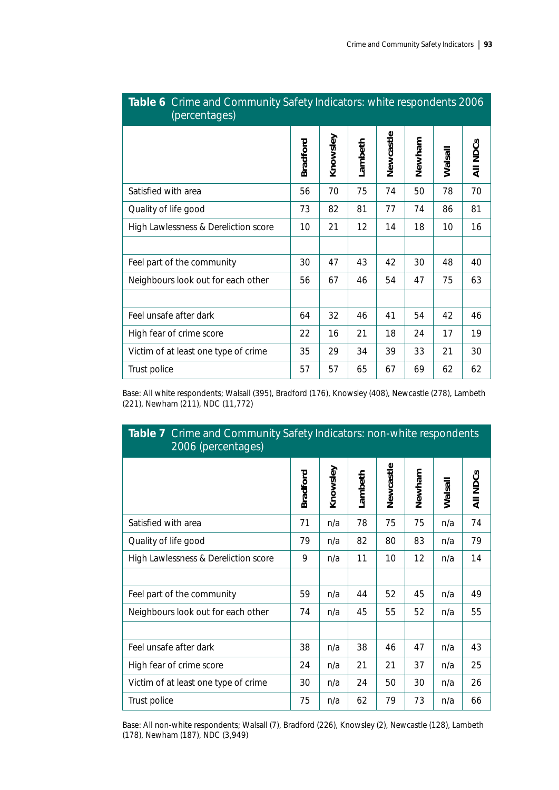| <b>RESPONSED OF SHIPS COMMUNISTIC SCIENCE IN SECTION CONTROLLED AND LOOP</b><br>(percentages) |          |          |         |           |        |         |                      |
|-----------------------------------------------------------------------------------------------|----------|----------|---------|-----------|--------|---------|----------------------|
|                                                                                               | Bradford | Knowsley | Lambeth | Newcastle | Newham | Walsall | All NDC <sub>S</sub> |
| Satisfied with area                                                                           | 56       | 70       | 75      | 74        | 50     | 78      | 70                   |
| Quality of life good                                                                          | 73       | 82       | 81      | 77        | 74     | 86      | 81                   |
| High Lawlessness & Dereliction score                                                          | 10       | 21       | 12      | 14        | 18     | 10      | 16                   |
|                                                                                               |          |          |         |           |        |         |                      |
| Feel part of the community                                                                    | 30       | 47       | 43      | 42        | 30     | 48      | 40                   |
| Neighbours look out for each other                                                            | 56       | 67       | 46      | 54        | 47     | 75      | 63                   |
|                                                                                               |          |          |         |           |        |         |                      |
| Feel unsafe after dark                                                                        | 64       | 32       | 46      | 41        | 54     | 42      | 46                   |
| High fear of crime score                                                                      | 22       | 16       | 21      | 18        | 24     | 17      | 19                   |
| Victim of at least one type of crime                                                          | 35       | 29       | 34      | 39        | 33     | 21      | 30                   |
| Trust police                                                                                  | 57       | 57       | 65      | 67        | 69     | 62      | 62                   |

## **Table 6** Crime and Community Safety Indicators: white respondents 2006

Base: All white respondents; Walsall (395), Bradford (176), Knowsley (408), Newcastle (278), Lambeth (221), Newham (211), NDC (11,772)

| <b>Table 7</b> Crime and Community Safety Indicators: non-white respondents<br>2006 (percentages) |                 |          |         |           |        |         |          |  |  |
|---------------------------------------------------------------------------------------------------|-----------------|----------|---------|-----------|--------|---------|----------|--|--|
|                                                                                                   | <b>Bradford</b> | Knowsley | Lambeth | Newcastle | Newham | Walsall | All NDCs |  |  |
| Satisfied with area                                                                               | 71              | n/a      | 78      | 75        | 75     | n/a     | 74       |  |  |
| Quality of life good                                                                              | 79              | n/a      | 82      | 80        | 83     | n/a     | 79       |  |  |
| High Lawlessness & Dereliction score                                                              | 9               | n/a      | 11      | 10        | 12     | n/a     | 14       |  |  |
|                                                                                                   |                 |          |         |           |        |         |          |  |  |
| Feel part of the community                                                                        | 59              | n/a      | 44      | 52        | 45     | n/a     | 49       |  |  |
| Neighbours look out for each other                                                                | 74              | n/a      | 45      | 55        | 52     | n/a     | 55       |  |  |
|                                                                                                   |                 |          |         |           |        |         |          |  |  |
| Feel unsafe after dark                                                                            | 38              | n/a      | 38      | 46        | 47     | n/a     | 43       |  |  |
| High fear of crime score                                                                          | 24              | n/a      | 21      | 21        | 37     | n/a     | 25       |  |  |
| Victim of at least one type of crime                                                              | 30              | n/a      | 24      | 50        | 30     | n/a     | 26       |  |  |
| Trust police                                                                                      | 75              | n/a      | 62      | 79        | 73     | n/a     | 66       |  |  |

Base: All non-white respondents; Walsall (7), Bradford (226), Knowsley (2), Newcastle (128), Lambeth (178), Newham (187), NDC (3,949)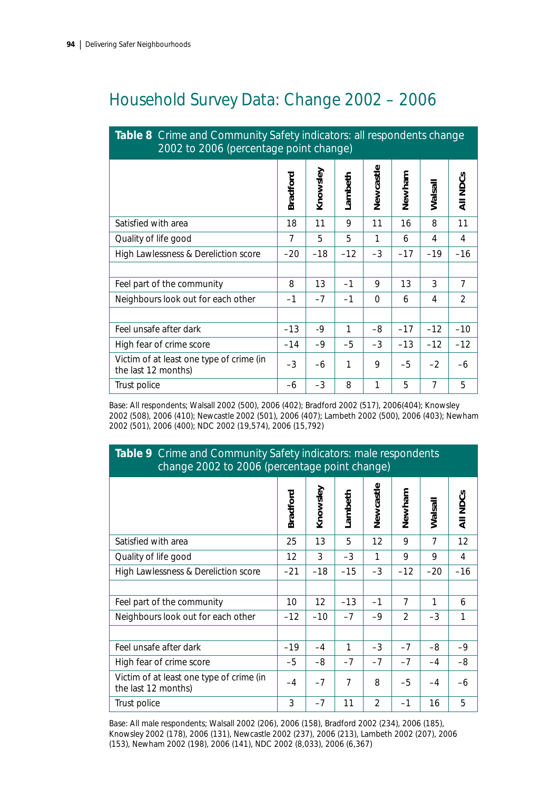### Household Survey Data: Change 2002 – 2006

#### **Table 8** Crime and Community Safety indicators: all respondents change 2002 to 2006 (percentage point change)

|                                                                 | <b>Bradford</b> | Knowsley | Lambeth | Newcastle | Newham | Walsall        | All NDC <sub>S</sub> |
|-----------------------------------------------------------------|-----------------|----------|---------|-----------|--------|----------------|----------------------|
| Satisfied with area                                             | 18              | 11       | 9       | 11        | 16     | 8              | 11                   |
| Quality of life good                                            | $\overline{7}$  | 5        | 5       | 1         | 6      | 4              | $\overline{4}$       |
| High Lawlessness & Dereliction score                            | $-20$           | $-18$    | $-12$   | $-3$      | $-17$  | $-19$          | $-16$                |
|                                                                 |                 |          |         |           |        |                |                      |
| Feel part of the community                                      | 8               | 13       | $-1$    | 9         | 13     | 3              | 7                    |
| Neighbours look out for each other                              | $-1$            | $-7$     | $-1$    | $\Omega$  | 6      | $\overline{4}$ | $\overline{2}$       |
|                                                                 |                 |          |         |           |        |                |                      |
| Feel unsafe after dark                                          | $-13$           | $-9$     | 1       | $-8$      | $-17$  | $-12$          | $-10$                |
| High fear of crime score                                        | $-14$           | $-9$     | $-5$    | $-3$      | $-13$  | $-12$          | $-12$                |
| Victim of at least one type of crime (in<br>the last 12 months) | $-3$            | $-6$     | 1       | 9         | $-5$   | $-2$           | $-6$                 |
| Trust police                                                    | -6              | $-3$     | 8       | 1         | 5      | $\overline{7}$ | 5                    |

Base: All respondents; Walsall 2002 (500), 2006 (402); Bradford 2002 (517), 2006(404); Knowsley 2002 (508), 2006 (410); Newcastle 2002 (501), 2006 (407); Lambeth 2002 (500), 2006 (403); Newham 2002 (501), 2006 (400); NDC 2002 (19,574), 2006 (15,792)

#### change 2002 to 2006 (percentage point change) **Bra dford Kn o w sle y La m b eth Ne w ca stle Ne w h a m Walsall All N D C s** Satisfied with area 25 | 25 | 26 | 27 | 27 | 22 Quality of life good 12 3 –3 1 9 9 4 High Lawlessness & Dereliction score  $\begin{vmatrix} -21 & -18 & -15 & -3 & -12 & -20 & -16 \end{vmatrix}$ Feel part of the community 10 12 –13 –1 7 1 6 Neighbours look out for each other  $\vert$  -12  $\vert$  -10  $\vert$  -7  $\vert$  -9  $\vert$  2  $\vert$  -3  $\vert$  1 Feel unsafe after dark –19 –4 1 –3 –7 –8 –9 High fear of crime score  $\begin{array}{|c|c|c|c|c|c|c|c|c|c|c|c|} \hline -5 & -8 & -7 & -7 & -7 & -4 & -8 \ \hline \end{array}$ Victim of at least one type of crime (in Victim of at least one type of crime (in  $-4$   $-7$   $-7$   $7$   $8$   $-5$   $-4$   $-4$   $-6$ Trust police 3 –7 11 2 –1 16 5

Base: All male respondents; Walsall 2002 (206), 2006 (158), Bradford 2002 (234), 2006 (185), Knowsley 2002 (178), 2006 (131), Newcastle 2002 (237), 2006 (213), Lambeth 2002 (207), 2006 (153), Newham 2002 (198), 2006 (141), NDC 2002 (8,033), 2006 (6,367)

## **Table 9** Crime and Community Safety indicators: male respondents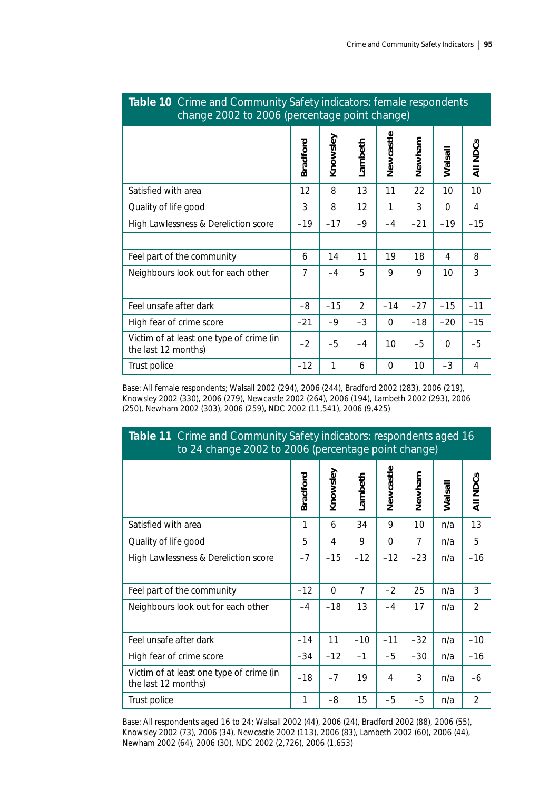| change 2002 to 2006 (percentage point change)                   |                 |          |                |           |        |          |                      |  |  |
|-----------------------------------------------------------------|-----------------|----------|----------------|-----------|--------|----------|----------------------|--|--|
|                                                                 | <b>Bradford</b> | Knowsley | Lambeth        | Newcastle | Newham | Walsall  | All NDC <sub>S</sub> |  |  |
| Satisfied with area                                             | 12              | 8        | 13             | 11        | 22     | 10       | 10                   |  |  |
| Quality of life good                                            | 3               | 8        | 12             | 1         | 3      | $\Omega$ | 4                    |  |  |
| High Lawlessness & Dereliction score                            | $-19$           | $-17$    | $-9$           | $-4$      | $-21$  | $-19$    | $-15$                |  |  |
|                                                                 |                 |          |                |           |        |          |                      |  |  |
| Feel part of the community                                      | 6               | 14       | 11             | 19        | 18     | 4        | 8                    |  |  |
| Neighbours look out for each other                              | $\overline{7}$  | $-4$     | 5              | 9         | 9      | 10       | 3                    |  |  |
|                                                                 |                 |          |                |           |        |          |                      |  |  |
| Feel unsafe after dark                                          | $-8$            | $-15$    | $\overline{2}$ | $-14$     | $-27$  | $-15$    | $-11$                |  |  |
| High fear of crime score                                        | $-21$           | $-9$     | $-3$           | $\Omega$  | $-18$  | $-20$    | $-15$                |  |  |
| Victim of at least one type of crime (in<br>the last 12 months) | $-2$            | $-5$     | $-4$           | 10        | $-5$   | $\Omega$ | $-5$                 |  |  |
| Trust police                                                    | $-12$           | 1        | 6              | $\Omega$  | 10     | $-3$     | 4                    |  |  |

## **Table 10** Crime and Community Safety indicators: female respondents

Base: All female respondents; Walsall 2002 (294), 2006 (244), Bradford 2002 (283), 2006 (219), Knowsley 2002 (330), 2006 (279), Newcastle 2002 (264), 2006 (194), Lambeth 2002 (293), 2006 (250), Newham 2002 (303), 2006 (259), NDC 2002 (11,541), 2006 (9,425)

| Table 11 Crime and Community Safety indicators: respondents aged 16<br>to 24 change 2002 to 2006 (percentage point change) |                 |          |         |           |        |         |                |  |  |  |
|----------------------------------------------------------------------------------------------------------------------------|-----------------|----------|---------|-----------|--------|---------|----------------|--|--|--|
|                                                                                                                            | <b>Bradford</b> | Knowsley | Lambeth | Newcastle | Newham | Walsall | All NDCs       |  |  |  |
| Satisfied with area                                                                                                        | 1               | 6        | 34      | 9         | 10     | n/a     | 13             |  |  |  |
| Quality of life good                                                                                                       | 5               | 4        | 9       | $\Omega$  | 7      | n/a     | 5              |  |  |  |
| High Lawlessness & Dereliction score                                                                                       | $-7$            | $-15$    | $-12$   | $-12$     | $-23$  | n/a     | $-16$          |  |  |  |
|                                                                                                                            |                 |          |         |           |        |         |                |  |  |  |
| Feel part of the community                                                                                                 | $-12$           | $\Omega$ | 7       | $-2$      | 25     | n/a     | 3              |  |  |  |
| Neighbours look out for each other                                                                                         | $-4$            | $-18$    | 13      | $-4$      | 17     | n/a     | $\overline{2}$ |  |  |  |
|                                                                                                                            |                 |          |         |           |        |         |                |  |  |  |
| Feel unsafe after dark                                                                                                     | $-14$           | 11       | $-10$   | $-11$     | $-32$  | n/a     | $-10$          |  |  |  |
| High fear of crime score                                                                                                   | $-34$           | $-12$    | $-1$    | $-5$      | $-30$  | n/a     | $-16$          |  |  |  |
| Victim of at least one type of crime (in<br>the last 12 months)                                                            | $-18$           | $-7$     | 19      | 4         | 3      | n/a     | -6             |  |  |  |
| Trust police                                                                                                               | 1               | $-8$     | 15      | $-5$      | $-5$   | n/a     | $\overline{2}$ |  |  |  |

Base: All respondents aged 16 to 24; Walsall 2002 (44), 2006 (24), Bradford 2002 (88), 2006 (55), Knowsley 2002 (73), 2006 (34), Newcastle 2002 (113), 2006 (83), Lambeth 2002 (60), 2006 (44), Newham 2002 (64), 2006 (30), NDC 2002 (2,726), 2006 (1,653)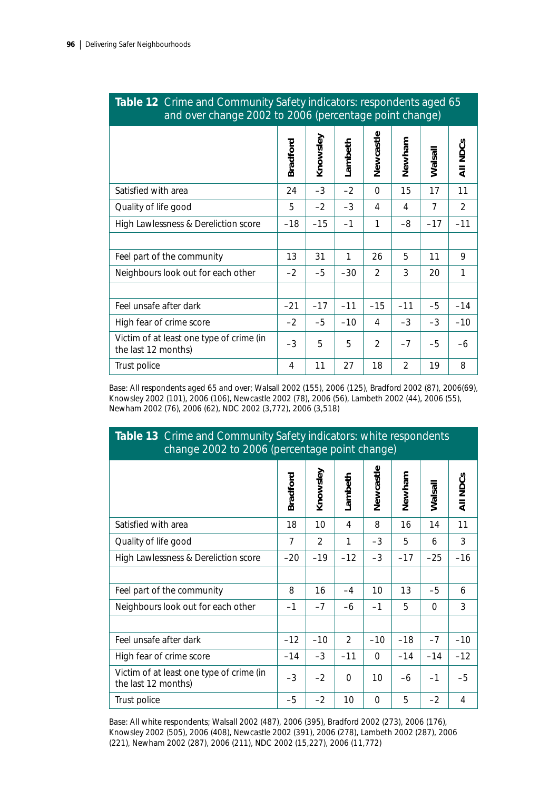| and over change 2002 to 2006 (percentage point change)          |                 |          |         |                |        |                |                      |
|-----------------------------------------------------------------|-----------------|----------|---------|----------------|--------|----------------|----------------------|
|                                                                 | <b>Bradford</b> | Knowsley | Lambeth | Newcastle      | Newham | Walsall        | All NDC <sub>S</sub> |
| Satisfied with area                                             | 24              | $-3$     | $-2$    | $\Omega$       | 15     | 17             | 11                   |
| Quality of life good                                            | 5               | $-2$     | $-3$    | 4              | 4      | $\overline{7}$ | $\overline{2}$       |
| High Lawlessness & Dereliction score                            |                 | $-15$    | $-1$    | 1              | $-8$   | $-17$          | $-11$                |
|                                                                 |                 |          |         |                |        |                |                      |
| Feel part of the community                                      |                 | 31       | 1       | 26             | 5      | 11             | 9                    |
| Neighbours look out for each other                              |                 | $-5$     | $-30$   | $\overline{2}$ | 3      | 20             | $\mathbf{1}$         |
|                                                                 |                 |          |         |                |        |                |                      |
| Feel unsafe after dark                                          |                 | $-17$    | $-11$   | $-15$          | $-11$  | $-5$           | $-14$                |
| High fear of crime score                                        |                 | $-5$     | $-10$   | 4              | $-3$   | $-3$           | $-10$                |
| Victim of at least one type of crime (in<br>the last 12 months) |                 | 5        | 5       | $\overline{2}$ | $-7$   | $-5$           | $-6$                 |
| Trust police                                                    | 4               | 11       | 27      | 18             | 2      | 19             | 8                    |

## **Table 12** Crime and Community Safety indicators: respondents aged 65

Base: All respondents aged 65 and over; Walsall 2002 (155), 2006 (125), Bradford 2002 (87), 2006(69), Knowsley 2002 (101), 2006 (106), Newcastle 2002 (78), 2006 (56), Lambeth 2002 (44), 2006 (55), Newham 2002 (76), 2006 (62), NDC 2002 (3,772), 2006 (3,518)

| <b>Table 13</b> Crime and Community Safety indicators: white respondents<br>change 2002 to 2006 (percentage point change) |                 |          |                |           |        |          |                |  |
|---------------------------------------------------------------------------------------------------------------------------|-----------------|----------|----------------|-----------|--------|----------|----------------|--|
|                                                                                                                           | <b>Bradford</b> | Knowsley | Lambeth        | Newcastle | Newham | Walsall  | All NDCs       |  |
| Satisfied with area                                                                                                       | 18              | 10       | 4              | 8         | 16     | 14       | 11             |  |
| Quality of life good                                                                                                      | 7               | 2        | 1              | $-3$      | 5      | 6        | 3              |  |
| High Lawlessness & Dereliction score                                                                                      |                 | $-19$    | $-12$          | $-3$      | $-17$  | $-25$    | $-16$          |  |
|                                                                                                                           |                 |          |                |           |        |          |                |  |
| Feel part of the community                                                                                                | 8               | 16       | $-4$           | 10        | 13     | $-5$     | 6              |  |
| Neighbours look out for each other                                                                                        |                 | $-7$     | $-6$           | $-1$      | 5      | $\Omega$ | 3              |  |
|                                                                                                                           |                 |          |                |           |        |          |                |  |
| Feel unsafe after dark                                                                                                    |                 | $-10$    | $\overline{2}$ | $-10$     | $-18$  | $-7$     | $-10$          |  |
| High fear of crime score                                                                                                  |                 | $-3$     | $-11$          | $\Omega$  | $-14$  | $-14$    | $-12$          |  |
| Victim of at least one type of crime (in<br>the last 12 months)                                                           |                 | $-2$     | $\Omega$       | 10        | $-6$   | $-1$     | $-5$           |  |
| Trust police                                                                                                              | $-5$            | $-2$     | 10             | $\Omega$  | 5      | $-2$     | $\overline{4}$ |  |

Base: All white respondents; Walsall 2002 (487), 2006 (395), Bradford 2002 (273), 2006 (176), Knowsley 2002 (505), 2006 (408), Newcastle 2002 (391), 2006 (278), Lambeth 2002 (287), 2006 (221), Newham 2002 (287), 2006 (211), NDC 2002 (15,227), 2006 (11,772)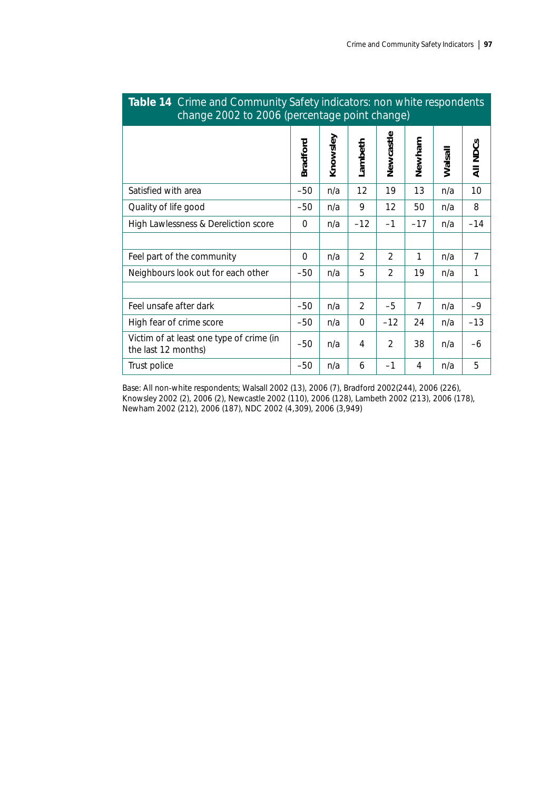| change 2002 to 2006 (percentage point change)                   |                 |          |                |                |                |         |                      |  |
|-----------------------------------------------------------------|-----------------|----------|----------------|----------------|----------------|---------|----------------------|--|
|                                                                 | <b>Bradford</b> | Knowsley | Lambeth        | Newcastle      | Newham         | Walsall | All NDC <sub>S</sub> |  |
| Satisfied with area                                             | $-50$           | n/a      | 12             | 19             | 13             | n/a     | 10                   |  |
| Quality of life good                                            |                 | n/a      | 9              | 12             | 50             | n/a     | 8                    |  |
| High Lawlessness & Dereliction score                            |                 | n/a      | $-12$          | $-1$           | $-17$          | n/a     | $-14$                |  |
|                                                                 |                 |          |                |                |                |         |                      |  |
| Feel part of the community                                      |                 | n/a      | $\overline{2}$ | $\mathcal{P}$  | 1              | n/a     | 7                    |  |
| Neighbours look out for each other                              |                 | n/a      | 5              | $\overline{2}$ | 19             | n/a     | $\mathbf{1}$         |  |
|                                                                 |                 |          |                |                |                |         |                      |  |
| Feel unsafe after dark                                          |                 | n/a      | $\overline{2}$ | $-5$           | $\overline{7}$ | n/a     | $-9$                 |  |
| High fear of crime score                                        |                 | n/a      | $\mathbf 0$    | $-12$          | 24             | n/a     | $-13$                |  |
| Victim of at least one type of crime (in<br>the last 12 months) | $-50$           | n/a      | 4              | 2              | 38             | n/a     | $-6$                 |  |
| Trust police                                                    | $-50$           | n/a      | 6              | $-1$           | 4              | n/a     | 5                    |  |

## **Table 14** Crime and Community Safety indicators: non white respondents

Base: All non-white respondents; Walsall 2002 (13), 2006 (7), Bradford 2002(244), 2006 (226), Knowsley 2002 (2), 2006 (2), Newcastle 2002 (110), 2006 (128), Lambeth 2002 (213), 2006 (178), Newham 2002 (212), 2006 (187), NDC 2002 (4,309), 2006 (3,949)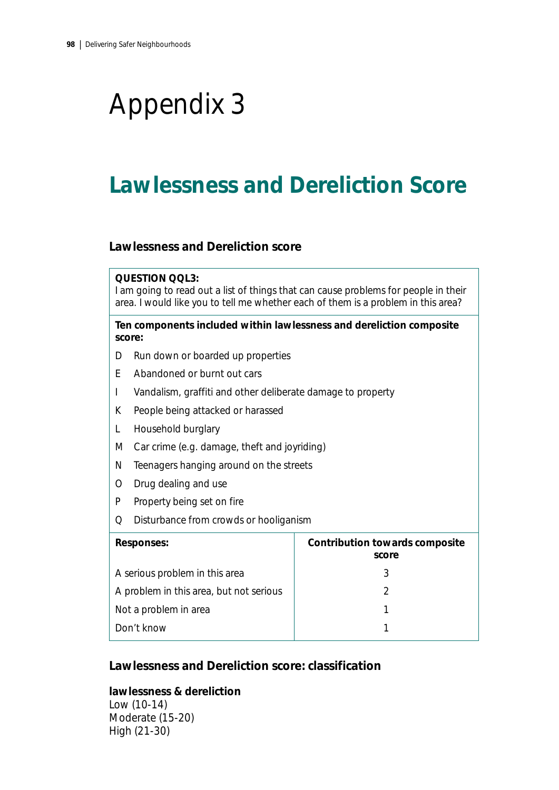# Appendix 3

## **Lawlessness and Dereliction Score**

#### **Lawlessness and Dereliction score**

#### **QUESTION QQL3:**

I am going to read out a list of things that can cause problems for people in their area. I would like you to tell me whether each of them is a problem in this area?

#### **Ten components included within lawlessness and dereliction composite score:**

- D Run down or boarded up properties
- E Abandoned or burnt out cars
- I Vandalism, graffiti and other deliberate damage to property
- K People being attacked or harassed
- L Household burglary
- M Car crime (e.g. damage, theft and joyriding)
- N Teenagers hanging around on the streets
- O Drug dealing and use
- P Property being set on fire
- Q Disturbance from crowds or hooliganism

| <b>Responses:</b>                       | Contribution towards composite<br>score |
|-----------------------------------------|-----------------------------------------|
| A serious problem in this area          | 3                                       |
| A problem in this area, but not serious | $\mathcal{D}$                           |
| Not a problem in area                   |                                         |
| Don't know                              |                                         |
|                                         |                                         |

#### **Lawlessness and Dereliction score: classification**

#### **lawlessness & dereliction**

Low (10-14) Moderate (15-20) High (21-30)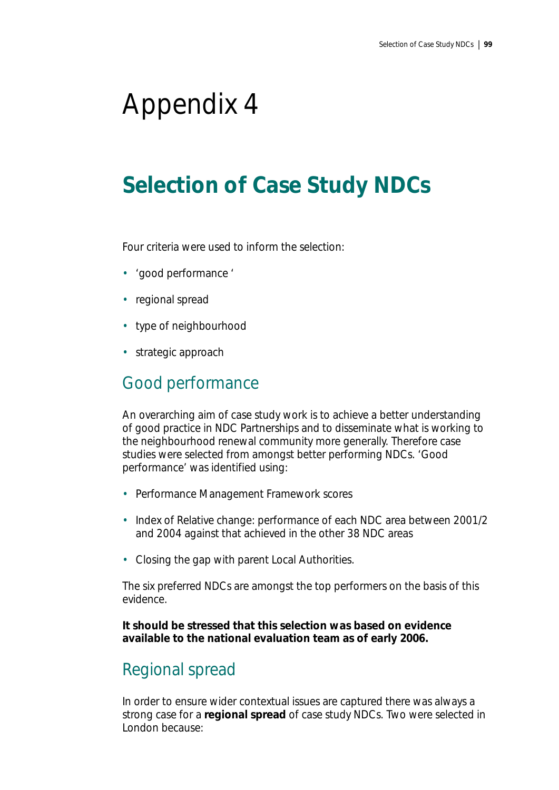# Appendix 4

## **Selection of Case Study NDCs**

Four criteria were used to inform the selection:

- 'good performance '
- regional spread
- type of neighbourhood
- strategic approach

### Good performance

An overarching aim of case study work is to achieve a better understanding of good practice in NDC Partnerships and to disseminate what is working to the neighbourhood renewal community more generally. Therefore case studies were selected from amongst better performing NDCs. 'Good performance' was identified using:

- Performance Management Framework scores
- Index of Relative change: performance of each NDC area between 2001/2 and 2004 against that achieved in the other 38 NDC areas
- Closing the gap with parent Local Authorities.

The six preferred NDCs are amongst the top performers on the basis of this evidence.

**It should be stressed that this selection was based on evidence available to the national evaluation team as of early 2006.**

### Regional spread

In order to ensure wider contextual issues are captured there was always a strong case for a **regional spread** of case study NDCs. Two were selected in London because: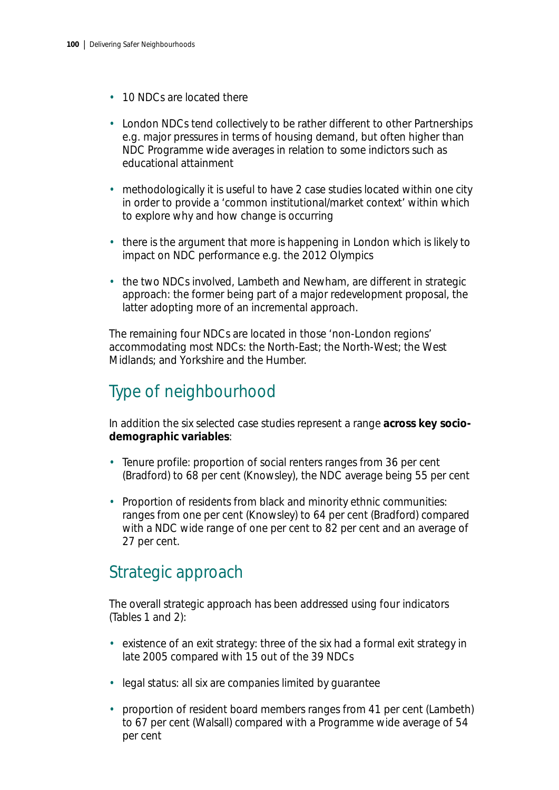- 10 NDCs are located there
- London NDCs tend collectively to be rather different to other Partnerships e.g. major pressures in terms of housing demand, but often higher than NDC Programme wide averages in relation to some indictors such as educational attainment
- methodologically it is useful to have 2 case studies located within one city in order to provide a 'common institutional/market context' within which to explore why and how change is occurring
- there is the argument that more is happening in London which is likely to impact on NDC performance e.g. the 2012 Olympics
- the two NDCs involved, Lambeth and Newham, are different in strategic approach: the former being part of a major redevelopment proposal, the latter adopting more of an incremental approach.

The remaining four NDCs are located in those 'non-London regions' accommodating most NDCs: the North-East; the North-West; the West Midlands; and Yorkshire and the Humber.

### Type of neighbourhood

In addition the six selected case studies represent a range **across key sociodemographic variables**:

- Tenure profile: proportion of social renters ranges from 36 per cent (Bradford) to 68 per cent (Knowsley), the NDC average being 55 per cent
- Proportion of residents from black and minority ethnic communities: ranges from one per cent (Knowsley) to 64 per cent (Bradford) compared with a NDC wide range of one per cent to 82 per cent and an average of 27 per cent.

### Strategic approach

The overall strategic approach has been addressed using four indicators (Tables 1 and 2):

- existence of an exit strategy: three of the six had a formal exit strategy in late 2005 compared with 15 out of the 39 NDCs
- legal status: all six are companies limited by guarantee
- proportion of resident board members ranges from 41 per cent (Lambeth) to 67 per cent (Walsall) compared with a Programme wide average of 54 per cent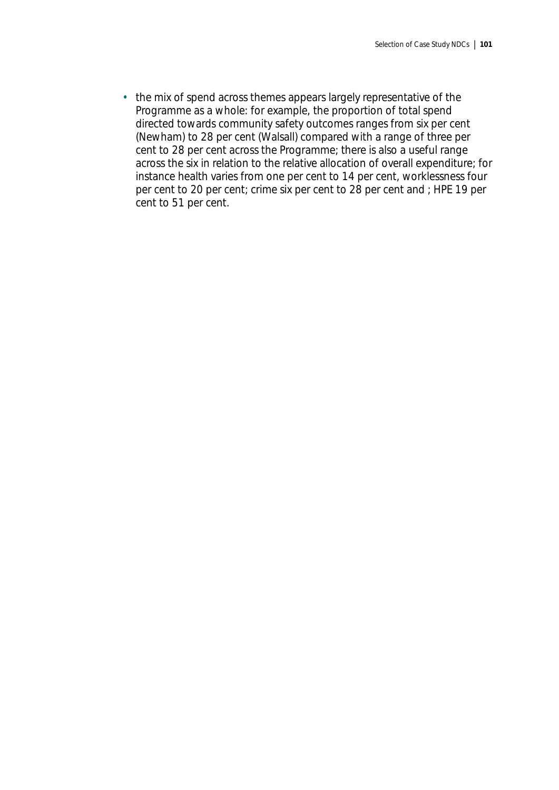• the mix of spend across themes appears largely representative of the Programme as a whole: for example, the proportion of total spend directed towards community safety outcomes ranges from six per cent (Newham) to 28 per cent (Walsall) compared with a range of three per cent to 28 per cent across the Programme; there is also a useful range across the six in relation to the relative allocation of overall expenditure; for instance health varies from one per cent to 14 per cent, worklessness four per cent to 20 per cent; crime six per cent to 28 per cent and ; HPE 19 per cent to 51 per cent.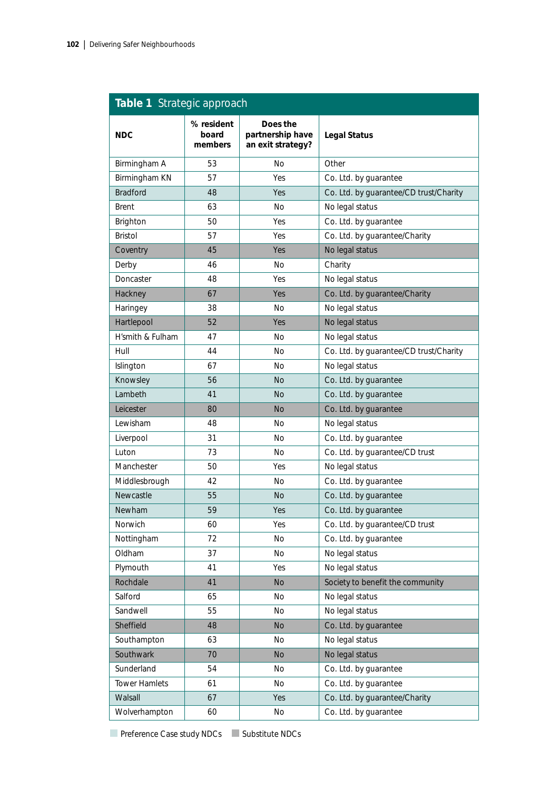| Table 1 Strategic approach |                                |                                                   |                                        |  |  |  |
|----------------------------|--------------------------------|---------------------------------------------------|----------------------------------------|--|--|--|
| <b>NDC</b>                 | % resident<br>board<br>members | Does the<br>partnership have<br>an exit strategy? | <b>Legal Status</b>                    |  |  |  |
| Birmingham A               | 53                             | Νo                                                | Other                                  |  |  |  |
| Birmingham KN              | 57                             | Yes                                               | Co. Ltd. by guarantee                  |  |  |  |
| <b>Bradford</b>            | 48                             | Yes                                               | Co. Ltd. by guarantee/CD trust/Charity |  |  |  |
| <b>Brent</b>               | 63                             | No                                                | No legal status                        |  |  |  |
| Brighton                   | 50                             | Yes                                               | Co. Ltd. by guarantee                  |  |  |  |
| <b>Bristol</b>             | 57                             | Yes                                               | Co. Ltd. by guarantee/Charity          |  |  |  |
| Coventry                   | 45                             | Yes                                               | No legal status                        |  |  |  |
| Derby                      | 46                             | <b>No</b>                                         | Charity                                |  |  |  |
| Doncaster                  | 48                             | Yes                                               | No legal status                        |  |  |  |
| Hackney                    | 67                             | <b>Yes</b>                                        | Co. Ltd. by guarantee/Charity          |  |  |  |
| Haringey                   | 38                             | No                                                | No legal status                        |  |  |  |
| Hartlepool                 | 52                             | Yes                                               | No legal status                        |  |  |  |
| H'smith & Fulham           | 47                             | No                                                | No legal status                        |  |  |  |
| Hull                       | 44                             | No                                                | Co. Ltd. by guarantee/CD trust/Charity |  |  |  |
| Islington                  | 67                             | <b>No</b>                                         | No legal status                        |  |  |  |
| Knowsley                   | 56                             | <b>No</b>                                         | Co. Ltd. by guarantee                  |  |  |  |
| Lambeth                    | 41                             | <b>No</b>                                         | Co. Ltd. by guarantee                  |  |  |  |
| Leicester                  | 80                             | No                                                | Co. Ltd. by guarantee                  |  |  |  |
| Lewisham                   | 48                             | No                                                | No legal status                        |  |  |  |
| Liverpool                  | 31                             | No                                                | Co. Ltd. by guarantee                  |  |  |  |
| Luton                      | 73                             | No                                                | Co. Ltd. by guarantee/CD trust         |  |  |  |
| Manchester                 | 50                             | Yes                                               | No legal status                        |  |  |  |
| Middlesbrough              | 42                             | No                                                | Co. Ltd. by guarantee                  |  |  |  |
| <b>Newcastle</b>           | 55                             | <b>No</b>                                         | Co. Ltd. by guarantee                  |  |  |  |
| Newham                     | 59                             | Yes                                               | Co. Ltd. by guarantee                  |  |  |  |
| Norwich                    | 60                             | Yes                                               | Co. Ltd. by guarantee/CD trust         |  |  |  |
| Nottingham                 | 72                             | No                                                | Co. Ltd. by guarantee                  |  |  |  |
| Oldham                     | 37                             | No                                                | No legal status                        |  |  |  |
| Plymouth                   | 41                             | Yes                                               | No legal status                        |  |  |  |
| Rochdale                   | 41                             | No                                                | Society to benefit the community       |  |  |  |
| Salford                    | 65                             | No                                                | No legal status                        |  |  |  |
| Sandwell                   | 55                             | No                                                | No legal status                        |  |  |  |
| Sheffield                  | 48                             | <b>No</b>                                         | Co. Ltd. by guarantee                  |  |  |  |
| Southampton                | 63                             | No                                                | No legal status                        |  |  |  |
| Southwark                  | 70                             | <b>No</b>                                         | No legal status                        |  |  |  |
| Sunderland                 | 54                             | No                                                | Co. Ltd. by guarantee                  |  |  |  |
| <b>Tower Hamlets</b>       | 61                             | No                                                | Co. Ltd. by guarantee                  |  |  |  |
| Walsall                    | 67                             | Yes                                               | Co. Ltd. by guarantee/Charity          |  |  |  |
| Wolverhampton              | 60                             | No                                                | Co. Ltd. by guarantee                  |  |  |  |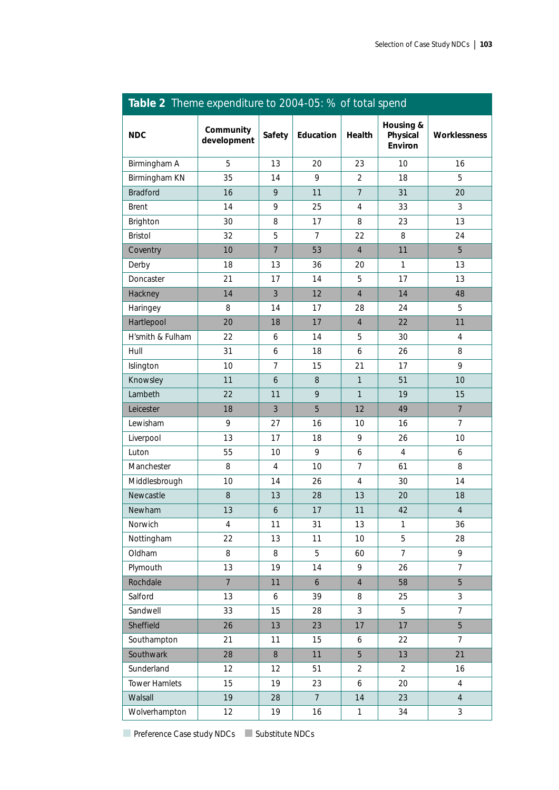| Table 2 Theme expenditure to 2004-05: % of total spend |                          |                |                |                |                                  |                |  |
|--------------------------------------------------------|--------------------------|----------------|----------------|----------------|----------------------------------|----------------|--|
| <b>NDC</b>                                             | Community<br>development | Safety         | Education      | <b>Health</b>  | Housing &<br>Physical<br>Environ | Worklessness   |  |
| Birmingham A                                           | 5                        | 13             | 20             | 23             | 10                               | 16             |  |
| Birmingham KN                                          | 35                       | 14             | 9              | $\overline{2}$ | 18                               | 5              |  |
| <b>Bradford</b>                                        | 16                       | 9              | 11             | $\overline{7}$ | 31                               | 20             |  |
| <b>Brent</b>                                           | 14                       | 9              | 25             | 4              | 33                               | 3              |  |
| Brighton                                               | 30                       | 8              | 17             | 8              | 23                               | 13             |  |
| <b>Bristol</b>                                         | 32                       | 5              | $\overline{7}$ | 22             | 8                                | 24             |  |
| Coventry                                               | 10                       | $\overline{7}$ | 53             | $\overline{4}$ | 11                               | 5              |  |
| Derby                                                  | 18                       | 13             | 36             | 20             | 1                                | 13             |  |
| Doncaster                                              | 21                       | 17             | 14             | 5              | 17                               | 13             |  |
| Hackney                                                | 14                       | 3              | 12             | $\overline{4}$ | 14                               | 48             |  |
| Haringey                                               | 8                        | 14             | 17             | 28             | 24                               | 5              |  |
| Hartlepool                                             | 20                       | 18             | 17             | $\overline{4}$ | 22                               | 11             |  |
| H'smith & Fulham                                       | 22                       | 6              | 14             | 5              | 30                               | $\overline{4}$ |  |
| Hull                                                   | 31                       | 6              | 18             | 6              | 26                               | 8              |  |
| Islington                                              | 10                       | $\overline{7}$ | 15             | 21             | 17                               | 9              |  |
| Knowsley                                               | 11                       | 6              | 8              | 1              | 51                               | 10             |  |
| Lambeth                                                | 22                       | 11             | 9              | 1              | 19                               | 15             |  |
| Leicester                                              | 18                       | 3              | 5              | 12             | 49                               | $\overline{7}$ |  |
| Lewisham                                               | 9                        | 27             | 16             | 10             | 16                               | $\overline{7}$ |  |
| Liverpool                                              | 13                       | 17             | 18             | 9              | 26                               | 10             |  |
| Luton                                                  | 55                       | 10             | 9              | 6              | $\overline{4}$                   | 6              |  |
| Manchester                                             | 8                        | $\overline{4}$ | 10             | $\overline{7}$ | 61                               | 8              |  |
| Middlesbrough                                          | 10                       | 14             | 26             | $\overline{4}$ | 30                               | 14             |  |
| Newcastle                                              | 8                        | 13             | 28             | 13             | 20                               | 18             |  |
| Newham                                                 | 13                       | 6              | 17             | 11             | 42                               | $\overline{4}$ |  |
| Norwich                                                | 4                        | 11             | 31             | 13             | 1                                | 36             |  |
| Nottingham                                             | 22                       | 13             | 11             | 10             | 5                                | 28             |  |
| Oldham                                                 | $\, 8$                   | 8              | 5              | 60             | $\overline{7}$                   | 9              |  |
| Plymouth                                               | 13                       | 19             | 14             | 9              | 26                               | $\overline{7}$ |  |
| Rochdale                                               | $\overline{7}$           | 11             | 6              | $\overline{4}$ | 58                               | 5              |  |
| Salford                                                | 13                       | 6              | 39             | 8              | 25                               | 3              |  |
| Sandwell                                               | 33                       | 15             | 28             | 3              | 5                                | $\overline{7}$ |  |
| Sheffield                                              | 26                       | 13             | 23             | 17             | 17                               | 5              |  |
| Southampton                                            | 21                       | 11             | 15             | 6              | 22                               | $\overline{7}$ |  |
| Southwark                                              | 28                       | $\, 8$         | 11             | 5              | 13                               | 21             |  |
| Sunderland                                             | 12                       | 12             | 51             | $\overline{2}$ | $\overline{2}$                   | 16             |  |
| <b>Tower Hamlets</b>                                   | 15                       | 19             | 23             | 6              | 20                               | $\overline{4}$ |  |
| Walsall                                                | 19                       | 28             | $\overline{7}$ | 14             | 23                               | $\overline{4}$ |  |
| Wolverhampton                                          | 12                       | 19             | 16             | $\mathbf{1}$   | 34                               | 3              |  |

Preference Case study NDCs Substitute NDCs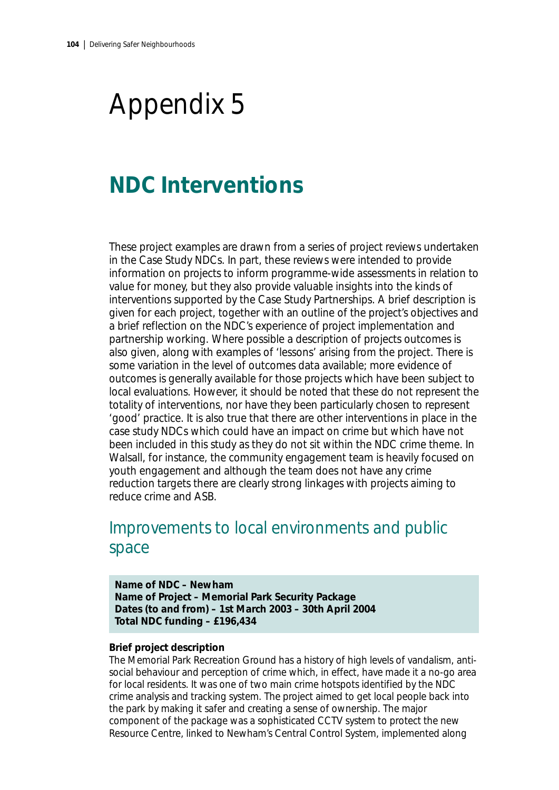# Appendix 5

## **NDC Interventions**

These project examples are drawn from a series of project reviews undertaken in the Case Study NDCs. In part, these reviews were intended to provide information on projects to inform programme-wide assessments in relation to value for money, but they also provide valuable insights into the kinds of interventions supported by the Case Study Partnerships. A brief description is given for each project, together with an outline of the project's objectives and a brief reflection on the NDC's experience of project implementation and partnership working. Where possible a description of projects outcomes is also given, along with examples of 'lessons' arising from the project. There is some variation in the level of outcomes data available; more evidence of outcomes is generally available for those projects which have been subject to local evaluations. However, it should be noted that these do not represent the totality of interventions, nor have they been particularly chosen to represent 'good' practice. It is also true that there are other interventions in place in the case study NDCs which could have an impact on crime but which have not been included in this study as they do not sit within the NDC crime theme. In Walsall, for instance, the community engagement team is heavily focused on youth engagement and although the team does not have any crime reduction targets there are clearly strong linkages with projects aiming to reduce crime and ASB.

### Improvements to local environments and public space

**Name of NDC – Newham Name of Project – Memorial Park Security Package Dates (to and from) – 1st March 2003 – 30th April 2004 Total NDC funding – £196,434**

#### **Brief project description**

The Memorial Park Recreation Ground has a history of high levels of vandalism, antisocial behaviour and perception of crime which, in effect, have made it a no-go area for local residents. It was one of two main crime hotspots identified by the NDC crime analysis and tracking system. The project aimed to get local people back into the park by making it safer and creating a sense of ownership. The major component of the package was a sophisticated CCTV system to protect the new Resource Centre, linked to Newham's Central Control System, implemented along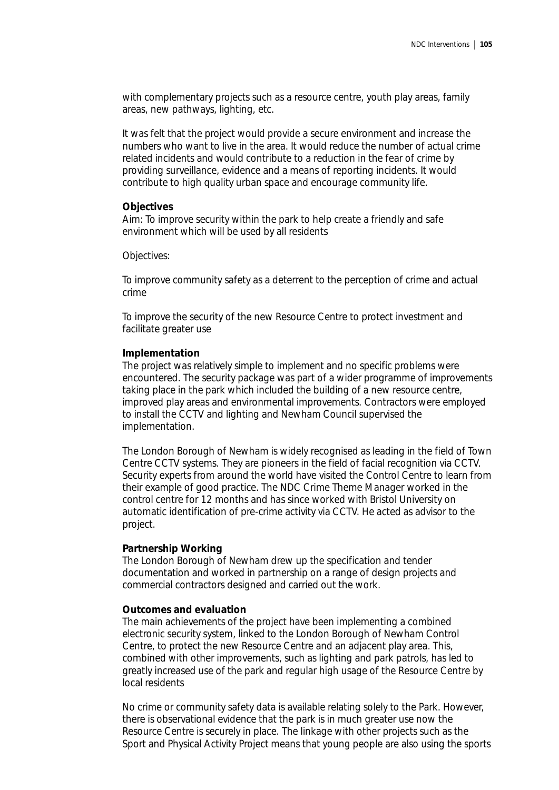with complementary projects such as a resource centre, youth play areas, family areas, new pathways, lighting, etc.

It was felt that the project would provide a secure environment and increase the numbers who want to live in the area. It would reduce the number of actual crime related incidents and would contribute to a reduction in the fear of crime by providing surveillance, evidence and a means of reporting incidents. It would contribute to high quality urban space and encourage community life.

#### **Objectives**

*Aim:* To improve security within the park to help create a friendly and safe environment which will be used by all residents

#### *Objectives:*

To improve community safety as a deterrent to the perception of crime and actual crime

To improve the security of the new Resource Centre to protect investment and facilitate greater use

#### **Implementation**

The project was relatively simple to implement and no specific problems were encountered. The security package was part of a wider programme of improvements taking place in the park which included the building of a new resource centre, improved play areas and environmental improvements. Contractors were employed to install the CCTV and lighting and Newham Council supervised the implementation.

The London Borough of Newham is widely recognised as leading in the field of Town Centre CCTV systems. They are pioneers in the field of facial recognition via CCTV. Security experts from around the world have visited the Control Centre to learn from their example of good practice. The NDC Crime Theme Manager worked in the control centre for 12 months and has since worked with Bristol University on automatic identification of pre-crime activity via CCTV. He acted as advisor to the project.

#### **Partnership Working**

The London Borough of Newham drew up the specification and tender documentation and worked in partnership on a range of design projects and commercial contractors designed and carried out the work.

#### **Outcomes and evaluation**

The main achievements of the project have been implementing a combined electronic security system, linked to the London Borough of Newham Control Centre, to protect the new Resource Centre and an adjacent play area. This, combined with other improvements, such as lighting and park patrols, has led to greatly increased use of the park and regular high usage of the Resource Centre by local residents

No crime or community safety data is available relating solely to the Park. However, there is observational evidence that the park is in much greater use now the Resource Centre is securely in place. The linkage with other projects such as the Sport and Physical Activity Project means that young people are also using the sports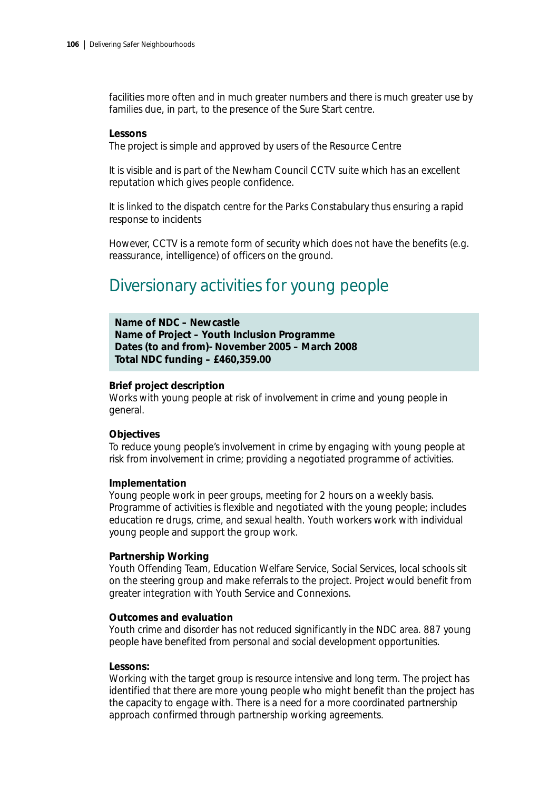facilities more often and in much greater numbers and there is much greater use by families due, in part, to the presence of the Sure Start centre.

#### **Lessons**

The project is simple and approved by users of the Resource Centre

It is visible and is part of the Newham Council CCTV suite which has an excellent reputation which gives people confidence.

It is linked to the dispatch centre for the Parks Constabulary thus ensuring a rapid response to incidents

However, CCTV is a remote form of security which does not have the benefits (e.g. reassurance, intelligence) of officers on the ground.

### Diversionary activities for young people

**Name of NDC – Newcastle Name of Project – Youth Inclusion Programme Dates (to and from)- November 2005 – March 2008 Total NDC funding – £460,359.00**

#### **Brief project description**

Works with young people at risk of involvement in crime and young people in general.

#### **Objectives**

To reduce young people's involvement in crime by engaging with young people at risk from involvement in crime; providing a negotiated programme of activities.

#### **Implementation**

Young people work in peer groups, meeting for 2 hours on a weekly basis. Programme of activities is flexible and negotiated with the young people; includes education re drugs, crime, and sexual health. Youth workers work with individual young people and support the group work.

#### **Partnership Working**

Youth Offending Team, Education Welfare Service, Social Services, local schools sit on the steering group and make referrals to the project. Project would benefit from greater integration with Youth Service and Connexions.

#### **Outcomes and evaluation**

Youth crime and disorder has not reduced significantly in the NDC area. 887 young people have benefited from personal and social development opportunities.

#### **Lessons:**

Working with the target group is resource intensive and long term. The project has identified that there are more young people who might benefit than the project has the capacity to engage with. There is a need for a more coordinated partnership approach confirmed through partnership working agreements.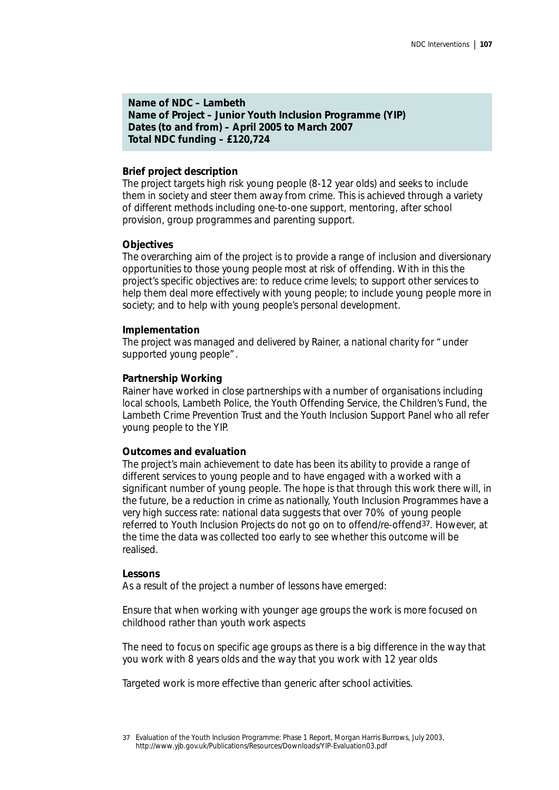**Name of NDC – Lambeth Name of Project – Junior Youth Inclusion Programme (YIP) Dates (to and from) – April 2005 to March 2007 Total NDC funding – £120,724**

#### **Brief project description**

The project targets high risk young people (8-12 year olds) and seeks to include them in society and steer them away from crime. This is achieved through a variety of different methods including one-to-one support, mentoring, after school provision, group programmes and parenting support.

#### **Objectives**

The overarching aim of the project is to provide a range of inclusion and diversionary opportunities to those young people most at risk of offending. With in this the project's specific objectives are: to reduce crime levels; to support other services to help them deal more effectively with young people; to include young people more in society; and to help with young people's personal development.

#### **Implementation**

The project was managed and delivered by Rainer, a national charity for "under supported young people".

#### **Partnership Working**

Rainer have worked in close partnerships with a number of organisations including local schools, Lambeth Police, the Youth Offending Service, the Children's Fund, the Lambeth Crime Prevention Trust and the Youth Inclusion Support Panel who all refer young people to the YIP.

#### **Outcomes and evaluation**

The project's main achievement to date has been its ability to provide a range of different services to young people and to have engaged with a worked with a significant number of young people. The hope is that through this work there will, in the future, be a reduction in crime as nationally, Youth Inclusion Programmes have a very high success rate: national data suggests that over 70% of young people referred to Youth Inclusion Projects do not go on to offend/re-offend37. However, at the time the data was collected too early to see whether this outcome will be realised.

#### **Lessons**

As a result of the project a number of lessons have emerged:

Ensure that when working with younger age groups the work is more focused on childhood rather than youth work aspects

The need to focus on specific age groups as there is a big difference in the way that you work with 8 years olds and the way that you work with 12 year olds

Targeted work is more effective than generic after school activities.

<sup>37</sup> Evaluation of the Youth Inclusion Programme: Phase 1 Report, Morgan Harris Burrows, July 2003, http://www.yjb.gov.uk/Publications/Resources/Downloads/YIP-Evaluation03.pdf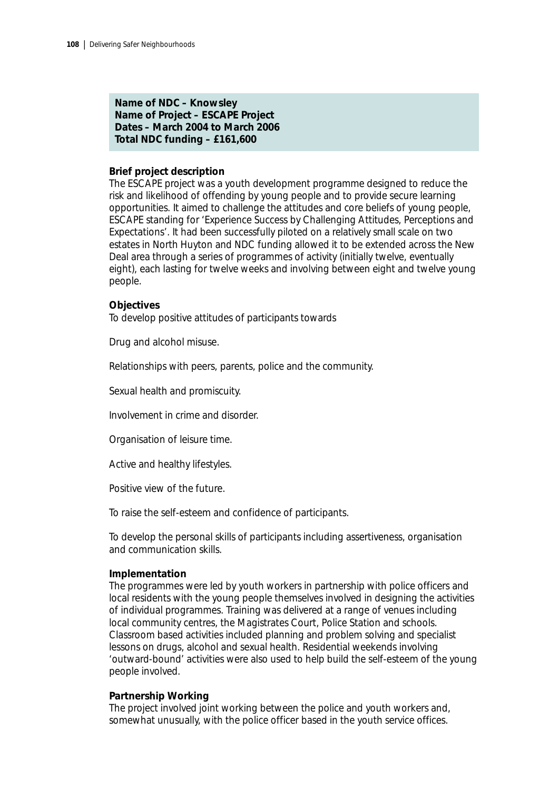**Name of NDC – Knowsley Name of Project – ESCAPE Project Dates – March 2004 to March 2006 Total NDC funding – £161,600**

# **Brief project description**

The ESCAPE project was a youth development programme designed to reduce the risk and likelihood of offending by young people and to provide secure learning opportunities. It aimed to challenge the attitudes and core beliefs of young people, ESCAPE standing for 'Experience Success by Challenging Attitudes, Perceptions and Expectations'. It had been successfully piloted on a relatively small scale on two estates in North Huyton and NDC funding allowed it to be extended across the New Deal area through a series of programmes of activity (initially twelve, eventually eight), each lasting for twelve weeks and involving between eight and twelve young people.

# **Objectives**

To develop positive attitudes of participants towards

Drug and alcohol misuse.

Relationships with peers, parents, police and the community.

Sexual health and promiscuity.

Involvement in crime and disorder.

Organisation of leisure time.

Active and healthy lifestyles.

Positive view of the future.

To raise the self-esteem and confidence of participants.

To develop the personal skills of participants including assertiveness, organisation and communication skills.

# **Implementation**

The programmes were led by youth workers in partnership with police officers and local residents with the young people themselves involved in designing the activities of individual programmes. Training was delivered at a range of venues including local community centres, the Magistrates Court, Police Station and schools. Classroom based activities included planning and problem solving and specialist lessons on drugs, alcohol and sexual health. Residential weekends involving 'outward-bound' activities were also used to help build the self-esteem of the young people involved.

# **Partnership Working**

The project involved joint working between the police and youth workers and, somewhat unusually, with the police officer based in the youth service offices.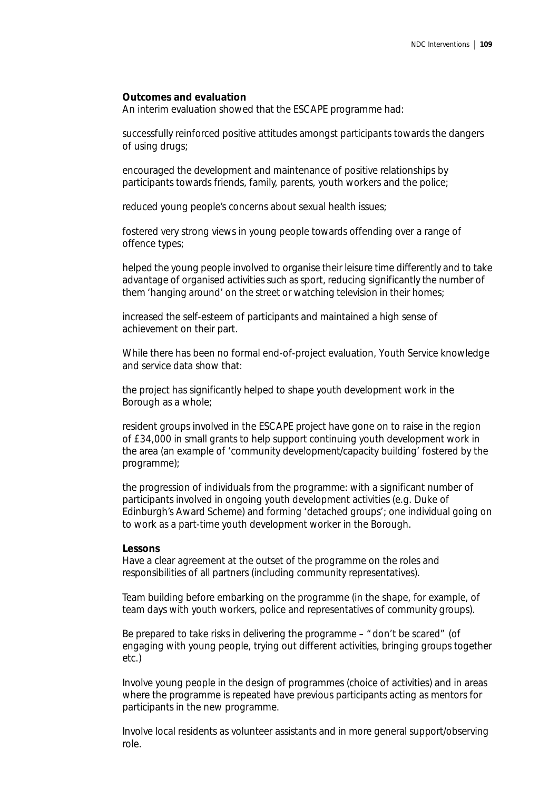#### **Outcomes and evaluation**

An interim evaluation showed that the ESCAPE programme had:

successfully reinforced positive attitudes amongst participants towards the dangers of using drugs;

encouraged the development and maintenance of positive relationships by participants towards friends, family, parents, youth workers and the police;

reduced young people's concerns about sexual health issues;

fostered very strong views in young people towards offending over a range of offence types;

helped the young people involved to organise their leisure time differently and to take advantage of organised activities such as sport, reducing significantly the number of them 'hanging around' on the street or watching television in their homes;

increased the self-esteem of participants and maintained a high sense of achievement on their part.

While there has been no formal end-of-project evaluation, Youth Service knowledge and service data show that:

the project has significantly helped to shape youth development work in the Borough as a whole;

resident groups involved in the ESCAPE project have gone on to raise in the region of £34,000 in small grants to help support continuing youth development work in the area (an example of 'community development/capacity building' fostered by the programme);

the progression of individuals from the programme: with a significant number of participants involved in ongoing youth development activities (e.g. Duke of Edinburgh's Award Scheme) and forming 'detached groups'; one individual going on to work as a part-time youth development worker in the Borough.

# **Lessons**

Have a clear agreement at the outset of the programme on the roles and responsibilities of all partners (including community representatives).

Team building before embarking on the programme (in the shape, for example, of team days with youth workers, police and representatives of community groups).

Be prepared to take risks in delivering the programme – "*don't be scared*" (of engaging with young people, trying out different activities, bringing groups together etc.)

Involve young people in the design of programmes (choice of activities) and in areas where the programme is repeated have previous participants acting as mentors for participants in the new programme.

Involve local residents as volunteer assistants and in more general support/observing role.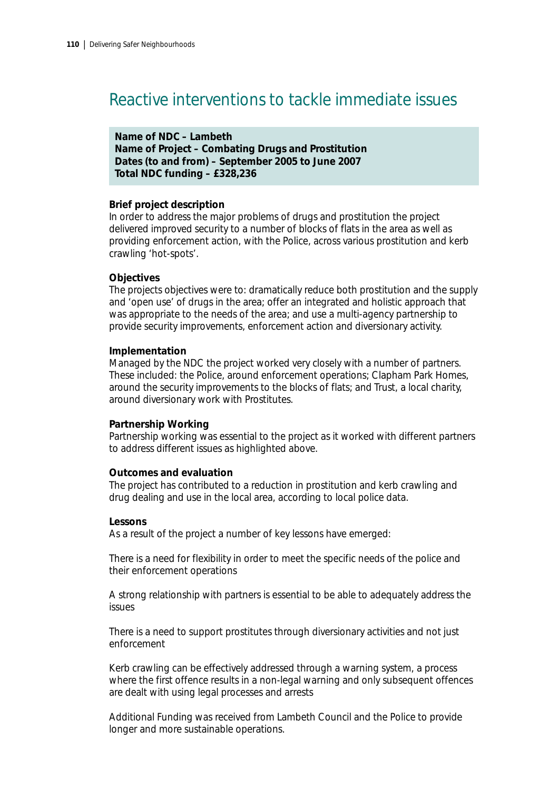# Reactive interventions to tackle immediate issues

**Name of NDC – Lambeth Name of Project – Combating Drugs and Prostitution Dates (to and from) – September 2005 to June 2007 Total NDC funding – £328,236**

# **Brief project description**

In order to address the major problems of drugs and prostitution the project delivered improved security to a number of blocks of flats in the area as well as providing enforcement action, with the Police, across various prostitution and kerb crawling 'hot-spots'.

# **Objectives**

The projects objectives were to: dramatically reduce both prostitution and the supply and 'open use' of drugs in the area; offer an integrated and holistic approach that was appropriate to the needs of the area; and use a multi-agency partnership to provide security improvements, enforcement action and diversionary activity.

# **Implementation**

Managed by the NDC the project worked very closely with a number of partners. These included: the Police, around enforcement operations; Clapham Park Homes, around the security improvements to the blocks of flats; and Trust, a local charity, around diversionary work with Prostitutes.

# **Partnership Working**

Partnership working was essential to the project as it worked with different partners to address different issues as highlighted above.

#### **Outcomes and evaluation**

The project has contributed to a reduction in prostitution and kerb crawling and drug dealing and use in the local area, according to local police data.

#### **Lessons**

As a result of the project a number of key lessons have emerged:

There is a need for flexibility in order to meet the specific needs of the police and their enforcement operations

A strong relationship with partners is essential to be able to adequately address the issues

There is a need to support prostitutes through diversionary activities and not just enforcement

Kerb crawling can be effectively addressed through a warning system, a process where the first offence results in a non-legal warning and only subsequent offences are dealt with using legal processes and arrests

Additional Funding was received from Lambeth Council and the Police to provide longer and more sustainable operations.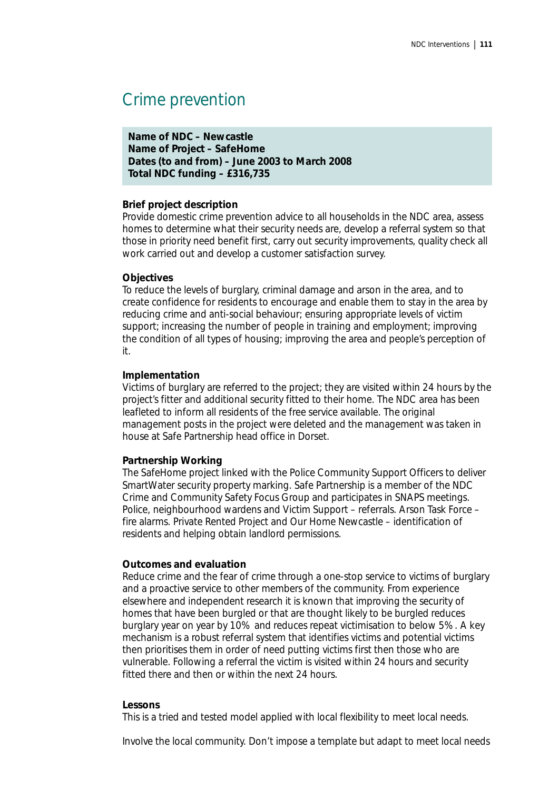# Crime prevention

**Name of NDC – Newcastle Name of Project – SafeHome Dates (to and from) – June 2003 to March 2008 Total NDC funding – £316,735**

# **Brief project description**

Provide domestic crime prevention advice to all households in the NDC area, assess homes to determine what their security needs are, develop a referral system so that those in priority need benefit first, carry out security improvements, quality check all work carried out and develop a customer satisfaction survey.

#### **Objectives**

To reduce the levels of burglary, criminal damage and arson in the area, and to create confidence for residents to encourage and enable them to stay in the area by reducing crime and anti-social behaviour; ensuring appropriate levels of victim support; increasing the number of people in training and employment; improving the condition of all types of housing; improving the area and people's perception of it.

# **Implementation**

Victims of burglary are referred to the project; they are visited within 24 hours by the project's fitter and additional security fitted to their home. The NDC area has been leafleted to inform all residents of the free service available. The original management posts in the project were deleted and the management was taken in house at Safe Partnership head office in Dorset.

#### **Partnership Working**

The SafeHome project linked with the Police Community Support Officers to deliver SmartWater security property marking. Safe Partnership is a member of the NDC Crime and Community Safety Focus Group and participates in SNAPS meetings. Police, neighbourhood wardens and Victim Support – referrals. Arson Task Force – fire alarms. Private Rented Project and Our Home Newcastle – identification of residents and helping obtain landlord permissions.

# **Outcomes and evaluation**

Reduce crime and the fear of crime through a one-stop service to victims of burglary and a proactive service to other members of the community. From experience elsewhere and independent research it is known that improving the security of homes that have been burgled or that are thought likely to be burgled reduces burglary year on year by 10% and reduces repeat victimisation to below 5%. A key mechanism is a robust referral system that identifies victims and potential victims then prioritises them in order of need putting victims first then those who are vulnerable. Following a referral the victim is visited within 24 hours and security fitted there and then or within the next 24 hours.

#### **Lessons**

This is a tried and tested model applied with local flexibility to meet local needs.

Involve the local community. Don't impose a template but adapt to meet local needs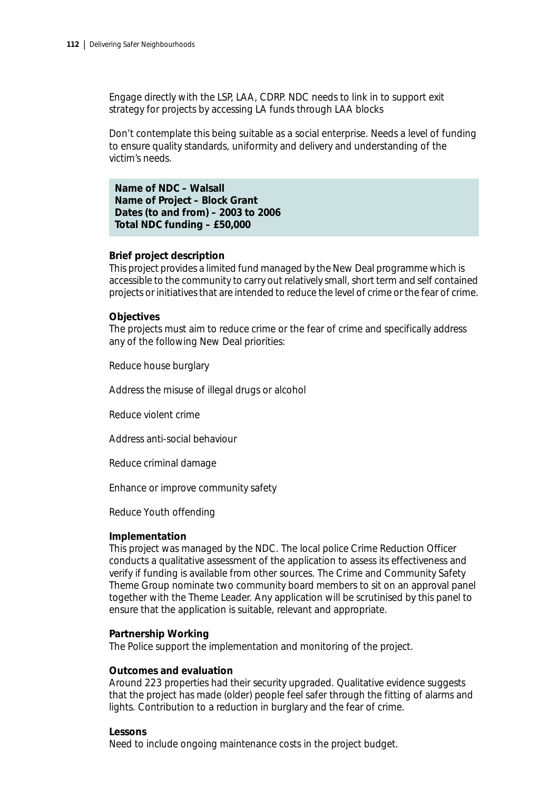Engage directly with the LSP, LAA, CDRP. NDC needs to link in to support exit strategy for projects by accessing LA funds through LAA blocks

Don't contemplate this being suitable as a social enterprise. Needs a level of funding to ensure quality standards, uniformity and delivery and understanding of the victim's needs.

**Name of NDC – Walsall Name of Project – Block Grant Dates (to and from) – 2003 to 2006 Total NDC funding – £50,000**

#### **Brief project description**

This project provides a limited fund managed by the New Deal programme which is accessible to the community to carry out relatively small, short term and self contained projects or initiatives that are intended to reduce the level of crime or the fear of crime.

# **Objectives**

The projects must aim to reduce crime or the fear of crime and specifically address any of the following New Deal priorities:

Reduce house burglary

Address the misuse of illegal drugs or alcohol

Reduce violent crime

Address anti-social behaviour

Reduce criminal damage

Enhance or improve community safety

Reduce Youth offending

#### **Implementation**

This project was managed by the NDC. The local police Crime Reduction Officer conducts a qualitative assessment of the application to assess its effectiveness and verify if funding is available from other sources. The Crime and Community Safety Theme Group nominate two community board members to sit on an approval panel together with the Theme Leader. Any application will be scrutinised by this panel to ensure that the application is suitable, relevant and appropriate.

# **Partnership Working**

The Police support the implementation and monitoring of the project.

# **Outcomes and evaluation**

Around 223 properties had their security upgraded. Qualitative evidence suggests that the project has made (older) people feel safer through the fitting of alarms and lights. Contribution to a reduction in burglary and the fear of crime.

#### **Lessons**

Need to include ongoing maintenance costs in the project budget.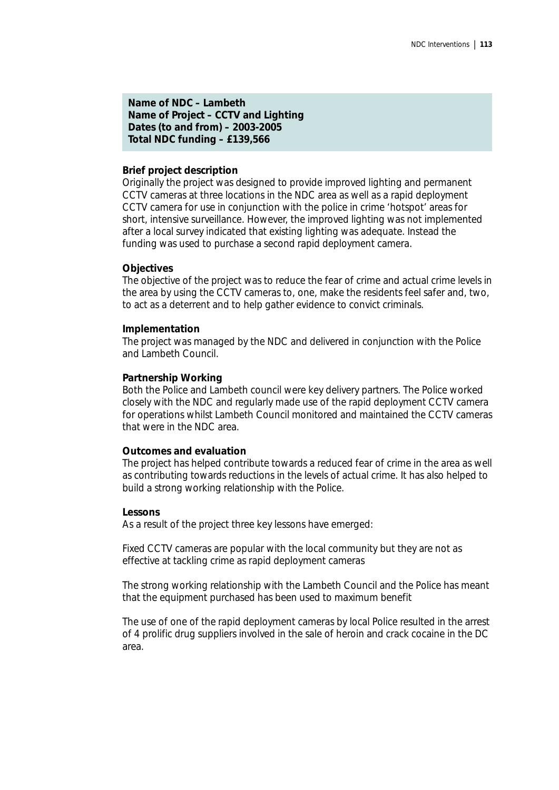**Name of NDC – Lambeth Name of Project – CCTV and Lighting Dates (to and from) – 2003-2005 Total NDC funding – £139,566**

# **Brief project description**

Originally the project was designed to provide improved lighting and permanent CCTV cameras at three locations in the NDC area as well as a rapid deployment CCTV camera for use in conjunction with the police in crime 'hotspot' areas for short, intensive surveillance. However, the improved lighting was not implemented after a local survey indicated that existing lighting was adequate. Instead the funding was used to purchase a second rapid deployment camera.

# **Objectives**

The objective of the project was to reduce the fear of crime and actual crime levels in the area by using the CCTV cameras to, one, make the residents feel safer and, two, to act as a deterrent and to help gather evidence to convict criminals.

#### **Implementation**

The project was managed by the NDC and delivered in conjunction with the Police and Lambeth Council.

# **Partnership Working**

Both the Police and Lambeth council were key delivery partners. The Police worked closely with the NDC and regularly made use of the rapid deployment CCTV camera for operations whilst Lambeth Council monitored and maintained the CCTV cameras that were in the NDC area.

#### **Outcomes and evaluation**

The project has helped contribute towards a reduced fear of crime in the area as well as contributing towards reductions in the levels of actual crime. It has also helped to build a strong working relationship with the Police.

# **Lessons**

As a result of the project three key lessons have emerged:

Fixed CCTV cameras are popular with the local community but they are not as effective at tackling crime as rapid deployment cameras

The strong working relationship with the Lambeth Council and the Police has meant that the equipment purchased has been used to maximum benefit

The use of one of the rapid deployment cameras by local Police resulted in the arrest of 4 prolific drug suppliers involved in the sale of heroin and crack cocaine in the DC area.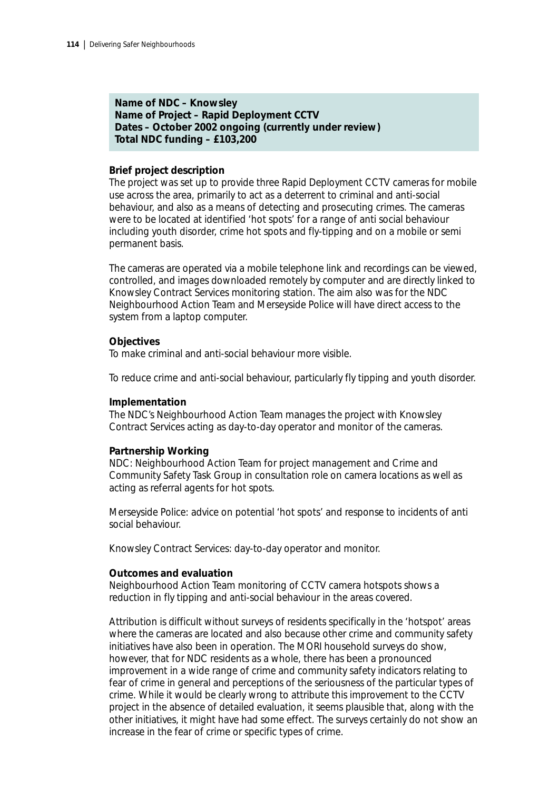**Name of NDC – Knowsley Name of Project – Rapid Deployment CCTV Dates – October 2002 ongoing (currently under review) Total NDC funding – £103,200**

#### **Brief project description**

The project was set up to provide three Rapid Deployment CCTV cameras for mobile use across the area, primarily to act as a deterrent to criminal and anti-social behaviour, and also as a means of detecting and prosecuting crimes. The cameras were to be located at identified 'hot spots' for a range of anti social behaviour including youth disorder, crime hot spots and fly-tipping and on a mobile or semi permanent basis.

The cameras are operated via a mobile telephone link and recordings can be viewed, controlled, and images downloaded remotely by computer and are directly linked to Knowsley Contract Services monitoring station. The aim also was for the NDC Neighbourhood Action Team and Merseyside Police will have direct access to the system from a laptop computer.

# **Objectives**

To make criminal and anti-social behaviour more visible.

To reduce crime and anti-social behaviour, particularly fly tipping and youth disorder.

# **Implementation**

The NDC's Neighbourhood Action Team manages the project with Knowsley Contract Services acting as day-to-day operator and monitor of the cameras.

# **Partnership Working**

NDC: Neighbourhood Action Team for project management and Crime and Community Safety Task Group in consultation role on camera locations as well as acting as referral agents for hot spots.

Merseyside Police: advice on potential 'hot spots' and response to incidents of anti social behaviour.

Knowsley Contract Services: day-to-day operator and monitor.

# **Outcomes and evaluation**

Neighbourhood Action Team monitoring of CCTV camera hotspots shows a reduction in fly tipping and anti-social behaviour in the areas covered.

Attribution is difficult without surveys of residents specifically in the 'hotspot' areas where the cameras are located and also because other crime and community safety initiatives have also been in operation. The MORI household surveys do show, however, that for NDC residents as a whole, there has been a pronounced improvement in a wide range of crime and community safety indicators relating to fear of crime in general and perceptions of the seriousness of the particular types of crime. While it would be clearly wrong to attribute this improvement to the CCTV project in the absence of detailed evaluation, it seems plausible that, along with the other initiatives, it might have had some effect. The surveys certainly do not show an increase in the fear of crime or specific types of crime.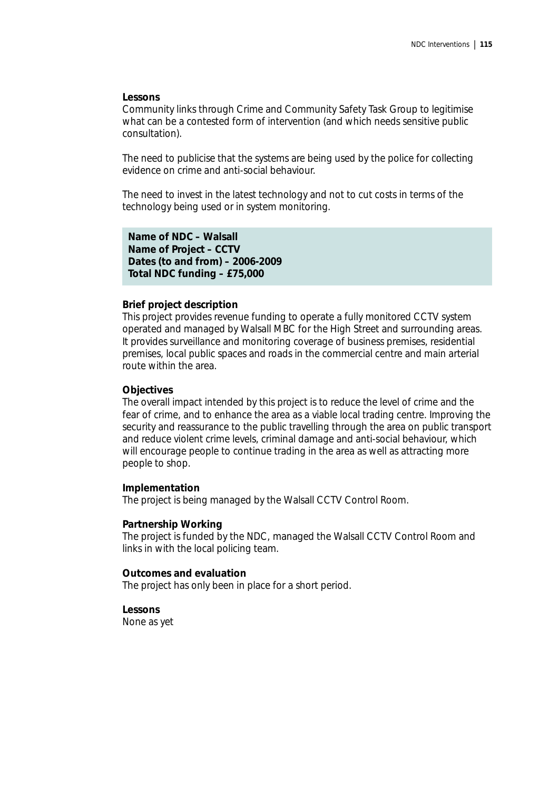# **Lessons**

Community links through Crime and Community Safety Task Group to legitimise what can be a contested form of intervention (and which needs sensitive public consultation).

The need to publicise that the systems are being used by the police for collecting evidence on crime and anti-social behaviour.

The need to invest in the latest technology and not to cut costs in terms of the technology being used or in system monitoring.

**Name of NDC – Walsall Name of Project – CCTV Dates (to and from) – 2006-2009 Total NDC funding – £75,000**

# **Brief project description**

This project provides revenue funding to operate a fully monitored CCTV system operated and managed by Walsall MBC for the High Street and surrounding areas. It provides surveillance and monitoring coverage of business premises, residential premises, local public spaces and roads in the commercial centre and main arterial route within the area.

# **Objectives**

The overall impact intended by this project is to reduce the level of crime and the fear of crime, and to enhance the area as a viable local trading centre. Improving the security and reassurance to the public travelling through the area on public transport and reduce violent crime levels, criminal damage and anti-social behaviour, which will encourage people to continue trading in the area as well as attracting more people to shop.

# **Implementation**

The project is being managed by the Walsall CCTV Control Room.

#### **Partnership Working**

The project is funded by the NDC, managed the Walsall CCTV Control Room and links in with the local policing team.

#### **Outcomes and evaluation**

The project has only been in place for a short period.

# **Lessons**

None as yet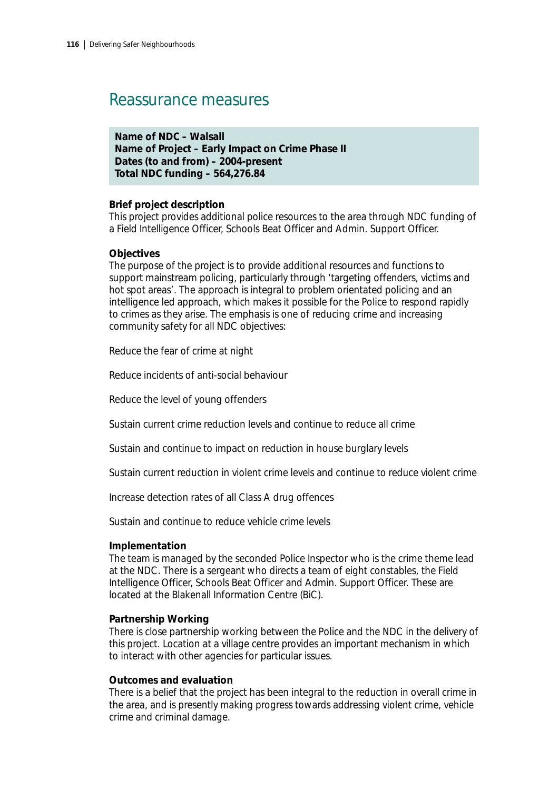# Reassurance measures

**Name of NDC – Walsall Name of Project – Early Impact on Crime Phase II Dates (to and from) – 2004-present Total NDC funding – 564,276.84**

# **Brief project description**

This project provides additional police resources to the area through NDC funding of a Field Intelligence Officer, Schools Beat Officer and Admin. Support Officer.

# **Objectives**

The purpose of the project is to provide additional resources and functions to support mainstream policing, particularly through 'targeting offenders, victims and hot spot areas'. The approach is integral to problem orientated policing and an intelligence led approach, which makes it possible for the Police to respond rapidly to crimes as they arise. The emphasis is one of reducing crime and increasing community safety for all NDC objectives:

Reduce the fear of crime at night

Reduce incidents of anti-social behaviour

Reduce the level of young offenders

Sustain current crime reduction levels and continue to reduce all crime

Sustain and continue to impact on reduction in house burglary levels

Sustain current reduction in violent crime levels and continue to reduce violent crime

Increase detection rates of all Class A drug offences

Sustain and continue to reduce vehicle crime levels

#### **Implementation**

The team is managed by the seconded Police Inspector who is the crime theme lead at the NDC. There is a sergeant who directs a team of eight constables, the Field Intelligence Officer, Schools Beat Officer and Admin. Support Officer. These are located at the Blakenall Information Centre (BiC).

#### **Partnership Working**

There is close partnership working between the Police and the NDC in the delivery of this project. Location at a village centre provides an important mechanism in which to interact with other agencies for particular issues.

# **Outcomes and evaluation**

There is a belief that the project has been integral to the reduction in overall crime in the area, and is presently making progress towards addressing violent crime, vehicle crime and criminal damage.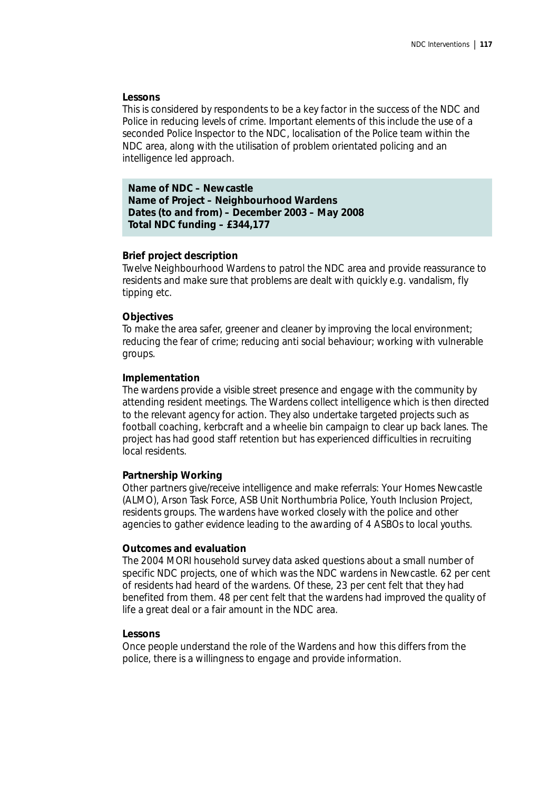#### **Lessons**

This is considered by respondents to be a key factor in the success of the NDC and Police in reducing levels of crime. Important elements of this include the use of a seconded Police Inspector to the NDC, localisation of the Police team within the NDC area, along with the utilisation of problem orientated policing and an intelligence led approach.

**Name of NDC – Newcastle Name of Project – Neighbourhood Wardens Dates (to and from) – December 2003 – May 2008 Total NDC funding – £344,177**

# **Brief project description**

Twelve Neighbourhood Wardens to patrol the NDC area and provide reassurance to residents and make sure that problems are dealt with quickly e.g. vandalism, fly tipping etc.

# **Objectives**

To make the area safer, greener and cleaner by improving the local environment; reducing the fear of crime; reducing anti social behaviour; working with vulnerable groups.

# **Implementation**

The wardens provide a visible street presence and engage with the community by attending resident meetings. The Wardens collect intelligence which is then directed to the relevant agency for action. They also undertake targeted projects such as football coaching, kerbcraft and a wheelie bin campaign to clear up back lanes. The project has had good staff retention but has experienced difficulties in recruiting local residents.

#### **Partnership Working**

Other partners give/receive intelligence and make referrals: Your Homes Newcastle (ALMO), Arson Task Force, ASB Unit Northumbria Police, Youth Inclusion Project, residents groups. The wardens have worked closely with the police and other agencies to gather evidence leading to the awarding of 4 ASBOs to local youths.

# **Outcomes and evaluation**

The 2004 MORI household survey data asked questions about a small number of specific NDC projects, one of which was the NDC wardens in Newcastle. 62 per cent of residents had heard of the wardens. Of these, 23 per cent felt that they had benefited from them. 48 per cent felt that the wardens had improved the quality of life a great deal or a fair amount in the NDC area.

#### **Lessons**

Once people understand the role of the Wardens and how this differs from the police, there is a willingness to engage and provide information.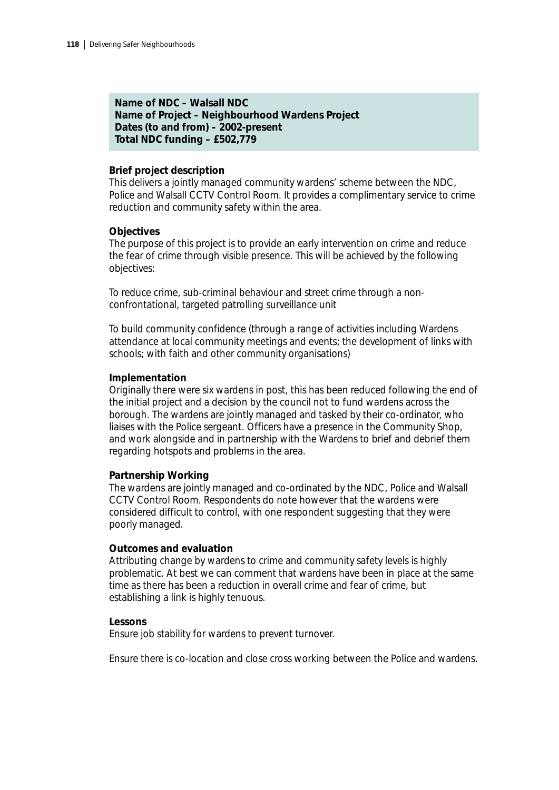**Name of NDC – Walsall NDC Name of Project – Neighbourhood Wardens Project Dates (to and from) – 2002-present Total NDC funding – £502,779**

# **Brief project description**

This delivers a jointly managed community wardens' scheme between the NDC, Police and Walsall CCTV Control Room. It provides a complimentary service to crime reduction and community safety within the area.

# **Objectives**

The purpose of this project is to provide an early intervention on crime and reduce the fear of crime through visible presence. This will be achieved by the following objectives:

To reduce crime, sub-criminal behaviour and street crime through a nonconfrontational, targeted patrolling surveillance unit

To build community confidence (through a range of activities including Wardens attendance at local community meetings and events; the development of links with schools; with faith and other community organisations)

# **Implementation**

Originally there were six wardens in post, this has been reduced following the end of the initial project and a decision by the council not to fund wardens across the borough. The wardens are jointly managed and tasked by their co-ordinator, who liaises with the Police sergeant. Officers have a presence in the Community Shop, and work alongside and in partnership with the Wardens to brief and debrief them regarding hotspots and problems in the area.

#### **Partnership Working**

The wardens are jointly managed and co-ordinated by the NDC, Police and Walsall CCTV Control Room. Respondents do note however that the wardens were considered difficult to control, with one respondent suggesting that they were poorly managed.

# **Outcomes and evaluation**

Attributing change by wardens to crime and community safety levels is highly problematic. At best we can comment that wardens have been in place at the same time as there has been a reduction in overall crime and fear of crime, but establishing a link is highly tenuous.

#### **Lessons**

Ensure job stability for wardens to prevent turnover.

Ensure there is co-location and close cross working between the Police and wardens.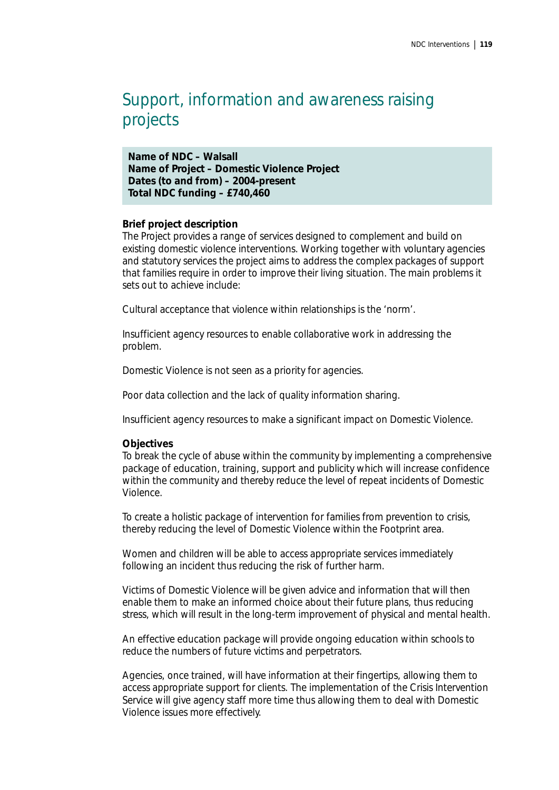# Support, information and awareness raising projects

**Name of NDC – Walsall Name of Project – Domestic Violence Project Dates (to and from) – 2004-present Total NDC funding – £740,460**

# **Brief project description**

The Project provides a range of services designed to complement and build on existing domestic violence interventions. Working together with voluntary agencies and statutory services the project aims to address the complex packages of support that families require in order to improve their living situation. The main problems it sets out to achieve include:

Cultural acceptance that violence within relationships is the 'norm'.

Insufficient agency resources to enable collaborative work in addressing the problem.

Domestic Violence is not seen as a priority for agencies.

Poor data collection and the lack of quality information sharing.

Insufficient agency resources to make a significant impact on Domestic Violence.

#### **Objectives**

To break the cycle of abuse within the community by implementing a comprehensive package of education, training, support and publicity which will increase confidence within the community and thereby reduce the level of repeat incidents of Domestic Violence.

To create a holistic package of intervention for families from prevention to crisis, thereby reducing the level of Domestic Violence within the Footprint area.

Women and children will be able to access appropriate services immediately following an incident thus reducing the risk of further harm.

Victims of Domestic Violence will be given advice and information that will then enable them to make an informed choice about their future plans, thus reducing stress, which will result in the long-term improvement of physical and mental health.

An effective education package will provide ongoing education within schools to reduce the numbers of future victims and perpetrators.

Agencies, once trained, will have information at their fingertips, allowing them to access appropriate support for clients. The implementation of the Crisis Intervention Service will give agency staff more time thus allowing them to deal with Domestic Violence issues more effectively.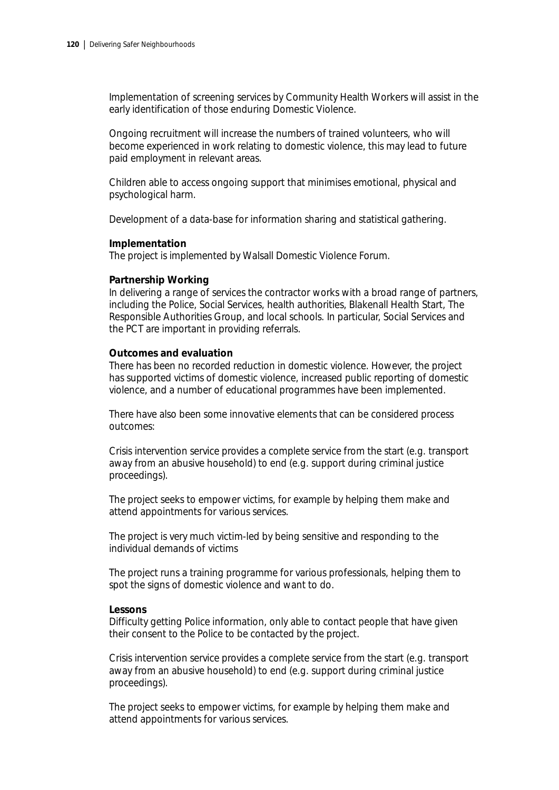Implementation of screening services by Community Health Workers will assist in the early identification of those enduring Domestic Violence.

Ongoing recruitment will increase the numbers of trained volunteers, who will become experienced in work relating to domestic violence, this may lead to future paid employment in relevant areas.

Children able to access ongoing support that minimises emotional, physical and psychological harm.

Development of a data-base for information sharing and statistical gathering.

# **Implementation**

The project is implemented by Walsall Domestic Violence Forum.

#### **Partnership Working**

In delivering a range of services the contractor works with a broad range of partners, including the Police, Social Services, health authorities, Blakenall Health Start, The Responsible Authorities Group, and local schools. In particular, Social Services and the PCT are important in providing referrals.

#### **Outcomes and evaluation**

There has been no recorded reduction in domestic violence. However, the project has supported victims of domestic violence, increased public reporting of domestic violence, and a number of educational programmes have been implemented.

There have also been some innovative elements that can be considered process outcomes:

Crisis intervention service provides a complete service from the start (e.g. transport away from an abusive household) to end (e.g. support during criminal justice proceedings).

The project seeks to empower victims, for example by helping them make and attend appointments for various services.

The project is very much victim-led by being sensitive and responding to the individual demands of victims

The project runs a training programme for various professionals, helping them to spot the signs of domestic violence and want to do.

#### **Lessons**

Difficulty getting Police information, only able to contact people that have given their consent to the Police to be contacted by the project.

Crisis intervention service provides a complete service from the start (e.g. transport away from an abusive household) to end (e.g. support during criminal justice proceedings).

The project seeks to empower victims, for example by helping them make and attend appointments for various services.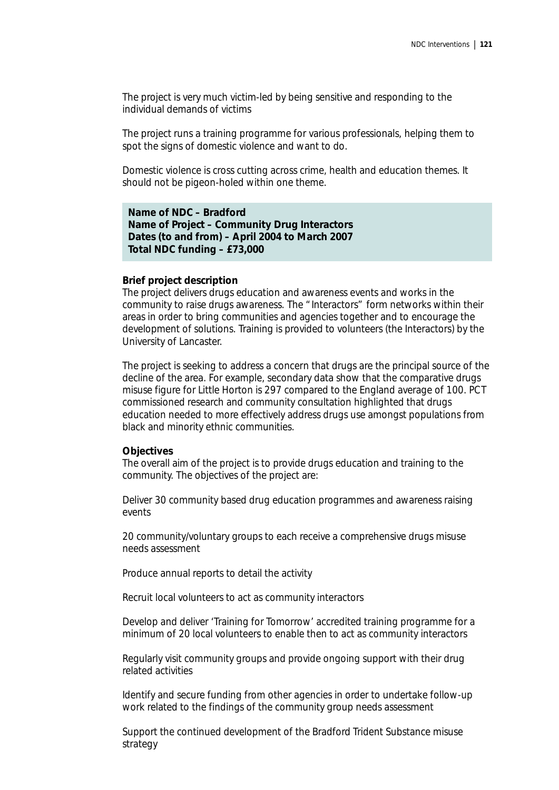The project is very much victim-led by being sensitive and responding to the individual demands of victims

The project runs a training programme for various professionals, helping them to spot the signs of domestic violence and want to do.

Domestic violence is cross cutting across crime, health and education themes. It should not be pigeon-holed within one theme.

**Name of NDC – Bradford Name of Project – Community Drug Interactors Dates (to and from) – April 2004 to March 2007 Total NDC funding – £73,000**

#### **Brief project description**

The project delivers drugs education and awareness events and works in the community to raise drugs awareness. The "Interactors" form networks within their areas in order to bring communities and agencies together and to encourage the development of solutions. Training is provided to volunteers (the Interactors) by the University of Lancaster.

The project is seeking to address a concern that drugs are the principal source of the decline of the area. For example, secondary data show that the comparative drugs misuse figure for Little Horton is 297 compared to the England average of 100. PCT commissioned research and community consultation highlighted that drugs education needed to more effectively address drugs use amongst populations from black and minority ethnic communities.

# **Objectives**

The overall aim of the project is to provide drugs education and training to the community. The objectives of the project are:

Deliver 30 community based drug education programmes and awareness raising events

20 community/voluntary groups to each receive a comprehensive drugs misuse needs assessment

Produce annual reports to detail the activity

Recruit local volunteers to act as community interactors

Develop and deliver 'Training for Tomorrow' accredited training programme for a minimum of 20 local volunteers to enable then to act as community interactors

Regularly visit community groups and provide ongoing support with their drug related activities

Identify and secure funding from other agencies in order to undertake follow-up work related to the findings of the community group needs assessment

Support the continued development of the Bradford Trident Substance misuse strategy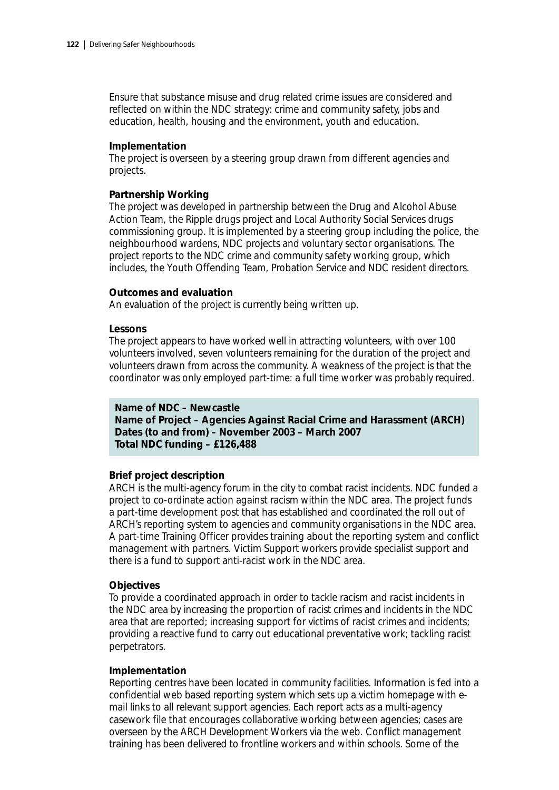Ensure that substance misuse and drug related crime issues are considered and reflected on within the NDC strategy: crime and community safety, jobs and education, health, housing and the environment, youth and education.

# **Implementation**

The project is overseen by a steering group drawn from different agencies and projects.

# **Partnership Working**

The project was developed in partnership between the Drug and Alcohol Abuse Action Team, the Ripple drugs project and Local Authority Social Services drugs commissioning group. It is implemented by a steering group including the police, the neighbourhood wardens, NDC projects and voluntary sector organisations. The project reports to the NDC crime and community safety working group, which includes, the Youth Offending Team, Probation Service and NDC resident directors.

# **Outcomes and evaluation**

An evaluation of the project is currently being written up.

# **Lessons**

The project appears to have worked well in attracting volunteers, with over 100 volunteers involved, seven volunteers remaining for the duration of the project and volunteers drawn from across the community. A weakness of the project is that the coordinator was only employed part-time: a full time worker was probably required.

**Name of NDC – Newcastle Name of Project – Agencies Against Racial Crime and Harassment (ARCH) Dates (to and from) – November 2003 – March 2007 Total NDC funding – £126,488**

# **Brief project description**

ARCH is the multi-agency forum in the city to combat racist incidents. NDC funded a project to co-ordinate action against racism within the NDC area. The project funds a part-time development post that has established and coordinated the roll out of ARCH's reporting system to agencies and community organisations in the NDC area. A part-time Training Officer provides training about the reporting system and conflict management with partners. Victim Support workers provide specialist support and there is a fund to support anti-racist work in the NDC area.

# **Objectives**

To provide a coordinated approach in order to tackle racism and racist incidents in the NDC area by increasing the proportion of racist crimes and incidents in the NDC area that are reported; increasing support for victims of racist crimes and incidents; providing a reactive fund to carry out educational preventative work; tackling racist perpetrators.

#### **Implementation**

Reporting centres have been located in community facilities. Information is fed into a confidential web based reporting system which sets up a victim homepage with email links to all relevant support agencies. Each report acts as a multi-agency casework file that encourages collaborative working between agencies; cases are overseen by the ARCH Development Workers via the web. Conflict management training has been delivered to frontline workers and within schools. Some of the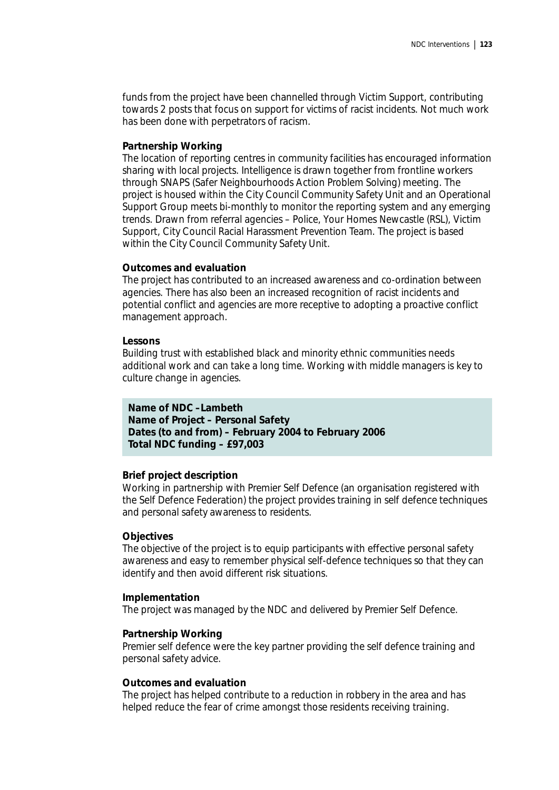funds from the project have been channelled through Victim Support, contributing towards 2 posts that focus on support for victims of racist incidents. Not much work has been done with perpetrators of racism.

#### **Partnership Working**

The location of reporting centres in community facilities has encouraged information sharing with local projects. Intelligence is drawn together from frontline workers through SNAPS (Safer Neighbourhoods Action Problem Solving) meeting. The project is housed within the City Council Community Safety Unit and an Operational Support Group meets bi-monthly to monitor the reporting system and any emerging trends. Drawn from referral agencies – Police, Your Homes Newcastle (RSL), Victim Support, City Council Racial Harassment Prevention Team. The project is based within the City Council Community Safety Unit.

# **Outcomes and evaluation**

The project has contributed to an increased awareness and co-ordination between agencies. There has also been an increased recognition of racist incidents and potential conflict and agencies are more receptive to adopting a proactive conflict management approach.

#### **Lessons**

Building trust with established black and minority ethnic communities needs additional work and can take a long time. Working with middle managers is key to culture change in agencies.

**Name of NDC –Lambeth Name of Project – Personal Safety Dates (to and from) – February 2004 to February 2006 Total NDC funding – £97,003**

# **Brief project description**

Working in partnership with Premier Self Defence (an organisation registered with the Self Defence Federation) the project provides training in self defence techniques and personal safety awareness to residents.

#### **Objectives**

The objective of the project is to equip participants with effective personal safety awareness and easy to remember physical self-defence techniques so that they can identify and then avoid different risk situations.

#### **Implementation**

The project was managed by the NDC and delivered by Premier Self Defence.

# **Partnership Working**

Premier self defence were the key partner providing the self defence training and personal safety advice.

# **Outcomes and evaluation**

The project has helped contribute to a reduction in robbery in the area and has helped reduce the fear of crime amongst those residents receiving training.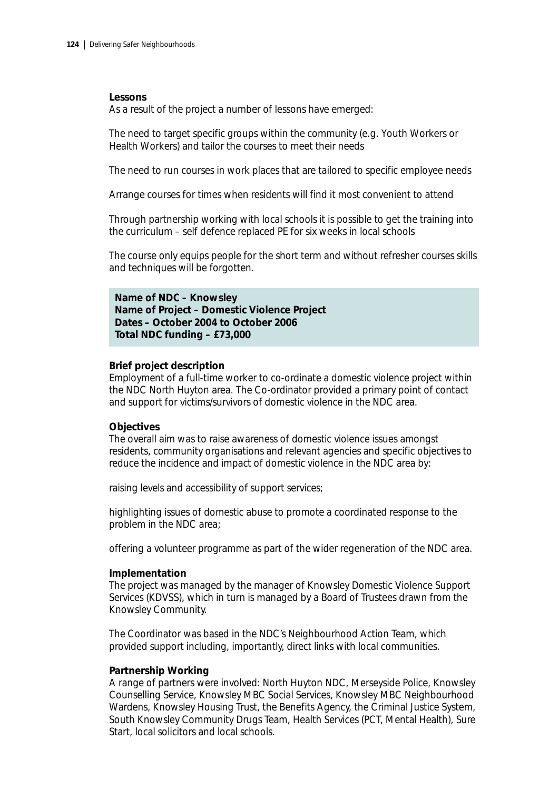#### **Lessons**

As a result of the project a number of lessons have emerged:

The need to target specific groups within the community (e.g. Youth Workers or Health Workers) and tailor the courses to meet their needs

The need to run courses in work places that are tailored to specific employee needs

Arrange courses for times when residents will find it most convenient to attend

Through partnership working with local schools it is possible to get the training into the curriculum – self defence replaced PE for six weeks in local schools

The course only equips people for the short term and without refresher courses skills and techniques will be forgotten.

**Name of NDC – Knowsley Name of Project – Domestic Violence Project Dates – October 2004 to October 2006 Total NDC funding – £73,000**

#### **Brief project description**

Employment of a full-time worker to co-ordinate a domestic violence project within the NDC North Huyton area. The Co-ordinator provided a primary point of contact and support for victims/survivors of domestic violence in the NDC area.

#### **Objectives**

The overall aim was to raise awareness of domestic violence issues amongst residents, community organisations and relevant agencies and specific objectives to reduce the incidence and impact of domestic violence in the NDC area by:

raising levels and accessibility of support services;

highlighting issues of domestic abuse to promote a coordinated response to the problem in the NDC area;

offering a volunteer programme as part of the wider regeneration of the NDC area.

#### **Implementation**

The project was managed by the manager of Knowsley Domestic Violence Support Services (KDVSS), which in turn is managed by a Board of Trustees drawn from the Knowsley Community.

The Coordinator was based in the NDC's Neighbourhood Action Team, which provided support including, importantly, direct links with local communities.

# **Partnership Working**

A range of partners were involved: North Huyton NDC, Merseyside Police, Knowsley Counselling Service, Knowsley MBC Social Services, Knowsley MBC Neighbourhood Wardens, Knowsley Housing Trust, the Benefits Agency, the Criminal Justice System, South Knowsley Community Drugs Team, Health Services (PCT, Mental Health), Sure Start, local solicitors and local schools.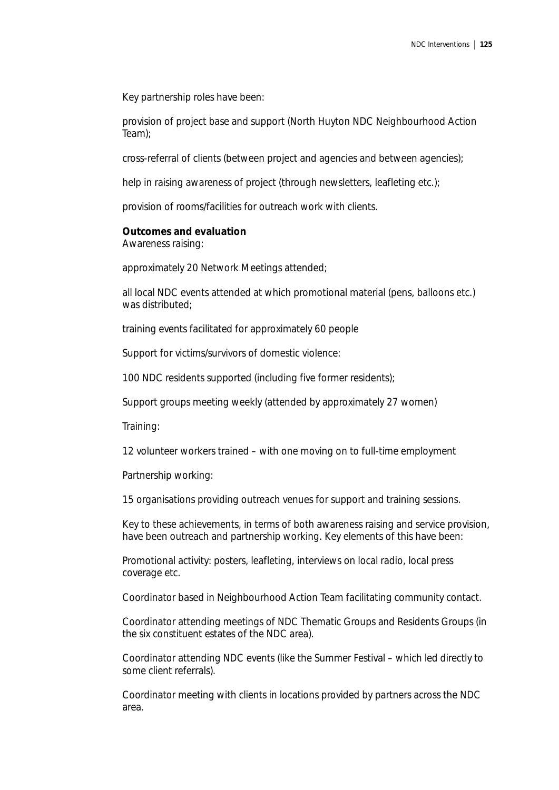Key partnership roles have been:

provision of project base and support (North Huyton NDC Neighbourhood Action Team);

cross-referral of clients (between project and agencies and between agencies);

help in raising awareness of project (through newsletters, leafleting etc.);

provision of rooms/facilities for outreach work with clients.

# **Outcomes and evaluation**

Awareness raising:

approximately 20 Network Meetings attended;

all local NDC events attended at which promotional material (pens, balloons etc.) was distributed;

training events facilitated for approximately 60 people

Support for victims/survivors of domestic violence:

100 NDC residents supported (including five former residents);

Support groups meeting weekly (attended by approximately 27 women)

Training:

12 volunteer workers trained – with one moving on to full-time employment

Partnership working:

15 organisations providing outreach venues for support and training sessions.

Key to these achievements, in terms of both awareness raising and service provision, have been outreach and partnership working. Key elements of this have been:

Promotional activity: posters, leafleting, interviews on local radio, local press coverage etc.

Coordinator based in Neighbourhood Action Team facilitating community contact.

Coordinator attending meetings of NDC Thematic Groups and Residents Groups (in the six constituent estates of the NDC area).

Coordinator attending NDC events (like the Summer Festival – which led directly to some client referrals).

Coordinator meeting with clients in locations provided by partners across the NDC area.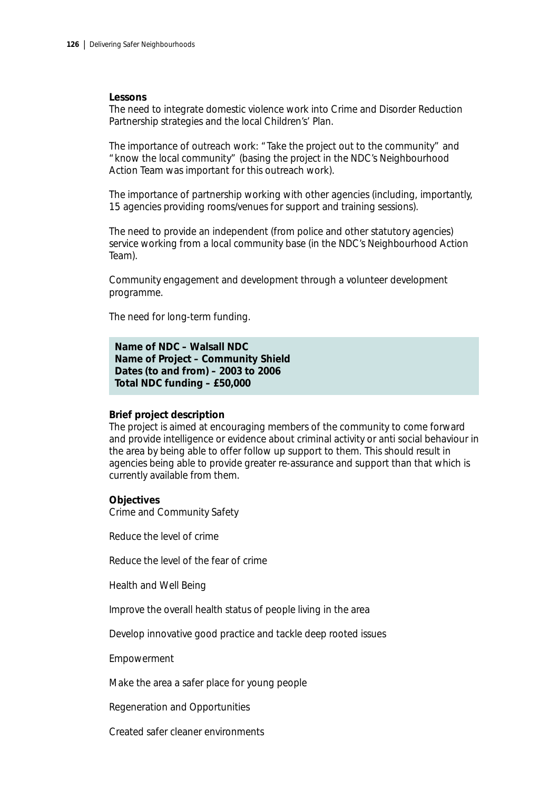# **Lessons**

The need to integrate domestic violence work into Crime and Disorder Reduction Partnership strategies and the local Children's' Plan.

The importance of outreach work: "Take the project out to the community" and "know the local community" (basing the project in the NDC's Neighbourhood Action Team was important for this outreach work).

The importance of partnership working with other agencies (including, importantly, 15 agencies providing rooms/venues for support and training sessions).

The need to provide an independent (from police and other statutory agencies) service working from a local community base (in the NDC's Neighbourhood Action Team).

Community engagement and development through a volunteer development programme.

The need for long-term funding.

**Name of NDC – Walsall NDC Name of Project – Community Shield Dates (to and from) – 2003 to 2006 Total NDC funding – £50,000**

#### **Brief project description**

The project is aimed at encouraging members of the community to come forward and provide intelligence or evidence about criminal activity or anti social behaviour in the area by being able to offer follow up support to them. This should result in agencies being able to provide greater re-assurance and support than that which is currently available from them.

# **Objectives**

Crime and Community Safety

Reduce the level of crime

Reduce the level of the fear of crime

Health and Well Being

Improve the overall health status of people living in the area

Develop innovative good practice and tackle deep rooted issues

Empowerment

Make the area a safer place for young people

Regeneration and Opportunities

Created safer cleaner environments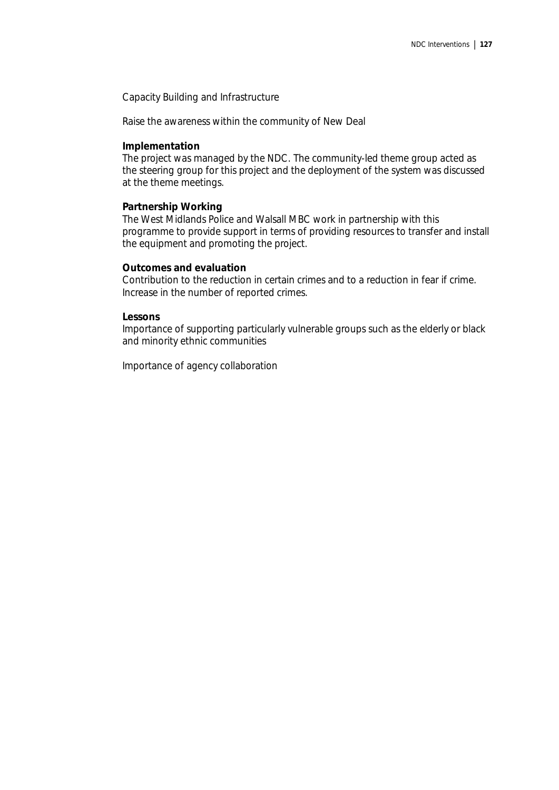Capacity Building and Infrastructure

Raise the awareness within the community of New Deal

# **Implementation**

The project was managed by the NDC. The community-led theme group acted as the steering group for this project and the deployment of the system was discussed at the theme meetings.

# **Partnership Working**

The West Midlands Police and Walsall MBC work in partnership with this programme to provide support in terms of providing resources to transfer and install the equipment and promoting the project.

# **Outcomes and evaluation**

Contribution to the reduction in certain crimes and to a reduction in fear if crime. Increase in the number of reported crimes.

# **Lessons**

Importance of supporting particularly vulnerable groups such as the elderly or black and minority ethnic communities

Importance of agency collaboration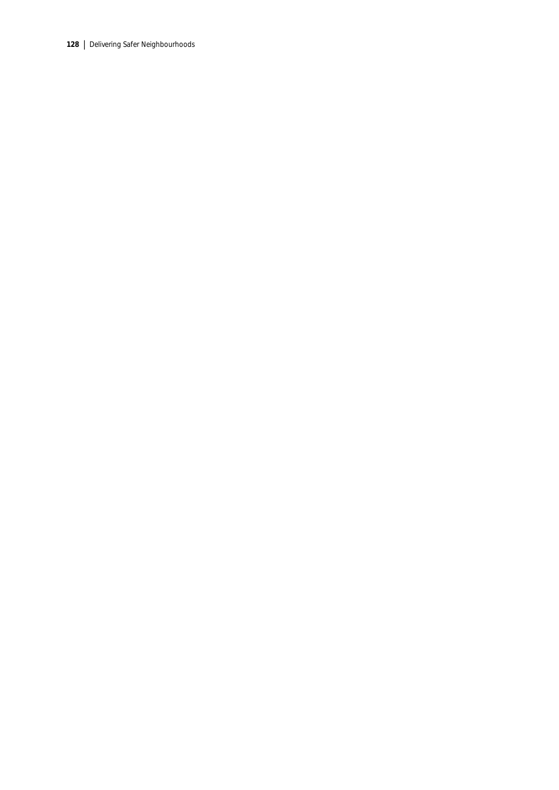# | Delivering Safer Neighbourhoods